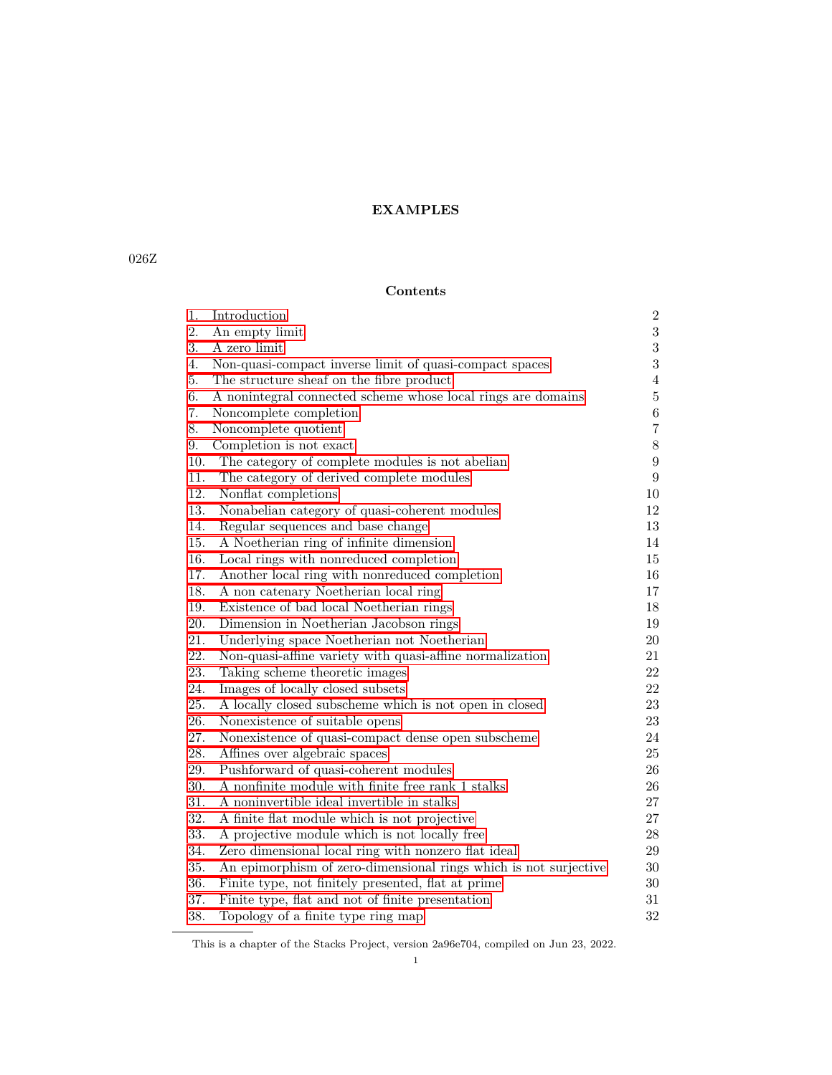# **Contents**

| 1.  | Introduction                                                     | $\,2$            |
|-----|------------------------------------------------------------------|------------------|
| 2.  | An empty limit                                                   | $\overline{3}$   |
| 3.  | A zero limit                                                     | $\sqrt{3}$       |
| 4.  | Non-quasi-compact inverse limit of quasi-compact spaces          | $\overline{3}$   |
| 5.  | The structure sheaf on the fibre product                         | $\overline{4}$   |
| 6.  | A nonintegral connected scheme whose local rings are domains     | $\bf 5$          |
| 7.  | Noncomplete completion                                           | $\,6\,$          |
| 8.  | Noncomplete quotient                                             | $\overline{7}$   |
| 9.  | Completion is not exact                                          | $8\,$            |
| 10. | The category of complete modules is not abelian                  | $\boldsymbol{9}$ |
| 11. | The category of derived complete modules                         | $\boldsymbol{9}$ |
| 12. | Nonflat completions                                              | $10\,$           |
| 13. | Nonabelian category of quasi-coherent modules                    | 12               |
| 14. | Regular sequences and base change                                | 13               |
| 15. | A Noetherian ring of infinite dimension                          | 14               |
| 16. | Local rings with nonreduced completion                           | 15               |
| 17. | Another local ring with nonreduced completion                    | 16               |
| 18. | A non catenary Noetherian local ring                             | 17               |
| 19. | Existence of bad local Noetherian rings                          | 18               |
| 20. | Dimension in Noetherian Jacobson rings                           | 19               |
| 21. | Underlying space Noetherian not Noetherian                       | $20\,$           |
| 22. | Non-quasi-affine variety with quasi-affine normalization         | $21\,$           |
| 23. | Taking scheme theoretic images                                   | 22               |
| 24. | Images of locally closed subsets                                 | $22\,$           |
| 25. | A locally closed subscheme which is not open in closed           | $23\,$           |
| 26. | Nonexistence of suitable opens                                   | 23               |
| 27. | Nonexistence of quasi-compact dense open subscheme               | 24               |
| 28. | Affines over algebraic spaces                                    | $25\,$           |
| 29. | Pushforward of quasi-coherent modules                            | 26               |
| 30. | A nonfinite module with finite free rank 1 stalks                | 26               |
| 31. | A noninvertible ideal invertible in stalks                       | 27               |
| 32. | A finite flat module which is not projective                     | 27               |
| 33. | A projective module which is not locally free                    | $28\,$           |
| 34. | Zero dimensional local ring with nonzero flat ideal              | 29               |
| 35. | An epimorphism of zero-dimensional rings which is not surjective | $30\,$           |
| 36. | Finite type, not finitely presented, flat at prime               | $30\,$           |
| 37. | Finite type, flat and not of finite presentation                 | 31               |
| 38. | Topology of a finite type ring map                               | 32               |
|     |                                                                  |                  |

This is a chapter of the Stacks Project, version 2a96e704, compiled on Jun 23, 2022.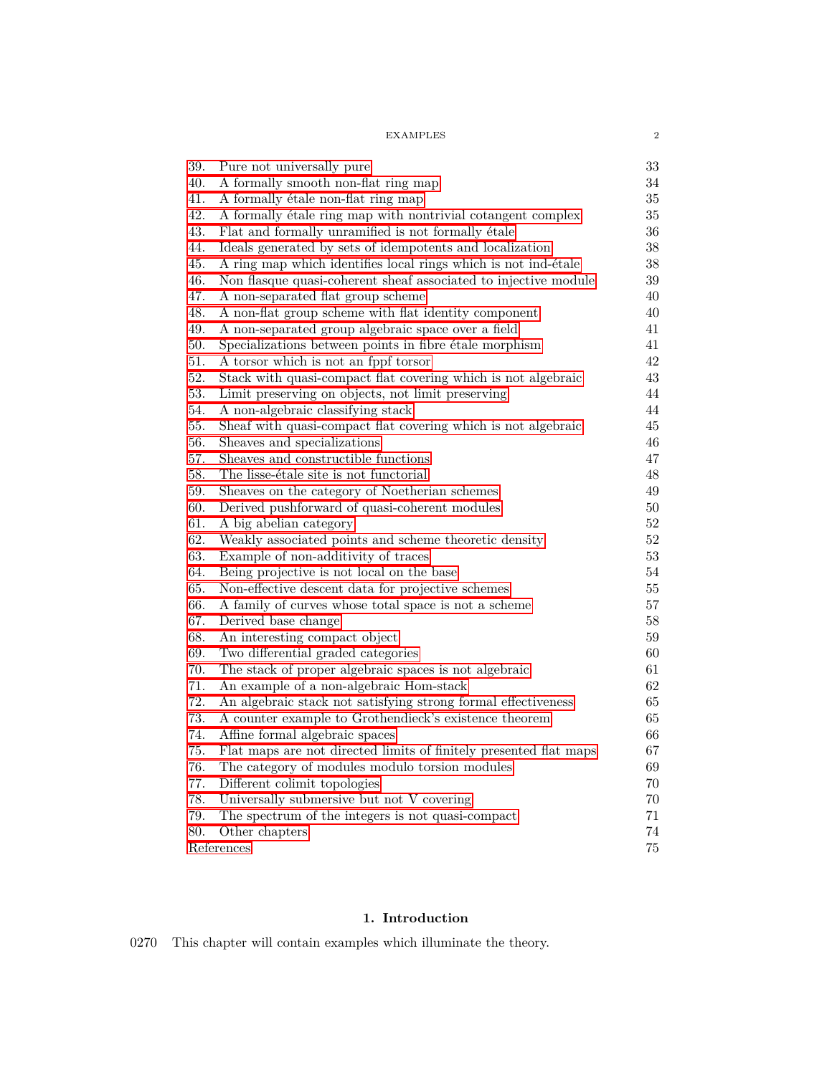| <b>EXAMPLES</b> |  |
|-----------------|--|
|                 |  |

| 39.        | Pure not universally pure<br>A formally smooth non-flat ring map  | 33<br>34 |
|------------|-------------------------------------------------------------------|----------|
| 40.<br>41. | A formally étale non-flat ring map                                | $35\,$   |
| 42.        | A formally étale ring map with nontrivial cotangent complex       | 35       |
| 43.        | Flat and formally unramified is not formally étale                | 36       |
| 44.        | Ideals generated by sets of idempotents and localization          | 38       |
| 45.        | A ring map which identifies local rings which is not ind-étale    | 38       |
| 46.        | Non flasque quasi-coherent sheaf associated to injective module   | 39       |
| 47.        | A non-separated flat group scheme                                 | 40       |
| 48.        | A non-flat group scheme with flat identity component              | 40       |
| 49.        | A non-separated group algebraic space over a field                | 41       |
| 50.        | Specializations between points in fibre étale morphism            | 41       |
| 51.        | A torsor which is not an fppf torsor                              | 42       |
| 52.        | Stack with quasi-compact flat covering which is not algebraic     | 43       |
| 53.        | Limit preserving on objects, not limit preserving                 | 44       |
| 54.        | A non-algebraic classifying stack                                 | 44       |
| 55.        | Sheaf with quasi-compact flat covering which is not algebraic     | 45       |
| 56.        | Sheaves and specializations                                       | 46       |
| 57.        | Sheaves and constructible functions                               | 47       |
| 58.        | The lisse-étale site is not functorial                            | 48       |
| 59.        | Sheaves on the category of Noetherian schemes                     | 49       |
| 60.        | Derived pushforward of quasi-coherent modules                     | 50       |
| 61.        | A big abelian category                                            | 52       |
| 62.        | Weakly associated points and scheme theoretic density             | 52       |
| 63.        | Example of non-additivity of traces                               | 53       |
| 64.        | Being projective is not local on the base                         | 54       |
| 65.        | Non-effective descent data for projective schemes                 | 55       |
| 66.        | A family of curves whose total space is not a scheme              | 57       |
| 67.        | Derived base change                                               | 58       |
| 68.        | An interesting compact object                                     | 59       |
| 69.        | Two differential graded categories                                | 60       |
| 70.        | The stack of proper algebraic spaces is not algebraic             | 61       |
| 71.        | An example of a non-algebraic Hom-stack                           | 62       |
| 72.        | An algebraic stack not satisfying strong formal effectiveness     | 65       |
| 73.        | A counter example to Grothendieck's existence theorem             | 65       |
| 74.        | Affine formal algebraic spaces                                    | 66       |
| 75.        | Flat maps are not directed limits of finitely presented flat maps | 67       |
| 76.        | The category of modules modulo torsion modules                    | 69       |
| 77.        | Different colimit topologies                                      | 70       |
| 78.        | Universally submersive but not V covering                         | 70       |
| 79.        | The spectrum of the integers is not quasi-compact                 | 71       |
| 80.        | Other chapters                                                    | 74       |
|            | References                                                        | 75       |
|            |                                                                   |          |

# **1. Introduction**

<span id="page-1-0"></span>0270 This chapter will contain examples which illuminate the theory.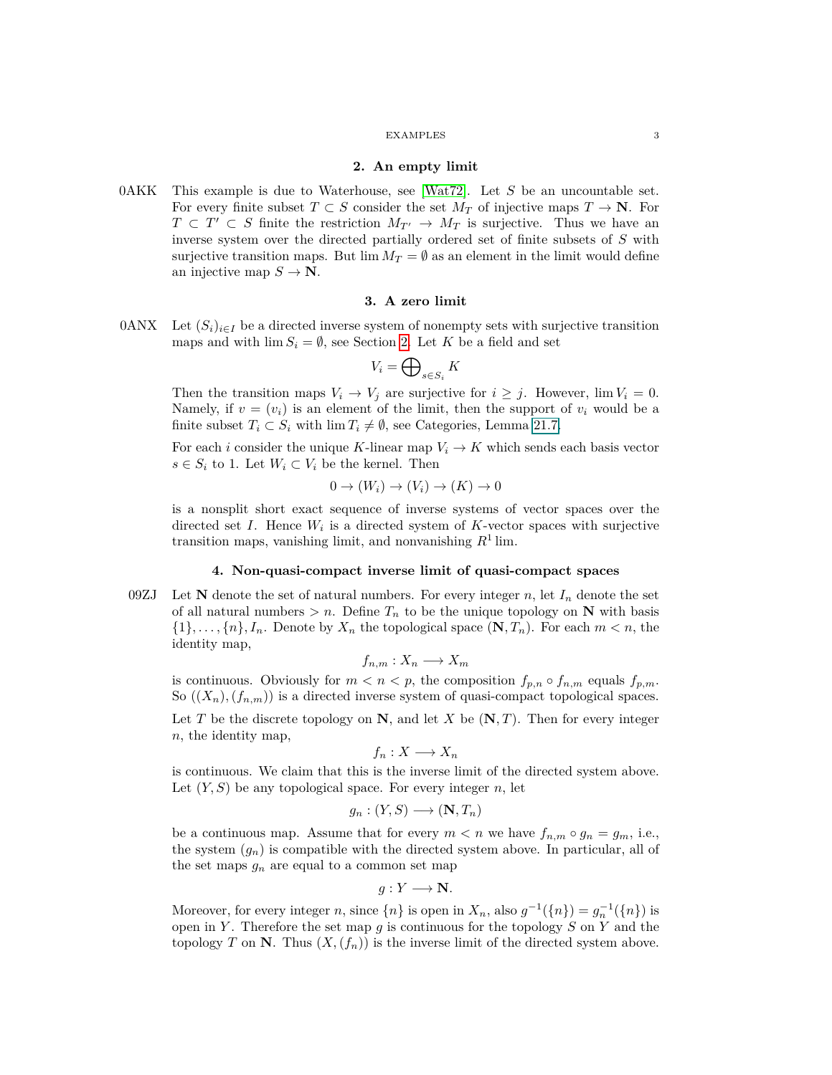## **2. An empty limit**

<span id="page-2-0"></span>0AKK This example is due to Waterhouse, see [\[Wat72\]](#page-75-0). Let *S* be an uncountable set. For every finite subset  $T \subset S$  consider the set  $M_T$  of injective maps  $T \to \mathbb{N}$ . For  $T \subset T' \subset S$  finite the restriction  $M_{T'} \to M_T$  is surjective. Thus we have an inverse system over the directed partially ordered set of finite subsets of *S* with surjective transition maps. But  $\lim M_T = \emptyset$  as an element in the limit would define an injective map  $S \to \mathbb{N}$ .

## **3. A zero limit**

<span id="page-2-1"></span>0ANX Let  $(S_i)_{i \in I}$  be a directed inverse system of nonempty sets with surjective transition maps and with  $\lim S_i = \emptyset$ , see Section [2.](#page-2-0) Let *K* be a field and set

$$
V_i = \bigoplus\nolimits_{s \in S_i} K
$$

Then the transition maps  $V_i \rightarrow V_j$  are surjective for  $i \geq j$ . However,  $\lim V_i = 0$ . Namely, if  $v = (v_i)$  is an element of the limit, then the support of  $v_i$  would be a finite subset  $T_i \subset S_i$  with  $\lim T_i \neq \emptyset$ , see Categories, Lemma 21.7.

For each *i* consider the unique *K*-linear map  $V_i \to K$  which sends each basis vector *s* ∈  $S_i$  to 1. Let  $W_i$  ⊂  $V_i$  be the kernel. Then

$$
0 \to (W_i) \to (V_i) \to (K) \to 0
$$

is a nonsplit short exact sequence of inverse systems of vector spaces over the directed set  $I$ . Hence  $W_i$  is a directed system of  $K$ -vector spaces with surjective transition maps, vanishing limit, and nonvanishing *R*<sup>1</sup> lim.

## <span id="page-2-2"></span>**4. Non-quasi-compact inverse limit of quasi-compact spaces**

09ZJ Let **N** denote the set of natural numbers. For every integer *n*, let  $I_n$  denote the set of all natural numbers  $> n$ . Define  $T_n$  to be the unique topology on **N** with basis  $\{1\}, \ldots, \{n\}, I_n$ . Denote by  $X_n$  the topological space  $(\mathbf{N}, T_n)$ . For each  $m < n$ , the identity map,

$$
f_{n,m}: X_n \longrightarrow X_m
$$

is continuous. Obviously for  $m < n < p$ , the composition  $f_{p,n} \circ f_{n,m}$  equals  $f_{p,m}$ . So  $((X_n), (f_{n,m}))$  is a directed inverse system of quasi-compact topological spaces.

Let *T* be the discrete topology on **N**, and let *X* be (**N***, T*). Then for every integer *n*, the identity map,

$$
f_n: X \longrightarrow X_n
$$

is continuous. We claim that this is the inverse limit of the directed system above. Let  $(Y, S)$  be any topological space. For every integer *n*, let

$$
g_n : (Y, S) \longrightarrow (\mathbf{N}, T_n)
$$

be a continuous map. Assume that for every  $m < n$  we have  $f_{n,m} \circ g_n = g_m$ , i.e., the system  $(g_n)$  is compatible with the directed system above. In particular, all of the set maps  $g_n$  are equal to a common set map

$$
g: Y \longrightarrow \mathbf{N}.
$$

Moreover, for every integer *n*, since  $\{n\}$  is open in  $X_n$ , also  $g^{-1}(\{n\}) = g_n^{-1}(\{n\})$  is open in *Y* . Therefore the set map *g* is continuous for the topology *S* on *Y* and the topology *T* on **N**. Thus  $(X, (f_n))$  is the inverse limit of the directed system above.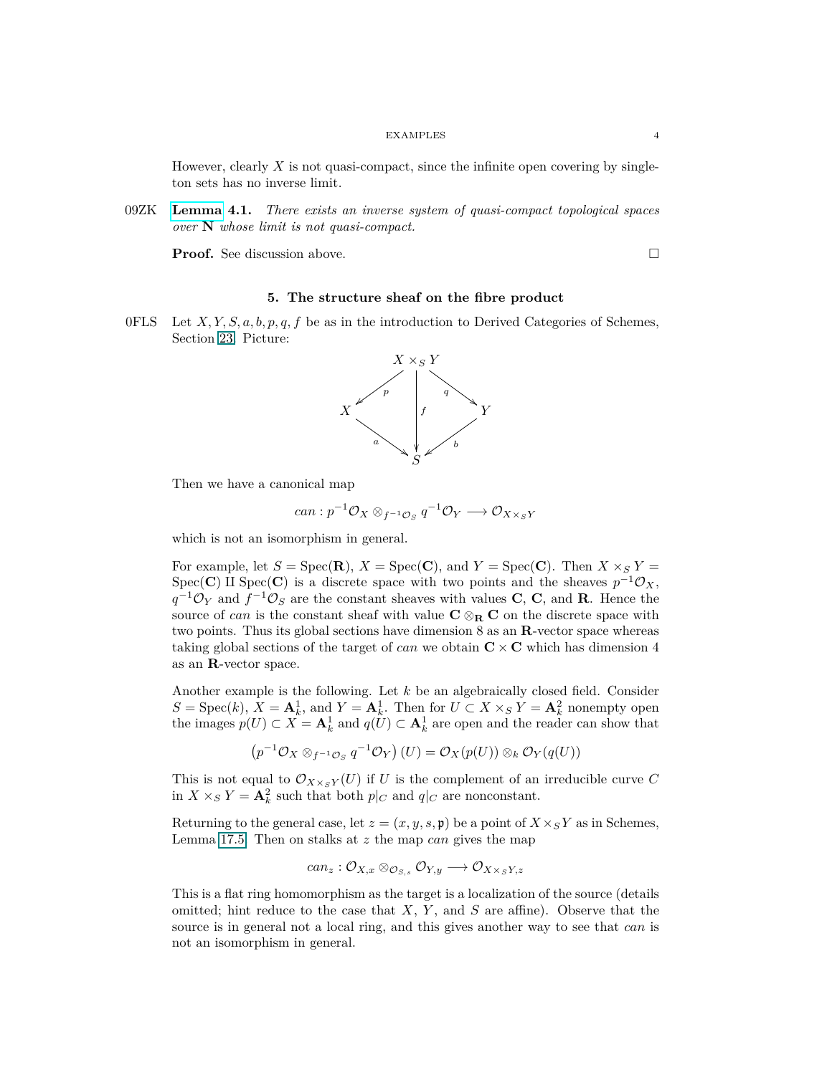However, clearly  $X$  is not quasi-compact, since the infinite open covering by singleton sets has no inverse limit.

09ZK **[Lemma](https://stacks.math.columbia.edu/tag/09ZK) 4.1.** *There exists an inverse system of quasi-compact topological spaces over* **N** *whose limit is not quasi-compact.*

<span id="page-3-0"></span>**Proof.** See discussion above. □

## **5. The structure sheaf on the fibre product**

0FLS Let *X, Y, S, a, b, p, q, f* be as in the introduction to Derived Categories of Schemes, Section [23.](#page-21-0) Picture:



Then we have a canonical map

$$
can: p^{-1}\mathcal{O}_X \otimes_{f^{-1}\mathcal{O}_S} q^{-1}\mathcal{O}_Y \longrightarrow \mathcal{O}_{X \times_S Y}
$$

which is not an isomorphism in general.

For example, let  $S = \text{Spec}(\mathbf{R})$ ,  $X = \text{Spec}(\mathbf{C})$ , and  $Y = \text{Spec}(\mathbf{C})$ . Then  $X \times_S Y =$ Spec(**C**) II Spec(**C**) is a discrete space with two points and the sheaves  $p^{-1}\mathcal{O}_X$ ,  $q^{-1}\mathcal{O}_Y$  and  $f^{-1}\mathcal{O}_S$  are the constant sheaves with values **C**, **C**, and **R**. Hence the source of *can* is the constant sheaf with value  $C \otimes_R C$  on the discrete space with two points. Thus its global sections have dimension 8 as an **R**-vector space whereas taking global sections of the target of *can* we obtain  $C \times C$  which has dimension 4 as an **R**-vector space.

Another example is the following. Let *k* be an algebraically closed field. Consider  $S = \text{Spec}(k)$ ,  $X = \mathbf{A}_k^1$ , and  $Y = \mathbf{A}_k^1$ . Then for  $U \subset X \times_S Y = \mathbf{A}_k^2$  nonempty open the images  $p(U) \subset X = \mathbf{A}_k^1$  and  $q(U) \subset \mathbf{A}_k^1$  are open and the reader can show that

$$
(p^{-1}\mathcal{O}_X \otimes_{f^{-1}\mathcal{O}_S} q^{-1}\mathcal{O}_Y)(U) = \mathcal{O}_X(p(U)) \otimes_k \mathcal{O}_Y(q(U))
$$

This is not equal to  $\mathcal{O}_{X \times_S Y}(U)$  if *U* is the complement of an irreducible curve *C* in  $X \times_S Y = \mathbf{A}_k^2$  such that both  $p|_C$  and  $q|_C$  are nonconstant.

Returning to the general case, let  $z = (x, y, s, \mathfrak{p})$  be a point of  $X \times_S Y$  as in Schemes, Lemma 17.5. Then on stalks at *z* the map *can* gives the map

$$
can_z: \mathcal{O}_{X,x} \otimes_{\mathcal{O}_{S,s}} \mathcal{O}_{Y,y} \longrightarrow \mathcal{O}_{X \times_S Y, z}
$$

This is a flat ring homomorphism as the target is a localization of the source (details omitted; hint reduce to the case that *X*, *Y* , and *S* are affine). Observe that the source is in general not a local ring, and this gives another way to see that *can* is not an isomorphism in general.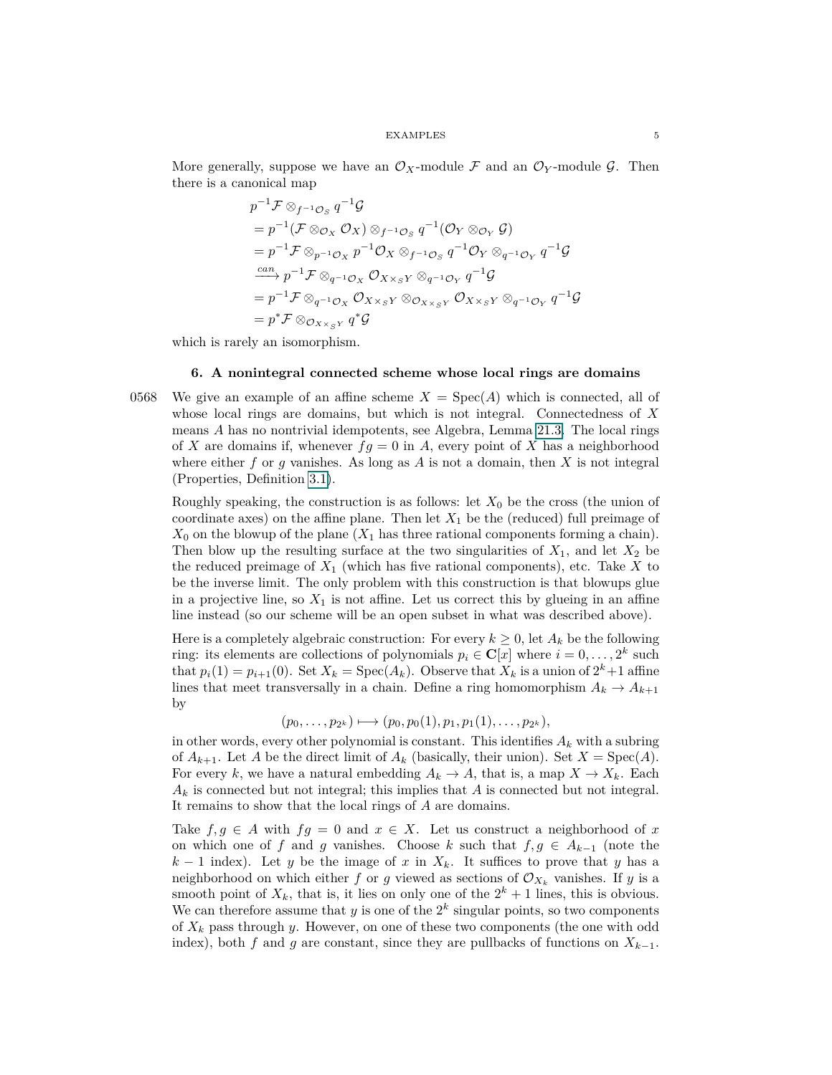More generally, suppose we have an  $\mathcal{O}_X$ -module F and an  $\mathcal{O}_Y$ -module G. Then there is a canonical map

$$
p^{-1}\mathcal{F}\otimes_{f^{-1}\mathcal{O}_S} q^{-1}\mathcal{G}
$$
  
\n
$$
= p^{-1}(\mathcal{F}\otimes_{\mathcal{O}_X} \mathcal{O}_X) \otimes_{f^{-1}\mathcal{O}_S} q^{-1}(\mathcal{O}_Y \otimes_{\mathcal{O}_Y} \mathcal{G})
$$
  
\n
$$
= p^{-1}\mathcal{F}\otimes_{p^{-1}\mathcal{O}_X} p^{-1}\mathcal{O}_X \otimes_{f^{-1}\mathcal{O}_S} q^{-1}\mathcal{O}_Y \otimes_{q^{-1}\mathcal{O}_Y} q^{-1}\mathcal{G}
$$
  
\n
$$
\xrightarrow{can} p^{-1}\mathcal{F}\otimes_{q^{-1}\mathcal{O}_X} \mathcal{O}_{X\times_S Y} \otimes_{q^{-1}\mathcal{O}_Y} q^{-1}\mathcal{G}
$$
  
\n
$$
= p^{-1}\mathcal{F}\otimes_{q^{-1}\mathcal{O}_X} \mathcal{O}_{X\times_S Y} \otimes_{\mathcal{O}_{X\times_S Y}} \mathcal{O}_{X\times_S Y} \otimes_{q^{-1}\mathcal{O}_Y} q^{-1}\mathcal{G}
$$
  
\n
$$
= p^* \mathcal{F}\otimes_{\mathcal{O}_{X\times_S Y}} q^* \mathcal{G}
$$

which is rarely an isomorphism.

## <span id="page-4-0"></span>**6. A nonintegral connected scheme whose local rings are domains**

0568 We give an example of an affine scheme  $X = \text{Spec}(A)$  which is connected, all of whose local rings are domains, but which is not integral. Connectedness of *X* means *A* has no nontrivial idempotents, see Algebra, Lemma 21.3. The local rings of *X* are domains if, whenever  $fg = 0$  in *A*, every point of *X* has a neighborhood where either  $f$  or  $g$  vanishes. As long as  $A$  is not a domain, then  $X$  is not integral (Properties, Definition 3.1).

Roughly speaking, the construction is as follows: let  $X_0$  be the cross (the union of coordinate axes) on the affine plane. Then let *X*<sup>1</sup> be the (reduced) full preimage of  $X_0$  on the blowup of the plane  $(X_1)$  has three rational components forming a chain). Then blow up the resulting surface at the two singularities of  $X_1$ , and let  $X_2$  be the reduced preimage of  $X_1$  (which has five rational components), etc. Take  $X$  to be the inverse limit. The only problem with this construction is that blowups glue in a projective line, so  $X_1$  is not affine. Let us correct this by glueing in an affine line instead (so our scheme will be an open subset in what was described above).

Here is a completely algebraic construction: For every  $k \geq 0$ , let  $A_k$  be the following ring: its elements are collections of polynomials  $p_i \in \mathbb{C}[x]$  where  $i = 0, \ldots, 2^k$  such that  $p_i(1) = p_{i+1}(0)$ . Set  $X_k = \text{Spec}(A_k)$ . Observe that  $X_k$  is a union of  $2^k + 1$  affine lines that meet transversally in a chain. Define a ring homomorphism  $A_k \to A_{k+1}$ by

$$
(p_0,\ldots,p_{2^k})\longmapsto (p_0,p_0(1),p_1,p_1(1),\ldots,p_{2^k}),
$$

in other words, every other polynomial is constant. This identifies  $A_k$  with a subring of  $A_{k+1}$ . Let *A* be the direct limit of  $A_k$  (basically, their union). Set  $X = \text{Spec}(A)$ . For every k, we have a natural embedding  $A_k \to A$ , that is, a map  $X \to X_k$ . Each  $A_k$  is connected but not integral; this implies that *A* is connected but not integral. It remains to show that the local rings of *A* are domains.

Take  $f, g \in A$  with  $fg = 0$  and  $x \in X$ . Let us construct a neighborhood of x on which one of *f* and *g* vanishes. Choose *k* such that  $f, g \in A_{k-1}$  (note the  $k-1$  index). Let *y* be the image of *x* in  $X_k$ . It suffices to prove that *y* has a neighborhood on which either *f* or *g* viewed as sections of  $\mathcal{O}_{X_k}$  vanishes. If *y* is a smooth point of  $X_k$ , that is, it lies on only one of the  $2^k + 1$  lines, this is obvious. We can therefore assume that  $y$  is one of the  $2^k$  singular points, so two components of *X<sup>k</sup>* pass through *y*. However, on one of these two components (the one with odd index), both *f* and *g* are constant, since they are pullbacks of functions on  $X_{k-1}$ .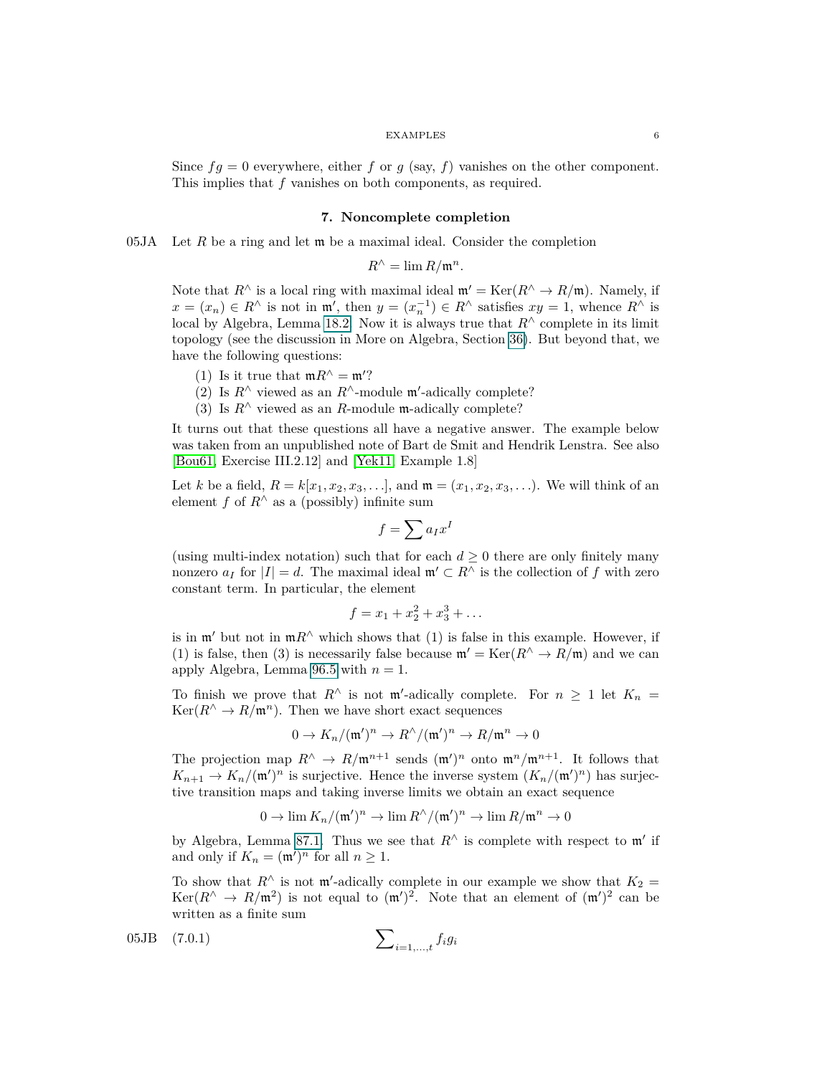<span id="page-5-0"></span>Since  $fg = 0$  everywhere, either f or  $g$  (say, f) vanishes on the other component. This implies that *f* vanishes on both components, as required.

## **7. Noncomplete completion**

05JA Let  $R$  be a ring and let  $\mathfrak m$  be a maximal ideal. Consider the completion

 $R^{\wedge} = \lim R/\mathfrak{m}^n$ .

Note that  $R^{\wedge}$  is a local ring with maximal ideal  $\mathfrak{m}' = \text{Ker}(R^{\wedge} \to R/\mathfrak{m})$ . Namely, if  $x = (x_n) \in R^\wedge$  is not in  $\mathfrak{m}'$ , then  $y = (x_n^{-1}) \in R^\wedge$  satisfies  $xy = 1$ , whence  $R^\wedge$  is local by Algebra, Lemma 18.2. Now it is always true that  $R^{\wedge}$  complete in its limit topology (see the discussion in More on Algebra, Section [36\)](#page-29-1). But beyond that, we have the following questions:

- (1) Is it true that  $mR^{\wedge} = m'$ ?
- (2) Is  $R^{\wedge}$  viewed as an  $R^{\wedge}$ -module m'-adically complete?
- (3) Is  $R^{\wedge}$  viewed as an *R*-module m-adically complete?

It turns out that these questions all have a negative answer. The example below was taken from an unpublished note of Bart de Smit and Hendrik Lenstra. See also [\[Bou61,](#page-74-1) Exercise III.2.12] and [\[Yek11,](#page-75-1) Example 1.8]

Let *k* be a field,  $R = k[x_1, x_2, x_3, \ldots]$ , and  $\mathfrak{m} = (x_1, x_2, x_3, \ldots)$ . We will think of an element *f* of  $R^{\wedge}$  as a (possibly) infinite sum

$$
f = \sum a_I x^I
$$

(using multi-index notation) such that for each  $d \geq 0$  there are only finitely many nonzero  $a_I$  for  $|I| = d$ . The maximal ideal  $\mathfrak{m}' \subset R^{\wedge}$  is the collection of *f* with zero constant term. In particular, the element

$$
f = x_1 + x_2^2 + x_3^3 + \dots
$$

is in  $\mathfrak{m}'$  but not in  $\mathfrak{m}R^{\wedge}$  which shows that (1) is false in this example. However, if (1) is false, then (3) is necessarily false because  $\mathfrak{m}' = \text{Ker}(R^{\wedge} \to R/\mathfrak{m})$  and we can apply Algebra, Lemma 96.5 with  $n = 1$ .

To finish we prove that  $R^{\wedge}$  is not  $\mathfrak{m}'$ -adically complete. For  $n \geq 1$  let  $K_n =$  $\text{Ker}(R^{\wedge} \to R/\mathfrak{m}^n)$ . Then we have short exact sequences

$$
0 \to K_n/(\mathfrak{m}')^n \to R^\wedge/(\mathfrak{m}')^n \to R/\mathfrak{m}^n \to 0
$$

The projection map  $R^{\wedge} \to R/\mathfrak{m}^{n+1}$  sends  $(\mathfrak{m}')^n$  onto  $\mathfrak{m}^n/\mathfrak{m}^{n+1}$ . It follows that  $K_{n+1} \to K_n/(\mathfrak{m}')^n$  is surjective. Hence the inverse system  $(K_n/(\mathfrak{m}')^n)$  has surjective transition maps and taking inverse limits we obtain an exact sequence

<span id="page-5-1"></span>
$$
0\to \lim K_n/(\mathfrak{m}')^n\to \lim R^\wedge/(\mathfrak{m}')^n\to \lim R/\mathfrak{m}^n\to 0
$$

by Algebra, Lemma 87.1. Thus we see that  $R^{\wedge}$  is complete with respect to  $\mathfrak{m}'$  if and only if  $K_n = (\mathfrak{m}')^n$  for all  $n \geq 1$ .

To show that  $R^{\wedge}$  is not m'-adically complete in our example we show that  $K_2 =$ Ker( $R^{\wedge} \to R/\mathfrak{m}^2$ ) is not equal to  $(\mathfrak{m}')^2$ . Note that an element of  $(\mathfrak{m}')^2$  can be written as a finite sum

05JB (7.0.1) 
$$
\sum_{i=1,...,t} f_i g_i
$$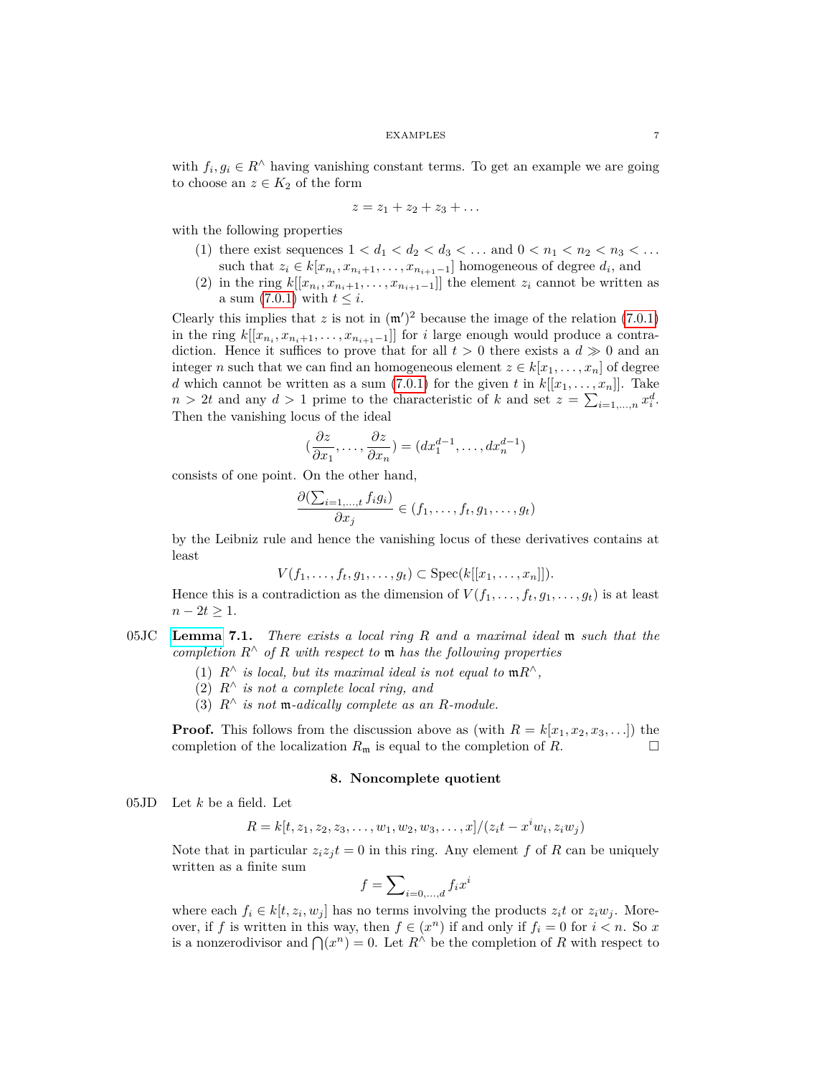with  $f_i, g_i \in R^{\wedge}$  having vanishing constant terms. To get an example we are going to choose an  $z \in K_2$  of the form

$$
z=z_1+z_2+z_3+\ldots
$$

with the following properties

- (1) there exist sequences  $1 < d_1 < d_2 < d_3 < \dots$  and  $0 < n_1 < n_2 < n_3 < \dots$ such that  $z_i \in k[x_{n_i}, x_{n_i+1}, \ldots, x_{n_{i+1}-1}]$  homogeneous of degree  $d_i$ , and
- (2) in the ring  $k[[x_{n_i}, x_{n_i+1}, \ldots, x_{n_{i+1}-1}]]$  the element  $z_i$  cannot be written as a sum  $(7.0.1)$  with  $t \leq i$ .

Clearly this implies that z is not in  $(m')^2$  because the image of the relation [\(7.0.1\)](#page-5-1) in the ring  $k[[x_{n_i}, x_{n_i+1}, \ldots, x_{n_{i+1}-1}]]$  for *i* large enough would produce a contradiction. Hence it suffices to prove that for all  $t > 0$  there exists a  $d \gg 0$  and an integer *n* such that we can find an homogeneous element  $z \in k[x_1, \ldots, x_n]$  of degree *d* which cannot be written as a sum  $(7.0.1)$  for the given *t* in  $k[[x_1, \ldots, x_n]]$ . Take  $n > 2t$  and any  $d > 1$  prime to the characteristic of *k* and set  $z = \sum_{i=1,\dots,n} x_i^d$ . Then the vanishing locus of the ideal

$$
(\frac{\partial z}{\partial x_1}, \dots, \frac{\partial z}{\partial x_n}) = (dx_1^{d-1}, \dots, dx_n^{d-1})
$$

consists of one point. On the other hand,

$$
\frac{\partial(\sum_{i=1,\dots,t}f_ig_i)}{\partial x_j}\in(f_1,\dots,f_t,g_1,\dots,g_t)
$$

by the Leibniz rule and hence the vanishing locus of these derivatives contains at least

$$
V(f_1,\ldots,f_t,g_1,\ldots,g_t)\subset \operatorname{Spec}(k[[x_1,\ldots,x_n]]).
$$

Hence this is a contradiction as the dimension of  $V(f_1, \ldots, f_t, g_1, \ldots, g_t)$  is at least  $n - 2t \geq 1$ .

- 05JC **[Lemma](https://stacks.math.columbia.edu/tag/05JC) 7.1.** *There exists a local ring R and a maximal ideal* m *such that the completion R*<sup>∧</sup> *of R with respect to* m *has the following properties*
	- (1)  $R^\wedge$  *is local, but its maximal ideal is not equal to*  $\mathfrak{m}R^\wedge$ *,*
	- (2) *R*<sup>∧</sup> *is not a complete local ring, and*
	- (3)  $R^\wedge$  *is not* m-*adically complete as an*  $R$ *-module.*

<span id="page-6-0"></span>**Proof.** This follows from the discussion above as (with  $R = k[x_1, x_2, x_3, \ldots]$ ) the completion of the localization  $R_m$  is equal to the completion of  $R$ .

#### **8. Noncomplete quotient**

05JD Let *k* be a field. Let

$$
R = k[t, z_1, z_2, z_3, \dots, w_1, w_2, w_3, \dots, x]/(z_i t - x^i w_i, z_i w_j)
$$

Note that in particular  $z_i z_j t = 0$  in this ring. Any element f of R can be uniquely written as a finite sum

$$
f = \sum\nolimits_{i=0,...,d} f_i x^i
$$

where each  $f_i \in k[t, z_i, w_j]$  has no terms involving the products  $z_i t$  or  $z_i w_j$ . Moreover, if *f* is written in this way, then  $f \in (x^n)$  if and only if  $f_i = 0$  for  $i < n$ . So *x* is a nonzerodivisor and  $\bigcap (x^n) = 0$ . Let  $R^{\wedge}$  be the completion of R with respect to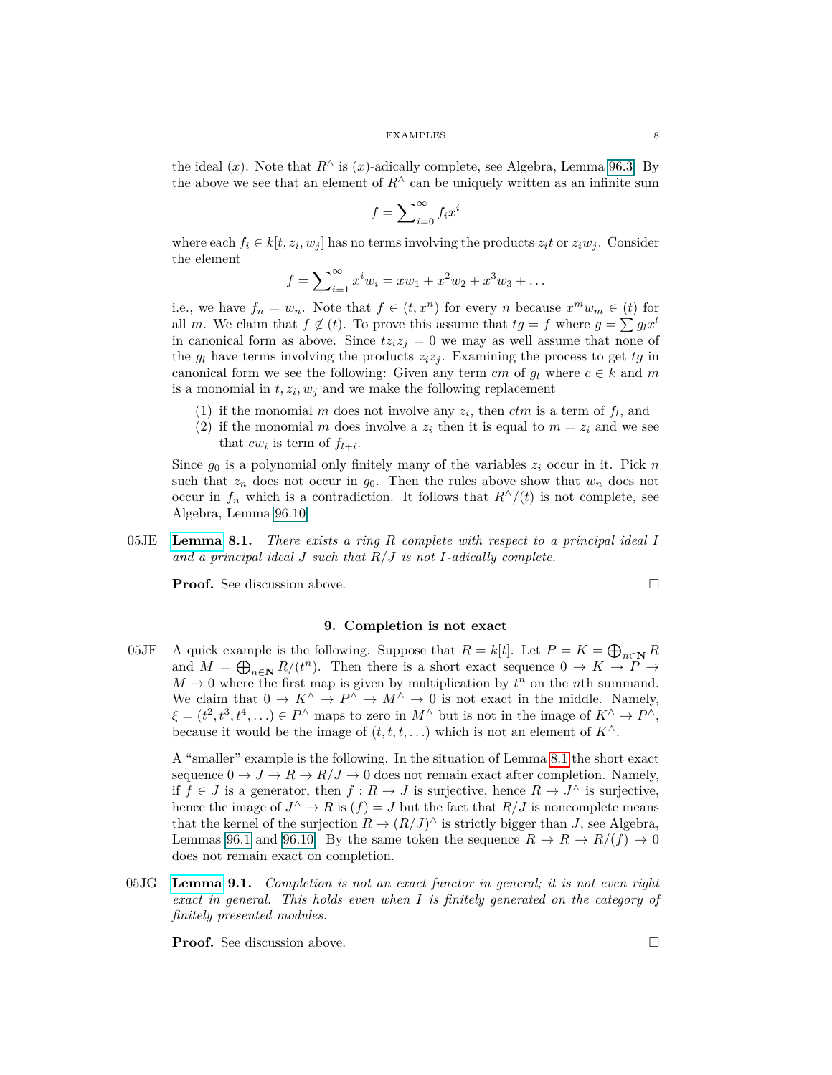the ideal  $(x)$ . Note that  $R^{\wedge}$  is  $(x)$ -adically complete, see Algebra, Lemma 96.3. By the above we see that an element of  $R^{\wedge}$  can be uniquely written as an infinite sum

$$
f = \sum_{i=0}^{\infty} f_i x^i
$$

where each  $f_i \in k[t, z_i, w_j]$  has no terms involving the products  $z_i t$  or  $z_i w_j$ . Consider the element

$$
f = \sum_{i=1}^{\infty} x^i w_i = xw_1 + x^2 w_2 + x^3 w_3 + \dots
$$

i.e., we have  $f_n = w_n$ . Note that  $f \in (t, x^n)$  for every *n* because  $x^m w_m \in (t)$  for all *m*. We claim that  $f \notin (t)$ . To prove this assume that  $tg = f$  where  $g = \sum g_l x^l$ in canonical form as above. Since  $tz_iz_j = 0$  we may as well assume that none of the  $g_l$  have terms involving the products  $z_i z_j$ . Examining the process to get  $tg$  in canonical form we see the following: Given any term  $cm$  of  $g_l$  where  $c \in k$  and  $m$ is a monomial in  $t, z_i, w_j$  and we make the following replacement

- (1) if the monomial *m* does not involve any  $z_i$ , then  $ctm$  is a term of  $f_l$ , and
- (2) if the monomial *m* does involve a  $z_i$  then it is equal to  $m = z_i$  and we see that  $cw_i$  is term of  $f_{l+i}$ .

Since  $g_0$  is a polynomial only finitely many of the variables  $z_i$  occur in it. Pick *n* such that  $z_n$  does not occur in  $g_0$ . Then the rules above show that  $w_n$  does not occur in  $f_n$  which is a contradiction. It follows that  $R^{\wedge}/(t)$  is not complete, see Algebra, Lemma 96.10.

<span id="page-7-1"></span>05JE **[Lemma](https://stacks.math.columbia.edu/tag/05JE) 8.1.** *There exists a ring R complete with respect to a principal ideal I and a principal ideal J such that R/J is not I-adically complete.*

<span id="page-7-0"></span>**Proof.** See discussion above.

$$
\qquad \qquad \Box
$$

## **9. Completion is not exact**

05JF A quick example is the following. Suppose that  $R = k[t]$ . Let  $P = K = \bigoplus_{n \in \mathbb{N}} R$ and  $M = \bigoplus_{n \in \mathbb{N}} R/(t^n)$ . Then there is a short exact sequence  $0 \to K \to P \to$  $M \to 0$  where the first map is given by multiplication by  $t^n$  on the *n*th summand. We claim that  $0 \to K^{\wedge} \to P^{\wedge} \to M^{\wedge} \to 0$  is not exact in the middle. Namely,  $\xi = (t^2, t^3, t^4, \ldots) \in P^{\wedge}$  maps to zero in  $M^{\wedge}$  but is not in the image of  $K^{\wedge} \to P^{\wedge}$ , because it would be the image of  $(t, t, t, \ldots)$  which is not an element of  $K^{\wedge}$ .

A "smaller" example is the following. In the situation of Lemma [8.1](#page-7-1) the short exact sequence  $0 \to J \to R \to R/J \to 0$  does not remain exact after completion. Namely, if  $f \in J$  is a generator, then  $f : R \to J$  is surjective, hence  $R \to J^{\wedge}$  is surjective, hence the image of  $J^{\wedge} \to R$  is  $(f) = J$  but the fact that  $R/J$  is noncomplete means that the kernel of the surjection  $R \to (R/J)^{\wedge}$  is strictly bigger than *J*, see Algebra, Lemmas 96.1 and 96.10. By the same token the sequence  $R \to R \to R/(f) \to 0$ does not remain exact on completion.

<span id="page-7-2"></span>05JG **[Lemma](https://stacks.math.columbia.edu/tag/05JG) 9.1.** *Completion is not an exact functor in general; it is not even right exact in general. This holds even when I is finitely generated on the category of finitely presented modules.*

**Proof.** See discussion above. □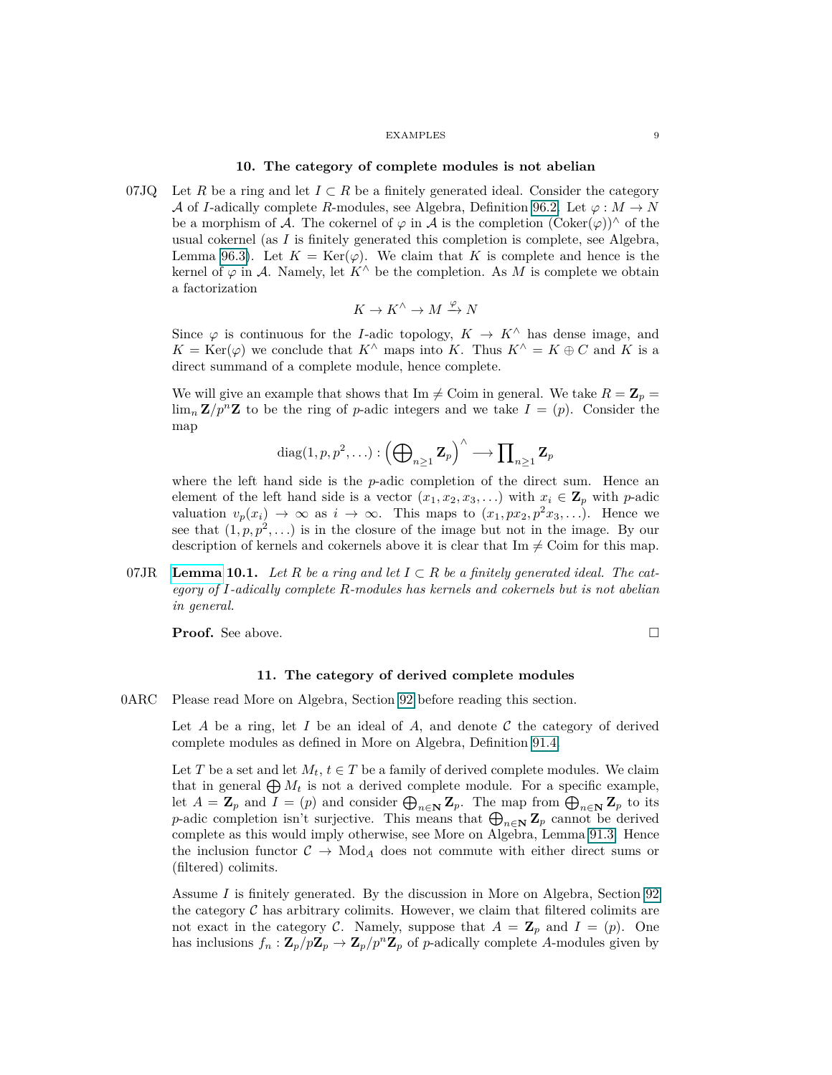#### **10. The category of complete modules is not abelian**

<span id="page-8-0"></span>07JQ Let *R* be a ring and let  $I \subset R$  be a finitely generated ideal. Consider the category A of *I*-adically complete *R*-modules, see Algebra, Definition 96.2. Let  $\varphi : M \to N$ be a morphism of A. The cokernel of  $\varphi$  in A is the completion  $(\mathrm{Coker}(\varphi))^{\wedge}$  of the usual cokernel (as *I* is finitely generated this completion is complete, see Algebra, Lemma 96.3). Let  $K = \text{Ker}(\varphi)$ . We claim that *K* is complete and hence is the kernel of  $\varphi$  in A. Namely, let  $K^{\wedge}$  be the completion. As M is complete we obtain a factorization

$$
K \to K^\wedge \to M \xrightarrow{\varphi} N
$$

Since  $\varphi$  is continuous for the *I*-adic topology,  $K \to K^{\wedge}$  has dense image, and  $K = \text{Ker}(\varphi)$  we conclude that  $K^{\wedge}$  maps into *K*. Thus  $K^{\wedge} = K \oplus C$  and *K* is a direct summand of a complete module, hence complete.

We will give an example that shows that Im  $\neq$  Coim in general. We take  $R = \mathbb{Z}_p =$  $\lim_{n} \mathbf{Z}/p^{n}\mathbf{Z}$  to be the ring of *p*-adic integers and we take  $I = (p)$ . Consider the map

$$
\text{diag}(1, p, p^2, \ldots) : \left(\bigoplus\nolimits_{n \geq 1} \mathbf{Z}_p\right)^{\wedge} \longrightarrow \prod\nolimits_{n \geq 1} \mathbf{Z}_p
$$

where the left hand side is the *p*-adic completion of the direct sum. Hence an element of the left hand side is a vector  $(x_1, x_2, x_3, \ldots)$  with  $x_i \in \mathbb{Z}_p$  with *p*-adic valuation  $v_p(x_i) \to \infty$  as  $i \to \infty$ . This maps to  $(x_1, px_2, p^2x_3,...)$ . Hence we see that  $(1, p, p^2, \ldots)$  is in the closure of the image but not in the image. By our description of kernels and cokernels above it is clear that  $\text{Im} \neq \text{Coim}$  for this map.

<span id="page-8-2"></span>07JR **[Lemma](https://stacks.math.columbia.edu/tag/07JR) 10.1.** Let R be a ring and let  $I \subset R$  be a finitely generated ideal. The cat*egory of I-adically complete R-modules has kernels and cokernels but is not abelian in general.*

<span id="page-8-1"></span>**Proof.** See above.

$$
\Box
$$

## **11. The category of derived complete modules**

0ARC Please read More on Algebra, Section 92 before reading this section.

Let *A* be a ring, let *I* be an ideal of *A*, and denote  $C$  the category of derived complete modules as defined in More on Algebra, Definition 91.4.

Let *T* be a set and let  $M_t$ ,  $t \in T$  be a family of derived complete modules. We claim that in general  $\bigoplus M_t$  is not a derived complete module. For a specific example, let  $A = \mathbf{Z}_p$  and  $I = (p)$  and consider  $\bigoplus_{n \in \mathbb{N}} \mathbf{Z}_p$ . The map from  $\bigoplus_{n \in \mathbb{N}} \mathbf{Z}_p$  to its *p*-adic completion isn't surjective. This means that  $\bigoplus_{n\in\mathbb{N}} \mathbb{Z}_p$  cannot be derived complete as this would imply otherwise, see More on Algebra, Lemma 91.3. Hence the inclusion functor  $C \rightarrow Mod_A$  does not commute with either direct sums or (filtered) colimits.

Assume *I* is finitely generated. By the discussion in More on Algebra, Section 92 the category  $C$  has arbitrary colimits. However, we claim that filtered colimits are not exact in the category C. Namely, suppose that  $A = \mathbf{Z}_p$  and  $I = (p)$ . One has inclusions  $f_n : \mathbf{Z}_p / p \mathbf{Z}_p \to \mathbf{Z}_p / p^n \mathbf{Z}_p$  of *p*-adically complete *A*-modules given by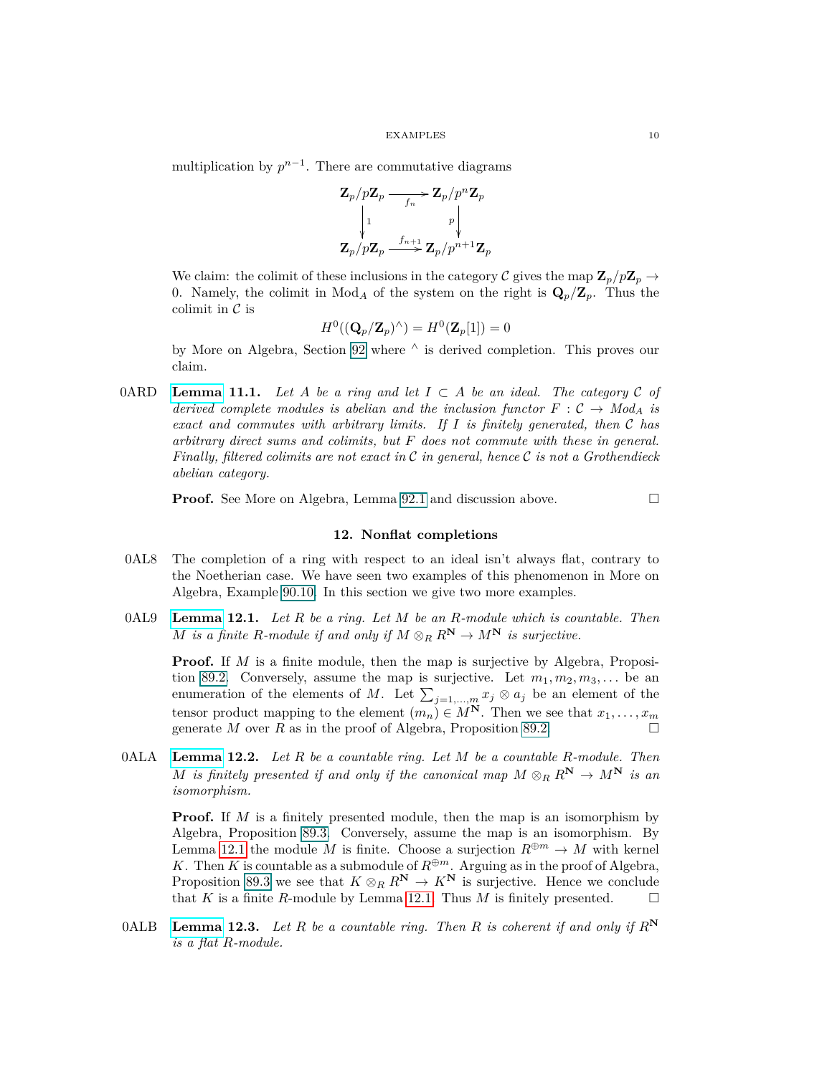multiplication by  $p^{n-1}$ . There are commutative diagrams

$$
\begin{matrix} \mathbf{Z}_{p}/p\mathbf{Z}_{p} \longrightarrow \mathbf{Z}_{p}/p^{n}\mathbf{Z}_{p} \\ \downarrow 1 \qquad \qquad p \Big\downarrow \\ \mathbf{Z}_{p}/p\mathbf{Z}_{p} \longrightarrow \longrightarrow \mathbf{Z}_{p}/p^{n+1}\mathbf{Z}_{p} \end{matrix}
$$

We claim: the colimit of these inclusions in the category C gives the map  $\mathbf{Z}_p/p\mathbf{Z}_p \to$ 0. Namely, the colimit in  $Mod_A$  of the system on the right is  $\mathbf{Q}_p/\mathbf{Z}_p$ . Thus the colimit in  $\mathcal C$  is

$$
H^0((\mathbf{Q}_p/\mathbf{Z}_p)^\wedge)=H^0(\mathbf{Z}_p[1])=0
$$

by More on Algebra, Section 92 where  $\land$  is derived completion. This proves our claim.

0ARD **[Lemma](https://stacks.math.columbia.edu/tag/0ARD) 11.1.** Let A be a ring and let  $I \subset A$  be an ideal. The category C of *derived complete modules is abelian and the inclusion functor*  $F : \mathcal{C} \to Mod_{A}$  *is exact and commutes with arbitrary limits. If I is finitely generated, then* C *has arbitrary direct sums and colimits, but F does not commute with these in general. Finally, filtered colimits are not exact in* C *in general, hence* C *is not a Grothendieck abelian category.*

<span id="page-9-0"></span>**Proof.** See More on Algebra, Lemma 92.1 and discussion above. □

## **12. Nonflat completions**

- 0AL8 The completion of a ring with respect to an ideal isn't always flat, contrary to the Noetherian case. We have seen two examples of this phenomenon in More on Algebra, Example 90.10. In this section we give two more examples.
- <span id="page-9-1"></span>0AL9 **[Lemma](https://stacks.math.columbia.edu/tag/0AL9) 12.1.** *Let R be a ring. Let M be an R-module which is countable. Then M is a finite R-module if and only if*  $M \otimes_R R^N \to M^N$  *is surjective.*

**Proof.** If *M* is a finite module, then the map is surjective by Algebra, Proposition 89.2. Conversely, assume the map is surjective. Let  $m_1, m_2, m_3, \ldots$  be an enumeration of the elements of *M*. Let  $\sum_{j=1,\dots,m} x_j \otimes a_j$  be an element of the tensor product mapping to the element  $(m_n) \in M^N$ . Then we see that  $x_1, \ldots, x_m$ generate *M* over *R* as in the proof of Algebra, Proposition 89.2.

<span id="page-9-2"></span>0ALA **[Lemma](https://stacks.math.columbia.edu/tag/0ALA) 12.2.** *Let R be a countable ring. Let M be a countable R-module. Then M is finitely presented if and only if the canonical map*  $M \otimes_R R^N \to M^N$  *is an isomorphism.*

**Proof.** If *M* is a finitely presented module, then the map is an isomorphism by Algebra, Proposition 89.3. Conversely, assume the map is an isomorphism. By Lemma [12.1](#page-9-1) the module *M* is finite. Choose a surjection  $R^{\oplus m} \to M$  with kernel *K*. Then *K* is countable as a submodule of  $R^{\oplus m}$ . Arguing as in the proof of Algebra, Proposition 89.3 we see that  $K \otimes_R R^N \to K^N$  is surjective. Hence we conclude that *K* is a finite *R*-module by Lemma [12.1.](#page-9-1) Thus *M* is finitely presented.  $\square$ 

<span id="page-9-3"></span>0ALB **[Lemma](https://stacks.math.columbia.edu/tag/0ALB) 12.3.** *Let R be a countable ring. Then R is coherent if and only if R***<sup>N</sup>** *is a flat R-module.*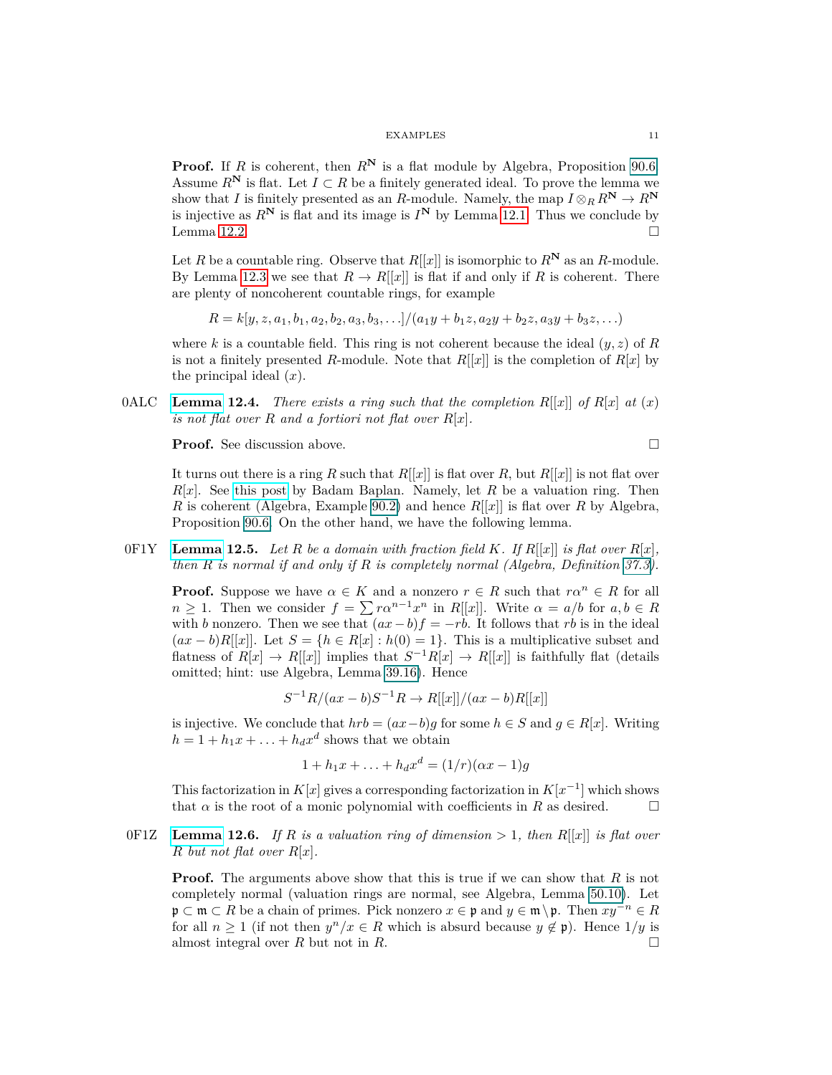**Proof.** If *R* is coherent, then  $R^N$  is a flat module by Algebra, Proposition 90.6. Assume  $R^N$  is flat. Let  $I \subset R$  be a finitely generated ideal. To prove the lemma we show that *I* is finitely presented as an *R*-module. Namely, the map  $I \otimes_R R^N \to R^N$ is injective as  $R^N$  is flat and its image is  $I^N$  by Lemma [12.1.](#page-9-1) Thus we conclude by Lemma [12.2.](#page-9-2)  $\Box$ 

Let *R* be a countable ring. Observe that  $R[[x]]$  is isomorphic to  $R^N$  as an *R*-module. By Lemma [12.3](#page-9-3) we see that  $R \to R[[x]]$  is flat if and only if *R* is coherent. There are plenty of noncoherent countable rings, for example

$$
R = k[y, z, a_1, b_1, a_2, b_2, a_3, b_3, \ldots]/(a_1y + b_1z, a_2y + b_2z, a_3y + b_3z, \ldots)
$$

where *k* is a countable field. This ring is not coherent because the ideal  $(y, z)$  of *R* is not a finitely presented *R*-module. Note that  $R[[x]]$  is the completion of  $R[x]$  by the principal ideal (*x*).

0ALC **[Lemma](https://stacks.math.columbia.edu/tag/0ALC) 12.4.** *There exists a ring such that the completion*  $R[[x]]$  *of*  $R[x]$  *at* (*x*) *is not flat over R and a fortiori not flat over R*[*x*]*.*

**Proof.** See discussion above. □

It turns out there is a ring *R* such that  $R[[x]]$  is flat over *R*, but  $R[[x]]$  is not flat over *R*[*x*]. See [this post](https://math.stackexchange.com/users/164860/badam-baplan) by Badam Baplan. Namely, let *R* be a valuation ring. Then *R* is coherent (Algebra, Example 90.2) and hence  $R[[x]]$  is flat over *R* by Algebra, Proposition 90.6. On the other hand, we have the following lemma.

 $0$ F1Y [Lemma](https://stacks.math.columbia.edu/tag/0F1Y) 12.5. Let R be a domain with fraction field K. If  $R[[x]]$  is flat over  $R[x]$ , *then R is normal if and only if R is completely normal (Algebra, Definition 37.3).*

<span id="page-10-0"></span>**Proof.** Suppose we have  $\alpha \in K$  and a nonzero  $r \in R$  such that  $r\alpha^n \in R$  for all  $n \geq 1$ . Then we consider  $f = \sum r \alpha^{n-1} x^n$  in *R*[[*x*]]. Write  $\alpha = a/b$  for  $a, b \in R$ with *b* nonzero. Then we see that  $(ax - b)f = -rb$ . It follows that *rb* is in the ideal  $(ax - b)R[[x]]$ . Let  $S = \{h \in R[x] : h(0) = 1\}$ . This is a multiplicative subset and flatness of  $R[x] \to R[[x]]$  implies that  $S^{-1}R[x] \to R[[x]]$  is faithfully flat (details omitted; hint: use Algebra, Lemma 39.16). Hence

$$
S^{-1}R/(ax - b)S^{-1}R \to R[[x]]/(ax - b)R[[x]]
$$

is injective. We conclude that  $hrb = (ax - b)g$  for some  $h \in S$  and  $g \in R[x]$ . Writing  $h = 1 + h_1x + \ldots + h_dx^d$  shows that we obtain

$$
1 + h_1 x + \ldots + h_d x^d = (1/r)(\alpha x - 1)g
$$

This factorization in  $K[x]$  gives a corresponding factorization in  $K[x^{-1}]$  which shows that  $\alpha$  is the root of a monic polynomial with coefficients in  $R$  as desired.  $\square$ 

0F1Z **[Lemma](https://stacks.math.columbia.edu/tag/0F1Z) 12.6.** If R is a valuation ring of dimension  $> 1$ , then  $R[[x]]$  is flat over *R but not flat over R*[*x*]*.*

**Proof.** The arguments above show that this is true if we can show that *R* is not completely normal (valuation rings are normal, see Algebra, Lemma 50.10). Let p ⊂ m ⊂ *R* be a chain of primes. Pick nonzero  $x \in \mathfrak{p}$  and  $y \in \mathfrak{m} \setminus \mathfrak{p}$ . Then  $xy^{-n} \in R$ for all  $n \geq 1$  (if not then  $y^n/x \in R$  which is absurd because  $y \notin \mathfrak{p}$ ). Hence  $1/y$  is almost integral over *R* but not in *R*.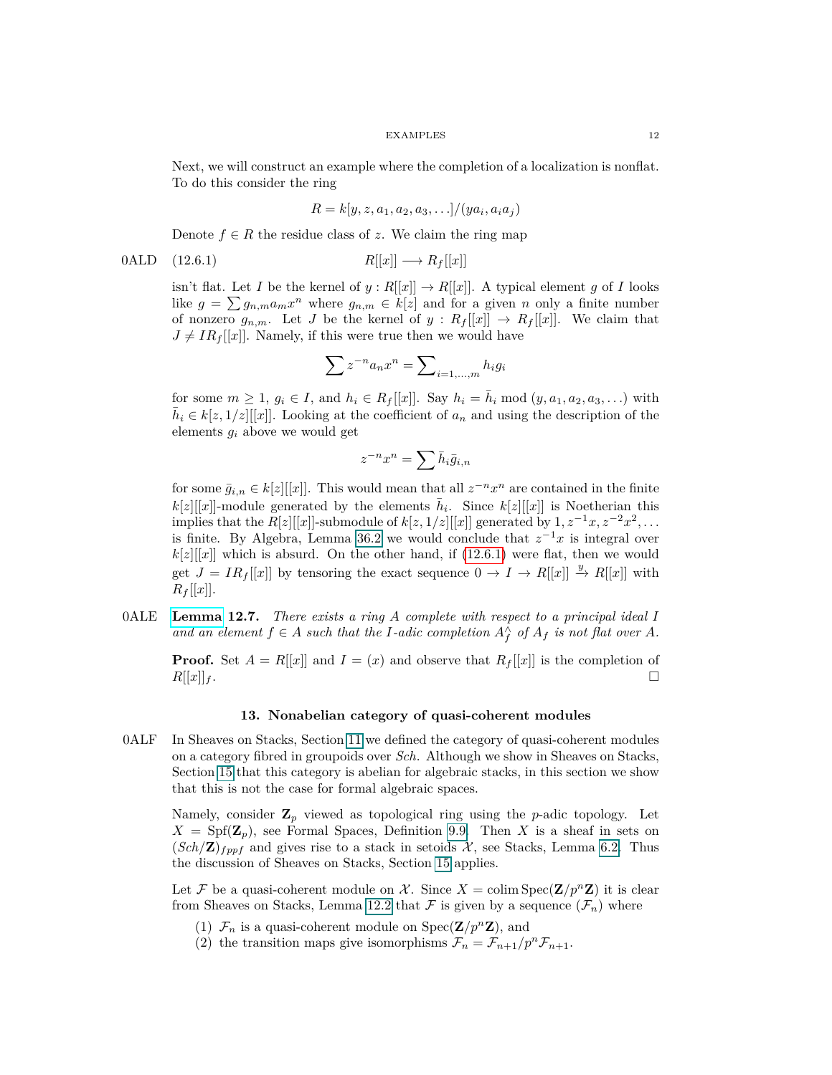Next, we will construct an example where the completion of a localization is nonflat. To do this consider the ring

<span id="page-11-1"></span>
$$
R = k[y, z, a_1, a_2, a_3, \ldots]/(ya_i, a_i a_j)
$$

Denote  $f \in R$  the residue class of *z*. We claim the ring map

$$
0\text{ALD} \quad (12.6.1) \qquad R[[x]] \longrightarrow R_f[[x]]
$$

isn't flat. Let *I* be the kernel of  $y: R[[x]] \to R[[x]]$ . A typical element *g* of *I* looks like  $g = \sum g_{n,m} a_m x^n$  where  $g_{n,m} \in k[z]$  and for a given *n* only a finite number of nonzero  $g_{n,m}$ . Let *J* be the kernel of  $y: R_f[[x]] \to R_f[[x]]$ . We claim that  $J \neq IR_f[[x]]$ . Namely, if this were true then we would have

$$
\sum z^{-n} a_n x^n = \sum\nolimits_{i=1,\dots,m} h_i g_i
$$

for some  $m \ge 1$ ,  $g_i \in I$ , and  $h_i \in R_f[[x]]$ . Say  $h_i = \bar{h}_i \mod (y, a_1, a_2, a_3, \ldots)$  with  $\bar{h}_i \in k[z,1/z][[x]]$ . Looking at the coefficient of  $a_n$  and using the description of the elements *g<sup>i</sup>* above we would get

$$
z^{-n}x^n=\sum \bar h_i\bar g_{i,n}
$$

for some  $\bar{g}_{i,n} \in k[z][[x]]$ . This would mean that all  $z^{-n}x^n$  are contained in the finite  $k[z][[x]]$ -module generated by the elements  $\bar{h}_i$ . Since  $k[z][[x]]$  is Noetherian this implies that the  $R[z][[x]]$ -submodule of  $k[z, 1/z][[x]]$  generated by  $1, z^{-1}x, z^{-2}x^2, \ldots$ is finite. By Algebra, Lemma 36.2 we would conclude that  $z^{-1}x$  is integral over  $k[z][[x]]$  which is absurd. On the other hand, if [\(12.6.1\)](#page-11-1) were flat, then we would get  $J = IR_f[[x]]$  by tensoring the exact sequence  $0 \to I \to R[[x]] \xrightarrow{y} R[[x]]$  with  $R_f[[x]].$ 

0ALE **[Lemma](https://stacks.math.columbia.edu/tag/0ALE) 12.7.** *There exists a ring A complete with respect to a principal ideal I and an element*  $f \in A$  *such that the I-adic completion*  $A_f^{\wedge}$  *of*  $A_f$  *is not flat over*  $A$ *.* 

<span id="page-11-0"></span>**Proof.** Set  $A = R[[x]]$  and  $I = (x)$  and observe that  $R_f[[x]]$  is the completion of  $R[[x]]_f$ .

## **13. Nonabelian category of quasi-coherent modules**

0ALF In Sheaves on Stacks, Section [11](#page-8-1) we defined the category of quasi-coherent modules on a category fibred in groupoids over *Sch*. Although we show in Sheaves on Stacks, Section [15](#page-13-0) that this category is abelian for algebraic stacks, in this section we show that this is not the case for formal algebraic spaces.

Namely, consider **Z***<sup>p</sup>* viewed as topological ring using the *p*-adic topology. Let  $X = Spf(\mathbf{Z}_p)$ , see Formal Spaces, Definition 9.9. Then *X* is a sheaf in sets on  $(Sch/\mathbf{Z})_{fppf}$  and gives rise to a stack in setoids  $\mathcal{X}$ , see Stacks, Lemma 6.2. Thus the discussion of Sheaves on Stacks, Section [15](#page-13-0) applies.

Let F be a quasi-coherent module on X. Since  $X = \text{colim Spec}(\mathbf{Z}/p^n\mathbf{Z})$  it is clear from Sheaves on Stacks, Lemma [12.2](#page-9-2) that  $\mathcal F$  is given by a sequence  $(\mathcal F_n)$  where

- (1)  $\mathcal{F}_n$  is a quasi-coherent module on  $Spec(\mathbf{Z}/p^n\mathbf{Z})$ , and
- (2) the transition maps give isomorphisms  $\mathcal{F}_n = \mathcal{F}_{n+1}/p^n \mathcal{F}_{n+1}$ .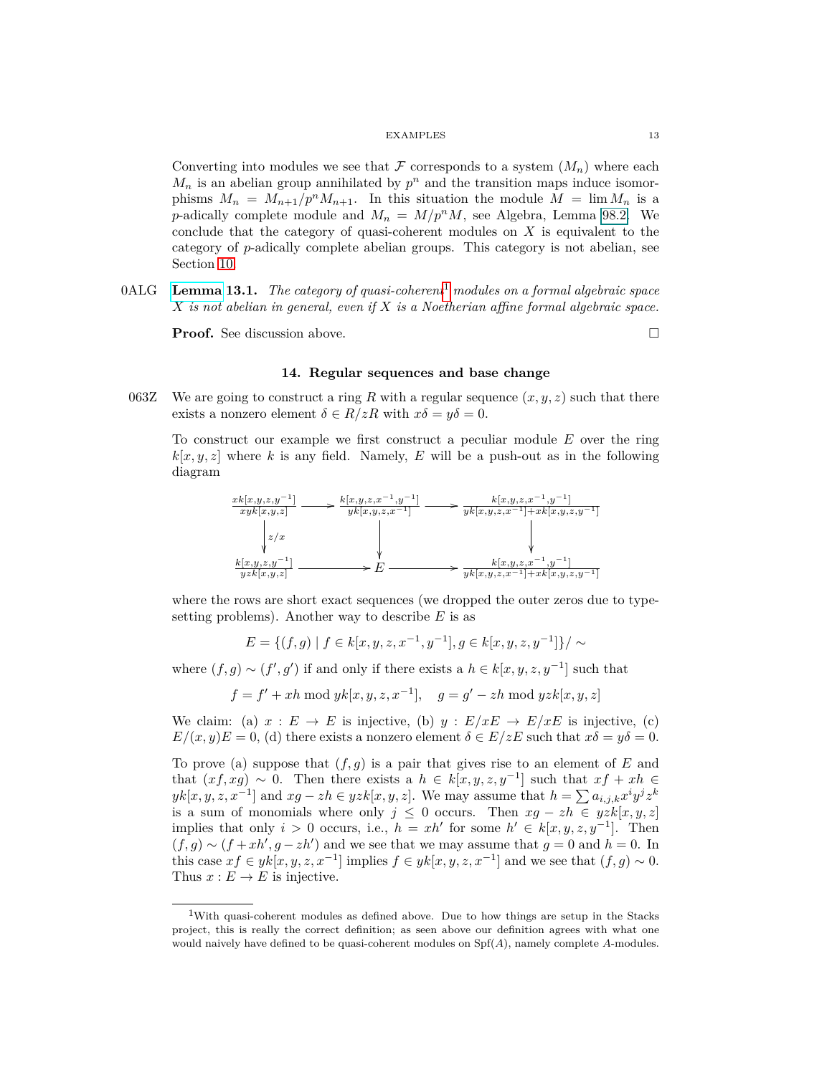Converting into modules we see that  $\mathcal F$  corresponds to a system  $(M_n)$  where each  $M_n$  is an abelian group annihilated by  $p^n$  and the transition maps induce isomorphisms  $M_n = M_{n+1}/p^n M_{n+1}$ . In this situation the module  $M = \lim M_n$  is a *p*-adically complete module and  $M_n = M/p^n M$ , see Algebra, Lemma 98.2. We conclude that the category of quasi-coherent modules on *X* is equivalent to the category of *p*-adically complete abelian groups. This category is not abelian, see Section [10.](#page-8-0)

0ALG **[Lemma](https://stacks.math.columbia.edu/tag/0ALG) 13.1.** *The category of quasi-coherent*[1](#page-12-1) *modules on a formal algebraic space X is not abelian in general, even if X is a Noetherian affine formal algebraic space.*

<span id="page-12-0"></span>**Proof.** See discussion above. □

## **14. Regular sequences and base change**

063Z We are going to construct a ring R with a regular sequence  $(x, y, z)$  such that there exists a nonzero element  $\delta \in R/zR$  with  $x\delta = y\delta = 0$ .

To construct our example we first construct a peculiar module *E* over the ring  $k[x, y, z]$  where *k* is any field. Namely, *E* will be a push-out as in the following diagram



where the rows are short exact sequences (we dropped the outer zeros due to typesetting problems). Another way to describe *E* is as

$$
E = \{(f, g) \mid f \in k[x, y, z, x^{-1}, y^{-1}], g \in k[x, y, z, y^{-1}]\} / \sim
$$

where  $(f, g) \sim (f', g')$  if and only if there exists a  $h \in k[x, y, z, y^{-1}]$  such that

$$
f = f' + xh \bmod yk[x, y, z, x^{-1}], \quad g = g' - zh \bmod yzk[x, y, z]
$$

We claim: (a)  $x : E \to E$  is injective, (b)  $y : E/xE \to E/xE$  is injective, (c)  $E/(x, y)E = 0$ , (d) there exists a nonzero element  $\delta \in E/zE$  such that  $x\delta = y\delta = 0$ .

To prove (a) suppose that (*f, g*) is a pair that gives rise to an element of *E* and that  $(xf, xg) \sim 0$ . Then there exists a  $h \in k[x, y, z, y^{-1}]$  such that  $xf + xh \in$  $yk[x, y, z, x^{-1}]$  and  $xg - zh \in yzk[x, y, z]$ . We may assume that  $h = \sum a_{i,j,k} x^i y^j z^k$ is a sum of monomials where only  $j \leq 0$  occurs. Then  $xg - zh \in yzk[x, y, z]$ implies that only  $i > 0$  occurs, i.e.,  $h = xh'$  for some  $h' \in k[x, y, z, y^{-1}]$ . Then  $(f, g) \sim (f + xh', g - zh')$  and we see that we may assume that  $g = 0$  and  $h = 0$ . In this case  $xf \in yk[x, y, z, x^{-1}]$  implies  $f \in yk[x, y, z, x^{-1}]$  and we see that  $(f, g) \sim 0$ . Thus  $x : E \to E$  is injective.

<span id="page-12-1"></span><sup>1</sup>With quasi-coherent modules as defined above. Due to how things are setup in the Stacks project, this is really the correct definition; as seen above our definition agrees with what one would naively have defined to be quasi-coherent modules on Spf(*A*), namely complete *A*-modules.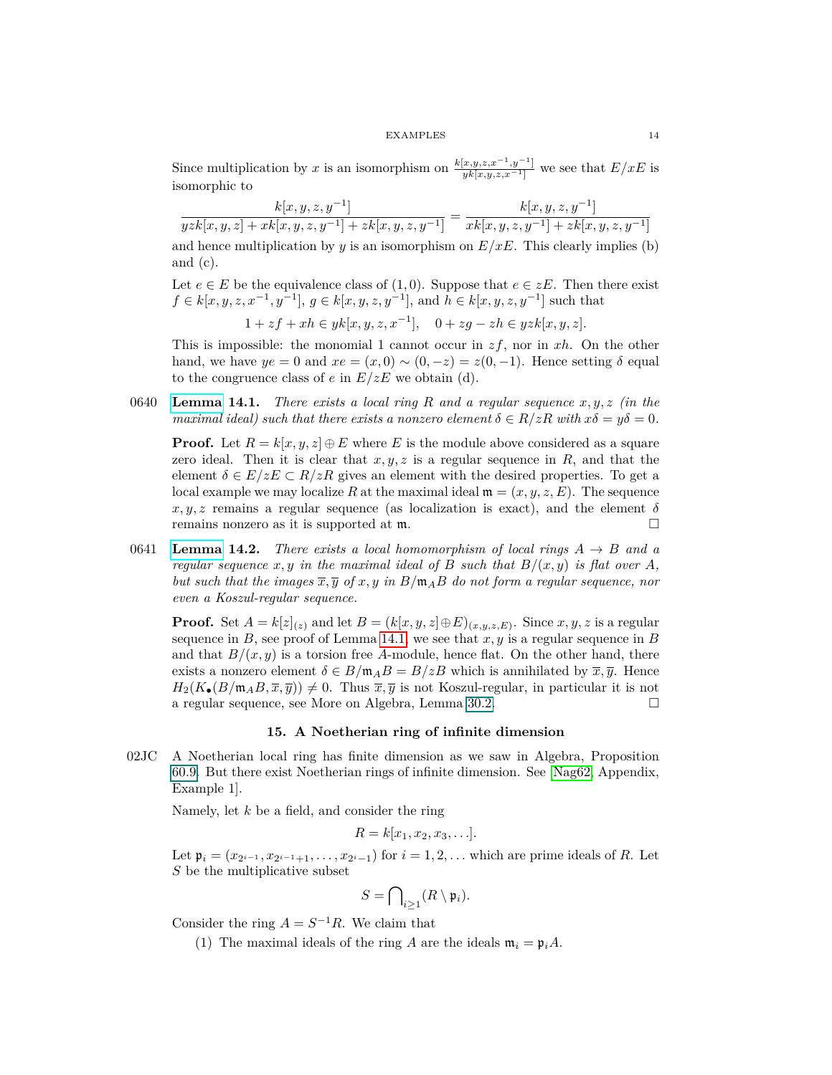Since multiplication by *x* is an isomorphism on  $\frac{k[x,y,z,x^{-1},y^{-1}]}{yk[x,y,z,x^{-1}]}$  we see that  $E/xE$  is isomorphic to

 $k[x, y, z, y^{-1}]$  $\frac{k[x,y,z,y^{-1}]}{yzk[x,y,z]+xk[x,y,z,y^{-1}]+zk[x,y,z,y^{-1}]} = \frac{k[x,y,z,y^{-1}]}{xk[x,y,z,y^{-1}]+zk[x,y,z^{-1}]}$  $xk[x, y, z, y^{-1}] + zk[x, y, z, y^{-1}]$ and hence multiplication by  $y$  is an isomorphism on  $E/xE$ . This clearly implies (b) and (c).

Let 
$$
e \in E
$$
 be the equivalence class of (1,0). Suppose that  $e \in zE$ . Then there exist  $f \in k[x, y, z, x^{-1}, y^{-1}], g \in k[x, y, z, y^{-1}],$  and  $h \in k[x, y, z, y^{-1}]$  such that

 $1 + zf + xh ∈ yk[x, y, z, x<sup>-1</sup>], 0 + zg - zh ∈ yzk[x, y, z].$ 

This is impossible: the monomial 1 cannot occur in *zf*, nor in *xh*. On the other hand, we have  $ye = 0$  and  $xe = (x, 0) \sim (0, -z) = z(0, -1)$ . Hence setting  $\delta$  equal to the congruence class of  $e$  in  $E/zE$  we obtain (d).

<span id="page-13-1"></span>0640 **[Lemma](https://stacks.math.columbia.edu/tag/0640) 14.1.** *There exists a local ring R and a regular sequence x, y, z (in the maximal ideal) such that there exists a nonzero element*  $\delta \in R/zR$  *with*  $x\delta = y\delta = 0$ *.* 

**Proof.** Let  $R = k[x, y, z] \oplus E$  where *E* is the module above considered as a square zero ideal. Then it is clear that  $x, y, z$  is a regular sequence in  $R$ , and that the element  $\delta \in E/zE \subset R/zR$  gives an element with the desired properties. To get a local example we may localize R at the maximal ideal  $\mathfrak{m} = (x, y, z, E)$ . The sequence  $x, y, z$  remains a regular sequence (as localization is exact), and the element  $\delta$ remains nonzero as it is supported at m.

<span id="page-13-2"></span>0641 **[Lemma](https://stacks.math.columbia.edu/tag/0641) 14.2.** *There exists a local homomorphism of local rings*  $A \rightarrow B$  *and a regular sequence*  $x, y$  *in the maximal ideal of*  $B$  *such that*  $B/(x, y)$  *is flat over*  $A$ *, but such that the images*  $\overline{x}, \overline{y}$  *of*  $x, y$  *in*  $B/\mathfrak{m}_A B$  *do not form a regular sequence, nor even a Koszul-regular sequence.*

**Proof.** Set  $A = k[z]_{(z)}$  and let  $B = (k[x, y, z] \oplus E)_{(x, y, z, E)}$ . Since  $x, y, z$  is a regular sequence in  $B$ , see proof of Lemma [14.1,](#page-13-1) we see that  $x, y$  is a regular sequence in  $B$ and that  $B/(x, y)$  is a torsion free A-module, hence flat. On the other hand, there exists a nonzero element  $\delta \in B/\mathfrak{m}_A B = B/zB$  which is annihilated by  $\overline{x}, \overline{y}$ . Hence  $H_2(K_\bullet(B/\mathfrak{m}_A B,\overline{x},\overline{y})) \neq 0$ . Thus  $\overline{x},\overline{y}$  is not Koszul-regular, in particular it is not a regular sequence, see More on Algebra, Lemma 30.2.

## **15. A Noetherian ring of infinite dimension**

<span id="page-13-0"></span>02JC A Noetherian local ring has finite dimension as we saw in Algebra, Proposition 60.9. But there exist Noetherian rings of infinite dimension. See [\[Nag62,](#page-75-2) Appendix, Example 1].

Namely, let *k* be a field, and consider the ring

$$
R = k[x_1, x_2, x_3, \ldots].
$$

Let  $\mathfrak{p}_i = (x_{2^{i-1}}, x_{2^{i-1}+1}, \ldots, x_{2^{i}-1})$  for  $i = 1, 2, \ldots$  which are prime ideals of *R*. Let  $S$  be the multiplicative subset

$$
S=\bigcap\nolimits_{i\geq 1}(R\setminus\mathfrak{p}_i).
$$

Consider the ring  $A = S^{-1}R$ . We claim that

(1) The maximal ideals of the ring *A* are the ideals  $\mathfrak{m}_i = \mathfrak{p}_i A$ .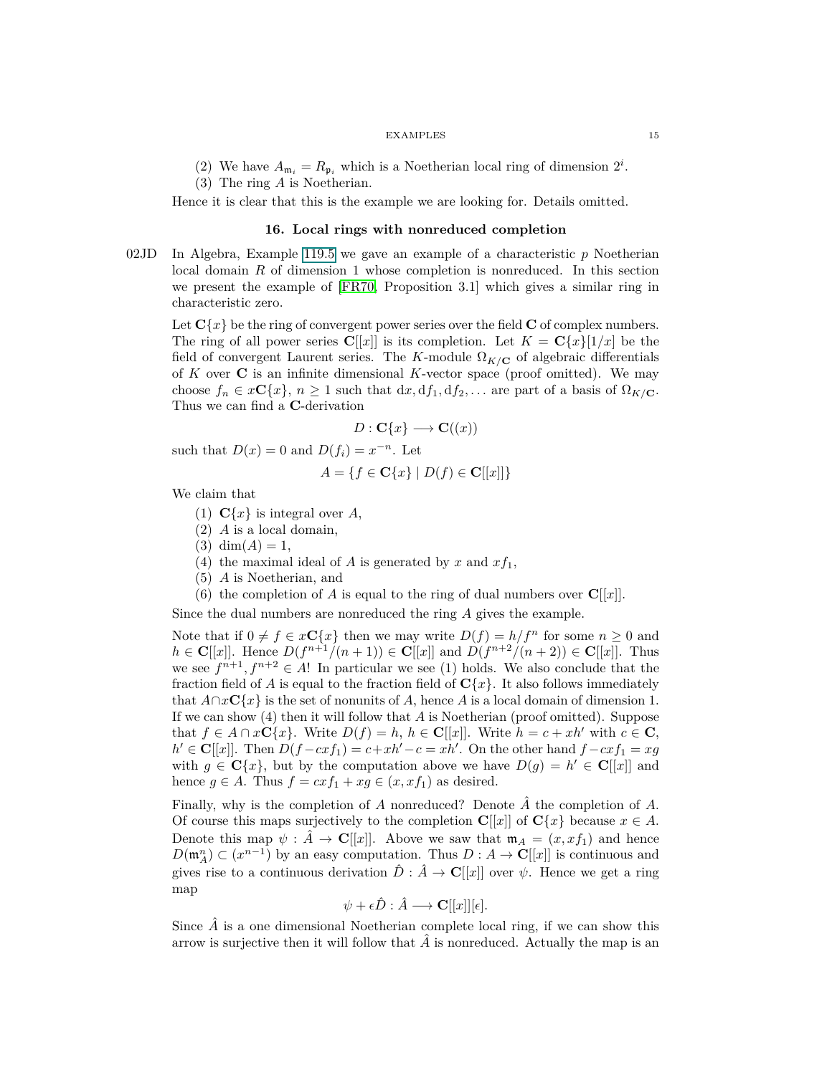- (2) We have  $A_{\mathfrak{m}_i} = R_{\mathfrak{p}_i}$  which is a Noetherian local ring of dimension  $2^i$ .
- (3) The ring *A* is Noetherian.

<span id="page-14-0"></span>Hence it is clear that this is the example we are looking for. Details omitted.

## **16. Local rings with nonreduced completion**

02JD In Algebra, Example 119.5 we gave an example of a characteristic *p* Noetherian local domain *R* of dimension 1 whose completion is nonreduced. In this section we present the example of [\[FR70,](#page-74-2) Proposition 3.1] which gives a similar ring in characteristic zero.

Let  $C\{x\}$  be the ring of convergent power series over the field C of complex numbers. The ring of all power series  $\mathbf{C}[[x]]$  is its completion. Let  $K = \mathbf{C}\{x\}[1/x]$  be the field of convergent Laurent series. The *K*-module  $\Omega_{K/\mathbf{C}}$  of algebraic differentials of *K* over **C** is an infinite dimensional *K*-vector space (proof omitted). We may choose  $f_n \in x\mathbb{C}\{x\}$ ,  $n \geq 1$  such that  $dx, df_1, df_2, \ldots$  are part of a basis of  $\Omega_{K/\mathbb{C}}$ . Thus we can find a **C**-derivation

$$
D: \mathbf{C}\{x\} \longrightarrow \mathbf{C}((x))
$$

such that  $D(x) = 0$  and  $D(f_i) = x^{-n}$ . Let

$$
A = \{ f \in \mathbf{C} \{ x \} \mid D(f) \in \mathbf{C}[[x]] \}
$$

We claim that

- (1)  $C\{x\}$  is integral over *A*,
- (2) *A* is a local domain,
- $(3)$  dim $(A) = 1$ ,
- (4) the maximal ideal of *A* is generated by *x* and  $xf_1$ ,
- (5) *A* is Noetherian, and
- (6) the completion of *A* is equal to the ring of dual numbers over  $\mathbf{C}[[x]]$ .

Since the dual numbers are nonreduced the ring *A* gives the example.

Note that if  $0 \neq f \in x\mathbb{C}\lbrace x \rbrace$  then we may write  $D(f) = h/f^n$  for some  $n \geq 0$  and *h* ∈ **C**[[*x*]]. Hence *D*(*f*<sup>*n*+1</sup>/(*n* + 1)) ∈ **C**[[*x*]] and *D*(*f*<sup>*n*+2</sup>/(*n* + 2)) ∈ **C**[[*x*]]. Thus we see  $f^{n+1}, f^{n+2} \in A!$  In particular we see (1) holds. We also conclude that the fraction field of *A* is equal to the fraction field of  $C{x}$ . It also follows immediately that  $A \cap x \mathbf{C} \{x\}$  is the set of nonunits of *A*, hence *A* is a local domain of dimension 1. If we can show (4) then it will follow that *A* is Noetherian (proof omitted). Suppose that  $f \in A \cap x\mathbf{C}\{x\}$ . Write  $D(f) = h$ ,  $h \in \mathbf{C}[[x]]$ . Write  $h = c + xh'$  with  $c \in \mathbf{C}$ ,  $h' \in \mathbf{C}[[x]]$ . Then  $D(f - cxf_1) = c + xh' - c = xh'$ . On the other hand  $f - cxf_1 = xg$ with  $g \in \mathbf{C}\{x\}$ , but by the computation above we have  $D(g) = h' \in \mathbf{C}[[x]]$  and hence  $g \in A$ . Thus  $f = cxf_1 + xg \in (x, xf_1)$  as desired.

Finally, why is the completion of *A* nonreduced? Denote *A*ˆ the completion of *A*. Of course this maps surjectively to the completion  $\mathbf{C}[[x]]$  of  $\mathbf{C}\{x\}$  because  $x \in A$ . Denote this map  $\psi : \hat{A} \to \mathbf{C}[[x]]$ . Above we saw that  $\mathfrak{m}_A = (x, x f_1)$  and hence  $D(\mathfrak{m}_A^n) \subset (x^{n-1})$  by an easy computation. Thus  $D : A \to \mathbb{C}[[x]]$  is continuous and gives rise to a continuous derivation  $\hat{D}$  :  $\hat{A} \to \mathbf{C}[[x]]$  over  $\psi$ . Hence we get a ring map

$$
\psi + \epsilon \hat{D} : \hat{A} \longrightarrow \mathbf{C}[[x]][\epsilon].
$$

Since  $\hat{A}$  is a one dimensional Noetherian complete local ring, if we can show this arrow is surjective then it will follow that  $\hat{A}$  is nonreduced. Actually the map is an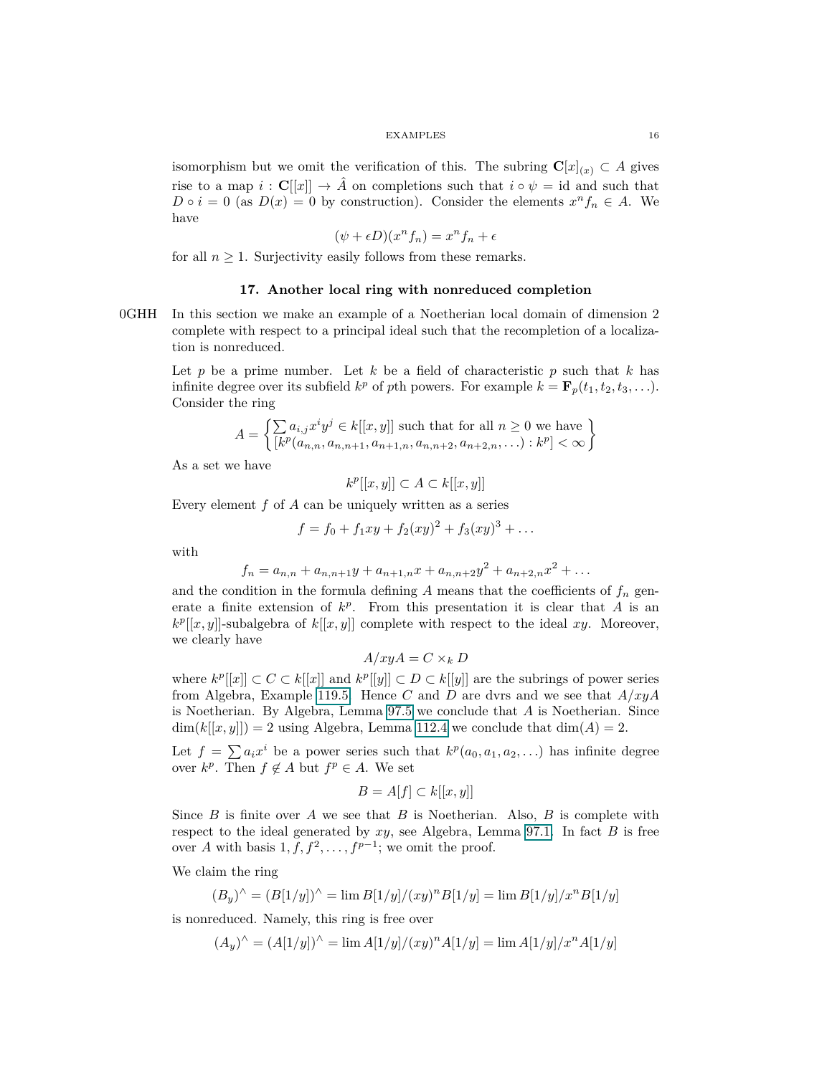isomorphism but we omit the verification of this. The subring  $\mathbf{C}[x]_{(x)} \subset A$  gives rise to a map  $i : \mathbf{C}[[x]] \to \hat{A}$  on completions such that  $i \circ \psi = id$  and such that  $D \circ i = 0$  (as  $D(x) = 0$  by construction). Consider the elements  $x^n f_n \in A$ . We have

$$
(\psi + \epsilon D)(x^n f_n) = x^n f_n + \epsilon
$$

<span id="page-15-0"></span>for all  $n \geq 1$ . Surjectivity easily follows from these remarks.

## **17. Another local ring with nonreduced completion**

0GHH In this section we make an example of a Noetherian local domain of dimension 2 complete with respect to a principal ideal such that the recompletion of a localization is nonreduced.

Let *p* be a prime number. Let *k* be a field of characteristic *p* such that *k* has infinite degree over its subfield  $k^p$  of pth powers. For example  $k = \mathbf{F}_p(t_1, t_2, t_3, \ldots)$ . Consider the ring

$$
A = \left\{ \sum_{k} a_{i,j} x^i y^j \in k[[x, y]] \text{ such that for all } n \ge 0 \text{ we have } \left\{ [k^p(a_{n,n}, a_{n,n+1}, a_{n+1,n}, a_{n,n+2}, a_{n+2,n}, \dots) : k^p] < \infty \right\}
$$

As a set we have

 $k^p$ [[*x, y*]] ⊂ *A* ⊂ *k*[[*x, y*]]

Every element *f* of *A* can be uniquely written as a series

$$
f = f_0 + f_1xy + f_2(xy)^2 + f_3(xy)^3 + \dots
$$

with

$$
f_n = a_{n,n} + a_{n,n+1}y + a_{n+1,n}x + a_{n,n+2}y^2 + a_{n+2,n}x^2 + \dots
$$

and the condition in the formula defining  $A$  means that the coefficients of  $f_n$  generate a finite extension of  $k^p$ . From this presentation it is clear that *A* is an  $k^p[[x,y]]$ -subalgebra of  $k[[x,y]]$  complete with respect to the ideal xy. Moreover, we clearly have

$$
A/xyA = C \times_k D
$$

where  $k^p[[x]] \subset C \subset k[[x]]$  and  $k^p[[y]] \subset D \subset k[[y]]$  are the subrings of power series from Algebra, Example 119.5. Hence *C* and *D* are dvrs and we see that *A/xyA* is Noetherian. By Algebra, Lemma 97.5 we conclude that *A* is Noetherian. Since  $\dim(k[[x,y]]) = 2$  using Algebra, Lemma 112.4 we conclude that  $\dim(A) = 2$ .

Let  $f = \sum a_i x^i$  be a power series such that  $k^p(a_0, a_1, a_2, \ldots)$  has infinite degree over  $k^p$ . Then  $f \notin A$  but  $f^p \in A$ . We set

$$
B = A[f] \subset k[[x, y]]
$$

Since *B* is finite over *A* we see that *B* is Noetherian. Also, *B* is complete with respect to the ideal generated by *xy*, see Algebra, Lemma 97.1. In fact *B* is free over *A* with basis  $1, f, f^2, \ldots, f^{p-1}$ ; we omit the proof.

We claim the ring

$$
(B_y)^{\wedge} = (B[1/y])^{\wedge} = \lim B[1/y]/(xy)^n B[1/y] = \lim B[1/y]/x^n B[1/y]
$$

is nonreduced. Namely, this ring is free over

$$
(A_y)^{\wedge} = (A[1/y])^{\wedge} = \lim A[1/y]/(xy)^n A[1/y] = \lim A[1/y]/x^n A[1/y]
$$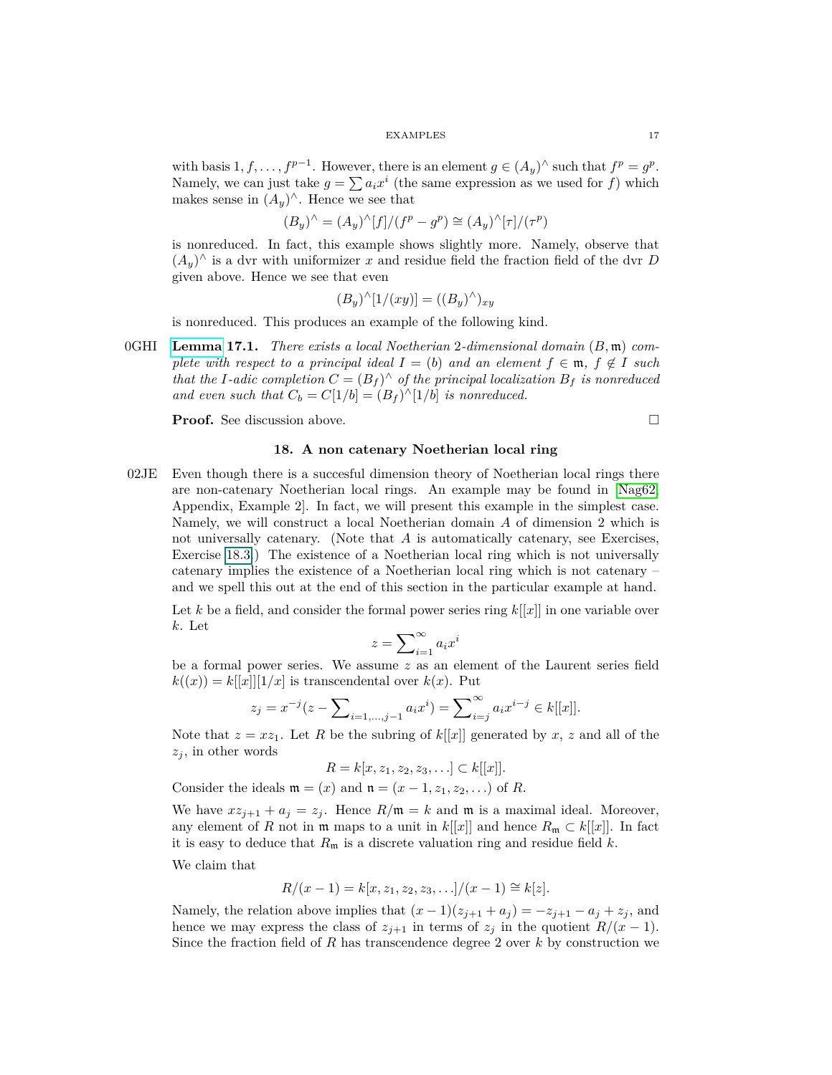with basis  $1, f, \ldots, f^{p-1}$ . However, there is an element  $g \in (A_y)^\wedge$  such that  $f^p = g^p$ . Namely, we can just take  $g = \sum a_i x^i$  (the same expression as we used for *f*) which makes sense in  $(A_y)^\wedge$ . Hence we see that

$$
(B_y)^\wedge = (A_y)^\wedge [f]/(f^p - g^p) \cong (A_y)^\wedge [\tau]/(\tau^p)
$$

is nonreduced. In fact, this example shows slightly more. Namely, observe that  $(A_y)$ <sup>∧</sup> is a dvr with uniformizer *x* and residue field the fraction field of the dvr *D* given above. Hence we see that even

$$
(B_y)^{\wedge}[1/(xy)] = ((B_y)^{\wedge})_{xy}
$$

is nonreduced. This produces an example of the following kind.

0GHI **[Lemma](https://stacks.math.columbia.edu/tag/0GHI) 17.1.** *There exists a local Noetherian* 2*-dimensional domain* (*B,* m) *complete with respect to a principal ideal*  $I = (b)$  *and an element*  $f \in \mathfrak{m}$ ,  $f \notin I$  *such that the I*-adic completion  $C = (B_f)^{\wedge}$  of the principal localization  $B_f$  is nonreduced *and even such that*  $C_b = C[1/b] = (B_f)^{\wedge}[1/b]$  *is nonreduced.* 

<span id="page-16-0"></span>**Proof.** See discussion above. □

## **18. A non catenary Noetherian local ring**

02JE Even though there is a succesful dimension theory of Noetherian local rings there are non-catenary Noetherian local rings. An example may be found in [\[Nag62,](#page-75-2) Appendix, Example 2]. In fact, we will present this example in the simplest case. Namely, we will construct a local Noetherian domain *A* of dimension 2 which is not universally catenary. (Note that *A* is automatically catenary, see Exercises, Exercise 18.3.) The existence of a Noetherian local ring which is not universally catenary implies the existence of a Noetherian local ring which is not catenary – and we spell this out at the end of this section in the particular example at hand.

Let  $k$  be a field, and consider the formal power series ring  $k[[x]]$  in one variable over *k*. Let

$$
z = \sum_{i=1}^{\infty} a_i x^i
$$

be a formal power series. We assume *z* as an element of the Laurent series field  $k((x)) = k[[x]][1/x]$  is transcendental over  $k(x)$ . Put

$$
z_j = x^{-j}(z - \sum_{i=1,\dots,j-1} a_i x^i) = \sum_{i=j}^{\infty} a_i x^{i-j} \in k[[x]].
$$

Note that  $z = xz_1$ . Let R be the subring of  $k[[x]]$  generated by x, z and all of the  $z_i$ , in other words

$$
R = k[x, z_1, z_2, z_3, \ldots] \subset k[[x]].
$$

Consider the ideals  $\mathfrak{m} = (x)$  and  $\mathfrak{n} = (x - 1, z_1, z_2, \ldots)$  of *R*.

We have  $xz_{j+1} + a_j = z_j$ . Hence  $R/\mathfrak{m} = k$  and  $\mathfrak{m}$  is a maximal ideal. Moreover, any element of *R* not in  $\mathfrak{m}$  maps to a unit in  $k[[x]]$  and hence  $R_{\mathfrak{m}} \subset k[[x]]$ . In fact it is easy to deduce that  $R_{\mathfrak{m}}$  is a discrete valuation ring and residue field  $k$ .

We claim that

$$
R/(x-1) = k[x, z_1, z_2, z_3, \ldots]/(x-1) \cong k[z].
$$

Namely, the relation above implies that  $(x - 1)(z_{j+1} + a_j) = -z_{j+1} - a_j + z_j$ , and hence we may express the class of  $z_{j+1}$  in terms of  $z_j$  in the quotient  $R/(x-1)$ . Since the fraction field of *R* has transcendence degree 2 over *k* by construction we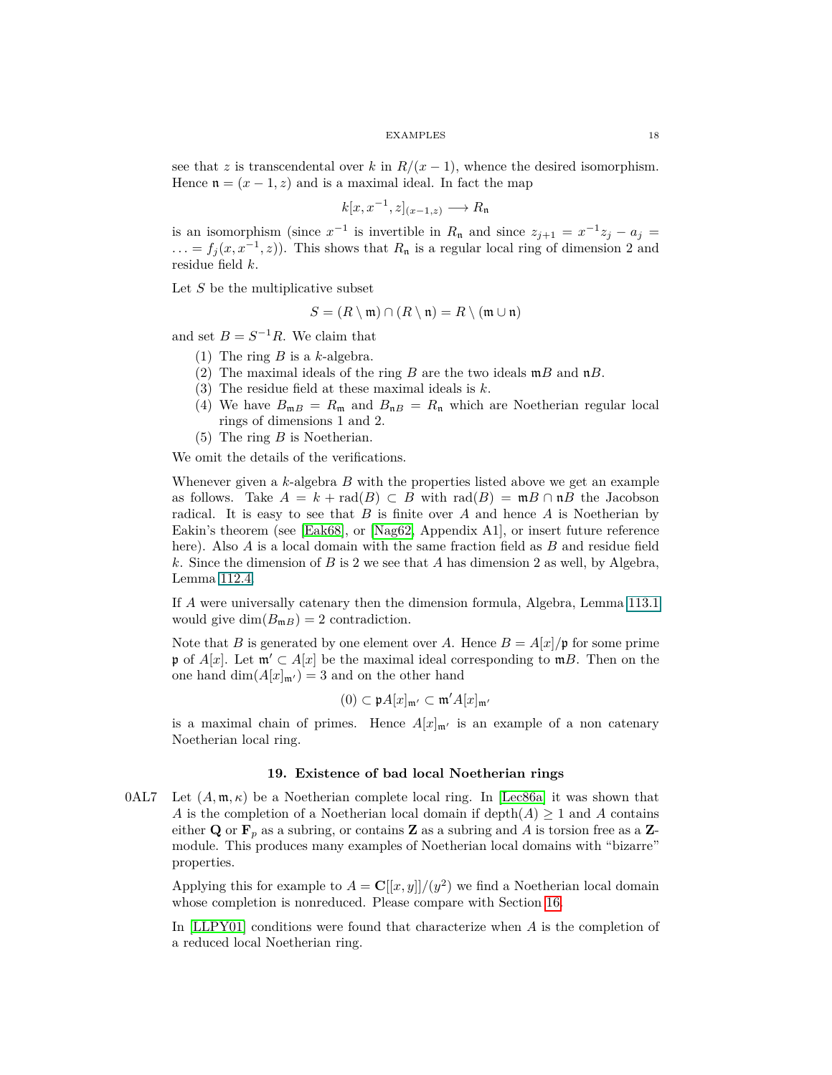see that *z* is transcendental over *k* in  $R/(x-1)$ , whence the desired isomorphism. Hence  $\mathfrak{n} = (x - 1, z)$  and is a maximal ideal. In fact the map

$$
k[x, x^{-1}, z]_{(x-1,z)} \longrightarrow R_{\mathfrak{n}}
$$

is an isomorphism (since  $x^{-1}$  is invertible in  $R_n$  and since  $z_{j+1} = x^{-1}z_j - a_j =$  $\ldots = f_j(x, x^{-1}, z)$ . This shows that  $R_n$  is a regular local ring of dimension 2 and residue field *k*.

Let *S* be the multiplicative subset

$$
S = (R \setminus \mathfrak{m}) \cap (R \setminus \mathfrak{n}) = R \setminus (\mathfrak{m} \cup \mathfrak{n})
$$

and set  $B = S^{-1}R$ . We claim that

- (1) The ring *B* is a *k*-algebra.
- (2) The maximal ideals of the ring *B* are the two ideals m*B* and n*B*.
- (3) The residue field at these maximal ideals is *k*.
- (4) We have  $B_{m, B} = R_m$  and  $B_{n, B} = R_n$  which are Noetherian regular local rings of dimensions 1 and 2.
- (5) The ring *B* is Noetherian.

We omit the details of the verifications.

Whenever given a *k*-algebra *B* with the properties listed above we get an example as follows. Take  $A = k + \text{rad}(B) \subset B$  with  $\text{rad}(B) = \text{m}B \cap \text{n}B$  the Jacobson radical. It is easy to see that *B* is finite over *A* and hence *A* is Noetherian by Eakin's theorem (see [\[Eak68\]](#page-74-3), or [\[Nag62,](#page-75-2) Appendix A1], or insert future reference here). Also *A* is a local domain with the same fraction field as *B* and residue field *k*. Since the dimension of *B* is 2 we see that *A* has dimension 2 as well, by Algebra, Lemma 112.4.

If *A* were universally catenary then the dimension formula, Algebra, Lemma 113.1 would give  $\dim(B_{m,B}) = 2$  contradiction.

Note that *B* is generated by one element over *A*. Hence  $B = A[x]/p$  for some prime p of  $A[x]$ . Let  $\mathfrak{m}' \subset A[x]$  be the maximal ideal corresponding to  $\mathfrak{m}B$ . Then on the one hand  $\dim(A[x]_{\mathfrak{m}'}) = 3$  and on the other hand

$$
(0) \subset \mathfrak{p} A[x]_{\mathfrak{m}'} \subset \mathfrak{m}' A[x]_{\mathfrak{m}'}
$$

<span id="page-17-0"></span>is a maximal chain of primes. Hence  $A[x]_{m}$  is an example of a non catenary Noetherian local ring.

## **19. Existence of bad local Noetherian rings**

0AL7 Let  $(A, \mathfrak{m}, \kappa)$  be a Noetherian complete local ring. In [\[Lec86a\]](#page-75-3) it was shown that *A* is the completion of a Noetherian local domain if depth $(A) \geq 1$  and *A* contains either **Q** or  $\mathbf{F}_p$  as a subring, or contains **Z** as a subring and A is torsion free as a **Z**module. This produces many examples of Noetherian local domains with "bizarre" properties.

Applying this for example to  $A = \mathbb{C}[[x, y]]/(y^2)$  we find a Noetherian local domain whose completion is nonreduced. Please compare with Section [16.](#page-14-0)

In [\[LLPY01\]](#page-75-4) conditions were found that characterize when *A* is the completion of a reduced local Noetherian ring.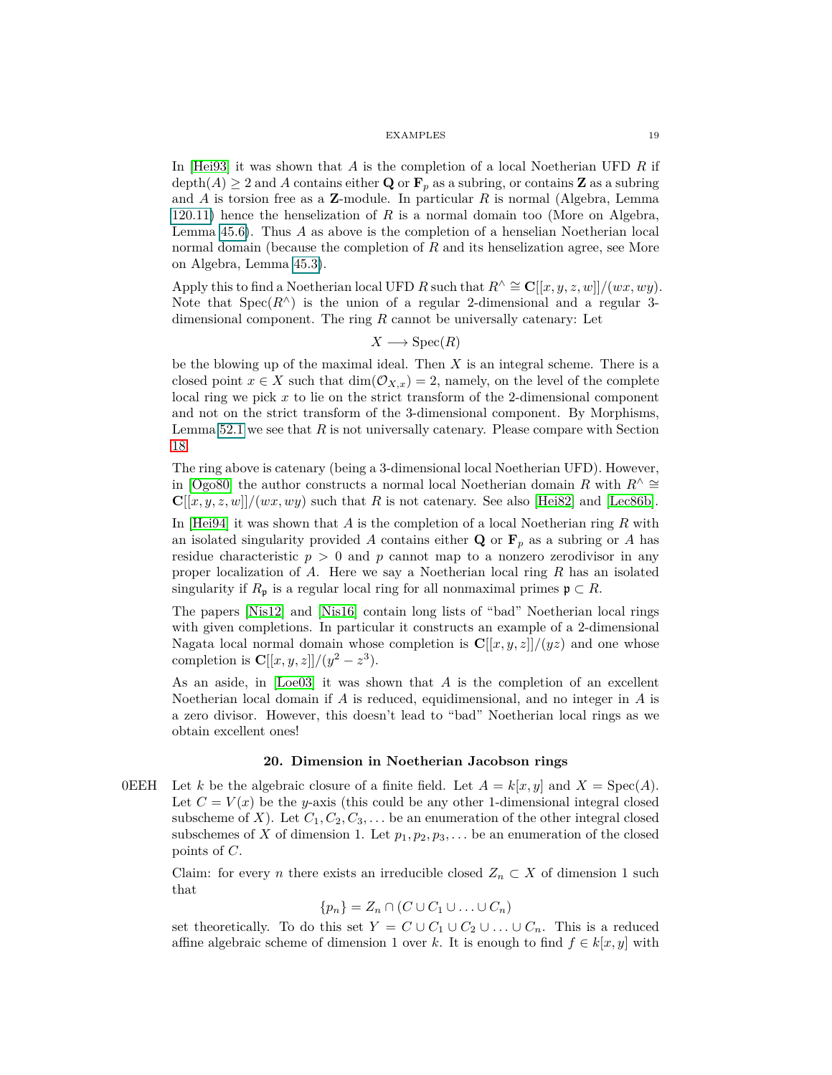In [\[Hei93\]](#page-74-4) it was shown that *A* is the completion of a local Noetherian UFD *R* if  $\operatorname{depth}(A) \geq 2$  and A contains either **Q** or  $\mathbf{F}_p$  as a subring, or contains **Z** as a subring and *A* is torsion free as a **Z**-module. In particular *R* is normal (Algebra, Lemma 120.11) hence the henselization of *R* is a normal domain too (More on Algebra, Lemma 45.6). Thus *A* as above is the completion of a henselian Noetherian local normal domain (because the completion of *R* and its henselization agree, see More on Algebra, Lemma 45.3).

Apply this to find a Noetherian local UFD *R* such that  $R^{\wedge} \cong \mathbb{C}[[x, y, z, w]]/(wx, wy).$ Note that  $Spec(R^{\wedge})$  is the union of a regular 2-dimensional and a regular 3dimensional component. The ring *R* cannot be universally catenary: Let

$$
X \longrightarrow \operatorname{Spec}(R)
$$

be the blowing up of the maximal ideal. Then *X* is an integral scheme. There is a closed point  $x \in X$  such that  $\dim(\mathcal{O}_{X,x}) = 2$ , namely, on the level of the complete local ring we pick *x* to lie on the strict transform of the 2-dimensional component and not on the strict transform of the 3-dimensional component. By Morphisms, Lemma [52.1](#page-43-2) we see that *R* is not universally catenary. Please compare with Section [18.](#page-16-0)

The ring above is catenary (being a 3-dimensional local Noetherian UFD). However, in [\[Ogo80\]](#page-75-5) the author constructs a normal local Noetherian domain *R* with  $R^{\wedge} \cong$  $\mathbf{C}[[x, y, z, w]]/(wx, wy)$  such that *R* is not catenary. See also [\[Hei82\]](#page-74-5) and [\[Lec86b\]](#page-75-6).

In [\[Hei94\]](#page-75-7) it was shown that *A* is the completion of a local Noetherian ring *R* with an isolated singularity provided A contains either **Q** or  $\mathbf{F}_p$  as a subring or A has residue characteristic *p >* 0 and *p* cannot map to a nonzero zerodivisor in any proper localization of *A*. Here we say a Noetherian local ring *R* has an isolated singularity if  $R_p$  is a regular local ring for all nonmaximal primes  $\mathfrak{p} \subset R$ .

The papers [\[Nis12\]](#page-75-8) and [\[Nis16\]](#page-75-9) contain long lists of "bad" Noetherian local rings with given completions. In particular it constructs an example of a 2-dimensional Nagata local normal domain whose completion is  $\mathbf{C}[[x, y, z]]/(yz)$  and one whose completion is  $C[[x, y, z]]/(y^2 - z^3)$ .

As an aside, in [\[Loe03\]](#page-75-10) it was shown that *A* is the completion of an excellent Noetherian local domain if *A* is reduced, equidimensional, and no integer in *A* is a zero divisor. However, this doesn't lead to "bad" Noetherian local rings as we obtain excellent ones!

## **20. Dimension in Noetherian Jacobson rings**

<span id="page-18-0"></span>0EEH Let *k* be the algebraic closure of a finite field. Let  $A = k[x, y]$  and  $X = \text{Spec}(A)$ . Let  $C = V(x)$  be the *y*-axis (this could be any other 1-dimensional integral closed subscheme of *X*). Let  $C_1, C_2, C_3, \ldots$  be an enumeration of the other integral closed subschemes of *X* of dimension 1. Let  $p_1, p_2, p_3, \ldots$  be an enumeration of the closed points of *C*.

Claim: for every *n* there exists an irreducible closed  $Z_n \subset X$  of dimension 1 such that

$$
\{p_n\} = Z_n \cap (C \cup C_1 \cup \ldots \cup C_n)
$$

set theoretically. To do this set  $Y = C \cup C_1 \cup C_2 \cup \ldots \cup C_n$ . This is a reduced affine algebraic scheme of dimension 1 over *k*. It is enough to find  $f \in k[x, y]$  with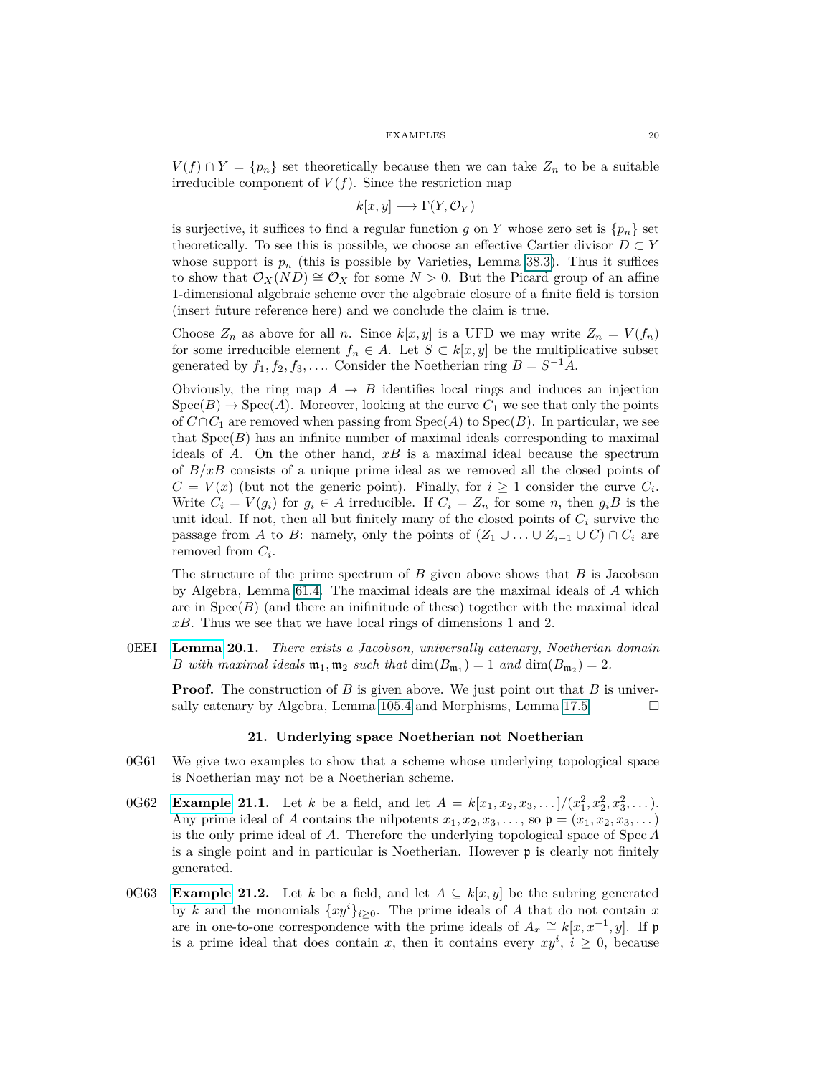$V(f) \cap Y = \{p_n\}$  set theoretically because then we can take  $Z_n$  to be a suitable irreducible component of  $V(f)$ . Since the restriction map

$$
k[x, y] \longrightarrow \Gamma(Y, \mathcal{O}_Y)
$$

is surjective, it suffices to find a regular function *g* on *Y* whose zero set is  $\{p_n\}$  set theoretically. To see this is possible, we choose an effective Cartier divisor  $D \subset Y$ whose support is  $p_n$  (this is possible by Varieties, Lemma 38.3). Thus it suffices to show that  $\mathcal{O}_X(ND) \cong \mathcal{O}_X$  for some  $N > 0$ . But the Picard group of an affine 1-dimensional algebraic scheme over the algebraic closure of a finite field is torsion (insert future reference here) and we conclude the claim is true.

Choose  $Z_n$  as above for all *n*. Since  $k[x, y]$  is a UFD we may write  $Z_n = V(f_n)$ for some irreducible element  $f_n \in A$ . Let  $S \subset k[x, y]$  be the multiplicative subset generated by  $f_1, f_2, f_3, \ldots$  Consider the Noetherian ring  $B = S^{-1}A$ .

Obviously, the ring map  $A \rightarrow B$  identifies local rings and induces an injection  $Spec(B) \to Spec(A)$ . Moreover, looking at the curve  $C_1$  we see that only the points of  $C \cap C_1$  are removed when passing from  $Spec(A)$  to  $Spec(B)$ . In particular, we see that  $Spec(B)$  has an infinite number of maximal ideals corresponding to maximal ideals of *A*. On the other hand, *xB* is a maximal ideal because the spectrum of *B/xB* consists of a unique prime ideal as we removed all the closed points of  $C = V(x)$  (but not the generic point). Finally, for  $i \geq 1$  consider the curve  $C_i$ . Write  $C_i = V(g_i)$  for  $g_i \in A$  irreducible. If  $C_i = Z_n$  for some *n*, then  $g_i B$  is the unit ideal. If not, then all but finitely many of the closed points of  $C_i$  survive the passage from *A* to *B*: namely, only the points of  $(Z_1 \cup \ldots \cup Z_{i-1} \cup C) \cap C_i$  are removed from *C<sup>i</sup>* .

The structure of the prime spectrum of *B* given above shows that *B* is Jacobson by Algebra, Lemma 61.4. The maximal ideals are the maximal ideals of *A* which are in  $Spec(B)$  (and there an inifinitude of these) together with the maximal ideal *xB*. Thus we see that we have local rings of dimensions 1 and 2.

0EEI **[Lemma](https://stacks.math.columbia.edu/tag/0EEI) 20.1.** *There exists a Jacobson, universally catenary, Noetherian domain B* with maximal ideals  $\mathfrak{m}_1, \mathfrak{m}_2$  such that  $\dim(B_{\mathfrak{m}_1}) = 1$  and  $\dim(B_{\mathfrak{m}_2}) = 2$ .

<span id="page-19-0"></span>**Proof.** The construction of *B* is given above. We just point out that *B* is universally catenary by Algebra, Lemma 105.4 and Morphisms, Lemma 17.5.  $\Box$ 

## **21. Underlying space Noetherian not Noetherian**

- 0G61 We give two examples to show that a scheme whose underlying topological space is Noetherian may not be a Noetherian scheme.
- 0G62 Example 21.1. Let *k* be a field, and let  $A = k[x_1, x_2, x_3, \ldots]/(x_1^2, x_2^2, x_3^2, \ldots)$ . Any prime ideal of *A* contains the nilpotents  $x_1, x_2, x_3, \ldots$ , so  $\mathfrak{p} = (x_1, x_2, x_3, \ldots)$ is the only prime ideal of *A*. Therefore the underlying topological space of Spec *A* is a single point and in particular is Noetherian. However p is clearly not finitely generated.
- 0G63 Example 21.2. Let *k* be a field, and let  $A \subseteq k[x, y]$  be the subring generated by *k* and the monomials  $\{xy^i\}_{i\geq 0}$ . The prime ideals of *A* that do not contain *x* are in one-to-one correspondence with the prime ideals of  $A_x \cong k[x, x^{-1}, y]$ . If p is a prime ideal that does contain *x*, then it contains every  $xy^i$ ,  $i \geq 0$ , because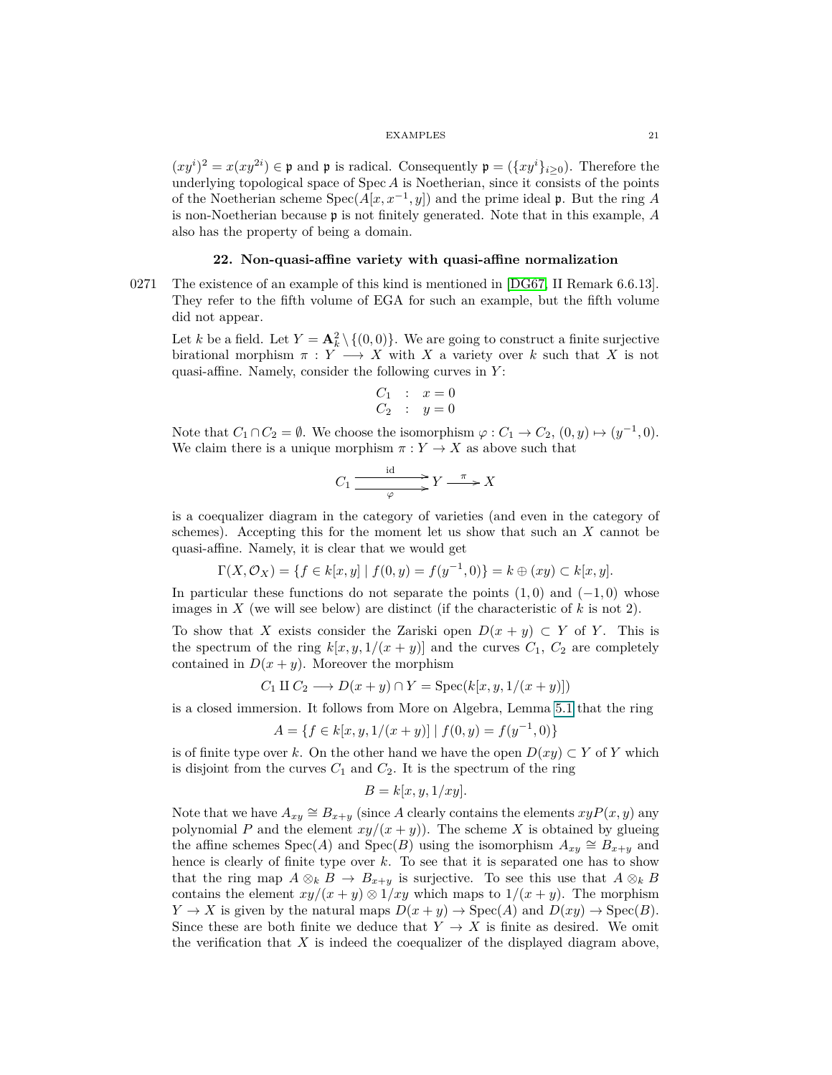$(xy^{i})^{2} = x(xy^{2i}) \in \mathfrak{p}$  and  $\mathfrak{p}$  is radical. Consequently  $\mathfrak{p} = (\{xy^{i}\}_{i\geq 0})$ . Therefore the underlying topological space of Spec *A* is Noetherian, since it consists of the points of the Noetherian scheme  $Spec(A[x, x^{-1}, y])$  and the prime ideal **p**. But the ring *A* is non-Noetherian because p is not finitely generated. Note that in this example, *A* also has the property of being a domain.

## <span id="page-20-0"></span>**22. Non-quasi-affine variety with quasi-affine normalization**

0271 The existence of an example of this kind is mentioned in [\[DG67,](#page-74-6) II Remark 6.6.13]. They refer to the fifth volume of EGA for such an example, but the fifth volume did not appear.

Let *k* be a field. Let  $Y = \mathbf{A}_k^2 \setminus \{(0,0)\}$ . We are going to construct a finite surjective birational morphism  $\pi : Y \longrightarrow X$  with X a variety over k such that X is not quasi-affine. Namely, consider the following curves in *Y* :

$$
\begin{array}{rcl} C_1 & : & x = 0 \\ C_2 & : & y = 0 \end{array}
$$

Note that  $C_1 \cap C_2 = \emptyset$ . We choose the isomorphism  $\varphi : C_1 \to C_2$ ,  $(0, y) \mapsto (y^{-1}, 0)$ . We claim there is a unique morphism  $\pi : Y \to X$  as above such that

$$
C_1 \xrightarrow{\text{id} \atop \varphi} Y \xrightarrow{\pi} X
$$

is a coequalizer diagram in the category of varieties (and even in the category of schemes). Accepting this for the moment let us show that such an *X* cannot be quasi-affine. Namely, it is clear that we would get

$$
\Gamma(X, \mathcal{O}_X) = \{ f \in k[x, y] \mid f(0, y) = f(y^{-1}, 0) \} = k \oplus (xy) \subset k[x, y].
$$

In particular these functions do not separate the points  $(1,0)$  and  $(-1,0)$  whose images in  $X$  (we will see below) are distinct (if the characteristic of  $k$  is not 2).

To show that *X* exists consider the Zariski open  $D(x + y) \subset Y$  of *Y*. This is the spectrum of the ring  $k[x, y, 1/(x + y)]$  and the curves  $C_1$ ,  $C_2$  are completely contained in  $D(x + y)$ . Moreover the morphism

$$
C_1 \amalg C_2 \longrightarrow D(x+y) \cap Y = \operatorname{Spec}(k[x, y, 1/(x+y)])
$$

is a closed immersion. It follows from More on Algebra, Lemma 5.1 that the ring

$$
A = \{ f \in k[x, y, 1/(x+y)] \mid f(0, y) = f(y^{-1}, 0) \}
$$

is of finite type over k. On the other hand we have the open  $D(xy) \subset Y$  of Y which is disjoint from the curves  $C_1$  and  $C_2$ . It is the spectrum of the ring

$$
B = k[x, y, 1/xy].
$$

Note that we have  $A_{xy} \cong B_{x+y}$  (since A clearly contains the elements  $xyP(x, y)$  any polynomial *P* and the element  $xy/(x + y)$ . The scheme *X* is obtained by glueing the affine schemes  $Spec(A)$  and  $Spec(B)$  using the isomorphism  $A_{xy} \cong B_{x+y}$  and hence is clearly of finite type over *k*. To see that it is separated one has to show that the ring map  $A \otimes_k B \to B_{x+y}$  is surjective. To see this use that  $A \otimes_k B$ contains the element  $xy/(x + y) \otimes 1/xy$  which maps to  $1/(x + y)$ . The morphism  $Y \to X$  is given by the natural maps  $D(x + y) \to \text{Spec}(A)$  and  $D(xy) \to \text{Spec}(B)$ . Since these are both finite we deduce that  $Y \to X$  is finite as desired. We omit the verification that  $X$  is indeed the coequalizer of the displayed diagram above,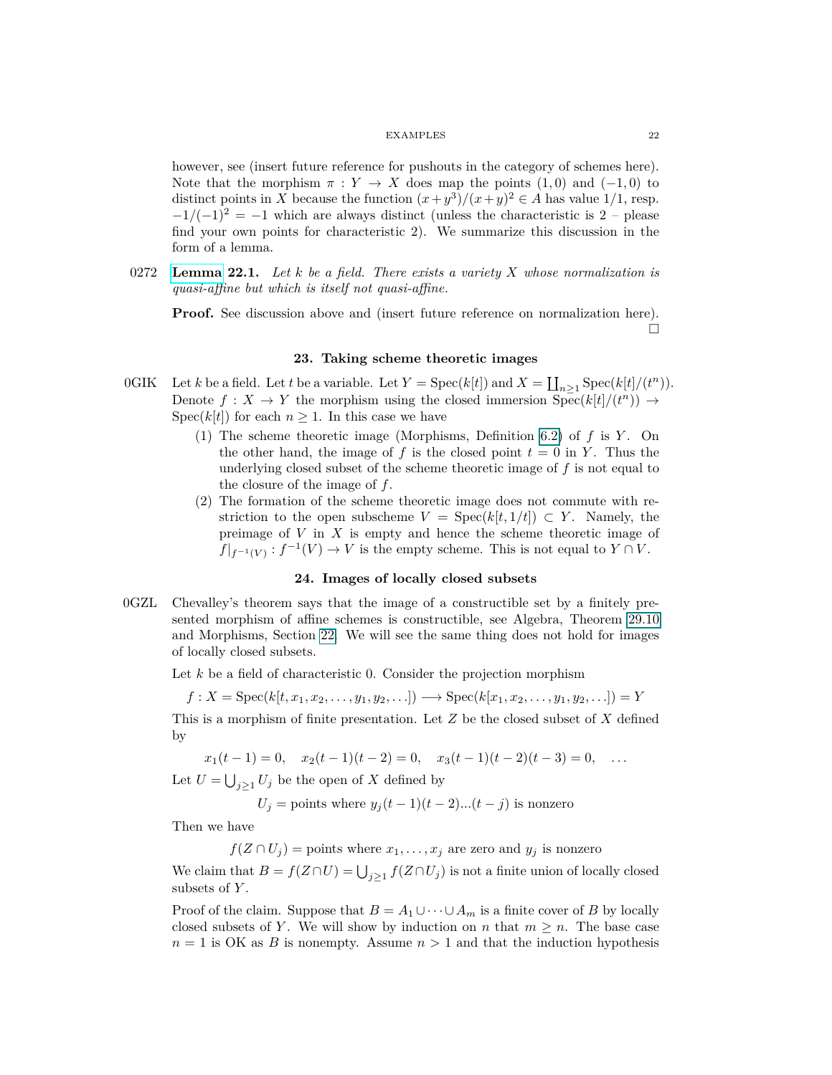however, see (insert future reference for pushouts in the category of schemes here). Note that the morphism  $\pi : Y \to X$  does map the points (1,0) and (-1,0) to distinct points in *X* because the function  $(x+y^3)/(x+y)^2 \in A$  has value 1/1, resp.  $-1/(-1)^2 = -1$  which are always distinct (unless the characteristic is 2 – please find your own points for characteristic 2). We summarize this discussion in the form of a lemma.

0272 **[Lemma](https://stacks.math.columbia.edu/tag/0272) 22.1.** *Let k be a field. There exists a variety X whose normalization is quasi-affine but which is itself not quasi-affine.*

<span id="page-21-0"></span>**Proof.** See discussion above and (insert future reference on normalization here).  $\Box$ 

## **23. Taking scheme theoretic images**

- 0GIK Let *k* be a field. Let *t* be a variable. Let  $Y = \text{Spec}(k[t])$  and  $X = \coprod_{n \ge 1} \text{Spec}(k[t]/(t^n))$ . Denote  $f: X \to Y$  the morphism using the closed immersion  $Spec(k[t]/(t^n)) \to$ Spec( $k[t]$ ) for each  $n \geq 1$ . In this case we have
	- (1) The scheme theoretic image (Morphisms, Definition 6.2) of *f* is *Y* . On the other hand, the image of  $f$  is the closed point  $t = 0$  in  $Y$ . Thus the underlying closed subset of the scheme theoretic image of *f* is not equal to the closure of the image of *f*.
	- (2) The formation of the scheme theoretic image does not commute with restriction to the open subscheme  $V = \text{Spec}(k[t, 1/t]) \subset Y$ . Namely, the preimage of *V* in *X* is empty and hence the scheme theoretic image of  $f|_{f^{-1}(V)}$ :  $f^{-1}(V) \to V$  is the empty scheme. This is not equal to  $Y \cap V$ .

#### **24. Images of locally closed subsets**

<span id="page-21-1"></span>0GZL Chevalley's theorem says that the image of a constructible set by a finitely presented morphism of affine schemes is constructible, see Algebra, Theorem 29.10 and Morphisms, Section [22.](#page-20-0) We will see the same thing does not hold for images of locally closed subsets.

Let *k* be a field of characteristic 0. Consider the projection morphism

 $f: X = \text{Spec}(k[t, x_1, x_2, \ldots, y_1, y_2, \ldots]) \longrightarrow \text{Spec}(k[x_1, x_2, \ldots, y_1, y_2, \ldots]) = Y$ 

This is a morphism of finite presentation. Let *Z* be the closed subset of *X* defined by

 $x_1(t-1) = 0$ ,  $x_2(t-1)(t-2) = 0$ ,  $x_3(t-1)(t-2)(t-3) = 0$ , ...

Let  $U = \bigcup_{j\geq 1} U_j$  be the open of *X* defined by

 $U_j$  = points where  $y_j(t-1)(t-2)...(t-j)$  is nonzero

Then we have

 $f(Z \cap U_j)$  = points where  $x_1, \ldots, x_j$  are zero and  $y_j$  is nonzero

We claim that  $B = f(Z \cap U) = \bigcup_{j \geq 1} f(Z \cap U_j)$  is not a finite union of locally closed subsets of *Y* .

Proof of the claim. Suppose that  $B = A_1 \cup \cdots \cup A_m$  is a finite cover of *B* by locally closed subsets of *Y*. We will show by induction on *n* that  $m \geq n$ . The base case  $n = 1$  is OK as *B* is nonempty. Assume  $n > 1$  and that the induction hypothesis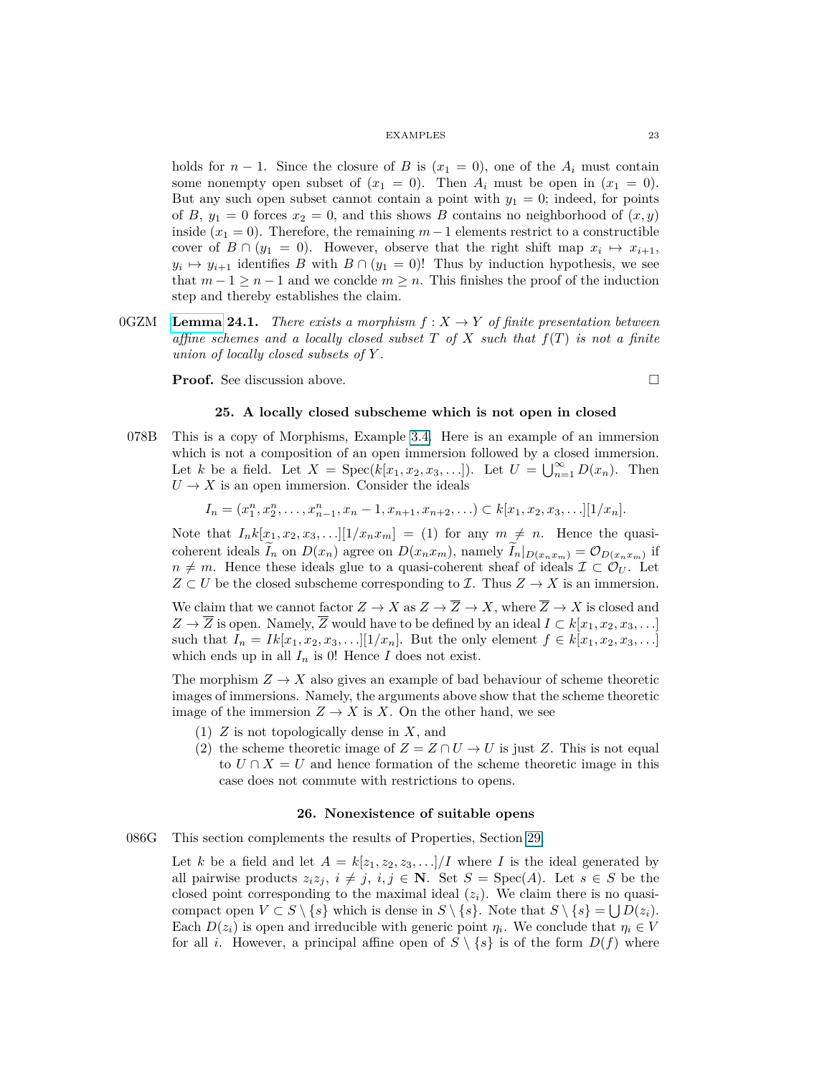holds for  $n-1$ . Since the closure of *B* is  $(x_1 = 0)$ , one of the  $A_i$  must contain some nonempty open subset of  $(x_1 = 0)$ . Then  $A_i$  must be open in  $(x_1 = 0)$ . But any such open subset cannot contain a point with  $y_1 = 0$ ; indeed, for points of *B*,  $y_1 = 0$  forces  $x_2 = 0$ , and this shows *B* contains no neighborhood of  $(x, y)$ inside  $(x_1 = 0)$ . Therefore, the remaining  $m-1$  elements restrict to a constructible cover of  $B \cap (y_1 = 0)$ . However, observe that the right shift map  $x_i \mapsto x_{i+1}$ ,  $y_i \mapsto y_{i+1}$  identifies *B* with  $B \cap (y_1 = 0)!$  Thus by induction hypothesis, we see that  $m-1 \geq n-1$  and we conclde  $m \geq n$ . This finishes the proof of the induction step and thereby establishes the claim.

<span id="page-22-2"></span>0GZM **[Lemma](https://stacks.math.columbia.edu/tag/0GZM) 24.1.** *There exists a morphism*  $f: X \rightarrow Y$  *of finite presentation between affine schemes and a locally closed subset T of X such that f*(*T*) *is not a finite union of locally closed subsets of Y .*

<span id="page-22-0"></span>**Proof.** See discussion above.

$$
\qquad \qquad \Box
$$

## **25. A locally closed subscheme which is not open in closed**

078B This is a copy of Morphisms, Example 3.4. Here is an example of an immersion which is not a composition of an open immersion followed by a closed immersion. Let *k* be a field. Let  $X = \text{Spec}(k[x_1, x_2, x_3, \ldots])$ . Let  $U = \bigcup_{n=1}^{\infty} D(x_n)$ . Then  $U \rightarrow X$  is an open immersion. Consider the ideals

$$
I_n = (x_1^n, x_2^n, \dots, x_{n-1}^n, x_n - 1, x_{n+1}, x_{n+2}, \dots) \subset k[x_1, x_2, x_3, \dots][1/x_n].
$$

Note that  $I_n k[x_1, x_2, x_3, \ldots][1/x_n x_m] = (1)$  for any  $m \neq n$ . Hence the quasicoherent ideals  $I_n$  on  $D(x_n)$  agree on  $D(x_n x_m)$ , namely  $I_n|_{D(x_n x_m)} = \mathcal{O}_{D(x_n x_m)}$  if  $n \neq m$ . Hence these ideals glue to a quasi-coherent sheaf of ideals  $\mathcal{I} \subset \mathcal{O}_U$ . Let  $Z \subset U$  be the closed subscheme corresponding to  $\mathcal{I}$ . Thus  $Z \to X$  is an immersion.

We claim that we cannot factor  $Z \to X$  as  $Z \to \overline{Z} \to X$ , where  $\overline{Z} \to X$  is closed and *Z* →  $\overline{Z}$  is open. Namely,  $\overline{Z}$  would have to be defined by an ideal  $I \subset k[x_1, x_2, x_3, \ldots]$ such that  $I_n = Ik[x_1, x_2, x_3, \ldots][1/x_n]$ . But the only element  $f \in k[x_1, x_2, x_3, \ldots]$ which ends up in all  $I_n$  is 0! Hence *I* does not exist.

The morphism  $Z \to X$  also gives an example of bad behaviour of scheme theoretic images of immersions. Namely, the arguments above show that the scheme theoretic image of the immersion  $Z \to X$  is X. On the other hand, we see

- (1) *Z* is not topologically dense in *X*, and
- (2) the scheme theoretic image of  $Z = Z \cap U \rightarrow U$  is just *Z*. This is not equal to  $U \cap X = U$  and hence formation of the scheme theoretic image in this case does not commute with restrictions to opens.

## **26. Nonexistence of suitable opens**

086G This section complements the results of Properties, Section [29.](#page-25-0)

<span id="page-22-1"></span>Let *k* be a field and let  $A = k[z_1, z_2, z_3, \ldots]/I$  where *I* is the ideal generated by all pairwise products  $z_i z_j$ ,  $i \neq j$ ,  $i, j \in \mathbb{N}$ . Set  $S = \text{Spec}(A)$ . Let  $s \in S$  be the closed point corresponding to the maximal ideal  $(z_i)$ . We claim there is no quasicompact open  $V \subset S \setminus \{s\}$  which is dense in  $S \setminus \{s\}$ . Note that  $S \setminus \{s\} = \bigcup D(z_i)$ . Each  $D(z_i)$  is open and irreducible with generic point  $\eta_i$ . We conclude that  $\eta_i \in V$ for all *i*. However, a principal affine open of  $S \setminus \{s\}$  is of the form  $D(f)$  where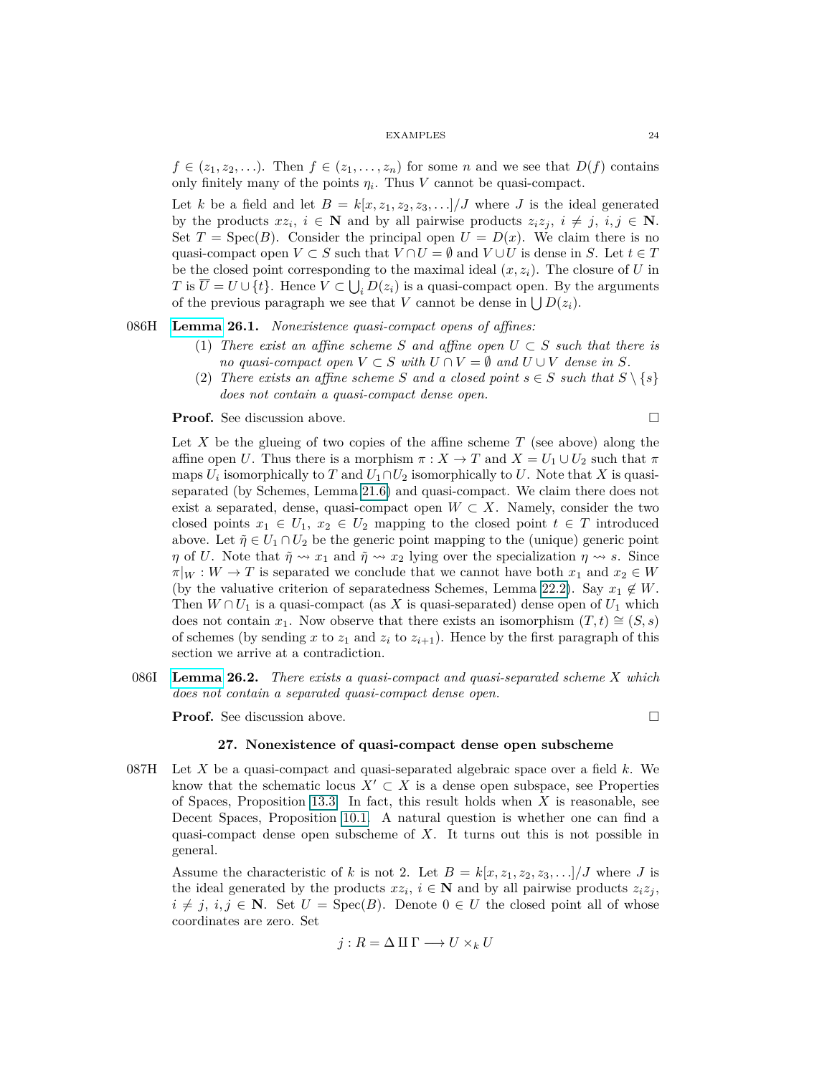$f \in (z_1, z_2, \ldots)$ . Then  $f \in (z_1, \ldots, z_n)$  for some *n* and we see that  $D(f)$  contains only finitely many of the points  $\eta_i$ . Thus *V* cannot be quasi-compact.

Let *k* be a field and let  $B = k[x, z_1, z_2, z_3, \ldots]/J$  where *J* is the ideal generated by the products  $xz_i$ ,  $i \in \mathbb{N}$  and by all pairwise products  $z_i z_j$ ,  $i \neq j$ ,  $i, j \in \mathbb{N}$ . Set  $T = \text{Spec}(B)$ . Consider the principal open  $U = D(x)$ . We claim there is no quasi-compact open  $V \subset S$  such that  $V \cap U = \emptyset$  and  $V \cup U$  is dense in *S*. Let  $t \in T$ be the closed point corresponding to the maximal ideal  $(x, z_i)$ . The closure of *U* in *T* is  $\overline{U} = U \cup \{t\}$ . Hence  $V \subset \bigcup_i D(z_i)$  is a quasi-compact open. By the arguments of the previous paragraph we see that *V* cannot be dense in  $\bigcup D(z_i)$ .

## 086H **[Lemma](https://stacks.math.columbia.edu/tag/086H) 26.1.** *Nonexistence quasi-compact opens of affines:*

- (1) *There exist an affine scheme S* and affine open  $U \subset S$  *such that there is no quasi-compact open*  $V \subset S$  *with*  $U \cap V = \emptyset$  *and*  $U \cup V$  *dense in*  $S$ *.*
- (2) *There exists an affine scheme S and a closed point*  $s \in S$  *such that*  $S \setminus \{s\}$ *does not contain a quasi-compact dense open.*

**Proof.** See discussion above. □

Let  $X$  be the glueing of two copies of the affine scheme  $T$  (see above) along the affine open *U*. Thus there is a morphism  $\pi : X \to T$  and  $X = U_1 \cup U_2$  such that  $\pi$ maps  $U_i$  isomorphically to  $T$  and  $U_1 \cap U_2$  isomorphically to  $U$ . Note that  $X$  is quasiseparated (by Schemes, Lemma 21.6) and quasi-compact. We claim there does not exist a separated, dense, quasi-compact open  $W \subset X$ . Namely, consider the two closed points  $x_1 \in U_1$ ,  $x_2 \in U_2$  mapping to the closed point  $t \in T$  introduced above. Let  $\tilde{\eta} \in U_1 \cap U_2$  be the generic point mapping to the (unique) generic point *η* of *U*. Note that  $\tilde{\eta} \rightsquigarrow x_1$  and  $\tilde{\eta} \rightsquigarrow x_2$  lying over the specialization  $\eta \rightsquigarrow s$ . Since  $\pi|_W : W \to T$  is separated we conclude that we cannot have both  $x_1$  and  $x_2 \in W$ (by the valuative criterion of separatedness Schemes, Lemma 22.2). Say  $x_1 \notin W$ . Then  $W \cap U_1$  is a quasi-compact (as X is quasi-separated) dense open of  $U_1$  which does not contain *x*<sub>1</sub>. Now observe that there exists an isomorphism  $(T, t) \cong (S, s)$ of schemes (by sending x to  $z_1$  and  $z_i$  to  $z_{i+1}$ ). Hence by the first paragraph of this section we arrive at a contradiction.

086I **[Lemma](https://stacks.math.columbia.edu/tag/086I) 26.2.** *There exists a quasi-compact and quasi-separated scheme X which does not contain a separated quasi-compact dense open.*

<span id="page-23-0"></span>**Proof.** See discussion above. □

## **27. Nonexistence of quasi-compact dense open subscheme**

087H Let *X* be a quasi-compact and quasi-separated algebraic space over a field *k*. We know that the schematic locus  $X' \subset X$  is a dense open subspace, see Properties of Spaces, Proposition 13.3. In fact, this result holds when *X* is reasonable, see Decent Spaces, Proposition [10.1.](#page-8-2) A natural question is whether one can find a quasi-compact dense open subscheme of *X*. It turns out this is not possible in general.

Assume the characteristic of *k* is not 2. Let  $B = k[x, z_1, z_2, z_3, \ldots]/J$  where *J* is the ideal generated by the products  $xz_i$ ,  $i \in \mathbb{N}$  and by all pairwise products  $z_i z_j$ ,  $i \neq j$ ,  $i, j \in \mathbb{N}$ . Set  $U = \text{Spec}(B)$ . Denote  $0 \in U$  the closed point all of whose coordinates are zero. Set

$$
j: R = \Delta \amalg \Gamma \longrightarrow U \times_k U
$$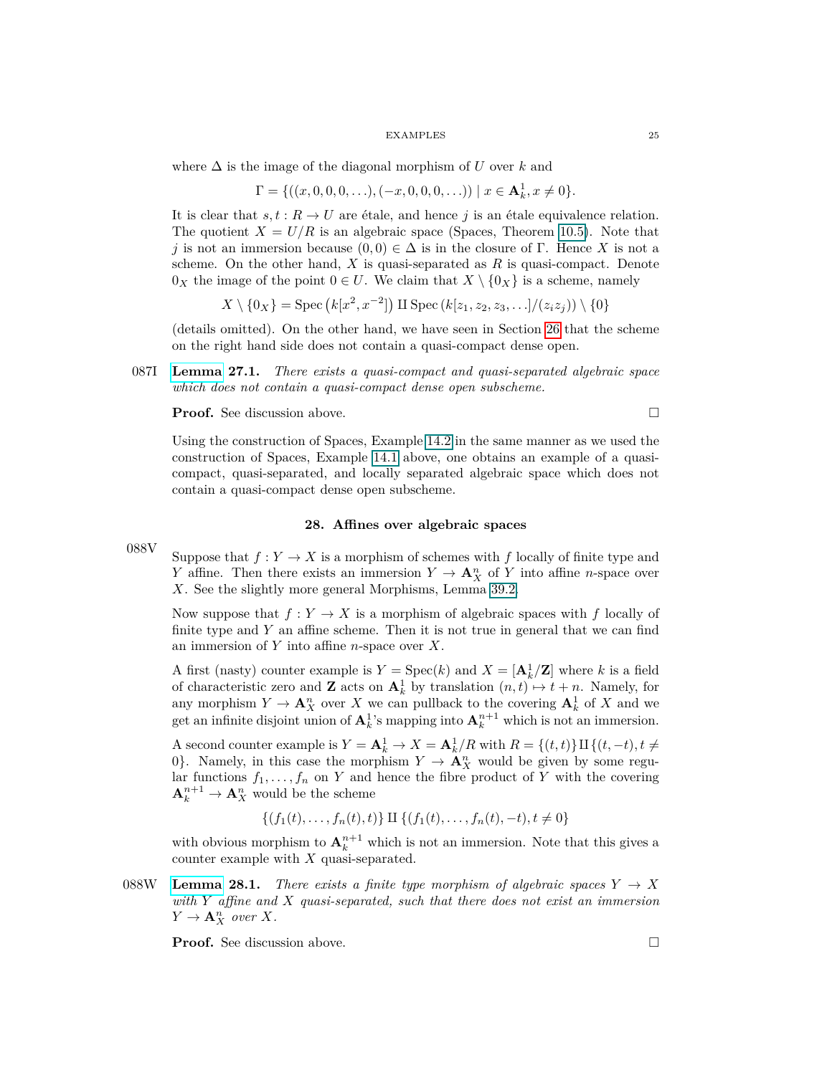where ∆ is the image of the diagonal morphism of *U* over *k* and

$$
\Gamma = \{((x, 0, 0, 0, \ldots), (-x, 0, 0, 0, \ldots)) \mid x \in \mathbf{A}_k^1, x \neq 0\}.
$$

It is clear that  $s, t : R \to U$  are étale, and hence *j* is an étale equivalence relation. The quotient  $X = U/R$  is an algebraic space (Spaces, Theorem 10.5). Note that *j* is not an immersion because  $(0,0) \in \Delta$  is in the closure of Γ. Hence *X* is not a scheme. On the other hand, *X* is quasi-separated as *R* is quasi-compact. Denote  $0_X$  the image of the point  $0 \in U$ . We claim that  $X \setminus \{0_X\}$  is a scheme, namely

$$
X \setminus \{0_X\} = \text{Spec}\left(k[x^2, x^{-2}]\right) \amalg \text{Spec}\left(k[z_1, z_2, z_3, \ldots]/(z_iz_j)\right) \setminus \{0\}
$$

(details omitted). On the other hand, we have seen in Section [26](#page-22-1) that the scheme on the right hand side does not contain a quasi-compact dense open.

087I **[Lemma](https://stacks.math.columbia.edu/tag/087I) 27.1.** *There exists a quasi-compact and quasi-separated algebraic space which does not contain a quasi-compact dense open subscheme.*

**Proof.** See discussion above. □

Using the construction of Spaces, Example [14.2](#page-13-2) in the same manner as we used the construction of Spaces, Example [14.1](#page-13-1) above, one obtains an example of a quasicompact, quasi-separated, and locally separated algebraic space which does not contain a quasi-compact dense open subscheme.

## **28. Affines over algebraic spaces**

<span id="page-24-0"></span>088V Suppose that  $f: Y \to X$  is a morphism of schemes with f locally of finite type and *Y* affine. Then there exists an immersion  $Y \to \mathbf{A}_X^n$  of *Y* into affine *n*-space over *X*. See the slightly more general Morphisms, Lemma 39.2.

Now suppose that  $f: Y \to X$  is a morphism of algebraic spaces with f locally of finite type and *Y* an affine scheme. Then it is not true in general that we can find an immersion of *Y* into affine *n*-space over *X*.

A first (nasty) counter example is  $Y = \text{Spec}(k)$  and  $X = [\mathbf{A}_k^1/\mathbf{Z}]$  where k is a field of characteristic zero and **Z** acts on  $A_k^1$  by translation  $(n, t) \mapsto t + n$ . Namely, for any morphism  $Y \to \mathbf{A}_X^n$  over *X* we can pullback to the covering  $\mathbf{A}_k^1$  of *X* and we get an infinite disjoint union of  $\mathbf{A}_k^1$ 's mapping into  $\mathbf{A}_k^{n+1}$  which is not an immersion.

A second counter example is  $Y = \mathbf{A}_k^1 \to X = \mathbf{A}_k^1/R$  with  $R = \{(t, t)\}\amalg \{(t, -t), t \neq 0\}$ 0}. Namely, in this case the morphism  $Y \to \mathbf{A}_{X}^{n}$  would be given by some regular functions  $f_1, \ldots, f_n$  on *Y* and hence the fibre product of *Y* with the covering  $\mathbf{A}_k^{n+1} \to \mathbf{A}_X^n$  would be the scheme

 ${(f_1(t), \ldots, f_n(t), t)} \amalg {(f_1(t), \ldots, f_n(t), -t), t \neq 0}$ 

with obvious morphism to  $A_k^{n+1}$  which is not an immersion. Note that this gives a counter example with *X* quasi-separated.

088W **[Lemma](https://stacks.math.columbia.edu/tag/088W) 28.1.** *There exists a finite type morphism of algebraic spaces*  $Y \rightarrow X$ *with Y affine and X quasi-separated, such that there does not exist an immersion*  $Y \to \mathbf{A}_X^n$  *over*  $X$ *.* 

**Proof.** See discussion above. □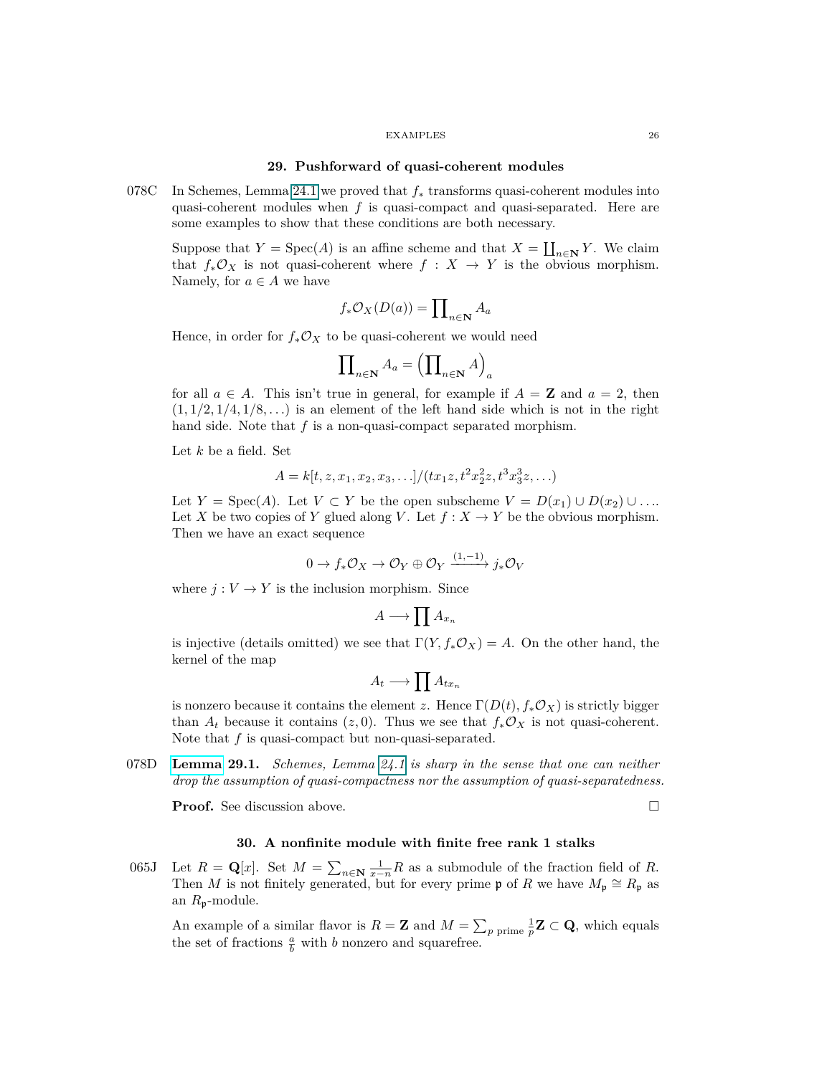#### **29. Pushforward of quasi-coherent modules**

<span id="page-25-0"></span>078C In Schemes, Lemma [24.1](#page-22-2) we proved that *f*<sup>∗</sup> transforms quasi-coherent modules into quasi-coherent modules when *f* is quasi-compact and quasi-separated. Here are some examples to show that these conditions are both necessary.

Suppose that  $Y = \text{Spec}(A)$  is an affine scheme and that  $X = \coprod_{n \in \mathbb{N}} Y$ . We claim that  $f_*\mathcal{O}_X$  is not quasi-coherent where  $f : X \to Y$  is the obvious morphism. Namely, for  $a \in A$  we have

$$
f_*\mathcal{O}_X(D(a)) = \prod_{n \in \mathbf{N}} A_a
$$

Hence, in order for  $f_*\mathcal{O}_X$  to be quasi-coherent we would need

$$
\prod\nolimits_{n\in\mathbf{N}}A_{a}=\left(\prod\nolimits_{n\in\mathbf{N}}A\right)_{a}
$$

for all  $a \in A$ . This isn't true in general, for example if  $A = \mathbf{Z}$  and  $a = 2$ , then  $(1,1/2,1/4,1/8,...)$  is an element of the left hand side which is not in the right hand side. Note that *f* is a non-quasi-compact separated morphism.

Let *k* be a field. Set

$$
A = k[t, z, x_1, x_2, x_3, \ldots]/(tx_1z, t^2x_2^2z, t^3x_3^3z, \ldots)
$$

Let  $Y = \text{Spec}(A)$ . Let  $V \subset Y$  be the open subscheme  $V = D(x_1) \cup D(x_2) \cup \ldots$ Let *X* be two copies of *Y* glued along *V*. Let  $f: X \to Y$  be the obvious morphism. Then we have an exact sequence

$$
0 \to f_*\mathcal{O}_X \to \mathcal{O}_Y \oplus \mathcal{O}_Y \xrightarrow{(1,-1)} j_*\mathcal{O}_V
$$

where  $j: V \to Y$  is the inclusion morphism. Since

$$
A \longrightarrow \prod A_{x_n}
$$

is injective (details omitted) we see that  $\Gamma(Y, f_* \mathcal{O}_X) = A$ . On the other hand, the kernel of the map

$$
A_t \longrightarrow \prod A_{tx_n}
$$

is nonzero because it contains the element *z*. Hence  $\Gamma(D(t), f_* \mathcal{O}_X)$  is strictly bigger than  $A_t$  because it contains  $(z, 0)$ . Thus we see that  $f_*\mathcal{O}_X$  is not quasi-coherent. Note that *f* is quasi-compact but non-quasi-separated.

078D **[Lemma](https://stacks.math.columbia.edu/tag/078D) 29.1.** *Schemes, Lemma [24.1](#page-22-2) is sharp in the sense that one can neither drop the assumption of quasi-compactness nor the assumption of quasi-separatedness.*

<span id="page-25-1"></span>**Proof.** See discussion above. □

## **30. A nonfinite module with finite free rank 1 stalks**

065J Let  $R = \mathbf{Q}[x]$ . Set  $M = \sum_{n \in \mathbf{N}} \frac{1}{x-n} R$  as a submodule of the fraction field of R. Then *M* is not finitely generated, but for every prime **p** of *R* we have  $M_p \cong R_p$  as an *R*p-module.

An example of a similar flavor is  $R = \mathbf{Z}$  and  $M = \sum_{p \text{ prime}} \frac{1}{p} \mathbf{Z} \subset \mathbf{Q}$ , which equals the set of fractions  $\frac{a}{b}$  with *b* nonzero and squarefree.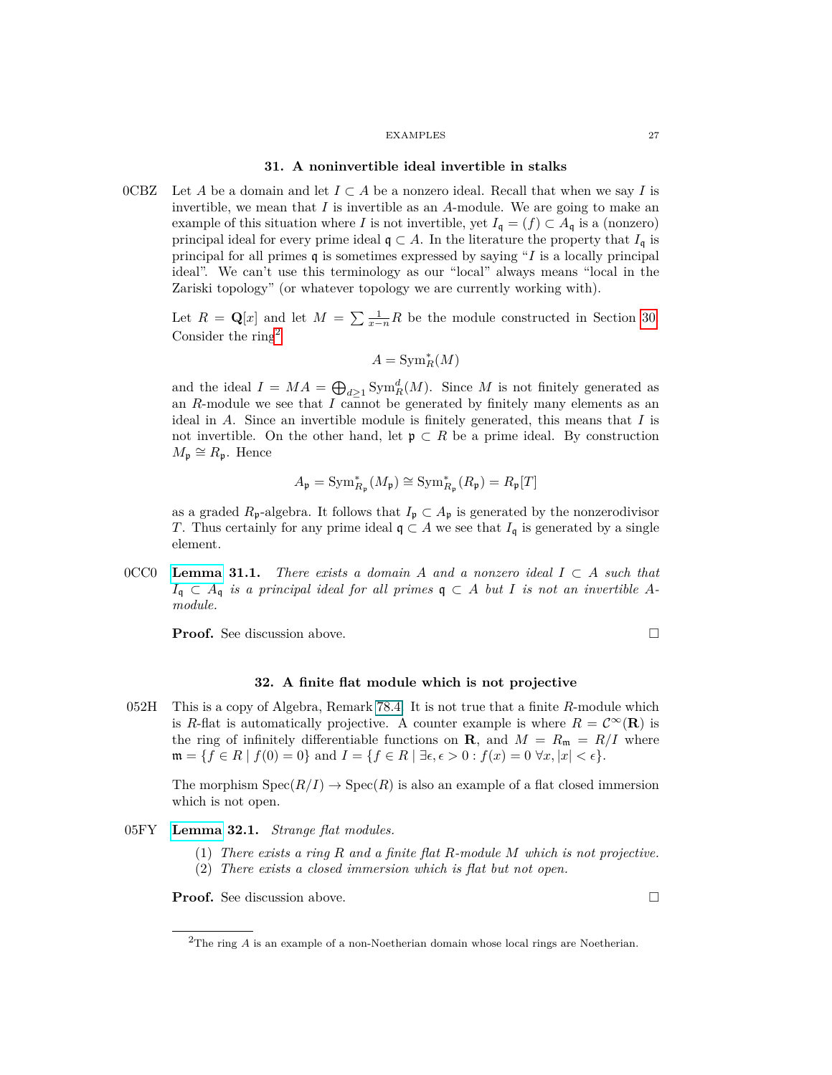## **31. A noninvertible ideal invertible in stalks**

<span id="page-26-0"></span>0CBZ Let *A* be a domain and let  $I \subset A$  be a nonzero ideal. Recall that when we say *I* is invertible, we mean that *I* is invertible as an *A*-module. We are going to make an example of this situation where *I* is not invertible, yet  $I_q = (f) \subset A_q$  is a (nonzero) principal ideal for every prime ideal  $\mathfrak{q} \subset A$ . In the literature the property that  $I_{\mathfrak{q}}$  is principal for all primes q is sometimes expressed by saying "*I* is a locally principal ideal". We can't use this terminology as our "local" always means "local in the Zariski topology" (or whatever topology we are currently working with).

Let  $R = \mathbf{Q}[x]$  and let  $M = \sum_{n=1}^{\infty} \frac{1}{n} R$  be the module constructed in Section [30.](#page-25-1) Consider the ring[2](#page-26-2)

$$
A={\rm Sym}^*_R(M)
$$

and the ideal  $I = MA = \bigoplus_{d \geq 1} \text{Sym}_R^d(M)$ . Since M is not finitely generated as an *R*-module we see that  $\overline{I}$  cannot be generated by finitely many elements as an ideal in *A*. Since an invertible module is finitely generated, this means that *I* is not invertible. On the other hand, let  $\mathfrak{p} \subset R$  be a prime ideal. By construction  $M_{\mathfrak{p}} \cong R_{\mathfrak{p}}$ . Hence

$$
A_{\mathfrak{p}} = \operatorname{Sym}_{R_{\mathfrak{p}}}^*(M_{\mathfrak{p}}) \cong \operatorname{Sym}_{R_{\mathfrak{p}}}^*(R_{\mathfrak{p}}) = R_{\mathfrak{p}}[T]
$$

as a graded  $R_p$ -algebra. It follows that  $I_p \subset A_p$  is generated by the nonzerodivisor *T*. Thus certainly for any prime ideal  $\mathfrak{q} \subset A$  we see that  $I_{\mathfrak{q}}$  is generated by a single element.

0CC0 **[Lemma](https://stacks.math.columbia.edu/tag/0CC0) 31.1.** *There exists a domain A and a nonzero ideal*  $I \subset A$  *such that*  $I_q$  ⊂  $A_q$  *is a principal ideal for all primes*  $q$  ⊂ *A but I is not an invertible Amodule.*

<span id="page-26-1"></span>**Proof.** See discussion above.

$$
\qquad \qquad \Box
$$

## **32. A finite flat module which is not projective**

052H This is a copy of Algebra, Remark 78.4. It is not true that a finite *R*-module which is *R*-flat is automatically projective. A counter example is where  $R = C^{\infty}(\mathbf{R})$  is the ring of infinitely differentiable functions on **R**, and  $M = R_{\rm m} = R/I$  where  $\mathfrak{m} = \{f \in R \mid f(0) = 0\}$  and  $I = \{f \in R \mid \exists \epsilon, \epsilon > 0 : f(x) = 0 \,\forall x, |x| < \epsilon\}.$ 

The morphism  $Spec(R/I) \to Spec(R)$  is also an example of a flat closed immersion which is not open.

- 05FY **[Lemma](https://stacks.math.columbia.edu/tag/05FY) 32.1.** *Strange flat modules.*
	- (1) *There exists a ring R and a finite flat R-module M which is not projective.*
	- (2) *There exists a closed immersion which is flat but not open.*

**Proof.** See discussion above.

<span id="page-26-2"></span><sup>2</sup>The ring *A* is an example of a non-Noetherian domain whose local rings are Noetherian.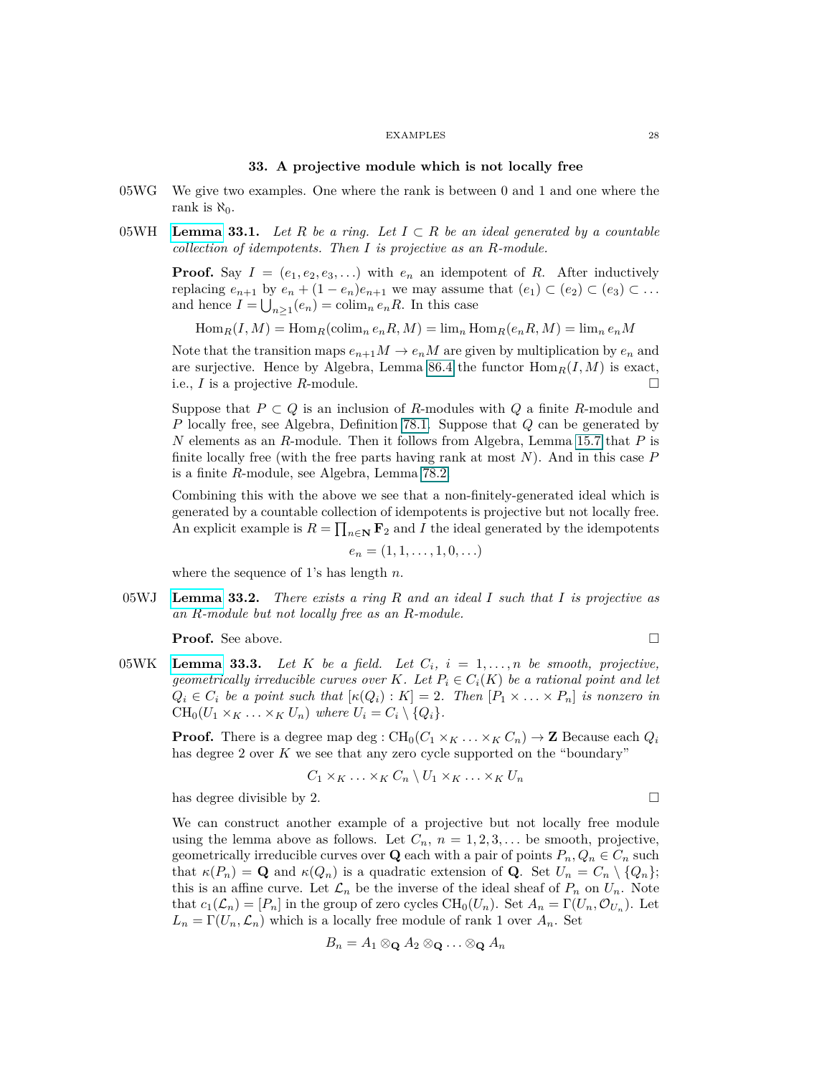#### **33. A projective module which is not locally free**

- <span id="page-27-0"></span>05WG We give two examples. One where the rank is between 0 and 1 and one where the rank is  $\aleph_0$ .
- 05WH **[Lemma](https://stacks.math.columbia.edu/tag/05WH) 33.1.** Let R be a ring. Let  $I \subset R$  be an ideal generated by a countable *collection of idempotents. Then I is projective as an R-module.*

**Proof.** Say  $I = (e_1, e_2, e_3, \ldots)$  with  $e_n$  an idempotent of *R*. After inductively replacing  $e_{n+1}$  by  $e_n + (1 - e_n)e_{n+1}$  we may assume that  $(e_1) \subset (e_2) \subset (e_3) \subset \ldots$ and hence  $I = \bigcup_{n \geq 1} (e_n) = \text{colim}_n e_n R$ . In this case

 $\text{Hom}_R(I, M) = \text{Hom}_R(\text{colim}_n e_n R, M) = \text{lim}_n \text{Hom}_R(e_n R, M) = \text{lim}_n e_n M$ 

Note that the transition maps  $e_{n+1}M \to e_nM$  are given by multiplication by  $e_n$  and are surjective. Hence by Algebra, Lemma 86.4 the functor  $\text{Hom}_R(I, M)$  is exact, i.e., *I* is a projective *R*-module.

Suppose that  $P \subset Q$  is an inclusion of *R*-modules with  $Q$  a finite *R*-module and *P* locally free, see Algebra, Definition [78.1.](#page-70-1) Suppose that *Q* can be generated by *N* elements as an *R*-module. Then it follows from Algebra, Lemma 15.7 that *P* is finite locally free (with the free parts having rank at most *N*). And in this case *P* is a finite *R*-module, see Algebra, Lemma 78.2.

Combining this with the above we see that a non-finitely-generated ideal which is generated by a countable collection of idempotents is projective but not locally free. An explicit example is  $R = \prod_{n \in \mathbb{N}} \mathbf{F}_2$  and *I* the ideal generated by the idempotents

$$
e_n=(1,1,\ldots,1,0,\ldots)
$$

where the sequence of 1's has length *n*.

05WJ **[Lemma](https://stacks.math.columbia.edu/tag/05WJ) 33.2.** *There exists a ring R and an ideal I such that I is projective as an R-module but not locally free as an R-module.*

<span id="page-27-1"></span>**Proof.** See above. □

05WK **[Lemma](https://stacks.math.columbia.edu/tag/05WK) 33.3.** Let K be a field. Let  $C_i$ ,  $i = 1, \ldots, n$  be smooth, projective, *geometrically irreducible curves over K. Let*  $P_i \in C_i(K)$  *be a rational point and let*  $Q_i \in C_i$  *be a point such that*  $[\kappa(Q_i): K] = 2$ *. Then*  $[P_1 \times \ldots \times P_n]$  *is nonzero in*  $CH_0(U_1 \times_K \ldots \times_K U_n)$  where  $U_i = C_i \setminus \{Q_i\}.$ 

**Proof.** There is a degree map deg :  $CH_0(C_1 \times_K \ldots \times_K C_n) \rightarrow \mathbb{Z}$  Because each  $Q_i$ has degree 2 over *K* we see that any zero cycle supported on the "boundary"

$$
C_1 \times_K \ldots \times_K C_n \setminus U_1 \times_K \ldots \times_K U_n
$$

has degree divisible by 2.  $\Box$ 

We can construct another example of a projective but not locally free module using the lemma above as follows. Let  $C_n$ ,  $n = 1, 2, 3, \ldots$  be smooth, projective, geometrically irreducible curves over **Q** each with a pair of points  $P_n, Q_n \in C_n$  such that  $\kappa(P_n) = \mathbf{Q}$  and  $\kappa(Q_n)$  is a quadratic extension of  $\mathbf{Q}$ . Set  $U_n = C_n \setminus \{Q_n\};$ this is an affine curve. Let  $\mathcal{L}_n$  be the inverse of the ideal sheaf of  $P_n$  on  $U_n$ . Note that  $c_1(\mathcal{L}_n) = [P_n]$  in the group of zero cycles  $\text{CH}_0(U_n)$ . Set  $A_n = \Gamma(U_n, \mathcal{O}_{U_n})$ . Let  $L_n = \Gamma(U_n, \mathcal{L}_n)$  which is a locally free module of rank 1 over  $A_n$ . Set

$$
B_n=A_1\otimes_{\mathbf Q} A_2\otimes_{\mathbf Q}\ldots\otimes_{\mathbf Q} A_n
$$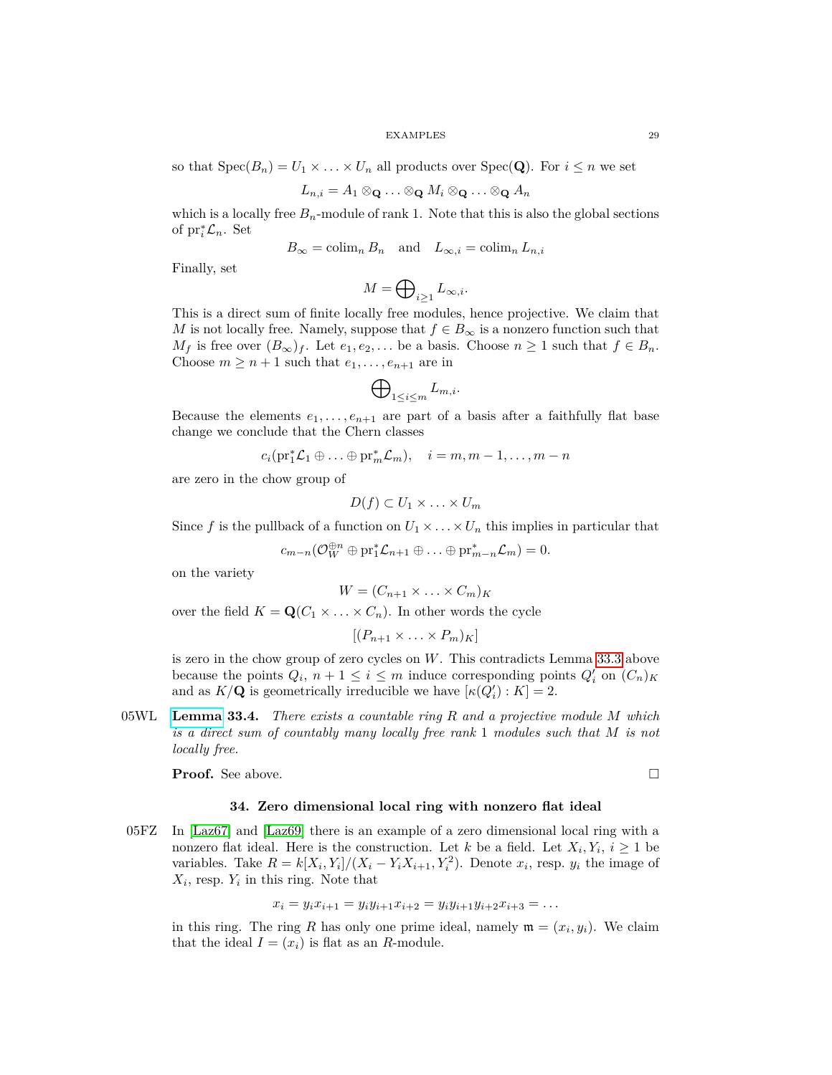so that  $Spec(B_n) = U_1 \times \ldots \times U_n$  all products over  $Spec(Q)$ . For  $i \leq n$  we set

$$
L_{n,i} = A_1 \otimes \mathbf{Q} \ldots \otimes \mathbf{Q} M_i \otimes \mathbf{Q} \ldots \otimes \mathbf{Q} A_n
$$

which is a locally free  $B_n$ -module of rank 1. Note that this is also the global sections of  $\mathrm{pr}_i^* \mathcal{L}_n$ . Set

$$
B_{\infty} = \operatorname{colim}_{n} B_{n} \quad \text{and} \quad L_{\infty, i} = \operatorname{colim}_{n} L_{n, i}
$$

Finally, set

$$
M=\bigoplus\nolimits_{i\geq 1}L_{\infty,i}.
$$

This is a direct sum of finite locally free modules, hence projective. We claim that *M* is not locally free. Namely, suppose that  $f \in B_{\infty}$  is a nonzero function such that *M*<sup>*f*</sup> is free over  $(B_{\infty})_f$ . Let  $e_1, e_2, \ldots$  be a basis. Choose  $n ≥ 1$  such that  $f ∈ B_n$ . Choose  $m \geq n+1$  such that  $e_1, \ldots, e_{n+1}$  are in

$$
\bigoplus\nolimits_{1\le i\le m}L_{m,i}.
$$

Because the elements  $e_1, \ldots, e_{n+1}$  are part of a basis after a faithfully flat base change we conclude that the Chern classes

$$
c_i(\mathrm{pr}_1^*\mathcal{L}_1\oplus\ldots\oplus\mathrm{pr}_m^*\mathcal{L}_m),\quad i=m,m-1,\ldots,m-n
$$

are zero in the chow group of

$$
D(f) \subset U_1 \times \ldots \times U_m
$$

Since f is the pullback of a function on  $U_1 \times \ldots \times U_n$  this implies in particular that

$$
c_{m-n}(\mathcal{O}_{W}^{\oplus n} \oplus \mathrm{pr}_{1}^{*} \mathcal{L}_{n+1} \oplus \ldots \oplus \mathrm{pr}_{m-n}^{*} \mathcal{L}_{m}) = 0.
$$

on the variety

$$
W = (C_{n+1} \times \ldots \times C_m)_K
$$

over the field  $K = \mathbf{Q}(C_1 \times \ldots \times C_n)$ . In other words the cycle

$$
[(P_{n+1} \times \ldots \times P_m)_K]
$$

is zero in the chow group of zero cycles on *W*. This contradicts Lemma [33.3](#page-27-1) above because the points  $Q_i$ ,  $n + 1 \leq i \leq m$  induce corresponding points  $Q'_i$  on  $(C_n)_K$ and as  $K/\mathbf{Q}$  is geometrically irreducible we have  $[\kappa(Q_i') : K] = 2$ .

05WL **[Lemma](https://stacks.math.columbia.edu/tag/05WL) 33.4.** *There exists a countable ring R and a projective module M which is a direct sum of countably many locally free rank* 1 *modules such that M is not locally free.*

<span id="page-28-0"></span>**Proof.** See above. □

## **34. Zero dimensional local ring with nonzero flat ideal**

05FZ In [\[Laz67\]](#page-75-11) and [\[Laz69\]](#page-75-12) there is an example of a zero dimensional local ring with a nonzero flat ideal. Here is the construction. Let *k* be a field. Let  $X_i, Y_i, i \geq 1$  be variables. Take  $R = k[X_i, Y_i]/(X_i - Y_i X_{i+1}, Y_i^2)$ . Denote  $x_i$ , resp.  $y_i$  the image of  $X_i$ , resp.  $Y_i$  in this ring. Note that

$$
x_i = y_i x_{i+1} = y_i y_{i+1} x_{i+2} = y_i y_{i+1} y_{i+2} x_{i+3} = \dots
$$

in this ring. The ring *R* has only one prime ideal, namely  $\mathfrak{m} = (x_i, y_i)$ . We claim that the ideal  $I = (x_i)$  is flat as an *R*-module.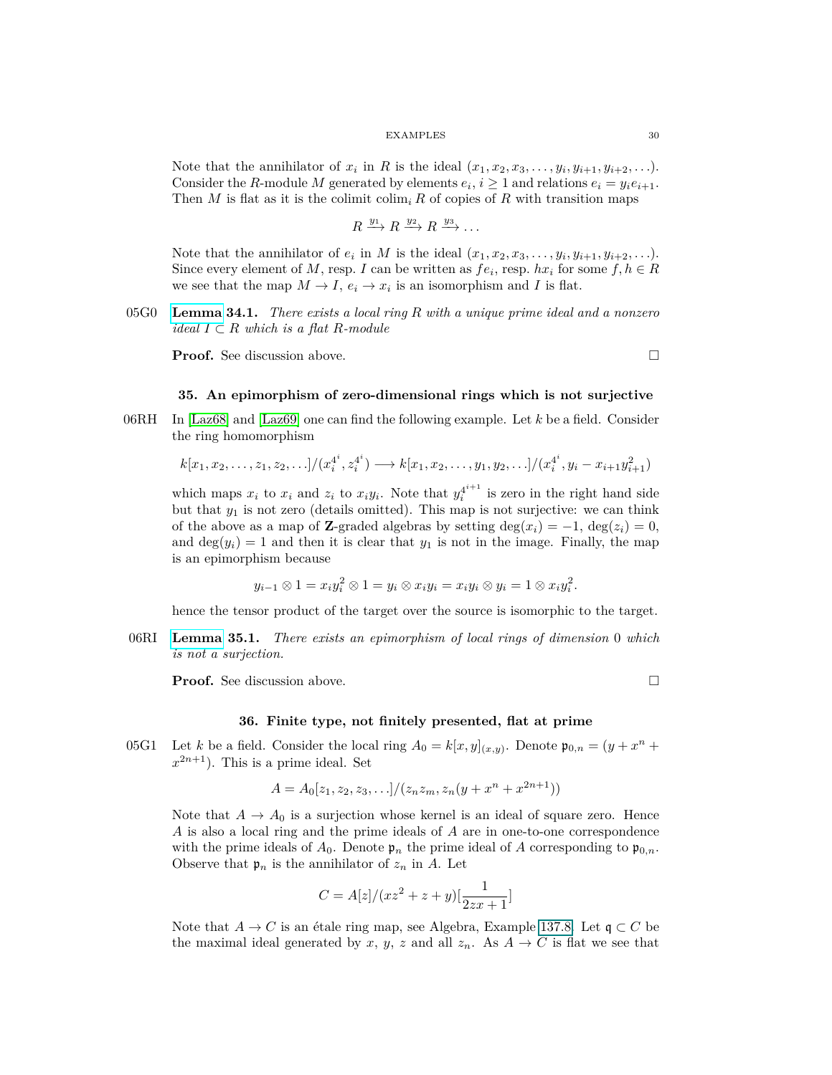Note that the annihilator of  $x_i$  in  $R$  is the ideal  $(x_1, x_2, x_3, \ldots, y_i, y_{i+1}, y_{i+2}, \ldots)$ . Consider the *R*-module *M* generated by elements  $e_i$ ,  $i \geq 1$  and relations  $e_i = y_i e_{i+1}$ . Then *M* is flat as it is the colimit  $\text{colim}_i R$  of copies of *R* with transition maps

$$
R \xrightarrow{y_1} R \xrightarrow{y_2} R \xrightarrow{y_3} \dots
$$

Note that the annihilator of  $e_i$  in *M* is the ideal  $(x_1, x_2, x_3, \ldots, y_i, y_{i+1}, y_{i+2}, \ldots)$ . Since every element of *M*, resp. *I* can be written as  $fe_i$ , resp.  $hx_i$  for some  $f, h \in R$ we see that the map  $M \to I$ ,  $e_i \to x_i$  is an isomorphism and *I* is flat.

05G0 **[Lemma](https://stacks.math.columbia.edu/tag/05G0) 34.1.** *There exists a local ring R with a unique prime ideal and a nonzero ideal*  $I ⊂ R$  *which is a flat*  $R$ *-module* 

**Proof.** See discussion above. □

## <span id="page-29-0"></span>**35. An epimorphism of zero-dimensional rings which is not surjective**

06RH In [\[Laz68\]](#page-75-13) and [\[Laz69\]](#page-75-12) one can find the following example. Let *k* be a field. Consider the ring homomorphism

$$
k[x_1, x_2, \ldots, z_1, z_2, \ldots]/(x_i^{4^i}, z_i^{4^i}) \longrightarrow k[x_1, x_2, \ldots, y_1, y_2, \ldots]/(x_i^{4^i}, y_i - x_{i+1}y_{i+1}^2)
$$

which maps  $x_i$  to  $x_i$  and  $z_i$  to  $x_i y_i$ . Note that  $y_i^{4^{i+1}}$  is zero in the right hand side but that  $y_1$  is not zero (details omitted). This map is not surjective: we can think of the above as a map of **Z**-graded algebras by setting  $\deg(x_i) = -1$ ,  $\deg(z_i) = 0$ , and  $\deg(y_i) = 1$  and then it is clear that  $y_1$  is not in the image. Finally, the map is an epimorphism because

$$
y_{i-1}\otimes 1=x_iy_i^2\otimes 1=y_i\otimes x_iy_i=x_iy_i\otimes y_i=1\otimes x_iy_i^2.
$$

hence the tensor product of the target over the source is isomorphic to the target.

06RI **[Lemma](https://stacks.math.columbia.edu/tag/06RI) 35.1.** *There exists an epimorphism of local rings of dimension* 0 *which is not a surjection.*

<span id="page-29-1"></span>**Proof.** See discussion above. □

## **36. Finite type, not finitely presented, flat at prime**

05G1 Let *k* be a field. Consider the local ring  $A_0 = k[x, y]_{(x,y)}$ . Denote  $\mathfrak{p}_{0,n} = (y + x^n + y)$  $x^{2n+1}$ ). This is a prime ideal. Set

$$
A = A_0[z_1, z_2, z_3, \ldots]/(z_n z_m, z_n (y + x^n + x^{2n+1}))
$$

Note that  $A \to A_0$  is a surjection whose kernel is an ideal of square zero. Hence *A* is also a local ring and the prime ideals of *A* are in one-to-one correspondence with the prime ideals of  $A_0$ . Denote  $\mathfrak{p}_n$  the prime ideal of A corresponding to  $\mathfrak{p}_{0,n}$ . Observe that  $\mathfrak{p}_n$  is the annihilator of  $z_n$  in A. Let

$$
C = A[z]/(xz^2 + z + y)[\frac{1}{2zx + 1}]
$$

Note that  $A \to C$  is an étale ring map, see Algebra, Example 137.8. Let  $\mathfrak{q} \subset C$  be the maximal ideal generated by *x*, *y*, *z* and all  $z_n$ . As  $A \rightarrow C$  is flat we see that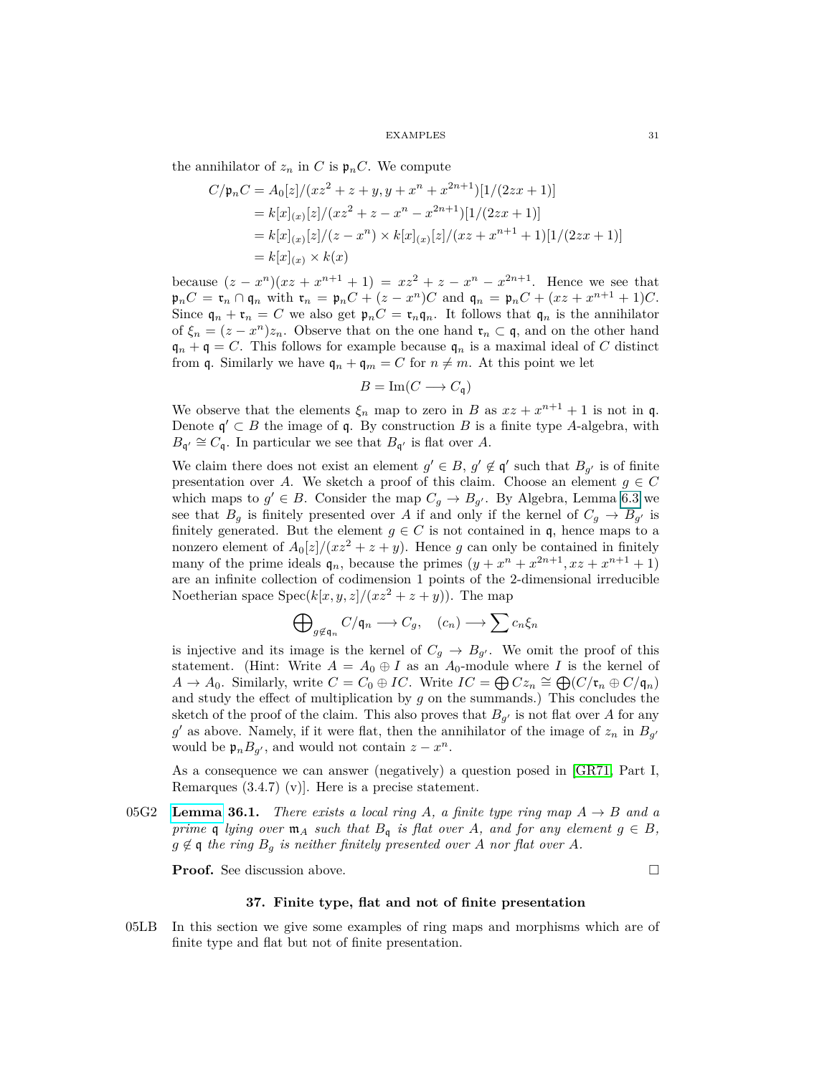the annihilator of  $z_n$  in C is  $\mathfrak{p}_n C$ . We compute

$$
C/\mathfrak{p}_n C = A_0[z]/(xz^2 + z + y, y + x^n + x^{2n+1})[1/(2zx+1)]
$$
  
=  $k[x]_{(x)}[z]/(xz^2 + z - x^n - x^{2n+1})[1/(2zx+1)]$   
=  $k[x]_{(x)}[z]/(z - x^n) \times k[x]_{(x)}[z]/(xz + x^{n+1} + 1)[1/(2zx+1)]$   
=  $k[x]_{(x)} \times k(x)$ 

because  $(z - x^n)(xz + x^{n+1} + 1) = xz^2 + z - x^n - x^{2n+1}$ . Hence we see that  $\mathfrak{p}_n C = \mathfrak{r}_n \cap \mathfrak{q}_n$  with  $\mathfrak{r}_n = \mathfrak{p}_n C + (z - x^n)C$  and  $\mathfrak{q}_n = \mathfrak{p}_n C + (xz + x^{n+1} + 1)C$ . Since  $\mathfrak{q}_n + \mathfrak{r}_n = C$  we also get  $\mathfrak{p}_n C = \mathfrak{r}_n \mathfrak{q}_n$ . It follows that  $\mathfrak{q}_n$  is the annihilator of  $\xi_n = (z - x^n)z_n$ . Observe that on the one hand  $\mathfrak{r}_n \subset \mathfrak{q}$ , and on the other hand  $\mathfrak{q}_n + \mathfrak{q} = C$ . This follows for example because  $\mathfrak{q}_n$  is a maximal ideal of C distinct from q. Similarly we have  $q_n + q_m = C$  for  $n \neq m$ . At this point we let

$$
B = \operatorname{Im}(C \longrightarrow C_{\mathfrak{q}})
$$

We observe that the elements  $\xi_n$  map to zero in *B* as  $xz + x^{n+1} + 1$  is not in q. Denote  $\mathfrak{q}' \subset B$  the image of  $\mathfrak{q}$ . By construction *B* is a finite type *A*-algebra, with  $B_{\mathfrak{q}'} \cong C_{\mathfrak{q}}$ . In particular we see that  $B_{\mathfrak{q}'}$  is flat over *A*.

We claim there does not exist an element  $g' \in B$ ,  $g' \notin \mathfrak{q}'$  such that  $B_{g'}$  is of finite presentation over *A*. We sketch a proof of this claim. Choose an element  $g \in C$ which maps to  $g' \in B$ . Consider the map  $C_g \to B_{g'}$ . By Algebra, Lemma 6.3 we see that  $B_g$  is finitely presented over *A* if and only if the kernel of  $C_g \rightarrow B_{g'}$  is finitely generated. But the element  $g \in C$  is not contained in q, hence maps to a nonzero element of  $A_0[z]/(xz^2 + z + y)$ . Hence *g* can only be contained in finitely many of the prime ideals  $\mathfrak{q}_n$ , because the primes  $(y + x^n + x^{2n+1}, xz + x^{n+1} + 1)$ are an infinite collection of codimension 1 points of the 2-dimensional irreducible Noetherian space  $Spec(k[x, y, z]/(xz^2 + z + y))$ . The map

$$
\bigoplus\nolimits_{g \notin \mathfrak{q}_n} C/\mathfrak{q}_n \longrightarrow C_g, \quad (c_n) \longrightarrow \sum c_n \xi_n
$$

is injective and its image is the kernel of  $C_g \rightarrow B_{g'}$ . We omit the proof of this statement. (Hint: Write  $A = A_0 \oplus I$  as an  $A_0$ -module where *I* is the kernel of  $A \to A_0$ . Similarly, write  $C = C_0 \oplus IC$ . Write  $IC = \bigoplus Cz_n \cong \bigoplus (C/\mathfrak{r}_n \oplus C/\mathfrak{q}_n)$ and study the effect of multiplication by *g* on the summands.) This concludes the sketch of the proof of the claim. This also proves that  $B_{g'}$  is not flat over *A* for any g' as above. Namely, if it were flat, then the annihilator of the image of  $z_n$  in  $B_{g'}$ would be  $\mathfrak{p}_n B_{g'}$ , and would not contain  $z - x^n$ .

As a consequence we can answer (negatively) a question posed in [\[GR71,](#page-74-7) Part I, Remarques  $(3.4.7)$  (v). Here is a precise statement.

05G2 **[Lemma](https://stacks.math.columbia.edu/tag/05G2) 36.1.** *There exists a local ring*  $A$ , a finite type ring map  $A \rightarrow B$  and a *prime* q *lying over*  $\mathfrak{m}_A$  *such that*  $B_q$  *is flat over A, and for any element*  $g \in B$ *,*  $g \notin \mathfrak{q}$  *the ring*  $B_g$  *is neither finitely presented over A nor flat over A.* 

<span id="page-30-0"></span>**Proof.** See discussion above.

$$
\qquad \qquad \Box
$$

## **37. Finite type, flat and not of finite presentation**

05LB In this section we give some examples of ring maps and morphisms which are of finite type and flat but not of finite presentation.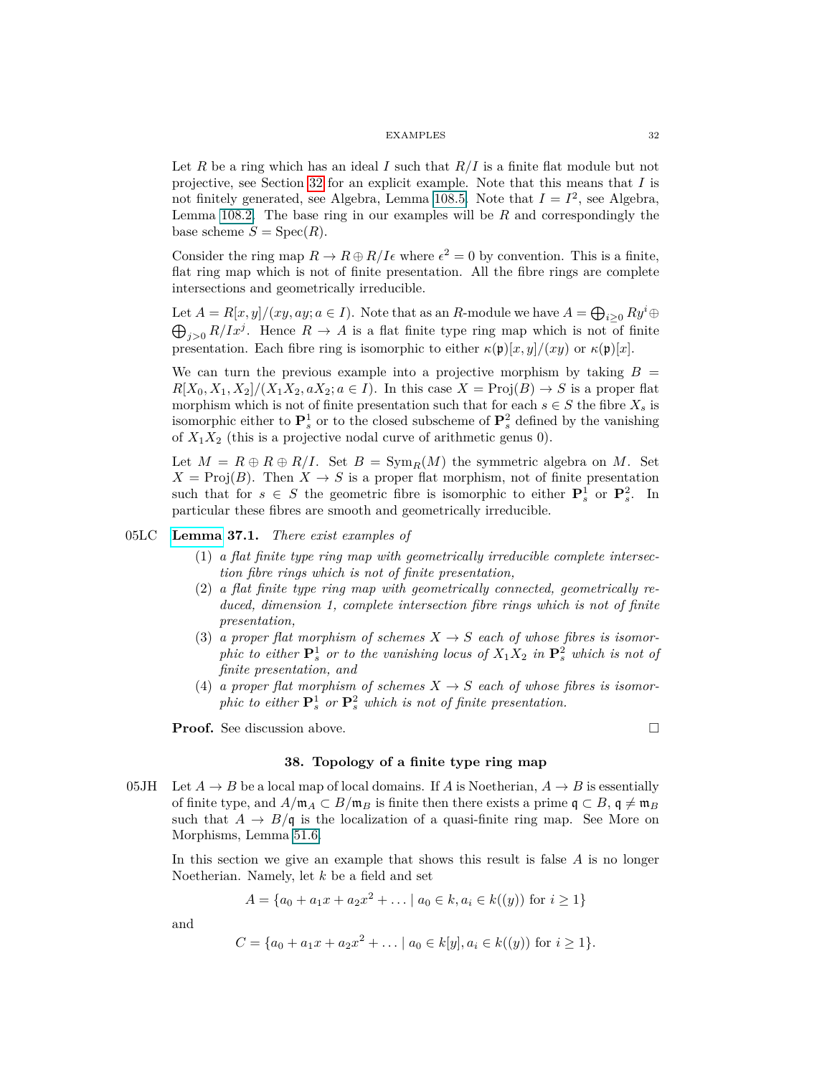Let *R* be a ring which has an ideal *I* such that *R/I* is a finite flat module but not projective, see Section [32](#page-26-1) for an explicit example. Note that this means that *I* is not finitely generated, see Algebra, Lemma 108.5. Note that  $I = I^2$ , see Algebra, Lemma 108.2. The base ring in our examples will be *R* and correspondingly the base scheme  $S = \text{Spec}(R)$ .

Consider the ring map  $R \to R \oplus R/I\epsilon$  where  $\epsilon^2 = 0$  by convention. This is a finite, flat ring map which is not of finite presentation. All the fibre rings are complete intersections and geometrically irreducible.

Let  $A = R[x, y]/(xy, ay; a \in I)$ . Note that as an *R*-module we have  $A = \bigoplus_{i \geq 0} Ry^i \oplus$  $\bigoplus_{j>0} R/Ix^j$ . Hence  $R \to A$  is a flat finite type ring map which is not of finite presentation. Each fibre ring is isomorphic to either  $\kappa(\mathfrak{p})[x, y]/(xy)$  or  $\kappa(\mathfrak{p})[x]$ .

We can turn the previous example into a projective morphism by taking  $B =$  $R[X_0, X_1, X_2]/(X_1X_2, aX_2; a \in I)$ . In this case  $X = \text{Proj}(B) \rightarrow S$  is a proper flat morphism which is not of finite presentation such that for each  $s \in S$  the fibre  $X_s$  is isomorphic either to  $\mathbf{P}_s^1$  or to the closed subscheme of  $\mathbf{P}_s^2$  defined by the vanishing of  $X_1X_2$  (this is a projective nodal curve of arithmetic genus 0).

Let  $M = R \oplus R \oplus R/I$ . Set  $B = \text{Sym}_R(M)$  the symmetric algebra on M. Set  $X = \text{Proj}(B)$ . Then  $X \to S$  is a proper flat morphism, not of finite presentation such that for  $s \in S$  the geometric fibre is isomorphic to either  $\mathbf{P}_s^1$  or  $\mathbf{P}_s^2$ . In particular these fibres are smooth and geometrically irreducible.

## 05LC **[Lemma](https://stacks.math.columbia.edu/tag/05LC) 37.1.** *There exist examples of*

- (1) *a flat finite type ring map with geometrically irreducible complete intersection fibre rings which is not of finite presentation,*
- (2) *a flat finite type ring map with geometrically connected, geometrically reduced, dimension 1, complete intersection fibre rings which is not of finite presentation,*
- (3) *a proper flat morphism of schemes*  $X \to S$  *each of whose fibres is isomorphic to either*  $\mathbf{P}_s^1$  *or to the vanishing locus of*  $X_1X_2$  *in*  $\mathbf{P}_s^2$  *which is not of finite presentation, and*
- (4) *a proper flat morphism of schemes*  $X \to S$  *each of whose fibres is isomorphic to either*  $\mathbf{P}_s^1$  *or*  $\mathbf{P}_s^2$  *which is not of finite presentation.*

<span id="page-31-0"></span>**Proof.** See discussion above. □

## **38. Topology of a finite type ring map**

05JH Let  $A \to B$  be a local map of local domains. If *A* is Noetherian,  $A \to B$  is essentially of finite type, and  $A/\mathfrak{m}_A \subset B/\mathfrak{m}_B$  is finite then there exists a prime  $\mathfrak{q} \subset B$ ,  $\mathfrak{q} \neq \mathfrak{m}_B$ such that  $A \to B/\mathfrak{q}$  is the localization of a quasi-finite ring map. See More on Morphisms, Lemma 51.6.

In this section we give an example that shows this result is false *A* is no longer Noetherian. Namely, let *k* be a field and set

$$
A = \{a_0 + a_1x + a_2x^2 + \dots \mid a_0 \in k, a_i \in k((y)) \text{ for } i \ge 1\}
$$

and

$$
C = \{a_0 + a_1x + a_2x^2 + \dots \mid a_0 \in k[y], a_i \in k((y)) \text{ for } i \ge 1\}.
$$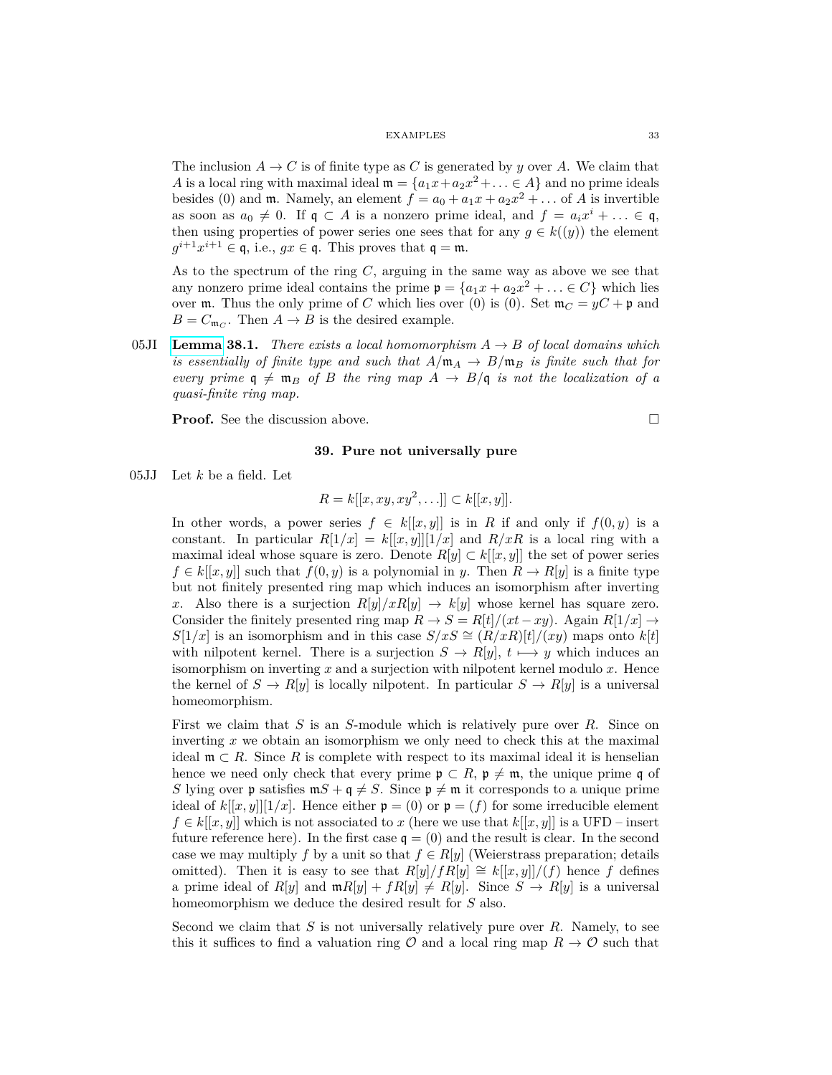The inclusion  $A \to C$  is of finite type as C is generated by *y* over A. We claim that *A* is a local ring with maximal ideal  $\mathfrak{m} = \{a_1x + a_2x^2 + \ldots \in A\}$  and no prime ideals besides (0) and  $\mathfrak{m}$ . Namely, an element  $f = a_0 + a_1x + a_2x^2 + \dots$  of *A* is invertible as soon as  $a_0 \neq 0$ . If  $\mathfrak{q} \subset A$  is a nonzero prime ideal, and  $f = a_i x^i + \ldots \in \mathfrak{q}$ , then using properties of power series one sees that for any  $g \in k((y))$  the element  $g^{i+1}x^{i+1} \in \mathfrak{q}$ , i.e.,  $gx \in \mathfrak{q}$ . This proves that  $\mathfrak{q} = \mathfrak{m}$ .

As to the spectrum of the ring *C*, arguing in the same way as above we see that any nonzero prime ideal contains the prime  $\mathfrak{p} = \{a_1x + a_2x^2 + \ldots \in C\}$  which lies over  $m$ . Thus the only prime of *C* which lies over (0) is (0). Set  $m_C = yC + \mathfrak{p}$  and  $B = C_{\mathfrak{m}_C}$ . Then  $A \to B$  is the desired example.

05JI **[Lemma](https://stacks.math.columbia.edu/tag/05JI) 38.1.** *There exists a local homomorphism*  $A \rightarrow B$  *of local domains which is essentially of finite type and such that*  $A/\mathfrak{m}_A \rightarrow B/\mathfrak{m}_B$  *is finite such that for every prime*  $q \neq m_B$  *of B the ring map*  $A \rightarrow B/q$  *is not the localization of a quasi-finite ring map.*

<span id="page-32-0"></span>**Proof.** See the discussion above.

# **39. Pure not universally pure**

05JJ Let *k* be a field. Let

$$
R = k[[x, xy, xy^2, \ldots]] \subset k[[x, y]].
$$

In other words, a power series  $f \in k[[x, y]]$  is in *R* if and only if  $f(0, y)$  is a constant. In particular  $R[1/x] = k[[x,y]][1/x]$  and  $R/xR$  is a local ring with a maximal ideal whose square is zero. Denote  $R[y] \subset k[[x, y]]$  the set of power series  $f \in k[[x, y]]$  such that  $f(0, y)$  is a polynomial in *y*. Then  $R \to R[y]$  is a finite type but not finitely presented ring map which induces an isomorphism after inverting *x*. Also there is a surjection  $R[y]/xR[y] \rightarrow k[y]$  whose kernel has square zero. Consider the finitely presented ring map  $R \to S = R[t]/(xt - xy)$ . Again  $R[1/x] \to$ *S*[1/x] is an isomorphism and in this case  $S/xS \cong (R/xR)[t]/(xy)$  maps onto  $k[t]$ with nilpotent kernel. There is a surjection  $S \to R[y], t \mapsto y$  which induces an isomorphism on inverting *x* and a surjection with nilpotent kernel modulo *x*. Hence the kernel of  $S \to R[y]$  is locally nilpotent. In particular  $S \to R[y]$  is a universal homeomorphism.

First we claim that *S* is an *S*-module which is relatively pure over *R*. Since on inverting *x* we obtain an isomorphism we only need to check this at the maximal ideal  $\mathfrak{m} \subset R$ . Since R is complete with respect to its maximal ideal it is henselian hence we need only check that every prime  $\mathfrak{p} \subset R$ ,  $\mathfrak{p} \neq \mathfrak{m}$ , the unique prime q of *S* lying over **p** satisfies  $mS + q \neq S$ . Since  $p \neq m$  it corresponds to a unique prime ideal of  $k[[x, y]][1/x]$ . Hence either  $\mathfrak{p} = (0)$  or  $\mathfrak{p} = (f)$  for some irreducible element  $f \in k[[x, y]]$  which is not associated to *x* (here we use that  $k[[x, y]]$  is a UFD – insert future reference here). In the first case  $\mathfrak{q} = (0)$  and the result is clear. In the second case we may multiply *f* by a unit so that  $f \in R[y]$  (Weierstrass preparation; details omitted). Then it is easy to see that  $R[y]/fR[y] \cong k[[x, y]]/(f)$  hence f defines a prime ideal of  $R[y]$  and  $mR[y] + fR[y] \neq R[y]$ . Since  $S \to R[y]$  is a universal homeomorphism we deduce the desired result for *S* also.

Second we claim that *S* is not universally relatively pure over *R*. Namely, to see this it suffices to find a valuation ring  $\mathcal O$  and a local ring map  $R \to \mathcal O$  such that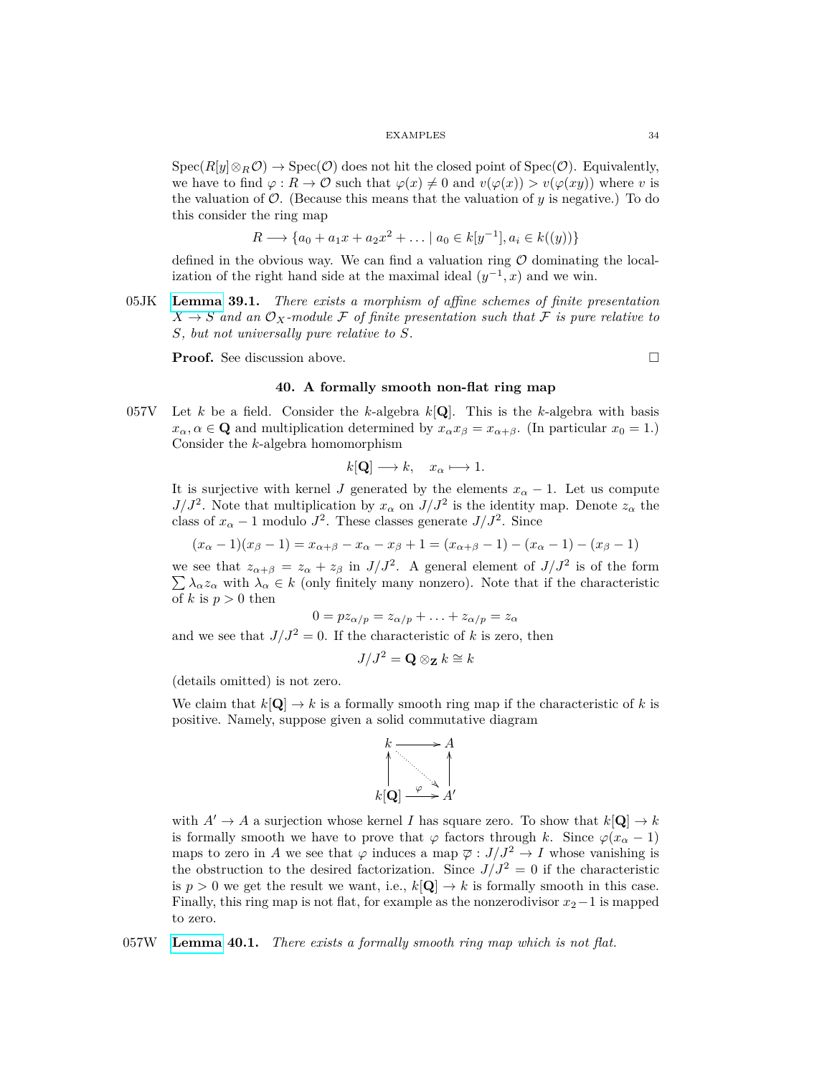$Spec(R[y]\otimes_R \mathcal{O})\to Spec(\mathcal{O})$  does not hit the closed point of  $Spec(\mathcal{O})$ . Equivalently, we have to find  $\varphi: R \to \mathcal{O}$  such that  $\varphi(x) \neq 0$  and  $v(\varphi(x)) > v(\varphi(xy))$  where *v* is the valuation of  $\mathcal{O}$ . (Because this means that the valuation of  $y$  is negative.) To do this consider the ring map

$$
R \longrightarrow \{a_0 + a_1x + a_2x^2 + \dots \mid a_0 \in k[y^{-1}], a_i \in k((y))\}
$$

defined in the obvious way. We can find a valuation ring  $\mathcal O$  dominating the localization of the right hand side at the maximal ideal  $(y^{-1}, x)$  and we win.

05JK **[Lemma](https://stacks.math.columbia.edu/tag/05JK) 39.1.** *There exists a morphism of affine schemes of finite presentation*  $X \to S$  and an  $\mathcal{O}_X$ -module F of finite presentation such that F is pure relative to *S, but not universally pure relative to S.*

<span id="page-33-0"></span>**Proof.** See discussion above. □

## **40. A formally smooth non-flat ring map**

057V Let *k* be a field. Consider the *k*-algebra *k*[**Q**]. This is the *k*-algebra with basis  $x_{\alpha}, \alpha \in \mathbf{Q}$  and multiplication determined by  $x_{\alpha}x_{\beta} = x_{\alpha+\beta}$ . (In particular  $x_0 = 1$ .) Consider the *k*-algebra homomorphism

$$
k[\mathbf{Q}] \longrightarrow k, \quad x_{\alpha} \longmapsto 1.
$$

It is surjective with kernel *J* generated by the elements  $x_\alpha - 1$ . Let us compute *J/J*<sup>2</sup>. Note that multiplication by  $x_\alpha$  on  $J/J^2$  is the identity map. Denote  $z_\alpha$  the class of  $x_{\alpha} - 1$  modulo  $J^2$ . These classes generate  $J/J^2$ . Since

$$
(x_{\alpha}-1)(x_{\beta}-1) = x_{\alpha+\beta} - x_{\alpha} - x_{\beta} + 1 = (x_{\alpha+\beta}-1) - (x_{\alpha}-1) - (x_{\beta}-1)
$$

we see that  $z_{\alpha+\beta} = z_{\alpha} + z_{\beta}$  in  $J/J^2$ . A general element of  $J/J^2$  is of the form  $\sum \lambda_{\alpha} z_{\alpha}$  with  $\lambda_{\alpha} \in k$  (only finitely many nonzero). Note that if the characteristic of *k* is  $p > 0$  then

$$
0 = pz_{\alpha/p} = z_{\alpha/p} + \ldots + z_{\alpha/p} = z_{\alpha}
$$

and we see that  $J/J^2 = 0$ . If the characteristic of *k* is zero, then

$$
J/J^2 = \mathbf{Q} \otimes_{\mathbf{Z}} k \cong k
$$

(details omitted) is not zero.

We claim that  $k[\mathbf{Q}] \to k$  is a formally smooth ring map if the characteristic of k is positive. Namely, suppose given a solid commutative diagram



with  $A' \to A$  a surjection whose kernel *I* has square zero. To show that  $k[\mathbf{Q}] \to k$ is formally smooth we have to prove that  $\varphi$  factors through *k*. Since  $\varphi(x_{\alpha} - 1)$ maps to zero in *A* we see that  $\varphi$  induces a map  $\overline{\varphi}: J/J^2 \to I$  whose vanishing is the obstruction to the desired factorization. Since  $J/J^2 = 0$  if the characteristic is  $p > 0$  we get the result we want, i.e.,  $k[\mathbf{Q}] \to k$  is formally smooth in this case. Finally, this ring map is not flat, for example as the nonzerodivisor  $x_2-1$  is mapped to zero.

057W **[Lemma](https://stacks.math.columbia.edu/tag/057W) 40.1.** *There exists a formally smooth ring map which is not flat.*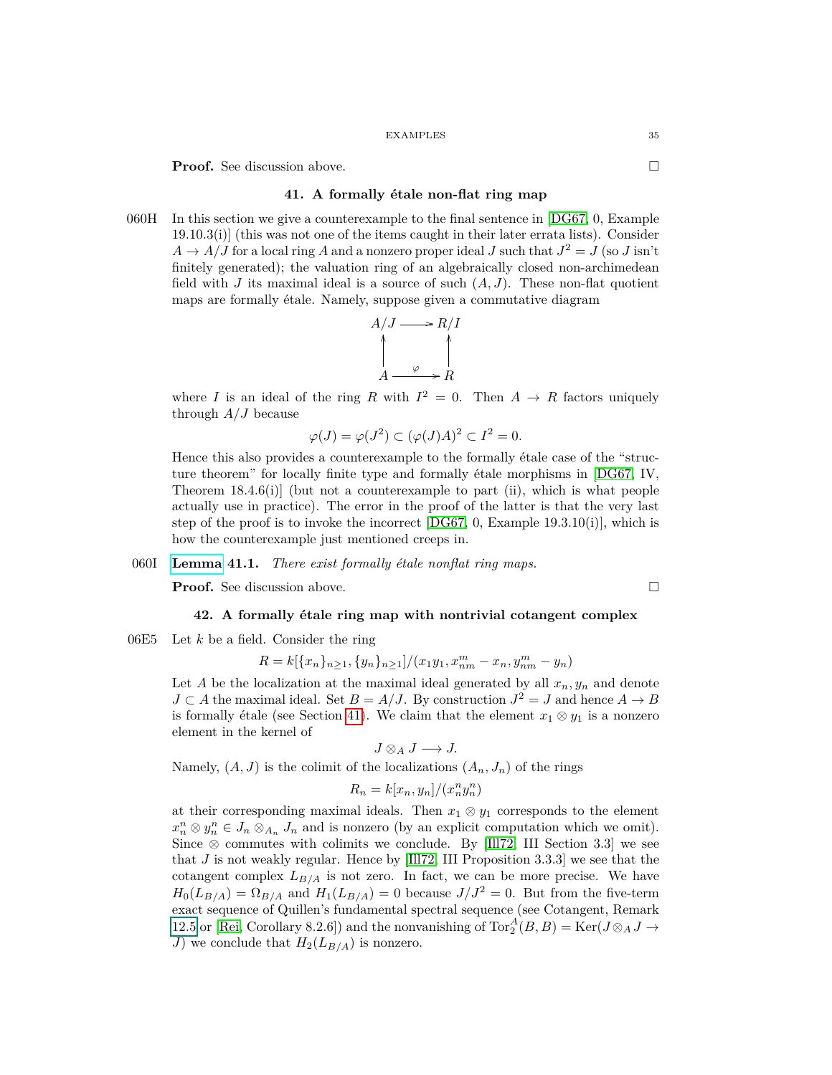<span id="page-34-0"></span>**Proof.** See discussion above. □

## **41. A formally étale non-flat ring map**

060H In this section we give a counterexample to the final sentence in [\[DG67,](#page-74-6) 0, Example 19.10.3(i)] (this was not one of the items caught in their later errata lists). Consider  $A \rightarrow A/J$  for a local ring *A* and a nonzero proper ideal *J* such that  $J^2 = J$  (so *J* isn't finitely generated); the valuation ring of an algebraically closed non-archimedean field with *J* its maximal ideal is a source of such  $(A, J)$ . These non-flat quotient maps are formally étale. Namely, suppose given a commutative diagram

$$
A/J \longrightarrow R/I
$$
  
\n
$$
A \longrightarrow R
$$
  
\n
$$
A \longrightarrow R
$$

where *I* is an ideal of the ring *R* with  $I^2 = 0$ . Then  $A \rightarrow R$  factors uniquely through *A/J* because

$$
\varphi(J) = \varphi(J^2) \subset (\varphi(J)A)^2 \subset I^2 = 0.
$$

Hence this also provides a counterexample to the formally étale case of the "structure theorem" for locally finite type and formally étale morphisms in [\[DG67,](#page-74-6) IV, Theorem  $18.4.6(i)$  (but not a counterexample to part (ii), which is what people actually use in practice). The error in the proof of the latter is that the very last step of the proof is to invoke the incorrect  $[DG67, 0, Example 19.3.10(i)],$  $[DG67, 0, Example 19.3.10(i)],$  which is how the counterexample just mentioned creeps in.

#### 060I **[Lemma](https://stacks.math.columbia.edu/tag/060I) 41.1.** *There exist formally étale nonflat ring maps.*

<span id="page-34-1"></span>**Proof.** See discussion above. □

#### **42. A formally étale ring map with nontrivial cotangent complex**

06E5 Let *k* be a field. Consider the ring

$$
R = k[{x_n}_{n \ge 1}, {y_n}_{n \ge 1}]/(x_1y_1, x_{nm}^m - x_n, y_{nm}^m - y_n)
$$

Let *A* be the localization at the maximal ideal generated by all  $x_n, y_n$  and denote *J* ⊂ *A* the maximal ideal. Set *B* = *A*/*J*. By construction  $J^2 = J$  and hence *A* → *B* is formally étale (see Section [41\)](#page-34-0). We claim that the element  $x_1 \otimes y_1$  is a nonzero element in the kernel of

$$
J\otimes_A J\longrightarrow J.
$$

Namely,  $(A, J)$  is the colimit of the localizations  $(A_n, J_n)$  of the rings

$$
R_n = k[x_n, y_n]/(x_n^n y_n^n)
$$

at their corresponding maximal ideals. Then  $x_1 \otimes y_1$  corresponds to the element  $x_n^n \otimes y_n^n \in J_n \otimes_{A_n} J_n$  and is nonzero (by an explicit computation which we omit). Since  $\otimes$  commutes with colimits we conclude. By [\[Ill72,](#page-75-14) III Section 3.3] we see that *J* is not weakly regular. Hence by [\[Ill72,](#page-75-14) III Proposition 3.3.3] we see that the cotangent complex  $L_{B/A}$  is not zero. In fact, we can be more precise. We have  $H_0(L_{B/A}) = \Omega_{B/A}$  and  $H_1(L_{B/A}) = 0$  because  $J/J^2 = 0$ . But from the five-term exact sequence of Quillen's fundamental spectral sequence (see Cotangent, Remark [12.5](#page-10-0) or [\[Rei,](#page-75-15) Corollary 8.2.6]) and the nonvanishing of  $\text{Tor}_{2}^{A}(B, B) = \text{Ker}(J \otimes_{A} J \rightarrow$ *J*) we conclude that  $H_2(L_{B/A})$  is nonzero.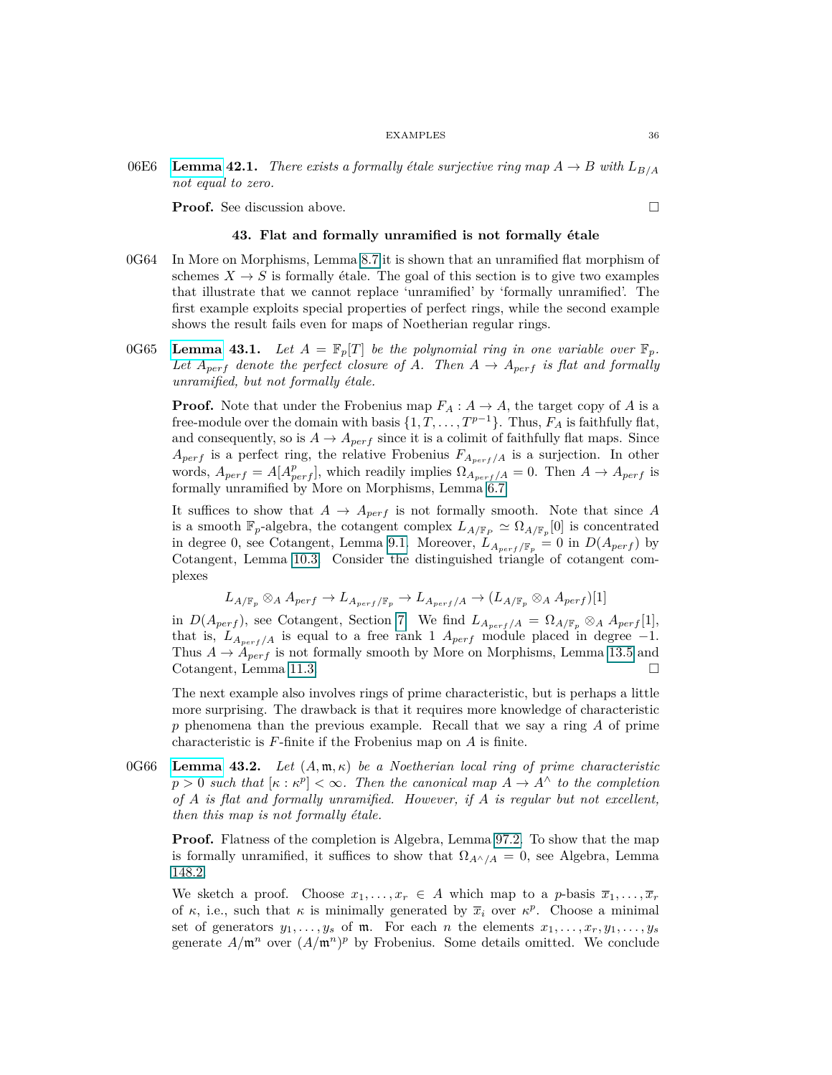06E6 **[Lemma](https://stacks.math.columbia.edu/tag/06E6) 42.1.** *There exists a formally étale surjective ring map*  $A \rightarrow B$  *with*  $L_{B/A}$ *not equal to zero.*

<span id="page-35-0"></span>**Proof.** See discussion above. □

#### **43. Flat and formally unramified is not formally étale**

- 0G64 In More on Morphisms, Lemma 8.7 it is shown that an unramified flat morphism of schemes  $X \to S$  is formally étale. The goal of this section is to give two examples that illustrate that we cannot replace 'unramified' by 'formally unramified'. The first example exploits special properties of perfect rings, while the second example shows the result fails even for maps of Noetherian regular rings.
- 0G65 **[Lemma](https://stacks.math.columbia.edu/tag/0G65) 43.1.** Let  $A = \mathbb{F}_p[T]$  be the polynomial ring in one variable over  $\mathbb{F}_p$ . Let  $A_{perf}$  denote the perfect closure of A. Then  $A \rightarrow A_{perf}$  is flat and formally *unramified, but not formally étale.*

**Proof.** Note that under the Frobenius map  $F_A: A \to A$ , the target copy of *A* is a free-module over the domain with basis  $\{1, T, \ldots, T^{p-1}\}$ . Thus,  $F_A$  is faithfully flat, and consequently, so is  $A \to A_{perf}$  since it is a colimit of faithfully flat maps. Since  $A_{perf}$  is a perfect ring, the relative Frobenius  $F_{A_{perf}/A}$  is a surjection. In other words,  $A_{perf} = A[A_{perf}^p]$ , which readily implies  $\Omega_{A_{perf}/A} = 0$ . Then  $A \rightarrow A_{perf}$  is formally unramified by More on Morphisms, Lemma 6.7

It suffices to show that  $A \rightarrow A_{perf}$  is not formally smooth. Note that since A is a smooth  $\mathbb{F}_p$ -algebra, the cotangent complex  $L_{A/\mathbb{F}_p} \simeq \Omega_{A/\mathbb{F}_p}[0]$  is concentrated in degree 0, see Cotangent, Lemma [9.1.](#page-7-2) Moreover,  $L_{A_{perf}/\mathbb{F}_p} = 0$  in  $D(A_{perf})$  by Cotangent, Lemma 10.3. Consider the distinguished triangle of cotangent complexes

$$
L_{A/\mathbb{F}_p} \otimes_A A_{perf} \to L_{A_{perf}/\mathbb{F}_p} \to L_{A_{perf}/A} \to (L_{A/\mathbb{F}_p} \otimes_A A_{perf})[1]
$$

in  $D(A_{perf})$ , see Cotangent, Section [7.](#page-5-0) We find  $L_{A_{perf}/A} = \Omega_{A/\mathbb{F}_p} \otimes_A A_{perf}[1]$ , that is,  $L_{A_{perf}/A}$  is equal to a free rank 1  $A_{perf}$  module placed in degree  $-1$ . Thus  $A \rightarrow A_{perf}$  is not formally smooth by More on Morphisms, Lemma 13.5 and Cotangent, Lemma 11.3.

The next example also involves rings of prime characteristic, but is perhaps a little more surprising. The drawback is that it requires more knowledge of characteristic *p* phenomena than the previous example. Recall that we say a ring *A* of prime characteristic is *F*-finite if the Frobenius map on *A* is finite.

0G66 **[Lemma](https://stacks.math.columbia.edu/tag/0G66) 43.2.** *Let* (*A,* m*, κ*) *be a Noetherian local ring of prime characteristic*  $p > 0$  *such that*  $[\kappa : \kappa^p] < \infty$ *. Then the canonical map*  $A \to A^{\wedge}$  *to the completion of A is flat and formally unramified. However, if A is regular but not excellent, then this map is not formally étale.*

**Proof.** Flatness of the completion is Algebra, Lemma 97.2. To show that the map is formally unramified, it suffices to show that  $\Omega_{A \wedge / A} = 0$ , see Algebra, Lemma 148.2.

We sketch a proof. Choose  $x_1, \ldots, x_r \in A$  which map to a *p*-basis  $\overline{x}_1, \ldots, \overline{x}_r$ of  $\kappa$ , i.e., such that  $\kappa$  is minimally generated by  $\bar{x}_i$  over  $\kappa^p$ . Choose a minimal set of generators  $y_1, \ldots, y_s$  of  $m$ . For each *n* the elements  $x_1, \ldots, x_r, y_1, \ldots, y_s$ generate  $A/\mathfrak{m}^n$  over  $(A/\mathfrak{m}^n)^p$  by Frobenius. Some details omitted. We conclude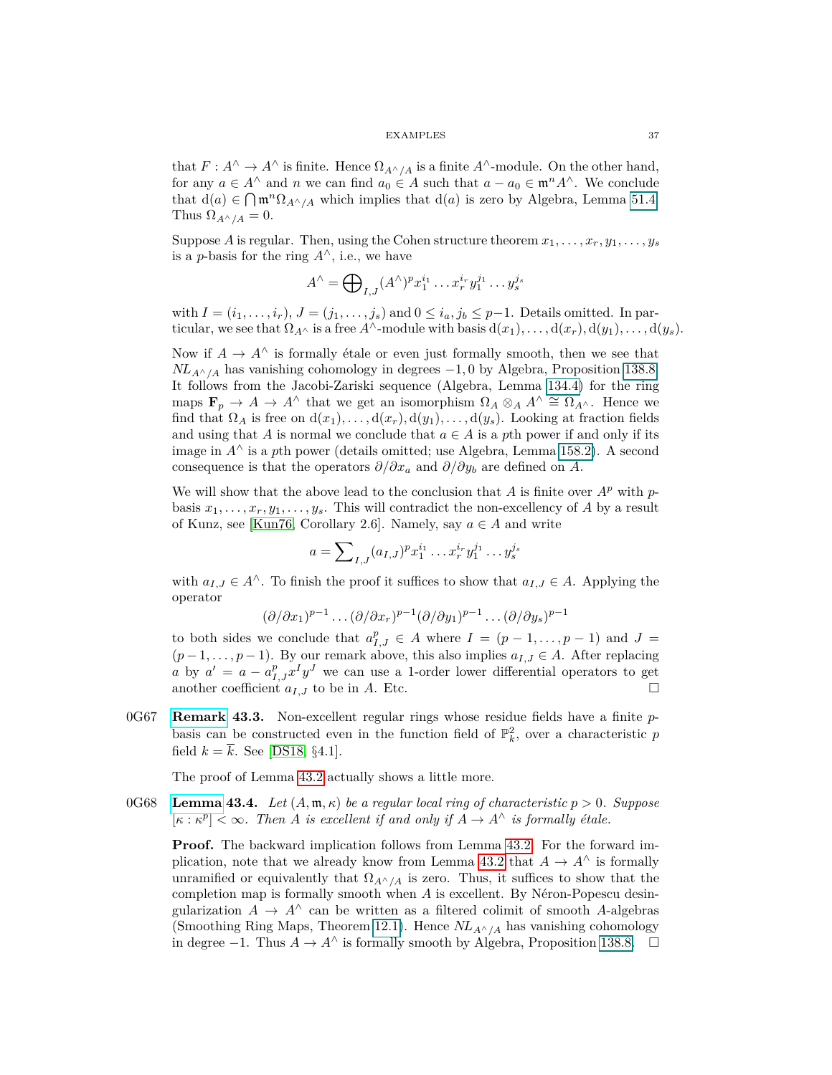that  $F: A^{\wedge} \to A^{\wedge}$  is finite. Hence  $\Omega_{A^{\wedge}/A}$  is a finite  $A^{\wedge}$ -module. On the other hand, for any  $a \in A^{\wedge}$  and *n* we can find  $a_0 \in A$  such that  $a - a_0 \in \mathfrak{m}^n A^{\wedge}$ . We conclude that  $d(a) \in \bigcap \mathfrak{m}^n \Omega_{A^\wedge/A}$  which implies that  $d(a)$  is zero by Algebra, Lemma 51.4. Thus  $\Omega_{A^{\wedge}/A} = 0$ .

Suppose *A* is regular. Then, using the Cohen structure theorem  $x_1, \ldots, x_r, y_1, \ldots, y_s$ is a *p*-basis for the ring  $A^{\wedge}$ , i.e., we have

$$
A^{\wedge} = \bigoplus\nolimits_{I,J} (A^{\wedge})^p x_1^{i_1} \dots x_r^{i_r} y_1^{j_1} \dots y_s^{j_s}
$$

with  $I = (i_1, \ldots, i_r), J = (j_1, \ldots, j_s)$  and  $0 \leq i_a, j_b \leq p-1$ . Details omitted. In particular, we see that  $\Omega_{A} \wedge$  is a free  $A^{\wedge}$ -module with basis  $d(x_1), \ldots, d(x_r), d(y_1), \ldots, d(y_s)$ .

Now if  $A \to A^{\wedge}$  is formally étale or even just formally smooth, then we see that  *has vanishing cohomology in degrees*  $-1,0$  *by Algebra, Proposition 138.8.* It follows from the Jacobi-Zariski sequence (Algebra, Lemma 134.4) for the ring maps  $\mathbf{F}_p \to A \to A^{\wedge}$  that we get an isomorphism  $\Omega_A \otimes_A A^{\wedge} \cong \Omega_{A^{\wedge}}$ . Hence we find that  $\Omega_A$  is free on  $d(x_1), \ldots, d(x_r), d(y_1), \ldots, d(y_s)$ . Looking at fraction fields and using that *A* is normal we conclude that  $a \in A$  is a *p*th power if and only if its image in  $A^\wedge$  is a *pth* power (details omitted; use Algebra, Lemma 158.2). A second consequence is that the operators  $\partial/\partial x_a$  and  $\partial/\partial y_b$  are defined on *A*.

We will show that the above lead to the conclusion that *A* is finite over  $A^p$  with  $p$ basis  $x_1, \ldots, x_r, y_1, \ldots, y_s$ . This will contradict the non-excellency of *A* by a result of Kunz, see [\[Kun76,](#page-75-0) Corollary 2.6]. Namely, say  $a \in A$  and write

$$
a = \sum_{I,J} (a_{I,J})^p x_1^{i_1} \dots x_r^{i_r} y_1^{j_1} \dots y_s^{j_s}
$$

with  $a_{I,J} \in A^{\wedge}$ . To finish the proof it suffices to show that  $a_{I,J} \in A$ . Applying the operator

$$
(\partial/\partial x_1)^{p-1}\dots(\partial/\partial x_r)^{p-1}(\partial/\partial y_1)^{p-1}\dots(\partial/\partial y_s)^{p-1}
$$

to both sides we conclude that  $a_{I,J}^p \in A$  where  $I = (p-1,\ldots,p-1)$  and  $J =$  $(p-1,\ldots,p-1)$ . By our remark above, this also implies  $a_{I,J} \in A$ . After replacing *a* by  $a' = a - a_{I,J}^p x^I y^J$  we can use a 1-order lower differential operators to get another coefficient  $a_{I,J}$  to be in *A*. Etc.

0G67 **Remark 43.3.** Non-excellent regular rings whose residue fields have a finite pbasis can be constructed even in the function field of  $\mathbb{P}_k^2$ , over a characteristic p field  $k = \overline{k}$ . See [\[DS18,](#page-74-0) §4.1].

The proof of Lemma [43.2](#page-35-0) actually shows a little more.

0G68 **[Lemma](https://stacks.math.columbia.edu/tag/0G68) 43.4.** Let  $(A, \mathfrak{m}, \kappa)$  be a regular local ring of characteristic  $p > 0$ . Suppose  $[\kappa : \kappa^p] < \infty$ . Then *A* is excellent if and only if  $A \to A^{\wedge}$  is formally étale.

**Proof.** The backward implication follows from Lemma [43.2.](#page-35-0) For the forward im-plication, note that we already know from Lemma [43.2](#page-35-0) that  $A \to A^{\wedge}$  is formally unramified or equivalently that  $\Omega_{A\wedge/A}$  is zero. Thus, it suffices to show that the completion map is formally smooth when *A* is excellent. By Néron-Popescu desingularization  $A \rightarrow A^{\wedge}$  can be written as a filtered colimit of smooth *A*-algebras (Smoothing Ring Maps, Theorem [12.1\)](#page-9-0). Hence  $NL_{A^{\wedge}/A}$  has vanishing cohomology in degree  $-1$ . Thus  $A \to A^{\wedge}$  is formally smooth by Algebra, Proposition 138.8.  $\Box$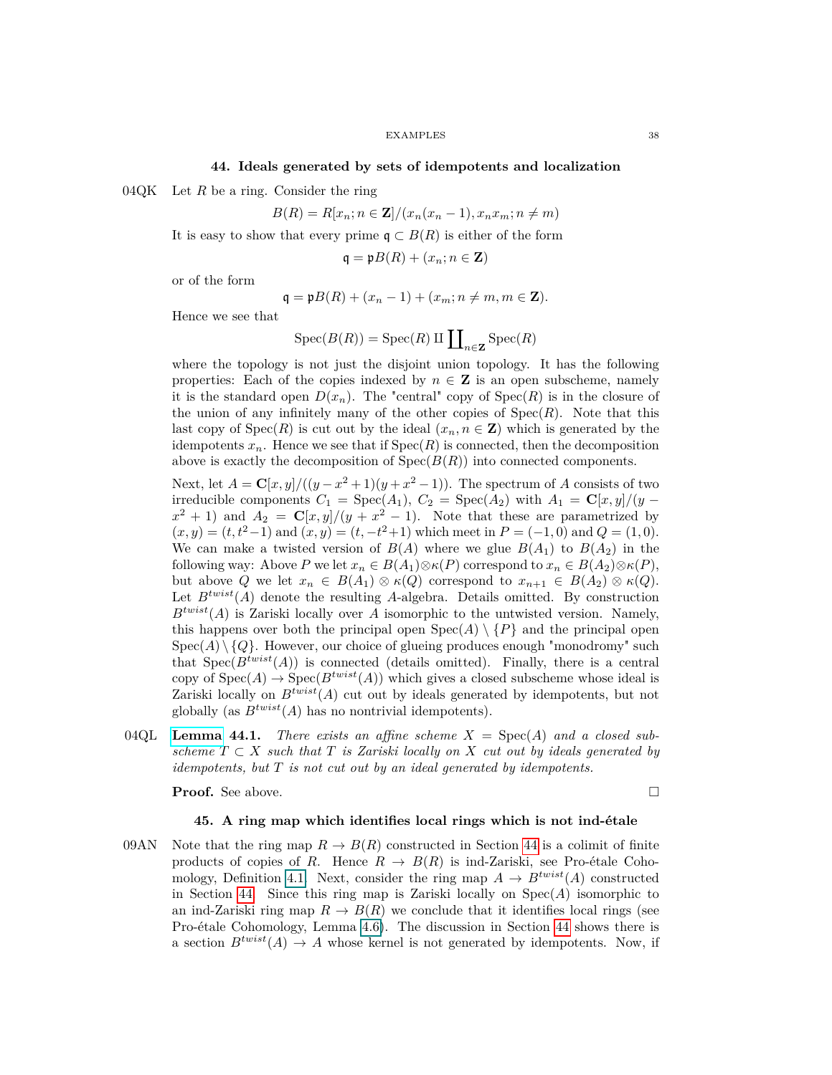## <span id="page-37-0"></span>**44. Ideals generated by sets of idempotents and localization**

04QK Let *R* be a ring. Consider the ring

$$
B(R) = R[x_n; n \in \mathbf{Z}]/(x_n(x_n - 1), x_n x_m; n \neq m)
$$

It is easy to show that every prime  $\mathfrak{q} \subset B(R)$  is either of the form

$$
\mathfrak{q} = \mathfrak{p}B(R) + (x_n; n \in \mathbf{Z})
$$

or of the form

$$
\mathfrak{q} = \mathfrak{p}B(R) + (x_n - 1) + (x_m; n \neq m, m \in \mathbf{Z}).
$$

Hence we see that

$$
Spec(B(R)) = Spec(R) \amalg \coprod_{n \in \mathbf{Z}} Spec(R)
$$

where the topology is not just the disjoint union topology. It has the following properties: Each of the copies indexed by  $n \in \mathbb{Z}$  is an open subscheme, namely it is the standard open  $D(x_n)$ . The "central" copy of  $Spec(R)$  is in the closure of the union of any infinitely many of the other copies of  $Spec(R)$ . Note that this last copy of  $Spec(R)$  is cut out by the ideal  $(x_n, n \in \mathbb{Z})$  which is generated by the idempotents  $x_n$ . Hence we see that if  $Spec(R)$  is connected, then the decomposition above is exactly the decomposition of  $Spec(B(R))$  into connected components.

Next, let  $A = \mathbf{C}[x, y]/((y - x^2 + 1)(y + x^2 - 1))$ . The spectrum of *A* consists of two irreducible components  $C_1 = \text{Spec}(A_1), C_2 = \text{Spec}(A_2)$  with  $A_1 = \mathbf{C}[x, y]/(y$  $x^2 + 1$ ) and  $A_2 = C[x, y]/(y + x^2 - 1)$ . Note that these are parametrized by  $(x, y) = (t, t^2 - 1)$  and  $(x, y) = (t, -t^2 + 1)$  which meet in  $P = (-1, 0)$  and  $Q = (1, 0)$ . We can make a twisted version of  $B(A)$  where we glue  $B(A_1)$  to  $B(A_2)$  in the following way: Above *P* we let  $x_n \in B(A_1) \otimes \kappa(P)$  correspond to  $x_n \in B(A_2) \otimes \kappa(P)$ , but above *Q* we let  $x_n \in B(A_1) \otimes \kappa(Q)$  correspond to  $x_{n+1} \in B(A_2) \otimes \kappa(Q)$ . Let  $B<sup>twist</sup>(A)$  denote the resulting A-algebra. Details omitted. By construction  $B^{twist}(A)$  is Zariski locally over *A* isomorphic to the untwisted version. Namely, this happens over both the principal open  $Spec(A) \setminus {P}$  and the principal open  $Spec(A) \setminus \{Q\}$ . However, our choice of glueing produces enough "monodromy" such that  $Spec(B^{twist}(A))$  is connected (details omitted). Finally, there is a central copy of  $Spec(A) \to Spec(B^{twist}(A))$  which gives a closed subscheme whose ideal is Zariski locally on  $B^{twist}(A)$  cut out by ideals generated by idempotents, but not globally (as  $B^{twist}(A)$  has no nontrivial idempotents).

04QL **[Lemma](https://stacks.math.columbia.edu/tag/04QL) 44.1.** *There exists an affine scheme*  $X = \text{Spec}(A)$  *and a closed subscheme*  $T \subset X$  *such that*  $T$  *is Zariski locally on*  $X$  *cut out by ideals generated by idempotents, but T is not cut out by an ideal generated by idempotents.*

**Proof.** See above. □

# **45. A ring map which identifies local rings which is not ind-étale**

09AN Note that the ring map  $R \to B(R)$  constructed in Section [44](#page-37-0) is a colimit of finite products of copies of *R*. Hence  $R \to B(R)$  is ind-Zariski, see Pro-étale Coho-mology, Definition [4.1.](#page-3-0) Next, consider the ring map  $A \to B^{twist}(A)$  constructed in Section [44.](#page-37-0) Since this ring map is Zariski locally on Spec(*A*) isomorphic to an ind-Zariski ring map  $R \to B(R)$  we conclude that it identifies local rings (see Pro-étale Cohomology, Lemma 4.6). The discussion in Section [44](#page-37-0) shows there is a section  $B^{twist}(A) \to A$  whose kernel is not generated by idempotents. Now, if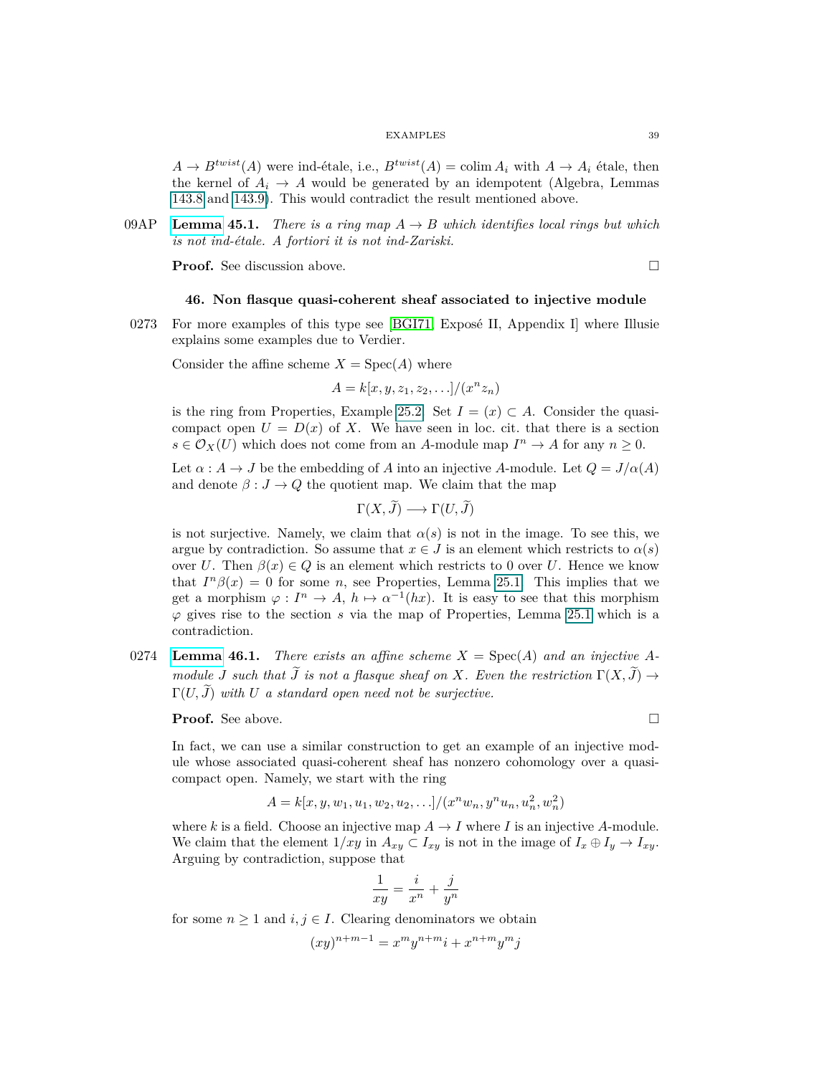$A \rightarrow B^{twist}(A)$  were ind-étale, i.e.,  $B^{twist}(A) = \text{colim } A_i$  with  $A \rightarrow A_i$  étale, then the kernel of  $A_i \rightarrow A$  would be generated by an idempotent (Algebra, Lemmas 143.8 and 143.9). This would contradict the result mentioned above.

09AP **[Lemma](https://stacks.math.columbia.edu/tag/09AP) 45.1.** *There is a ring map*  $A \rightarrow B$  *which identifies local rings but which is not ind-étale. A fortiori it is not ind-Zariski.*

**Proof.** See discussion above.

$$
\qquad \qquad \Box
$$

# **46. Non flasque quasi-coherent sheaf associated to injective module**

0273 For more examples of this type see [\[BGI71,](#page-74-1) Exposé II, Appendix I] where Illusie explains some examples due to Verdier.

Consider the affine scheme  $X = \text{Spec}(A)$  where

$$
A = k[x, y, z_1, z_2, \ldots]/(x^n z_n)
$$

is the ring from Properties, Example 25.2. Set  $I = (x) \subset A$ . Consider the quasicompact open  $U = D(x)$  of X. We have seen in loc. cit. that there is a section  $s \in \mathcal{O}_X(U)$  which does not come from an *A*-module map  $I^n \to A$  for any  $n \geq 0$ .

Let  $\alpha : A \to J$  be the embedding of *A* into an injective *A*-module. Let  $Q = J/\alpha(A)$ and denote  $\beta : J \to Q$  the quotient map. We claim that the map

$$
\Gamma(X,\tilde{J}) \longrightarrow \Gamma(U,\tilde{J})
$$

is not surjective. Namely, we claim that  $\alpha(s)$  is not in the image. To see this, we argue by contradiction. So assume that  $x \in J$  is an element which restricts to  $\alpha(s)$ over *U*. Then  $\beta(x) \in Q$  is an element which restricts to 0 over *U*. Hence we know that  $I^{n}\beta(x) = 0$  for some *n*, see Properties, Lemma 25.1. This implies that we get a morphism  $\varphi: I^n \to A$ ,  $h \mapsto \alpha^{-1}(hx)$ . It is easy to see that this morphism *ϕ* gives rise to the section *s* via the map of Properties, Lemma 25.1 which is a contradiction.

0274 **[Lemma](https://stacks.math.columbia.edu/tag/0274) 46.1.** *There exists an affine scheme*  $X = \text{Spec}(A)$  *and an injective*  $A$ *module J* such that  $\widetilde{J}$  is not a flasque sheaf on X. Even the restriction  $\Gamma(X, \widetilde{J}) \rightarrow$  $\Gamma(U, \tilde{J})$  with *U a* standard open need not be surjective.

**Proof.** See above. □

In fact, we can use a similar construction to get an example of an injective module whose associated quasi-coherent sheaf has nonzero cohomology over a quasicompact open. Namely, we start with the ring

$$
A = k[x, y, w_1, u_1, w_2, u_2, \ldots]/(x^n w_n, y^n u_n, u_n^2, w_n^2)
$$

where *k* is a field. Choose an injective map  $A \to I$  where *I* is an injective *A*-module. We claim that the element  $1/xy$  in  $A_{xy} \subset I_{xy}$  is not in the image of  $I_x \oplus I_y \to I_{xy}$ . Arguing by contradiction, suppose that

$$
\frac{1}{xy} = \frac{i}{x^n} + \frac{j}{y^n}
$$

for some  $n \geq 1$  and  $i, j \in I$ . Clearing denominators we obtain

$$
(xy)^{n+m-1} = x^m y^{n+m} i + x^{n+m} y^m j
$$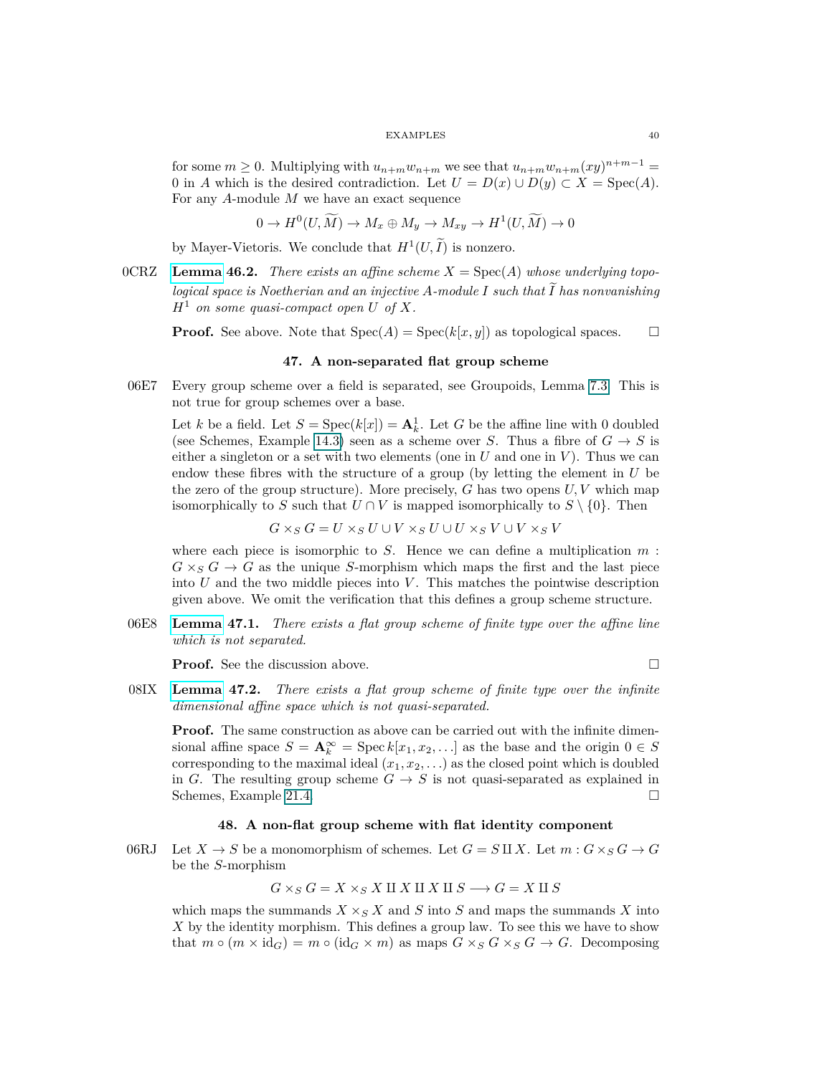for some  $m \geq 0$ . Multiplying with  $u_{n+m}w_{n+m}$  we see that  $u_{n+m}w_{n+m}(xy)^{n+m-1}$ 0 in *A* which is the desired contradiction. Let  $U = D(x) \cup D(y) \subset X = \text{Spec}(A)$ . For any *A*-module *M* we have an exact sequence

 $0 \to H^0(U, \widetilde{M}) \to M_x \oplus M_y \to M_{xy} \to H^1(U, \widetilde{M}) \to 0$ 

by Mayer-Vietoris. We conclude that  $H^1(U, \tilde{I})$  is nonzero.

 $\text{OCRZ}$  **[Lemma](https://stacks.math.columbia.edu/tag/0CRZ) 46.2.** *There exists an affine scheme*  $X = \text{Spec}(A)$  *whose underlying topological space is Noetherian and an injective A-module*  $I$  *such that*  $\overline{I}$  *has nonvanishing*  $H^1$  *on some quasi-compact open U of X.* 

**Proof.** See above. Note that  $Spec(A) = Spec(k[x, y])$  as topological spaces.  $\square$ 

# **47. A non-separated flat group scheme**

06E7 Every group scheme over a field is separated, see Groupoids, Lemma 7.3. This is not true for group schemes over a base.

Let *k* be a field. Let  $S = \text{Spec}(k[x]) = \mathbf{A}_k^1$ . Let *G* be the affine line with 0 doubled (see Schemes, Example 14.3) seen as a scheme over *S*. Thus a fibre of  $G \rightarrow S$  is either a singleton or a set with two elements (one in  $U$  and one in  $V$ ). Thus we can endow these fibres with the structure of a group (by letting the element in *U* be the zero of the group structure). More precisely, *G* has two opens *U, V* which map isomorphically to *S* such that  $U \cap V$  is mapped isomorphically to  $S \setminus \{0\}$ . Then

$$
G \times_S G = U \times_S U \cup V \times_S U \cup U \times_S V \cup V \times_S V
$$

where each piece is isomorphic to *S*. Hence we can define a multiplication *m* :  $G \times_S G \to G$  as the unique *S*-morphism which maps the first and the last piece into *U* and the two middle pieces into *V* . This matches the pointwise description given above. We omit the verification that this defines a group scheme structure.

06E8 **[Lemma](https://stacks.math.columbia.edu/tag/06E8) 47.1.** *There exists a flat group scheme of finite type over the affine line which is not separated.*

**Proof.** See the discussion above. □

08IX **[Lemma](https://stacks.math.columbia.edu/tag/08IX) 47.2.** *There exists a flat group scheme of finite type over the infinite dimensional affine space which is not quasi-separated.*

**Proof.** The same construction as above can be carried out with the infinite dimensional affine space  $S = \mathbf{A}_k^{\infty} = \text{Spec } k[x_1, x_2, \ldots]$  as the base and the origin  $0 \in S$ corresponding to the maximal ideal  $(x_1, x_2, \ldots)$  as the closed point which is doubled in *G*. The resulting group scheme  $G \rightarrow S$  is not quasi-separated as explained in Schemes, Example 21.4.

# **48. A non-flat group scheme with flat identity component**

06RJ Let  $X \to S$  be a monomorphism of schemes. Let  $G = S \amalg X$ . Let  $m : G \times_S G \to G$ be the *S*-morphism

 $G \times_S G = X \times_S X \amalg X \amalg X \amalg S \longrightarrow G = X \amalg S$ 

which maps the summands  $X \times_S X$  and *S* into *S* and maps the summands *X* into *X* by the identity morphism. This defines a group law. To see this we have to show that  $m \circ (m \times id_G) = m \circ (id_G \times m)$  as maps  $G \times_S G \times_S G \to G$ . Decomposing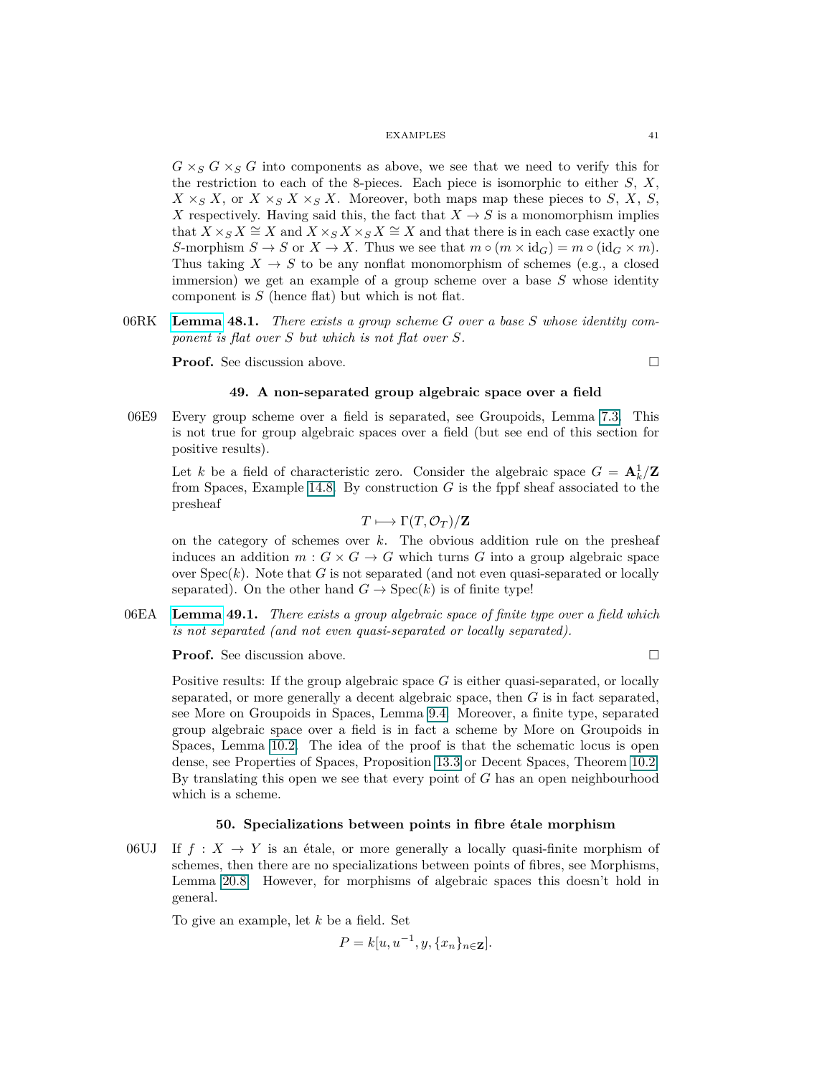$G \times_S G \times_S G$  into components as above, we see that we need to verify this for the restriction to each of the 8-pieces. Each piece is isomorphic to either *S*, *X*,  $X \times_S X$ , or  $X \times_S X \times_S X$ . Moreover, both maps map these pieces to *S*, *X*, *S*, *X* respectively. Having said this, the fact that  $X \to S$  is a monomorphism implies that  $X \times_S X \cong X$  and  $X \times_S X \times_S X \cong X$  and that there is in each case exactly one *S*-morphism  $S \to S$  or  $X \to X$ . Thus we see that  $m \circ (m \times id_G) = m \circ (id_G \times m)$ . Thus taking  $X \to S$  to be any nonflat monomorphism of schemes (e.g., a closed immersion) we get an example of a group scheme over a base *S* whose identity component is *S* (hence flat) but which is not flat.

06RK **[Lemma](https://stacks.math.columbia.edu/tag/06RK) 48.1.** *There exists a group scheme G over a base S whose identity component is flat over S but which is not flat over S.*

**Proof.** See discussion above. □

# **49. A non-separated group algebraic space over a field**

06E9 Every group scheme over a field is separated, see Groupoids, Lemma 7.3. This is not true for group algebraic spaces over a field (but see end of this section for positive results).

Let *k* be a field of characteristic zero. Consider the algebraic space  $G = \mathbf{A}_k^1/\mathbf{Z}$ from Spaces, Example 14.8. By construction *G* is the fppf sheaf associated to the presheaf

$$
T \longmapsto \Gamma(T, \mathcal{O}_T)/\mathbf{Z}
$$

on the category of schemes over *k*. The obvious addition rule on the presheaf induces an addition  $m: G \times G \to G$  which turns *G* into a group algebraic space over  $Spec(k)$ . Note that  $G$  is not separated (and not even quasi-separated or locally separated). On the other hand  $G \rightarrow \text{Spec}(k)$  is of finite type!

06EA **[Lemma](https://stacks.math.columbia.edu/tag/06EA) 49.1.** *There exists a group algebraic space of finite type over a field which is not separated (and not even quasi-separated or locally separated).*

**Proof.** See discussion above. □

Positive results: If the group algebraic space *G* is either quasi-separated, or locally separated, or more generally a decent algebraic space, then *G* is in fact separated, see More on Groupoids in Spaces, Lemma 9.4. Moreover, a finite type, separated group algebraic space over a field is in fact a scheme by More on Groupoids in Spaces, Lemma 10.2. The idea of the proof is that the schematic locus is open dense, see Properties of Spaces, Proposition 13.3 or Decent Spaces, Theorem 10.2. By translating this open we see that every point of *G* has an open neighbourhood which is a scheme.

# **50. Specializations between points in fibre étale morphism**

06UJ If  $f: X \to Y$  is an étale, or more generally a locally quasi-finite morphism of schemes, then there are no specializations between points of fibres, see Morphisms, Lemma 20.8. However, for morphisms of algebraic spaces this doesn't hold in general.

To give an example, let *k* be a field. Set

$$
P = k[u, u^{-1}, y, \{x_n\}_{n \in \mathbf{Z}}].
$$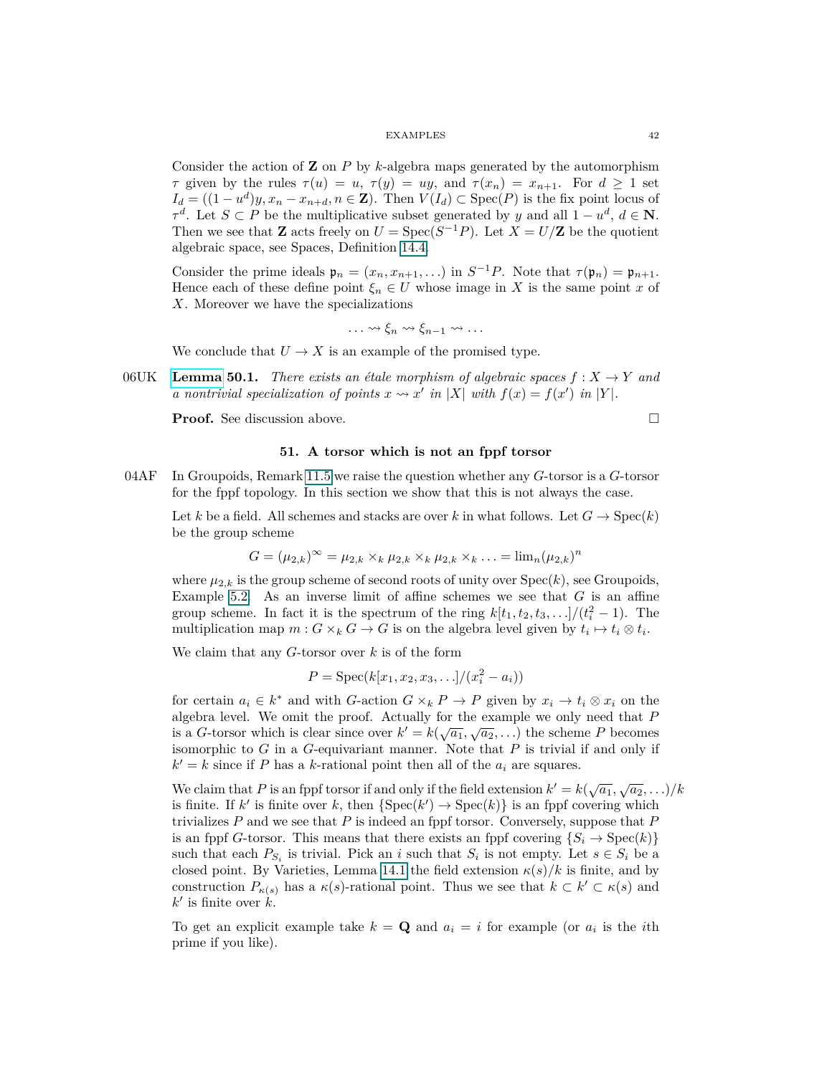Consider the action of **Z** on *P* by *k*-algebra maps generated by the automorphism *τ* given by the rules  $\tau(u) = u$ ,  $\tau(y) = uy$ , and  $\tau(x_n) = x_{n+1}$ . For  $d \ge 1$  set  $I_d = ((1 - u^d)y, x_n - x_{n+d}, n \in \mathbb{Z})$ . Then  $V(I_d) \subset \text{Spec}(P)$  is the fix point locus of  $\tau^d$ . Let *S* ⊂ *P* be the multiplicative subset generated by *y* and all 1 − *u*<sup>*d*</sup>, *d* ∈ **N**. Then we see that **Z** acts freely on  $U = \text{Spec}(S^{-1}P)$ . Let  $X = U/\mathbb{Z}$  be the quotient algebraic space, see Spaces, Definition 14.4.

Consider the prime ideals  $\mathfrak{p}_n = (x_n, x_{n+1}, \ldots)$  in  $S^{-1}P$ . Note that  $\tau(\mathfrak{p}_n) = \mathfrak{p}_{n+1}$ . Hence each of these define point  $\xi_n \in U$  whose image in X is the same point x of *X*. Moreover we have the specializations

$$
\ldots \rightsquigarrow \xi_n \rightsquigarrow \xi_{n-1} \rightsquigarrow \ldots
$$

We conclude that  $U \to X$  is an example of the promised type.

06UK **[Lemma](https://stacks.math.columbia.edu/tag/06UK) 50.1.** *There exists an étale morphism of algebraic spaces*  $f: X \rightarrow Y$  *and a* nontrivial specialization of points  $x \rightsquigarrow x'$  in  $|X|$  with  $f(x) = f(x')$  in  $|Y|$ .

<span id="page-41-0"></span>**Proof.** See discussion above. □

# **51. A torsor which is not an fppf torsor**

04AF In Groupoids, Remark 11.5 we raise the question whether any *G*-torsor is a *G*-torsor for the fppf topology. In this section we show that this is not always the case.

Let *k* be a field. All schemes and stacks are over *k* in what follows. Let  $G \to \text{Spec}(k)$ be the group scheme

$$
G = (\mu_{2,k})^{\infty} = \mu_{2,k} \times_k \mu_{2,k} \times_k \mu_{2,k} \times_k \ldots = \lim_n (\mu_{2,k})^n
$$

where  $\mu_{2,k}$  is the group scheme of second roots of unity over  $Spec(k)$ , see Groupoids, Example 5.2. As an inverse limit of affine schemes we see that *G* is an affine group scheme. In fact it is the spectrum of the ring  $k[t_1, t_2, t_3, \ldots]/(t_i^2 - 1)$ . The multiplication map  $m: G \times_k G \to G$  is on the algebra level given by  $t_i \mapsto t_i \otimes t_i$ .

We claim that any *G*-torsor over *k* is of the form

$$
P = \text{Spec}(k[x_1, x_2, x_3, \ldots]/(x_i^2 - a_i))
$$

for certain  $a_i \in k^*$  and with *G*-action  $G \times_k P \to P$  given by  $x_i \to t_i \otimes x_i$  on the algebra level. We omit the proof. Actually for the example we only need that *P* is a *G*-torsor which is clear since over  $k' = k(\sqrt{a_1}, \sqrt{a_2}, \ldots)$  the scheme *P* becomes isomorphic to *G* in a *G*-equivariant manner. Note that *P* is trivial if and only if  $k' = k$  since if *P* has a *k*-rational point then all of the  $a_i$  are squares.

We claim that *P* is an fppf torsor if and only if the field extension  $k' = k(\sqrt{a_1}, \sqrt{a_2}, \ldots)/k$ is finite. If k' is finite over k, then  $\{Spec(k') \to Spec(k)\}\$ is an fppf covering which trivializes *P* and we see that *P* is indeed an fppf torsor. Conversely, suppose that *P* is an fppf *G*-torsor. This means that there exists an fppf covering  $\{S_i \to \text{Spec}(k)\}\$ such that each  $P_{S_i}$  is trivial. Pick an *i* such that  $S_i$  is not empty. Let  $s \in S_i$  be a closed point. By Varieties, Lemma [14.1](#page-13-0) the field extension  $\kappa(s)/k$  is finite, and by construction  $P_{\kappa(s)}$  has a  $\kappa(s)$ -rational point. Thus we see that  $k \subset k' \subset \kappa(s)$  and  $k'$  is finite over  $k$ .

To get an explicit example take  $k = \mathbf{Q}$  and  $a_i = i$  for example (or  $a_i$  is the *i*th prime if you like).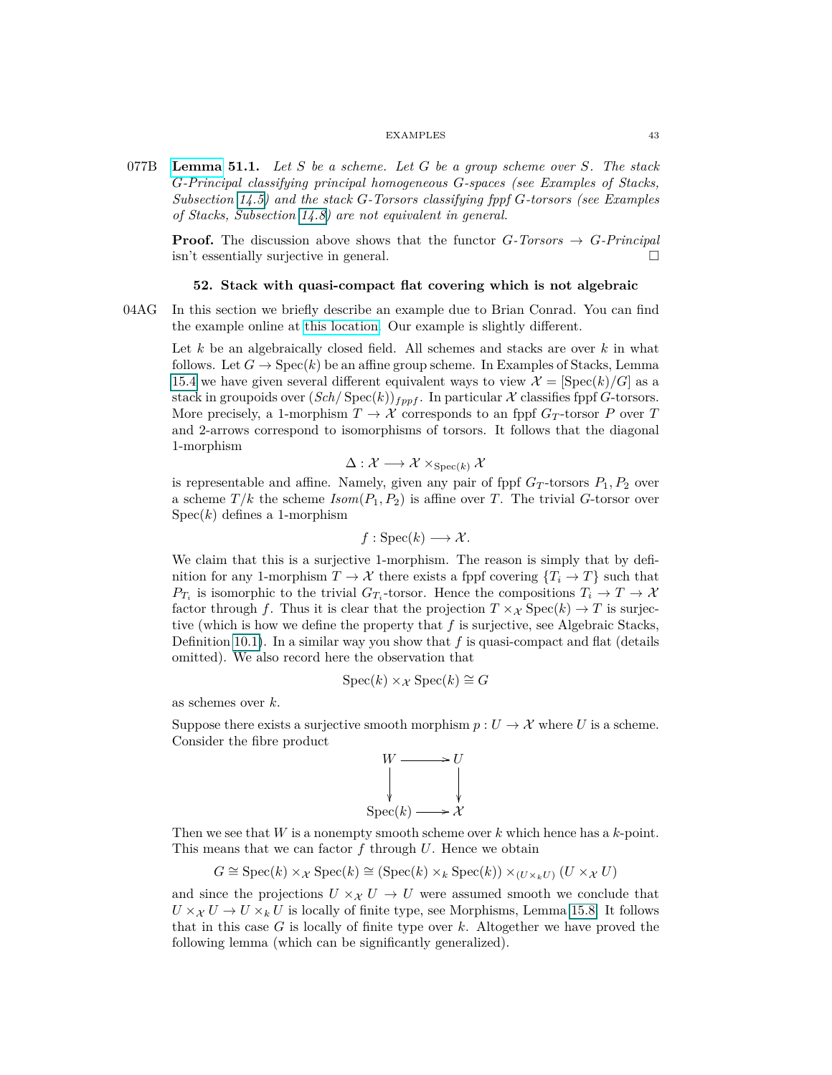077B **[Lemma](https://stacks.math.columbia.edu/tag/077B) 51.1.** *Let S be a scheme. Let G be a group scheme over S. The stack G-Principal classifying principal homogeneous G-spaces (see Examples of Stacks, Subsection 14.5) and the stack G-Torsors classifying fppf G-torsors (see Examples of Stacks, Subsection 14.8) are not equivalent in general.*

**Proof.** The discussion above shows that the functor  $G$ *-Torsors*  $\rightarrow G$ *-Principal* isn't essentially surjective in general.

## **52. Stack with quasi-compact flat covering which is not algebraic**

04AG In this section we briefly describe an example due to Brian Conrad. You can find the example online at [this location.](https://mathoverflow.net/questions/15082/fpqc-covers-of-stacks/15269#15269) Our example is slightly different.

Let *k* be an algebraically closed field. All schemes and stacks are over *k* in what follows. Let  $G \to \text{Spec}(k)$  be an affine group scheme. In Examples of Stacks, Lemma 15.4 we have given several different equivalent ways to view  $\mathcal{X} = [\text{Spec}(k)/G]$  as a stack in groupoids over  $(Sch/Spec(k))_{fppf}$ . In particular X classifies fppf G-torsors. More precisely, a 1-morphism  $T \to \mathcal{X}$  corresponds to an fppf  $G_T$ -torsor  $P$  over  $T$ and 2-arrows correspond to isomorphisms of torsors. It follows that the diagonal 1-morphism

$$
\Delta: \mathcal{X} \longrightarrow \mathcal{X} \times_{\text{Spec}(k)} \mathcal{X}
$$

is representable and affine. Namely, given any pair of fppf  $G_T$ -torsors  $P_1, P_2$  over a scheme  $T/k$  the scheme  $Isom(P_1, P_2)$  is affine over *T*. The trivial *G*-torsor over  $Spec(k)$  defines a 1-morphism

$$
f: \operatorname{Spec}(k) \longrightarrow \mathcal{X}.
$$

We claim that this is a surjective 1-morphism. The reason is simply that by definition for any 1-morphism  $T \to \mathcal{X}$  there exists a fppf covering  $\{T_i \to T\}$  such that  $P_{T_i}$  is isomorphic to the trivial  $G_{T_i}$ -torsor. Hence the compositions  $T_i \to T \to X$ factor through *f*. Thus it is clear that the projection  $T \times \chi$  Spec $(k) \to T$  is surjective (which is how we define the property that *f* is surjective, see Algebraic Stacks, Definition [10.1\)](#page-8-0). In a similar way you show that *f* is quasi-compact and flat (details omitted). We also record here the observation that

$$
Spec(k) \times_{\mathcal{X}} Spec(k) \cong G
$$

as schemes over *k*.

Suppose there exists a surjective smooth morphism  $p: U \to \mathcal{X}$  where *U* is a scheme. Consider the fibre product



Then we see that *W* is a nonempty smooth scheme over *k* which hence has a *k*-point. This means that we can factor *f* through *U*. Hence we obtain

$$
G \cong \operatorname{Spec}(k) \times_{\mathcal{X}} \operatorname{Spec}(k) \cong (\operatorname{Spec}(k) \times_k \operatorname{Spec}(k)) \times_{(U \times_k U)} (U \times_{\mathcal{X}} U)
$$

and since the projections  $U \times_{\mathcal{X}} U \to U$  were assumed smooth we conclude that  $U \times_{\mathcal{X}} U \to U \times_k U$  is locally of finite type, see Morphisms, Lemma 15.8. It follows that in this case *G* is locally of finite type over *k*. Altogether we have proved the following lemma (which can be significantly generalized).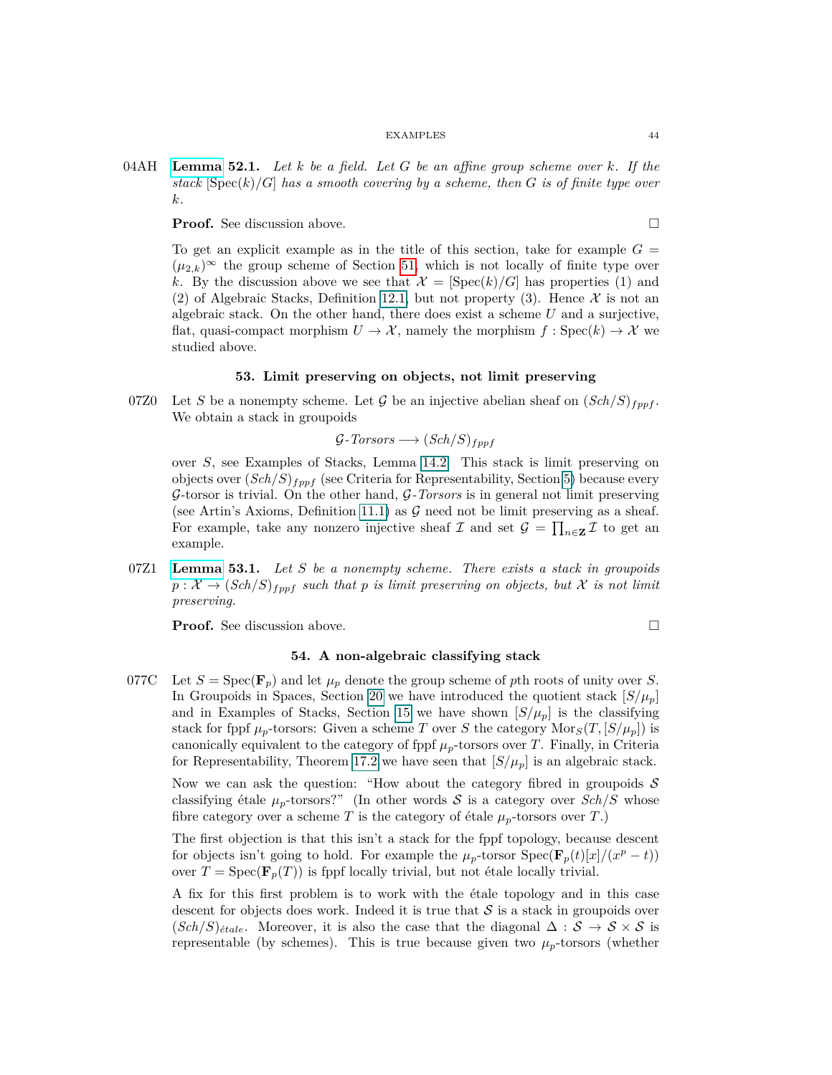04AH **[Lemma](https://stacks.math.columbia.edu/tag/04AH) 52.1.** *Let k be a field. Let G be an affine group scheme over k. If the stack*  $[\text{Spec}(k)/G]$  *has a smooth covering by a scheme, then G is of finite type over k.*

**Proof.** See discussion above. □

To get an explicit example as in the title of this section, take for example  $G =$  $(\mu_{2,k})^{\infty}$  the group scheme of Section [51,](#page-41-0) which is not locally of finite type over k. By the discussion above we see that  $\mathcal{X} = [\text{Spec}(k)/G]$  has properties (1) and (2) of Algebraic Stacks, Definition [12.1,](#page-9-0) but not property (3). Hence  $\mathcal X$  is not an algebraic stack. On the other hand, there does exist a scheme *U* and a surjective, flat, quasi-compact morphism  $U \to \mathcal{X}$ , namely the morphism  $f : \text{Spec}(k) \to \mathcal{X}$  we studied above.

# **53. Limit preserving on objects, not limit preserving**

<span id="page-43-0"></span>07Z0 Let *S* be a nonempty scheme. Let *G* be an injective abelian sheaf on  $(Sch/S)_{fppf}$ . We obtain a stack in groupoids

$$
\mathcal{G}\text{-Torsors} \longrightarrow (Sch/S)_{fppf}
$$

over *S*, see Examples of Stacks, Lemma [14.2.](#page-13-1) This stack is limit preserving on objects over (*Sch/S*)*fppf* (see Criteria for Representability, Section [5\)](#page-3-1) because every G-torsor is trivial. On the other hand, G*-Torsors* is in general not limit preserving (see Artin's Axioms, Definition [11.1\)](#page-9-1) as  $\mathcal G$  need not be limit preserving as a sheaf. For example, take any nonzero injective sheaf  $\mathcal{I}$  and set  $\mathcal{G} = \prod_{n \in \mathbf{Z}} \mathcal{I}$  to get an example.

07Z1 **[Lemma](https://stacks.math.columbia.edu/tag/07Z1) 53.1.** *Let S be a nonempty scheme. There exists a stack in groupoids*  $p: \mathcal{X} \to (Sch/S)_{fppf}$  such that *p* is limit preserving on objects, but X is not limit *preserving.*

**Proof.** See discussion above.

$$
\qquad \qquad \Box
$$

# **54. A non-algebraic classifying stack**

077C Let  $S = \text{Spec}(\mathbf{F}_p)$  and let  $\mu_p$  denote the group scheme of *p*th roots of unity over *S*. In Groupoids in Spaces, Section [20](#page-18-0) we have introduced the quotient stack  $[S/\mu_p]$ and in Examples of Stacks, Section [15](#page-13-2) we have shown  $[S/\mu_p]$  is the classifying stack for fppf  $\mu_p$ -torsors: Given a scheme *T* over *S* the category  $Mors(T, [S/\mu_p])$  is canonically equivalent to the category of fppf  $\mu_p$ -torsors over *T*. Finally, in Criteria for Representability, Theorem 17.2 we have seen that  $[S/\mu_p]$  is an algebraic stack.

Now we can ask the question: "How about the category fibred in groupoids  $S$ classifying étale  $\mu_p$ -torsors?" (In other words S is a category over  $Sch/S$  whose fibre category over a scheme *T* is the category of étale  $\mu_p$ -torsors over *T*.)

The first objection is that this isn't a stack for the fppf topology, because descent for objects isn't going to hold. For example the  $\mu_p$ -torsor  $Spec(\mathbf{F}_p(t)[x]/(x^p - t))$ over  $T = \text{Spec}(\mathbf{F}_p(T))$  is fppf locally trivial, but not étale locally trivial.

A fix for this first problem is to work with the étale topology and in this case descent for objects does work. Indeed it is true that  $S$  is a stack in groupoids over  $(Sch/S)_{\text{\'etale}}$ . Moreover, it is also the case that the diagonal  $\Delta : \mathcal{S} \to \mathcal{S} \times \mathcal{S}$  is representable (by schemes). This is true because given two  $\mu_p$ -torsors (whether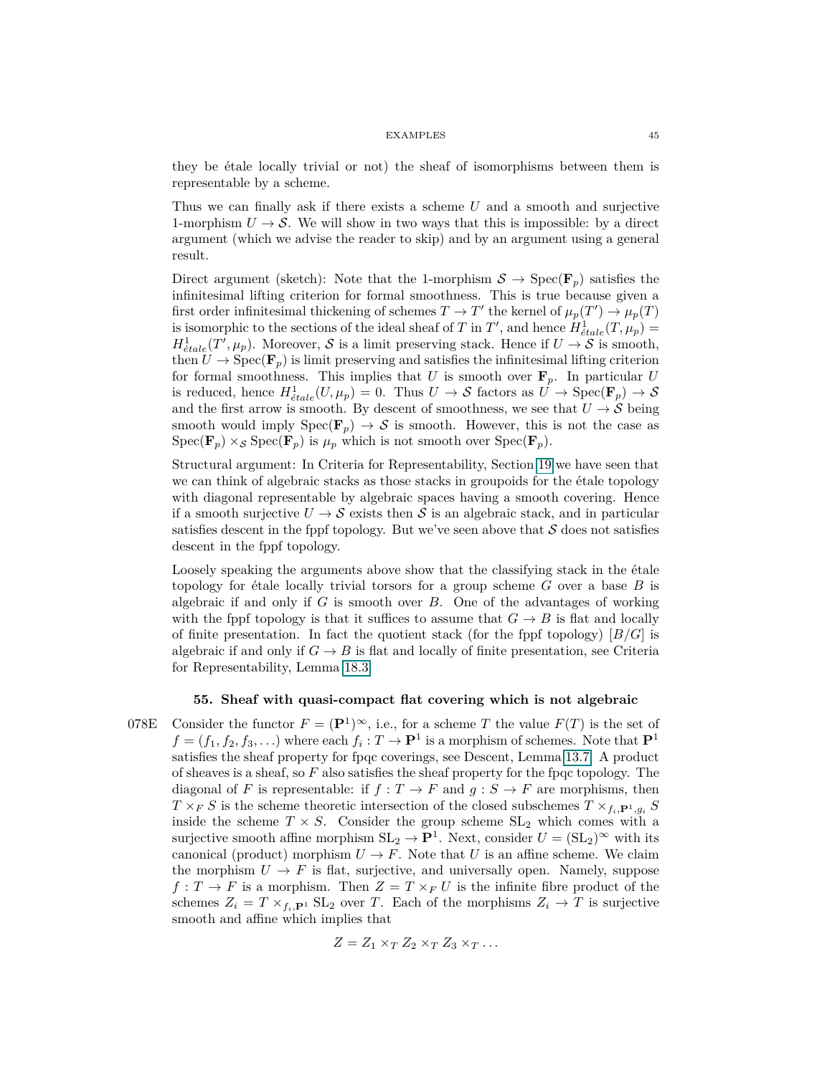they be étale locally trivial or not) the sheaf of isomorphisms between them is representable by a scheme.

Thus we can finally ask if there exists a scheme *U* and a smooth and surjective 1-morphism  $U \rightarrow S$ . We will show in two ways that this is impossible: by a direct argument (which we advise the reader to skip) and by an argument using a general result.

Direct argument (sketch): Note that the 1-morphism  $S \to \text{Spec}(\mathbf{F}_p)$  satisfies the infinitesimal lifting criterion for formal smoothness. This is true because given a first order infinitesimal thickening of schemes  $T \to T'$  the kernel of  $\mu_p(T') \to \mu_p(T)$ is isomorphic to the sections of the ideal sheaf of *T* in *T'*, and hence  $H_{\text{\'etale}}^1(T, \mu_p) =$  $H^1_{\text{\'{e}tale}}(T',\mu_p)$ . Moreover, S is a limit preserving stack. Hence if  $U \to S$  is smooth, then  $U \to \text{Spec}(\mathbf{F}_p)$  is limit preserving and satisfies the infinitesimal lifting criterion for formal smoothness. This implies that *U* is smooth over  $\mathbf{F}_p$ . In particular *U* is reduced, hence  $H^1_{\text{\'{e}tale}}(U, \mu_p) = 0$ . Thus  $U \to \mathcal{S}$  factors as  $U \to \text{Spec}(\mathbf{F}_p) \to \mathcal{S}$ and the first arrow is smooth. By descent of smoothness, we see that  $U \rightarrow S$  being smooth would imply  $Spec(\mathbf{F}_p) \to S$  is smooth. However, this is not the case as  $Spec(\mathbf{F}_p) \times_{\mathcal{S}} Spec(\mathbf{F}_p)$  is  $\mu_p$  which is not smooth over  $Spec(\mathbf{F}_p)$ .

Structural argument: In Criteria for Representability, Section [19](#page-17-0) we have seen that we can think of algebraic stacks as those stacks in groupoids for the étale topology with diagonal representable by algebraic spaces having a smooth covering. Hence if a smooth surjective  $U \rightarrow S$  exists then S is an algebraic stack, and in particular satisfies descent in the fppf topology. But we've seen above that  $\mathcal S$  does not satisfies descent in the fppf topology.

Loosely speaking the arguments above show that the classifying stack in the étale topology for étale locally trivial torsors for a group scheme *G* over a base *B* is algebraic if and only if *G* is smooth over *B*. One of the advantages of working with the fppf topology is that it suffices to assume that  $G \rightarrow B$  is flat and locally of finite presentation. In fact the quotient stack (for the fppf topology) [*B/G*] is algebraic if and only if  $G \to B$  is flat and locally of finite presentation, see Criteria for Representability, Lemma 18.3.

# **55. Sheaf with quasi-compact flat covering which is not algebraic**

078E Consider the functor  $F = (\mathbf{P}^1)^\infty$ , i.e., for a scheme *T* the value  $F(T)$  is the set of  $f = (f_1, f_2, f_3, \ldots)$  where each  $f_i: T \to \mathbf{P}^1$  is a morphism of schemes. Note that  $\mathbf{P}^1$ satisfies the sheaf property for fpqc coverings, see Descent, Lemma 13.7. A product of sheaves is a sheaf, so *F* also satisfies the sheaf property for the fpqc topology. The diagonal of *F* is representable: if  $f : T \to F$  and  $g : S \to F$  are morphisms, then  $T \times F$  *S* is the scheme theoretic intersection of the closed subschemes  $T \times_{f_i, \mathbf{P}^1, g_i} S$ inside the scheme  $T \times S$ . Consider the group scheme  $SL_2$  which comes with a surjective smooth affine morphism  $SL_2 \to \mathbf{P}^1$ . Next, consider  $U = (SL_2)^\infty$  with its canonical (product) morphism  $U \to F$ . Note that *U* is an affine scheme. We claim the morphism  $U \to F$  is flat, surjective, and universally open. Namely, suppose  $f: T \to F$  is a morphism. Then  $Z = T \times_F U$  is the infinite fibre product of the schemes  $Z_i = T \times_{f_i, \mathbf{P}^1} SL_2$  over *T*. Each of the morphisms  $Z_i \to T$  is surjective smooth and affine which implies that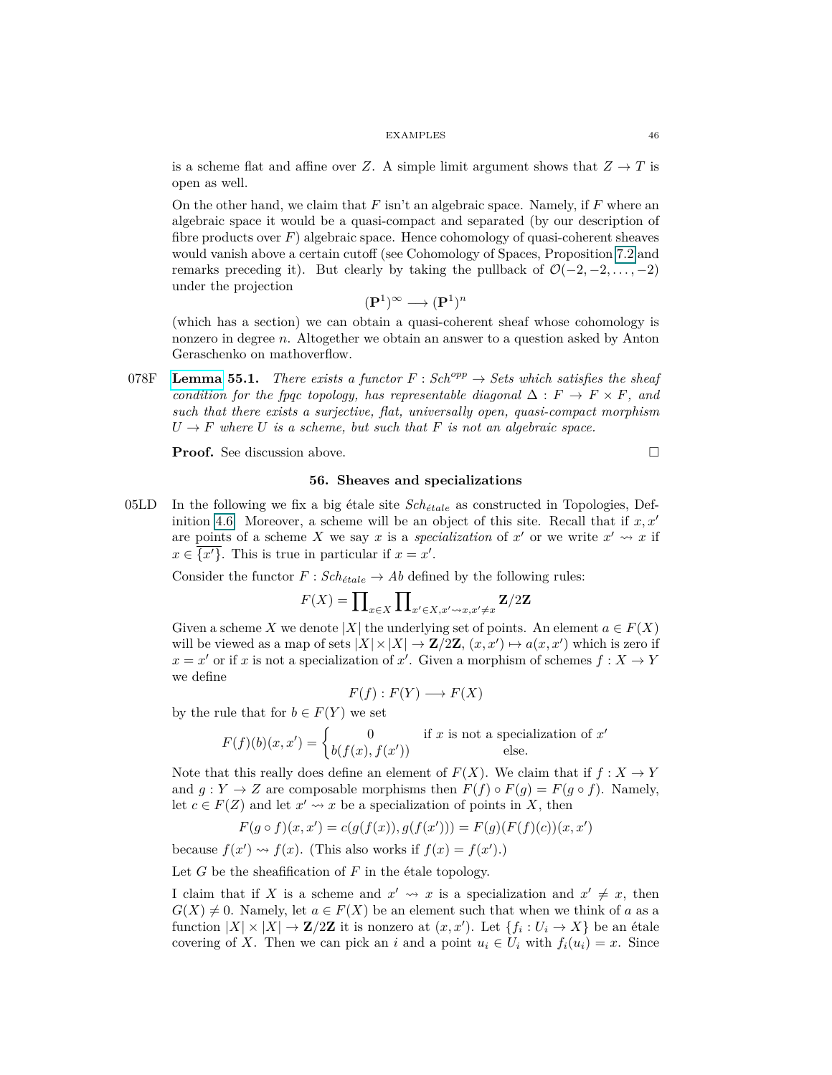is a scheme flat and affine over *Z*. A simple limit argument shows that  $Z \to T$  is open as well.

On the other hand, we claim that *F* isn't an algebraic space. Namely, if *F* where an algebraic space it would be a quasi-compact and separated (by our description of fibre products over  $F$ ) algebraic space. Hence cohomology of quasi-coherent sheaves would vanish above a certain cutoff (see Cohomology of Spaces, Proposition 7.2 and remarks preceding it). But clearly by taking the pullback of  $\mathcal{O}(-2, -2, \ldots, -2)$ under the projection

$$
(\mathbf{P}^1)^\infty \longrightarrow (\mathbf{P}^1)^n
$$

(which has a section) we can obtain a quasi-coherent sheaf whose cohomology is nonzero in degree *n*. Altogether we obtain an answer to a question asked by Anton Geraschenko on mathoverflow.

078F **[Lemma](https://stacks.math.columbia.edu/tag/078F) 55.1.** *There exists a functor*  $F : Sch^{opp} \to Sets$  which satisfies the sheaf *condition for the fpqc topology, has representable diagonal*  $\Delta : F \to F \times F$ *, and such that there exists a surjective, flat, universally open, quasi-compact morphism*  $U \rightarrow F$  *where U is a scheme, but such that F is not an algebraic space.* 

**Proof.** See discussion above. □

# **56. Sheaves and specializations**

05LD In the following we fix a big étale site  $Sch_{\acute{e}tale}$  as constructed in Topologies, Definition 4.6. Moreover, a scheme will be an object of this site. Recall that if  $x, x<sup>0</sup>$ are points of a scheme X we say x is a *specialization* of x' or we write  $x' \rightsquigarrow x$  if  $x \in \overline{\{x'\}}$ . This is true in particular if  $x = x'$ .

Consider the functor  $F : Sch_{\acute{e}tale} \to Ab$  defined by the following rules:

$$
F(X) = \prod\nolimits_{x \in X} \prod\nolimits_{x' \in X, x' \leadsto x, x' \neq x} \mathbf{Z}/2\mathbf{Z}
$$

Given a scheme *X* we denote |*X*| the underlying set of points. An element  $a \in F(X)$ will be viewed as a map of sets  $|X| \times |X| \to \mathbf{Z}/2\mathbf{Z}$ ,  $(x, x') \mapsto a(x, x')$  which is zero if  $x = x'$  or if *x* is not a specialization of *x*<sup>'</sup>. Given a morphism of schemes  $f: X \to Y$ we define

$$
F(f): F(Y) \longrightarrow F(X)
$$

by the rule that for  $b \in F(Y)$  we set

$$
F(f)(b)(x, x') = \begin{cases} 0 & \text{if } x \text{ is not a specialization of } x' \\ b(f(x), f(x')) & \text{else.} \end{cases}
$$

Note that this really does define an element of  $F(X)$ . We claim that if  $f: X \to Y$ and  $g: Y \to Z$  are composable morphisms then  $F(f) \circ F(g) = F(g \circ f)$ . Namely, let  $c \in F(Z)$  and let  $x' \rightsquigarrow x$  be a specialization of points in X, then

$$
F(g \circ f)(x, x') = c(g(f(x)), g(f(x'))) = F(g)(F(f)(c))(x, x')
$$

because  $f(x') \rightsquigarrow f(x)$ . (This also works if  $f(x) = f(x')$ .)

Let *G* be the sheafification of *F* in the étale topology.

I claim that if X is a scheme and  $x' \rightsquigarrow x$  is a specialization and  $x' \neq x$ , then  $G(X) \neq 0$ . Namely, let  $a \in F(X)$  be an element such that when we think of *a* as a function  $|X| \times |X| \to \mathbf{Z}/2\mathbf{Z}$  it is nonzero at  $(x, x')$ . Let  $\{f_i : U_i \to X\}$  be an étale covering of *X*. Then we can pick an *i* and a point  $u_i \in U_i$  with  $f_i(u_i) = x$ . Since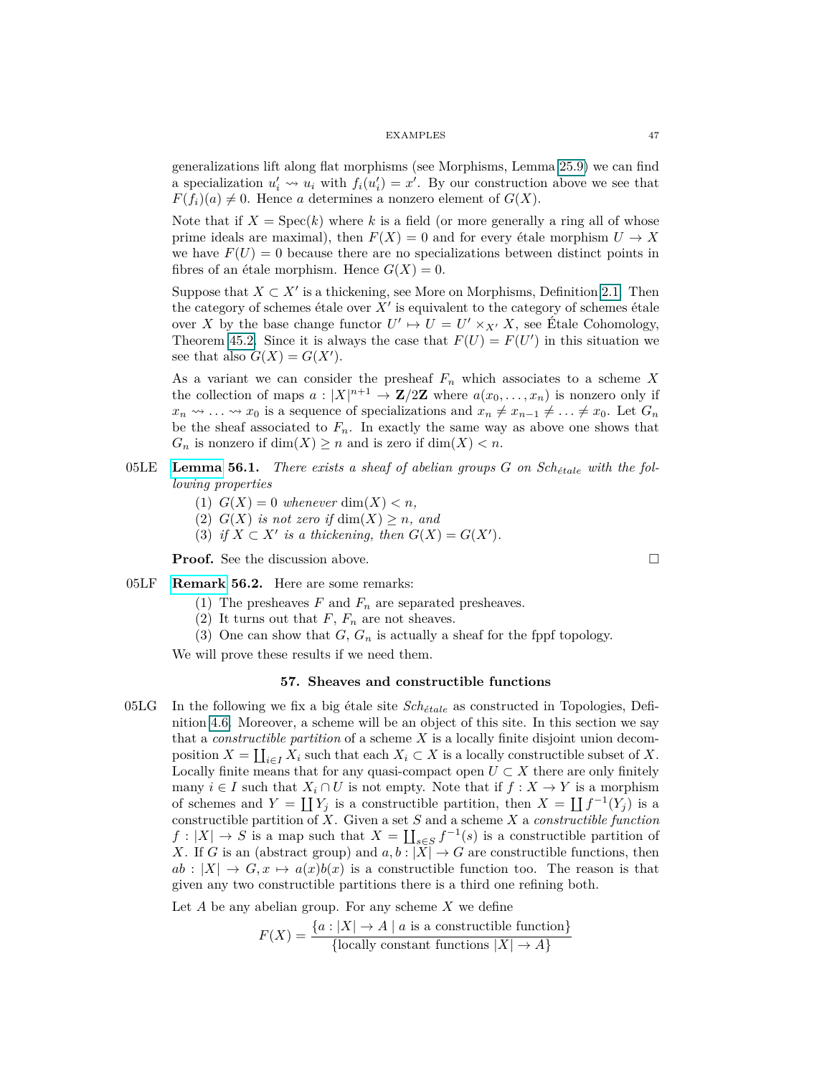generalizations lift along flat morphisms (see Morphisms, Lemma 25.9) we can find a specialization  $u'_i \nightharpoonup u_i$  with  $f_i(u'_i) = x'$ . By our construction above we see that  $F(f_i)(a) \neq 0$ . Hence *a* determines a nonzero element of  $G(X)$ .

Note that if  $X = \text{Spec}(k)$  where k is a field (or more generally a ring all of whose prime ideals are maximal), then  $F(X) = 0$  and for every étale morphism  $U \to X$ we have  $F(U) = 0$  because there are no specializations between distinct points in fibres of an étale morphism. Hence  $G(X) = 0$ .

Suppose that  $X \subset X'$  is a thickening, see More on Morphisms, Definition 2.1. Then the category of schemes étale over  $X'$  is equivalent to the category of schemes étale over *X* by the base change functor  $U' \mapsto U = U' \times_{X'} X$ , see Étale Cohomology, Theorem 45.2. Since it is always the case that  $F(U) = F(U')$  in this situation we see that also  $G(X) = G(X')$ .

As a variant we can consider the presheaf *F<sup>n</sup>* which associates to a scheme *X* the collection of maps  $a: |X|^{n+1} \to \mathbb{Z}/2\mathbb{Z}$  where  $a(x_0, \ldots, x_n)$  is nonzero only if  $x_n \rightsquigarrow \ldots \rightsquigarrow x_0$  is a sequence of specializations and  $x_n \neq x_{n-1} \neq \ldots \neq x_0$ . Let  $G_n$ be the sheaf associated to  $F_n$ . In exactly the same way as above one shows that  $G_n$  is nonzero if  $dim(X) \geq n$  and is zero if  $dim(X) < n$ .

- $05LE$  [Lemma](https://stacks.math.columbia.edu/tag/05LE) 56.1. There exists a sheaf of abelian groups  $G$  on  $Sch_{\text{state}}$  with the fol*lowing properties*
	- (1)  $G(X) = 0$  whenever dim $(X) < n$ ,
	- (2)  $G(X)$  *is not zero if*  $dim(X) > n$ *, and*
	- (3) *if*  $X \subset X'$  *is a thickening, then*  $G(X) = G(X')$ *.*

**Proof.** See the discussion above.

- 05LF **Remark 56.2.** Here are some remarks:
	- (1) The presheaves  $F$  and  $F_n$  are separated presheaves.
	- (2) It turns out that  $F, F_n$  are not sheaves.
	- (3) One can show that  $G$ ,  $G_n$  is actually a sheaf for the fppf topology.

We will prove these results if we need them.

# **57. Sheaves and constructible functions**

 $05LG$  In the following we fix a big étale site  $Sch_{\acute{e}tale}$  as constructed in Topologies, Definition 4.6. Moreover, a scheme will be an object of this site. In this section we say that a *constructible partition* of a scheme *X* is a locally finite disjoint union decomposition  $X = \coprod_{i \in I} X_i$  such that each  $X_i \subset X$  is a locally constructible subset of X. Locally finite means that for any quasi-compact open  $U \subset X$  there are only finitely many  $i \in I$  such that  $X_i \cap U$  is not empty. Note that if  $f : X \to Y$  is a morphism of schemes and  $Y = \coprod Y_j$  is a constructible partition, then  $X = \coprod f^{-1}(Y_j)$  is a constructible partition of *X*. Given a set *S* and a scheme *X* a *constructible function*  $f: |X| \to S$  is a map such that  $X = \coprod_{s \in S} f^{-1}(s)$  is a constructible partition of *X*. If *G* is an (abstract group) and  $a, b : |X| \to G$  are constructible functions, then  $ab : |X| \to G, x \mapsto a(x)b(x)$  is a constructible function too. The reason is that given any two constructible partitions there is a third one refining both.

Let *A* be any abelian group. For any scheme *X* we define

$$
F(X) = \frac{\{a : |X| \to A \mid a \text{ is a constructible function}\}}{\{\text{locally constant functions } |X| \to A\}}
$$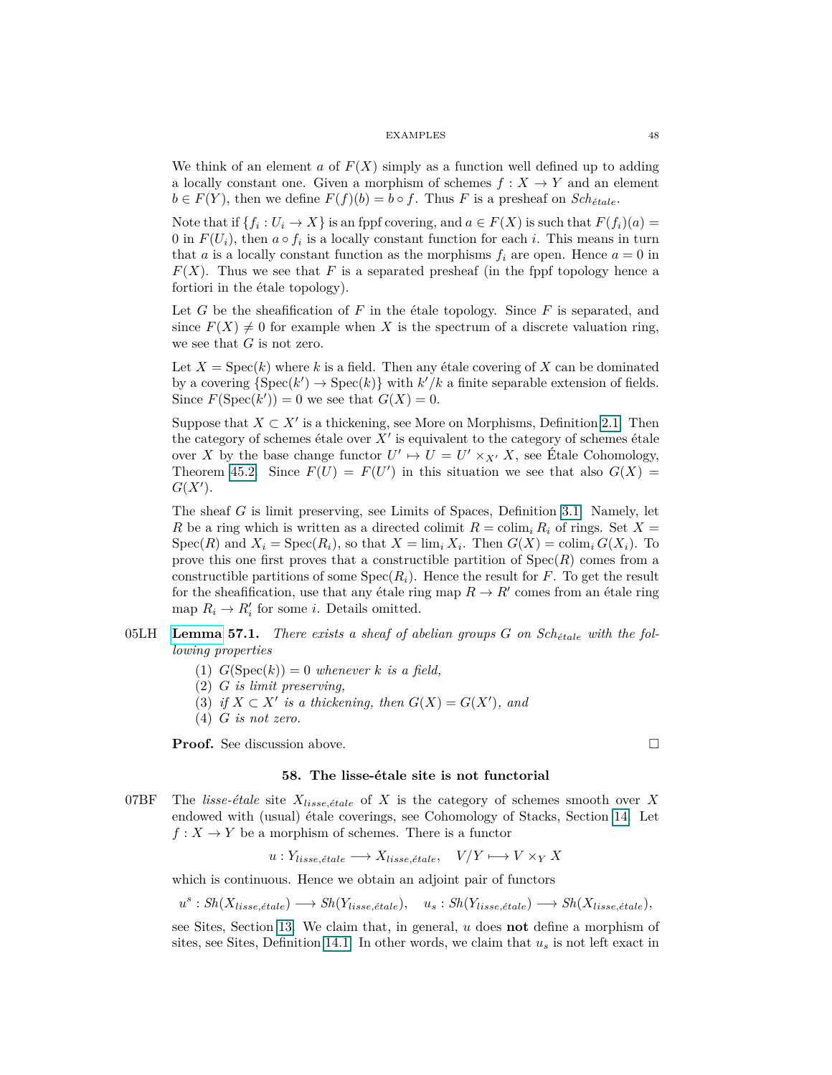We think of an element *a* of  $F(X)$  simply as a function well defined up to adding a locally constant one. Given a morphism of schemes  $f: X \to Y$  and an element  $b \in F(Y)$ , then we define  $F(f)(b) = b \circ f$ . Thus *F* is a presheaf on *Sch<sub>étale</sub>*.

Note that if  $\{f_i: U_i \to X\}$  is an fppf covering, and  $a \in F(X)$  is such that  $F(f_i)(a) =$ 0 in  $F(U_i)$ , then  $a \circ f_i$  is a locally constant function for each *i*. This means in turn that *a* is a locally constant function as the morphisms  $f_i$  are open. Hence  $a = 0$  in  $F(X)$ . Thus we see that F is a separated presheaf (in the fppf topology hence a fortiori in the étale topology).

Let *G* be the sheafification of *F* in the étale topology. Since *F* is separated, and since  $F(X) \neq 0$  for example when X is the spectrum of a discrete valuation ring, we see that *G* is not zero.

Let  $X = \text{Spec}(k)$  where k is a field. Then any étale covering of X can be dominated by a covering  $\{Spec(k') \to Spec(k)\}\$  with  $k'/k$  a finite separable extension of fields. Since  $F(\text{Spec}(k')) = 0$  we see that  $G(X) = 0$ .

Suppose that  $X \subset X'$  is a thickening, see More on Morphisms, Definition 2.1. Then the category of schemes étale over  $X'$  is equivalent to the category of schemes étale over *X* by the base change functor  $U' \mapsto U = U' \times_{X'} X$ , see Étale Cohomology, Theorem 45.2. Since  $F(U) = F(U')$  in this situation we see that also  $G(X) =$  $G(X')$ .

The sheaf *G* is limit preserving, see Limits of Spaces, Definition 3.1. Namely, let *R* be a ring which is written as a directed colimit  $R = \text{colim}_i R_i$  of rings. Set  $X =$  $Spec(R)$  and  $X_i = Spec(R_i)$ , so that  $X = \lim_i X_i$ . Then  $G(X) = colim_i G(X_i)$ . To prove this one first proves that a constructible partition of  $Spec(R)$  comes from a constructible partitions of some  $Spec(R_i)$ . Hence the result for *F*. To get the result for the sheafification, use that any étale ring map  $R \to R'$  comes from an étale ring map  $R_i \to R'_i$  for some *i*. Details omitted.

- $05LH$  **[Lemma](https://stacks.math.columbia.edu/tag/05LH) 57.1.** *There exists a sheaf of abelian groups G on Sch<sub>étale</sub> with the following properties*
	- (1)  $G(\text{Spec}(k)) = 0$  whenever *k* is a field,
	- (2) *G is limit preserving,*
	- (3) *if*  $X \subset X'$  *is a thickening, then*  $G(X) = G(X')$ *, and*
	- (4) *G is not zero.*

**Proof.** See discussion above. □

# **58. The lisse-étale site is not functorial**

07BF The *lisse-étale* site  $X_{lisse,étale}$  of  $X$  is the category of schemes smooth over  $X$ endowed with (usual) étale coverings, see Cohomology of Stacks, Section [14.](#page-12-0) Let  $f: X \to Y$  be a morphism of schemes. There is a functor

 $u: Y_{lisse, étale} \longrightarrow X_{lisse, étale}, \quad V/Y \longmapsto V \times_Y X$ 

which is continuous. Hence we obtain an adjoint pair of functors

$$
u^s: Sh(X_{lisse, étale}) \longrightarrow Sh(Y_{lisse, étale}), \quad u_s: Sh(Y_{lisse, étale}) \longrightarrow Sh(X_{lisse, étale}),
$$

see Sites, Section [13.](#page-11-0) We claim that, in general, *u* does **not** define a morphism of sites, see Sites, Definition [14.1.](#page-13-0) In other words, we claim that *u<sup>s</sup>* is not left exact in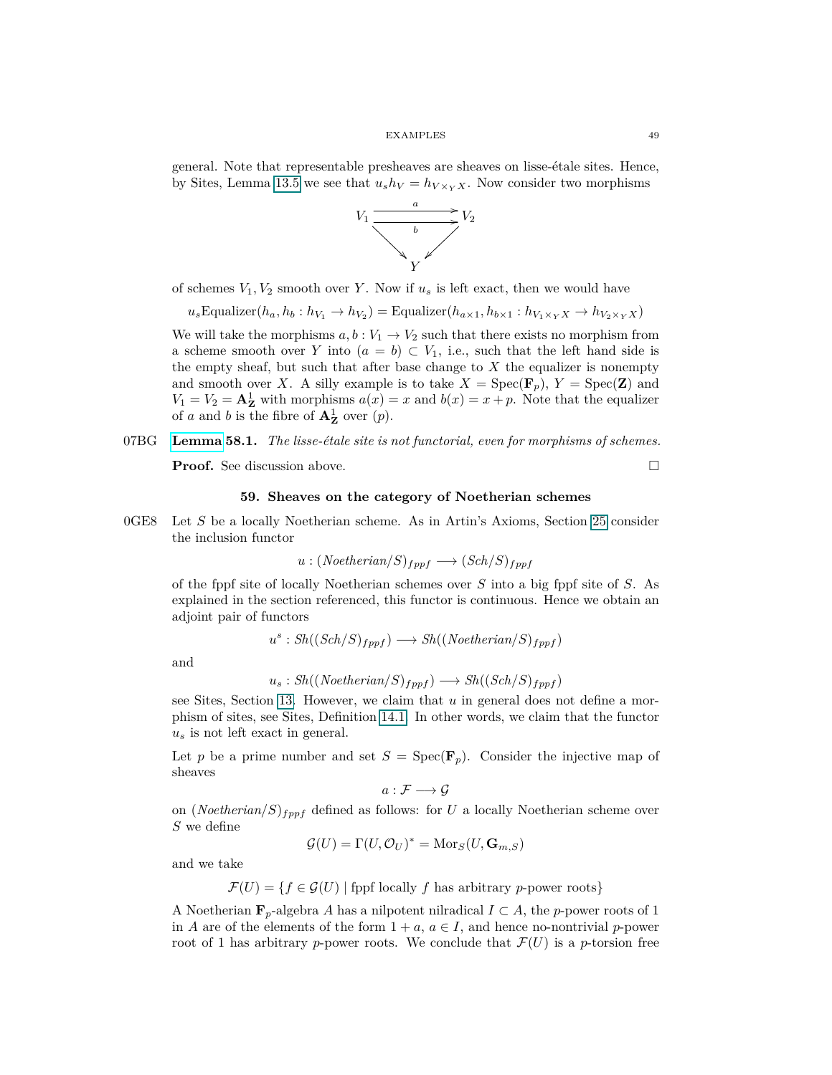general. Note that representable presheaves are sheaves on lisse-étale sites. Hence, by Sites, Lemma 13.5 we see that  $u_s h_V = h_{V \times_Y X}$ . Now consider two morphisms



of schemes  $V_1, V_2$  smooth over *Y*. Now if  $u_s$  is left exact, then we would have

 $u_s$ Equalizer $(h_a, h_b: h_{V_1} \to h_{V_2})$  = Equalizer $(h_{a \times 1}, h_{b \times 1}: h_{V_1 \times_Y X} \to h_{V_2 \times_Y X})$ 

We will take the morphisms  $a, b: V_1 \to V_2$  such that there exists no morphism from a scheme smooth over *Y* into  $(a = b) \subset V_1$ , i.e., such that the left hand side is the empty sheaf, but such that after base change to  $X$  the equalizer is nonempty and smooth over *X*. A silly example is to take  $X = \text{Spec}(\mathbf{F}_p)$ ,  $Y = \text{Spec}(\mathbf{Z})$  and  $V_1 = V_2 = \mathbf{A}^1_{\mathbf{Z}}$  with morphisms  $a(x) = x$  and  $b(x) = x + p$ . Note that the equalizer of *a* and *b* is the fibre of  $\mathbf{A}_{\mathbf{Z}}^1$  over  $(p)$ .

# 07BG **[Lemma](https://stacks.math.columbia.edu/tag/07BG) 58.1.** *The lisse-étale site is not functorial, even for morphisms of schemes.*

**Proof.** See discussion above. □

**59. Sheaves on the category of Noetherian schemes**

0GE8 Let *S* be a locally Noetherian scheme. As in Artin's Axioms, Section [25](#page-22-0) consider the inclusion functor

$$
u:(Noetherian/S)_{fppf}\longrightarrow (Sch/S)_{fppf}
$$

of the fppf site of locally Noetherian schemes over *S* into a big fppf site of *S*. As explained in the section referenced, this functor is continuous. Hence we obtain an adjoint pair of functors

$$
u^s: \mathcal{S}h((\mathcal{S}ch/S)_{fppf}) \longrightarrow \mathcal{S}h((\mathcal{N}oetherian/S)_{fppf})
$$

and

$$
u_s: Sh((Noetherian/S)_{fppf}) \longrightarrow Sh((Sch/S)_{fppf})
$$

see Sites, Section [13.](#page-11-0) However, we claim that *u* in general does not define a morphism of sites, see Sites, Definition [14.1.](#page-13-0) In other words, we claim that the functor *u<sup>s</sup>* is not left exact in general.

Let *p* be a prime number and set  $S = \text{Spec}(\mathbf{F}_p)$ . Consider the injective map of sheaves

$$
a: \mathcal{F} \longrightarrow \mathcal{G}
$$

on (*Noetherian/S*)*fppf* defined as follows: for *U* a locally Noetherian scheme over *S* we define

$$
\mathcal{G}(U) = \Gamma(U, \mathcal{O}_U)^* = \text{Mor}_S(U, \mathbf{G}_{m,S})
$$

and we take

 $\mathcal{F}(U) = \{f \in \mathcal{G}(U) \mid \text{fppf locally } f \text{ has arbitrary } p\text{-power roots}\}\$ 

A Noetherian  $\mathbf{F}_p$ -algebra *A* has a nilpotent nilradical  $I \subset A$ , the *p*-power roots of 1 in *A* are of the elements of the form  $1 + a$ ,  $a \in I$ , and hence no-nontrivial *p*-power root of 1 has arbitrary *p*-power roots. We conclude that  $\mathcal{F}(U)$  is a *p*-torsion free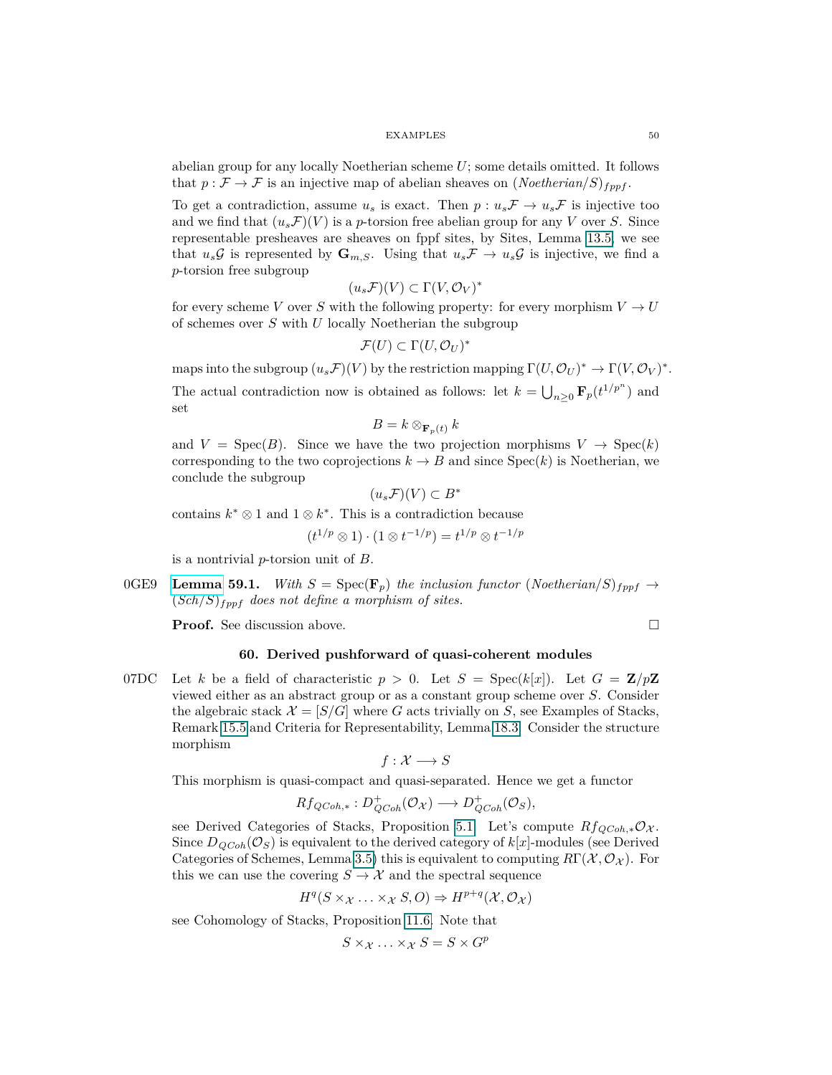abelian group for any locally Noetherian scheme *U*; some details omitted. It follows that  $p: \mathcal{F} \to \mathcal{F}$  is an injective map of abelian sheaves on  $(Noetherian/S)_{fppf}$ .

To get a contradiction, assume  $u_s$  is exact. Then  $p: u_s \mathcal{F} \to u_s \mathcal{F}$  is injective too and we find that  $(u_s \mathcal{F})(V)$  is a *p*-torsion free abelian group for any *V* over *S*. Since representable presheaves are sheaves on fppf sites, by Sites, Lemma 13.5, we see that  $u_s \mathcal{G}$  is represented by  $\mathbf{G}_{m,S}$ . Using that  $u_s \mathcal{F} \to u_s \mathcal{G}$  is injective, we find a *p*-torsion free subgroup

$$
(u_s \mathcal{F})(V) \subset \Gamma(V, \mathcal{O}_V)^*
$$

for every scheme *V* over *S* with the following property: for every morphism  $V \to U$ of schemes over *S* with *U* locally Noetherian the subgroup

$$
\mathcal{F}(U) \subset \Gamma(U, \mathcal{O}_U)^*
$$

maps into the subgroup  $(u_s \mathcal{F})(V)$  by the restriction mapping  $\Gamma(U, \mathcal{O}_U)^* \to \Gamma(V, \mathcal{O}_V)^*$ .

The actual contradiction now is obtained as follows: let  $k = \bigcup_{n\geq 0} \mathbf{F}_p(t^{1/p^n})$  and set

$$
B = k \otimes_{\mathbf{F}_p(t)} k
$$

and  $V = \text{Spec}(B)$ . Since we have the two projection morphisms  $V \to \text{Spec}(k)$ corresponding to the two coprojections  $k \to B$  and since  $Spec(k)$  is Noetherian, we conclude the subgroup

∗

$$
(u_s \mathcal{F})(V) \subset B
$$

contains  $k^* \otimes 1$  and  $1 \otimes k^*$ . This is a contradiction because

$$
(t^{1/p} \otimes 1) \cdot (1 \otimes t^{-1/p}) = t^{1/p} \otimes t^{-1/p}
$$

is a nontrivial *p*-torsion unit of *B*.

0GE9 **[Lemma](https://stacks.math.columbia.edu/tag/0GE9) 59.1.** With  $S = \text{Spec}(\mathbf{F}_p)$  the inclusion functor (Noetherian/S)<sub>fppf</sub>  $\rightarrow$  $(Sch/S)_{fppf}$  does not define a morphism of sites.

<span id="page-49-0"></span>**Proof.** See discussion above.

$$
\Box
$$

# **60. Derived pushforward of quasi-coherent modules**

07DC Let *k* be a field of characteristic  $p > 0$ . Let  $S = \text{Spec}(k[x])$ . Let  $G = \mathbb{Z}/p\mathbb{Z}$ viewed either as an abstract group or as a constant group scheme over *S*. Consider the algebraic stack  $\mathcal{X} = [S/G]$  where G acts trivially on S, see Examples of Stacks, Remark 15.5 and Criteria for Representability, Lemma 18.3. Consider the structure morphism

$$
f: \mathcal{X} \longrightarrow S
$$

This morphism is quasi-compact and quasi-separated. Hence we get a functor

$$
Rf_{QCoh,*}: D^+_{QCoh}(\mathcal{O}_{\mathcal{X}}) \longrightarrow D^+_{QCoh}(\mathcal{O}_S),
$$

see Derived Categories of Stacks, Proposition 5.1. Let's compute  $Rf_{QCoh,*}\mathcal{O}_{\mathcal{X}}$ . Since  $D_{QCoh}(\mathcal{O}_S)$  is equivalent to the derived category of  $k[x]$ -modules (see Derived Categories of Schemes, Lemma 3.5) this is equivalent to computing  $R\Gamma(\mathcal{X}, \mathcal{O}_{\mathcal{X}})$ . For this we can use the covering  $S \to \mathcal{X}$  and the spectral sequence

$$
H^q(S \times_{\mathcal{X}} \dots \times_{\mathcal{X}} S, O) \Rightarrow H^{p+q}(\mathcal{X}, \mathcal{O}_{\mathcal{X}})
$$

see Cohomology of Stacks, Proposition 11.6. Note that

$$
S \times_{\mathcal{X}} \ldots \times_{\mathcal{X}} S = S \times G^p
$$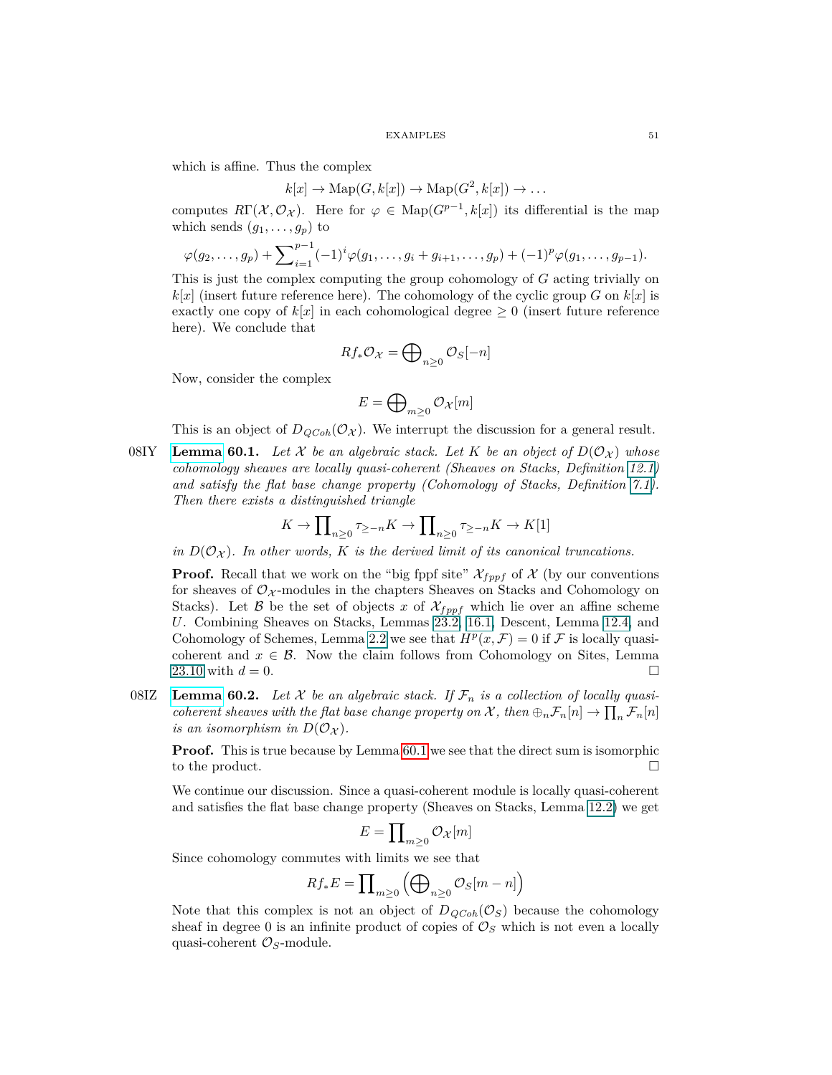which is affine. Thus the complex

$$
k[x] \to \mathrm{Map}(G, k[x]) \to \mathrm{Map}(G^2, k[x]) \to \dots
$$

computes  $R\Gamma(\mathcal{X}, \mathcal{O}_{\mathcal{X}})$ . Here for  $\varphi \in \text{Map}(G^{p-1}, k[x])$  its differential is the map which sends  $(g_1, \ldots, g_p)$  to

$$
\varphi(g_2,\ldots,g_p) + \sum_{i=1}^{p-1} (-1)^i \varphi(g_1,\ldots,g_i+g_{i+1},\ldots,g_p) + (-1)^p \varphi(g_1,\ldots,g_{p-1}).
$$

This is just the complex computing the group cohomology of *G* acting trivially on  $k[x]$  (insert future reference here). The cohomology of the cyclic group *G* on  $k[x]$  is exactly one copy of  $k[x]$  in each cohomological degree  $\geq 0$  (insert future reference here). We conclude that

$$
Rf_*\mathcal{O}_\mathcal{X} = \bigoplus\nolimits_{n\geq 0} \mathcal{O}_S[-n]
$$

Now, consider the complex

$$
E=\bigoplus\nolimits_{m\geq 0} {\mathcal O}_{\mathcal X}[m]
$$

<span id="page-50-0"></span>This is an object of  $D_{QCoh}(\mathcal{O}_{\mathcal{X}})$ . We interrupt the discussion for a general result.

08IY **[Lemma](https://stacks.math.columbia.edu/tag/08IY) 60.1.** Let X be an algebraic stack. Let K be an object of  $D(\mathcal{O}_X)$  whose *cohomology sheaves are locally quasi-coherent (Sheaves on Stacks, Definition [12.1\)](#page-9-0) and satisfy the flat base change property (Cohomology of Stacks, Definition [7.1\)](#page-6-0). Then there exists a distinguished triangle*

$$
K \to \prod_{n \ge 0} \tau_{\ge -n} K \to \prod_{n \ge 0} \tau_{\ge -n} K \to K[1]
$$

*in*  $D(O_X)$ *. In other words, K is the derived limit of its canonical truncations.* 

**Proof.** Recall that we work on the "big fppf site"  $\mathcal{X}_{fppf}$  of  $\mathcal{X}$  (by our conventions for sheaves of  $\mathcal{O}_{\mathcal{X}}$ -modules in the chapters Sheaves on Stacks and Cohomology on Stacks). Let B be the set of objects x of  $\mathcal{X}_{fppf}$  which lie over an affine scheme *U*. Combining Sheaves on Stacks, Lemmas 23.2, 16.1, Descent, Lemma [12.4,](#page-10-0) and Cohomology of Schemes, Lemma 2.2 we see that  $H^p(x, \mathcal{F}) = 0$  if  $\mathcal F$  is locally quasicoherent and  $x \in \mathcal{B}$ . Now the claim follows from Cohomology on Sites, Lemma 23.10 with  $d = 0$ .

08IZ **[Lemma](https://stacks.math.columbia.edu/tag/08IZ) 60.2.** Let  $X$  be an algebraic stack. If  $\mathcal{F}_n$  is a collection of locally quasi*coherent sheaves with the flat base change property on*  $\mathcal{X}$ *, then*  $\bigoplus_n \mathcal{F}_n[n] \to \prod_n \mathcal{F}_n[n]$ *is an isomorphism in*  $D(O_X)$ .

**Proof.** This is true because by Lemma [60.1](#page-50-0) we see that the direct sum is isomorphic to the product.

We continue our discussion. Since a quasi-coherent module is locally quasi-coherent and satisfies the flat base change property (Sheaves on Stacks, Lemma [12.2\)](#page-9-2) we get

$$
E=\prod\nolimits_{m\geq 0} \mathcal{O}_{\mathcal{X}}[m]
$$

Since cohomology commutes with limits we see that

$$
Rf_*E = \prod\nolimits_{m \geq 0} \left( \bigoplus\nolimits_{n \geq 0} \mathcal{O}_S[m-n] \right)
$$

Note that this complex is not an object of  $D_{QCoh}(\mathcal{O}_S)$  because the cohomology sheaf in degree 0 is an infinite product of copies of  $\mathcal{O}_S$  which is not even a locally quasi-coherent O*S*-module.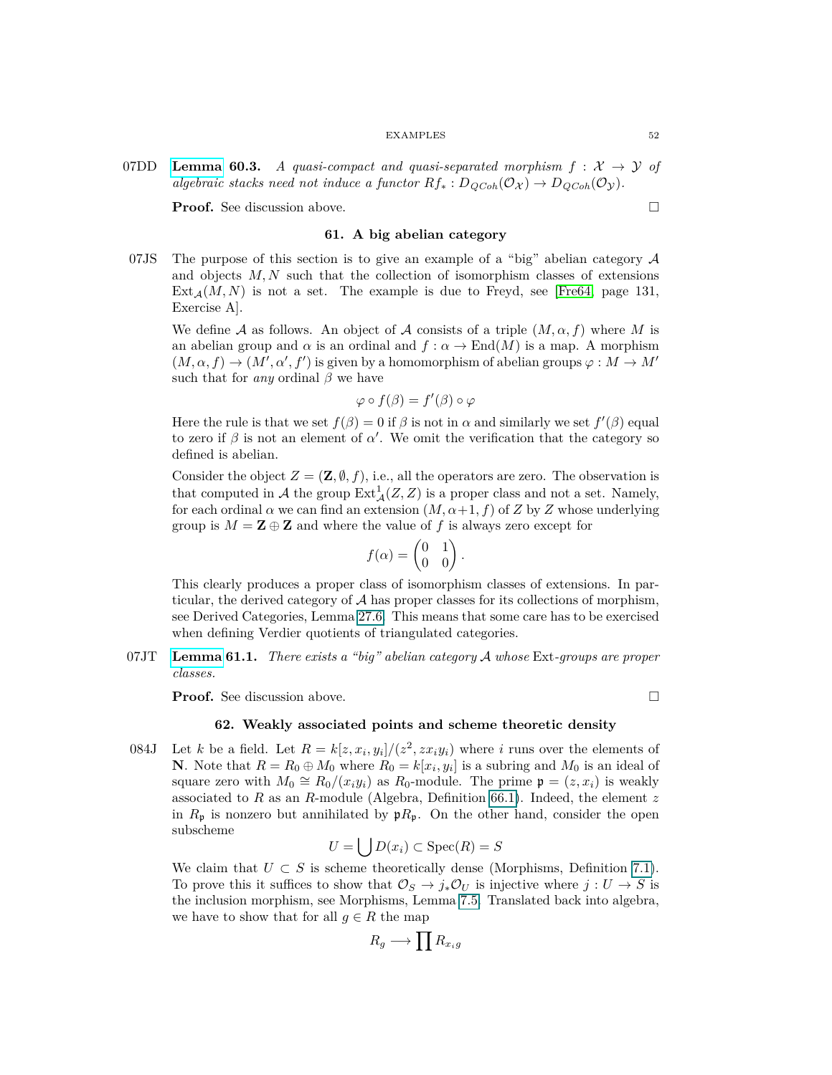07DD **[Lemma](https://stacks.math.columbia.edu/tag/07DD) 60.3.** *A quasi-compact and quasi-separated morphism*  $f : \mathcal{X} \rightarrow \mathcal{Y}$  of *algebraic stacks need not induce a functor*  $Rf_* : D_{QCoh}(\mathcal{O}_{\mathcal{X}}) \to D_{QCoh}(\mathcal{O}_{\mathcal{Y}})$ .

**Proof.** See discussion above. □

## **61. A big abelian category**

07JS The purpose of this section is to give an example of a "big" abelian category  $\mathcal A$ and objects *M, N* such that the collection of isomorphism classes of extensions  $Ext_{\mathcal{A}}(M, N)$  is not a set. The example is due to Freyd, see [\[Fre64,](#page-74-2) page 131, Exercise A].

We define A as follows. An object of A consists of a triple  $(M, \alpha, f)$  where M is an abelian group and  $\alpha$  is an ordinal and  $f : \alpha \to \text{End}(M)$  is a map. A morphism  $(M, \alpha, f) \rightarrow (M', \alpha', f')$  is given by a homomorphism of abelian groups  $\varphi : M \rightarrow M'$ such that for *any* ordinal  $\beta$  we have

$$
\varphi \circ f(\beta) = f'(\beta) \circ \varphi
$$

Here the rule is that we set  $f(\beta) = 0$  if  $\beta$  is not in  $\alpha$  and similarly we set  $f'(\beta)$  equal to zero if  $\beta$  is not an element of  $\alpha'$ . We omit the verification that the category so defined is abelian.

Consider the object  $Z = (\mathbf{Z}, \emptyset, f)$ , i.e., all the operators are zero. The observation is that computed in  $\mathcal A$  the group  $\text{Ext}^1_{\mathcal A}(Z,Z)$  is a proper class and not a set. Namely, for each ordinal  $\alpha$  we can find an extension  $(M, \alpha+1, f)$  of *Z* by *Z* whose underlying group is  $M = \mathbf{Z} \oplus \mathbf{Z}$  and where the value of f is always zero except for

$$
f(\alpha) = \begin{pmatrix} 0 & 1 \\ 0 & 0 \end{pmatrix}.
$$

This clearly produces a proper class of isomorphism classes of extensions. In particular, the derived category of  $A$  has proper classes for its collections of morphism, see Derived Categories, Lemma 27.6. This means that some care has to be exercised when defining Verdier quotients of triangulated categories.

07JT **[Lemma](https://stacks.math.columbia.edu/tag/07JT) 61.1.** *There exists a "big" abelian category* A *whose* Ext*-groups are proper classes.*

**Proof.** See discussion above.

# **62. Weakly associated points and scheme theoretic density**

084J Let *k* be a field. Let  $R = k[z, x_i, y_i]/(z^2, zx_i y_i)$  where *i* runs over the elements of **N**. Note that  $R = R_0 \oplus M_0$  where  $R_0 = k[x_i, y_i]$  is a subring and  $M_0$  is an ideal of square zero with  $M_0 \cong R_0/(x_i y_i)$  as  $R_0$ -module. The prime  $\mathfrak{p} = (z, x_i)$  is weakly associated to *R* as an *R*-module (Algebra, Definition [66.1\)](#page-57-0). Indeed, the element *z* in  $R_p$  is nonzero but annihilated by  $pR_p$ . On the other hand, consider the open subscheme

$$
U = \bigcup D(x_i) \subset \text{Spec}(R) = S
$$

We claim that  $U \subset S$  is scheme theoretically dense (Morphisms, Definition [7.1\)](#page-6-0). To prove this it suffices to show that  $\mathcal{O}_S \to j_*\mathcal{O}_U$  is injective where  $j: U \to S$  is the inclusion morphism, see Morphisms, Lemma 7.5. Translated back into algebra, we have to show that for all  $g \in R$  the map

$$
R_g \longrightarrow \prod R_{x_i g}
$$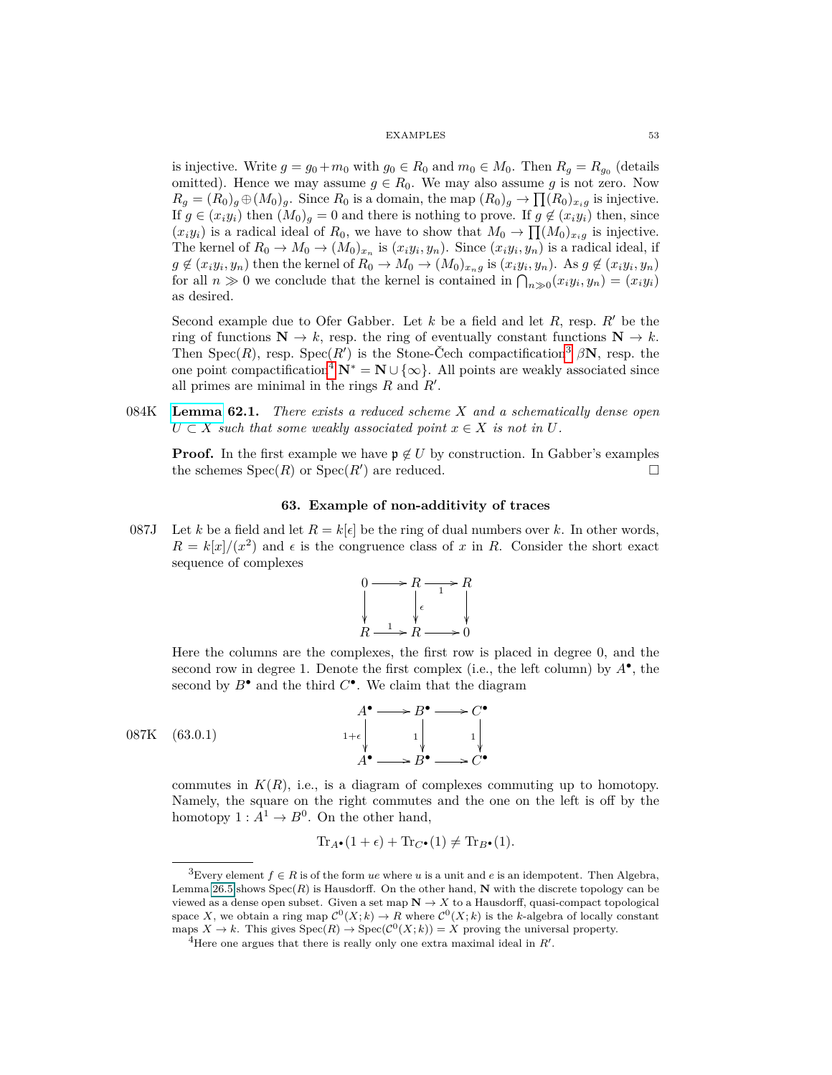is injective. Write  $g = g_0 + m_0$  with  $g_0 \in R_0$  and  $m_0 \in M_0$ . Then  $R_g = R_{g_0}$  (details omitted). Hence we may assume  $g \in R_0$ . We may also assume g is not zero. Now  $R_g = (R_0)_g \oplus (M_0)_g$ . Since  $R_0$  is a domain, the map  $(R_0)_g \to \prod (R_0)_{x_i g}$  is injective. If  $g \in (x_i y_i)$  then  $(M_0)$ <sub>g</sub> = 0 and there is nothing to prove. If  $g \notin (x_i y_i)$  then, since  $(x_i y_i)$  is a radical ideal of  $R_0$ , we have to show that  $M_0 \to \prod (M_0)_{x_i g}$  is injective. The kernel of  $R_0 \to M_0 \to (M_0)_{x_n}$  is  $(x_i y_i, y_n)$ . Since  $(x_i y_i, y_n)$  is a radical ideal, if  $g \notin (x_i y_i, y_n)$  then the kernel of  $R_0 \to M_0 \to (M_0)_{x_n g}$  is  $(x_i y_i, y_n)$ . As  $g \notin (x_i y_i, y_n)$ for all  $n \gg 0$  we conclude that the kernel is contained in  $\bigcap_{n \gg 0} (x_i y_i, y_n) = (x_i y_i)$ as desired.

Second example due to Ofer Gabber. Let  $k$  be a field and let  $R$ , resp.  $R'$  be the ring of functions  $N \to k$ , resp. the ring of eventually constant functions  $N \to k$ . Then  $Spec(R)$ , resp.  $Spec(R')$  is the Stone-Čech compactification<sup>[3](#page-52-0)</sup>  $\beta N$ , resp. the one point compactification<sup>[4](#page-52-1)</sup>  $N^* = N \cup \{\infty\}$ . All points are weakly associated since all primes are minimal in the rings  $R$  and  $R'$ .

084K **[Lemma](https://stacks.math.columbia.edu/tag/084K) 62.1.** *There exists a reduced scheme X and a schematically dense open*  $U \subset X$  *such that some weakly associated point*  $x \in X$  *is not in*  $U$ *.* 

**Proof.** In the first example we have  $\mathfrak{p} \notin U$  by construction. In Gabber's examples the schemes  $Spec(R)$  or  $Spec(R')$  are reduced.

# **63. Example of non-additivity of traces**

087J Let *k* be a field and let  $R = k[\epsilon]$  be the ring of dual numbers over *k*. In other words,  $R = k[x]/(x^2)$  and  $\epsilon$  is the congruence class of *x* in *R*. Consider the short exact sequence of complexes



Here the columns are the complexes, the first row is placed in degree 0, and the second row in degree 1. Denote the first complex (i.e., the left column) by *A*• , the second by  $B^{\bullet}$  and the third  $C^{\bullet}$ . We claim that the diagram



 $087K$   $(63.0.1)$ 

commutes in  $K(R)$ , i.e., is a diagram of complexes commuting up to homotopy. Namely, the square on the right commutes and the one on the left is off by the homotopy  $1: A^1 \to B^0$ . On the other hand,

$$
\text{Tr}_{A\bullet}(1+\epsilon) + \text{Tr}_{C\bullet}(1) \neq \text{Tr}_{B\bullet}(1).
$$

<span id="page-52-0"></span><sup>&</sup>lt;sup>3</sup>Every element  $f \in R$  is of the form *ue* where *u* is a unit and *e* is an idempotent. Then Algebra, Lemma 26.5 shows  $Spec(R)$  is Hausdorff. On the other hand, **N** with the discrete topology can be viewed as a dense open subset. Given a set map  $N \to X$  to a Hausdorff, quasi-compact topological space X, we obtain a ring map  $C^0(X; k) \to R$  where  $C^0(X; k)$  is the *k*-algebra of locally constant maps  $X \to k$ . This gives  $Spec(R) \to Spec(C^0(X;k)) = X$  proving the universal property.

<span id="page-52-1"></span><sup>&</sup>lt;sup>4</sup>Here one argues that there is really only one extra maximal ideal in  $R'$ .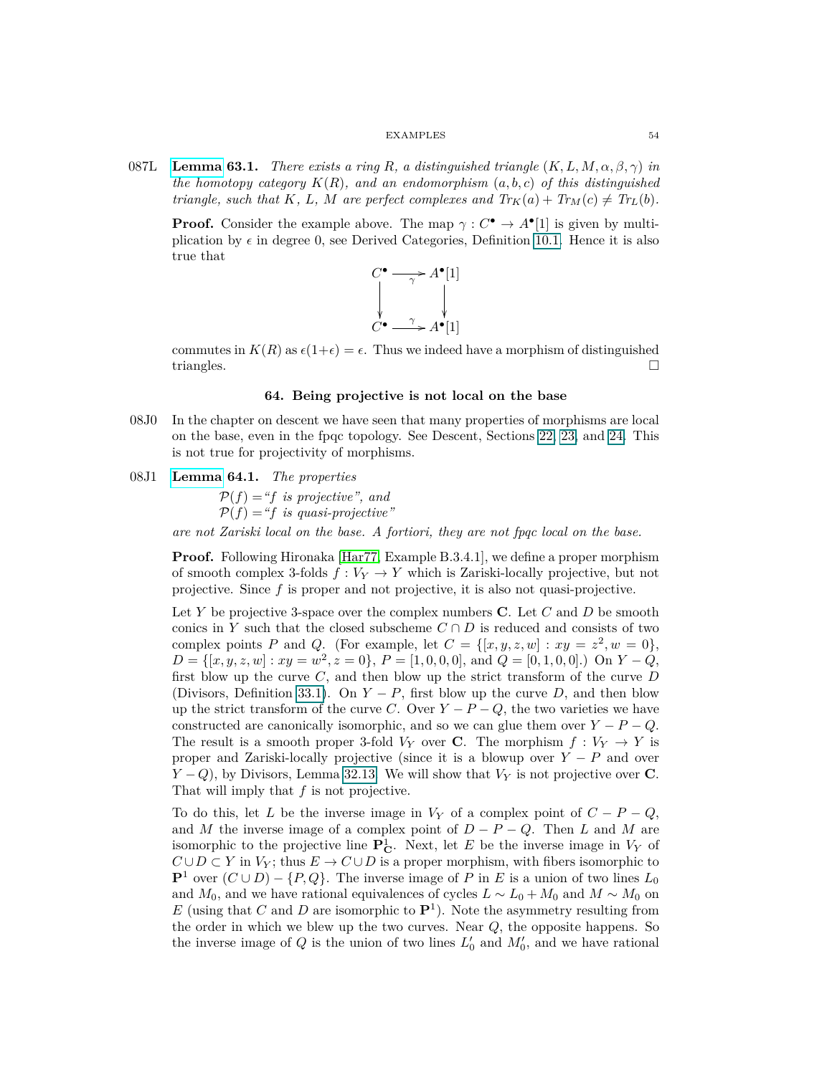087L **[Lemma](https://stacks.math.columbia.edu/tag/087L) 63.1.** *There exists a ring R*, a distinguished triangle  $(K, L, M, \alpha, \beta, \gamma)$  in *the homotopy category*  $K(R)$ *, and an endomorphism*  $(a, b, c)$  *of this distinguished triangle, such that*  $K$ *,*  $L$ *,*  $M$  *are perfect complexes and*  $Tr_K(a) + Tr_M(c) \neq Tr_L(b)$ *.* 

**Proof.** Consider the example above. The map  $\gamma : C^{\bullet} \to A^{\bullet}[1]$  is given by multiplication by  $\epsilon$  in degree 0, see Derived Categories, Definition [10.1.](#page-8-0) Hence it is also true that

$$
C^{\bullet} \longrightarrow A^{\bullet}[1]
$$
  
\n
$$
\downarrow \qquad \qquad \downarrow
$$
  
\n
$$
C^{\bullet} \longrightarrow A^{\bullet}[1]
$$

commutes in  $K(R)$  as  $\epsilon(1+\epsilon) = \epsilon$ . Thus we indeed have a morphism of distinguished triangles.

# **64. Being projective is not local on the base**

08J0 In the chapter on descent we have seen that many properties of morphisms are local on the base, even in the fpqc topology. See Descent, Sections [22,](#page-20-0) [23,](#page-21-0) and [24.](#page-21-1) This is not true for projectivity of morphisms.

# <span id="page-53-0"></span>08J1 **[Lemma](https://stacks.math.columbia.edu/tag/08J1) 64.1.** *The properties*

 $P(f) = f$  *is projective*", and  $P(f) = f$  *is quasi-projective*"

*are not Zariski local on the base. A fortiori, they are not fpqc local on the base.*

**Proof.** Following Hironaka [\[Har77,](#page-74-3) Example B.3.4.1], we define a proper morphism of smooth complex 3-folds  $f: V_Y \to Y$  which is Zariski-locally projective, but not projective. Since *f* is proper and not projective, it is also not quasi-projective.

Let *Y* be projective 3-space over the complex numbers **C**. Let *C* and *D* be smooth conics in *Y* such that the closed subscheme  $C \cap D$  is reduced and consists of two complex points *P* and *Q*. (For example, let  $C = \{[x, y, z, w] : xy = z^2, w = 0\},\$  $D = \{ [x, y, z, w] : xy = w^2, z = 0 \}, P = [1, 0, 0, 0], \text{ and } Q = [0, 1, 0, 0]. \}$  On  $Y - Q$ , first blow up the curve *C*, and then blow up the strict transform of the curve *D* (Divisors, Definition [33.1\)](#page-27-0). On  $Y - P$ , first blow up the curve *D*, and then blow up the strict transform of the curve *C*. Over  $Y - P - Q$ , the two varieties we have constructed are canonically isomorphic, and so we can glue them over  $Y - P - Q$ . The result is a smooth proper 3-fold  $V_Y$  over **C**. The morphism  $f: V_Y \to Y$  is proper and Zariski-locally projective (since it is a blowup over  $Y - P$  and over *Y* − *Q*), by Divisors, Lemma 32.13. We will show that *V*<sup>*Y*</sup> is not projective over **C**. That will imply that *f* is not projective.

To do this, let *L* be the inverse image in  $V_Y$  of a complex point of  $C - P - Q$ , and *M* the inverse image of a complex point of  $D - P - Q$ . Then *L* and *M* are isomorphic to the projective line  $P^1_C$ . Next, let *E* be the inverse image in  $V_Y$  of  $C \cup D \subset Y$  in  $V_Y$ ; thus  $E \to C \cup D$  is a proper morphism, with fibers isomorphic to **P**<sup>1</sup> over  $(C ∪ D) - {P,Q}$ . The inverse image of *P* in *E* is a union of two lines  $L_0$ and  $M_0$ , and we have rational equivalences of cycles  $L \sim L_0 + M_0$  and  $M \sim M_0$  on  $E$  (using that  $C$  and  $D$  are isomorphic to  $\mathbf{P}^1$ ). Note the asymmetry resulting from the order in which we blew up the two curves. Near *Q*, the opposite happens. So the inverse image of  $Q$  is the union of two lines  $L'_0$  and  $M'_0$ , and we have rational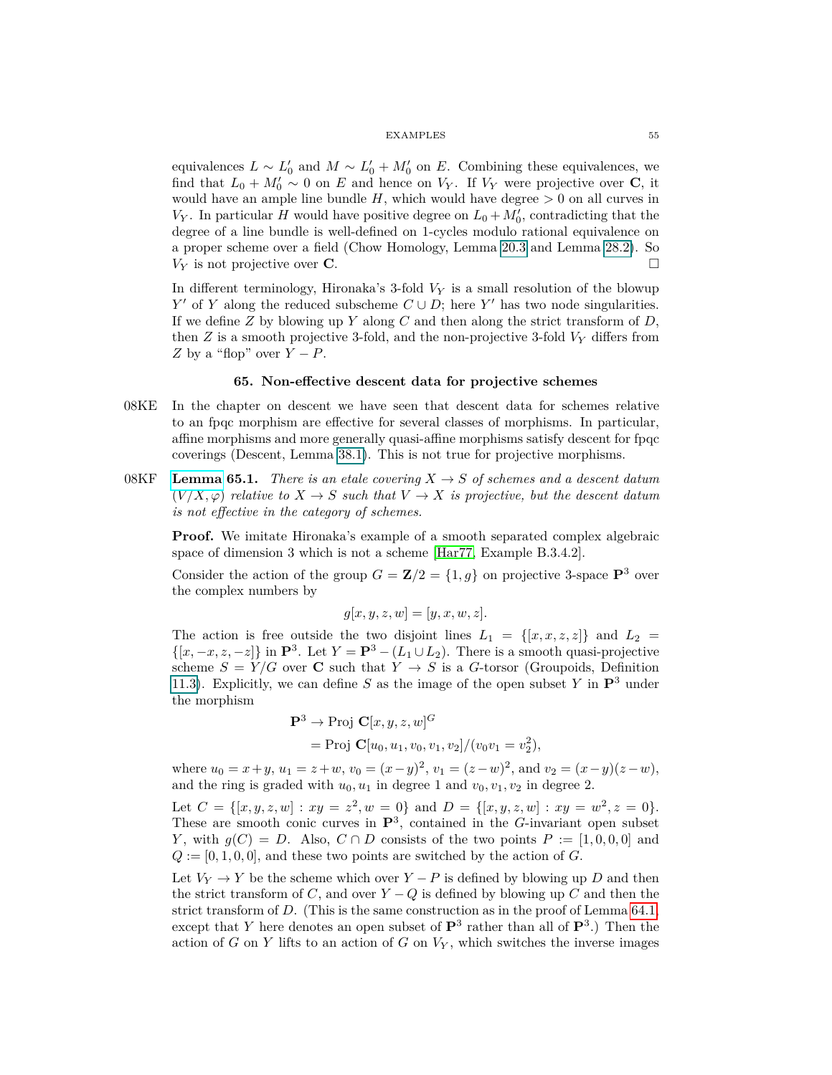equivalences  $L \sim L'_0$  and  $M \sim L'_0 + M'_0$  on *E*. Combining these equivalences, we find that  $L_0 + M'_0 \sim 0$  on *E* and hence on  $V_Y$ . If  $V_Y$  were projective over **C**, it would have an ample line bundle  $H$ , which would have degree  $> 0$  on all curves in  $V_Y$ . In particular *H* would have positive degree on  $L_0 + M'_0$ , contradicting that the degree of a line bundle is well-defined on 1-cycles modulo rational equivalence on a proper scheme over a field (Chow Homology, Lemma 20.3 and Lemma 28.2). So  $V_Y$  is not projective over **C**.

In different terminology, Hironaka's 3-fold *V<sup>Y</sup>* is a small resolution of the blowup *Y*<sup> $\prime$ </sup> of *Y* along the reduced subscheme  $C \cup D$ ; here *Y*<sup> $\prime$ </sup> has two node singularities. If we define *Z* by blowing up *Y* along *C* and then along the strict transform of *D*, then  $Z$  is a smooth projective 3-fold, and the non-projective 3-fold  $V_Y$  differs from *Z* by a "flop" over  $Y - P$ .

# **65. Non-effective descent data for projective schemes**

- 08KE In the chapter on descent we have seen that descent data for schemes relative to an fpqc morphism are effective for several classes of morphisms. In particular, affine morphisms and more generally quasi-affine morphisms satisfy descent for fpqc coverings (Descent, Lemma [38.1\)](#page-32-0). This is not true for projective morphisms.
- 08KF **[Lemma](https://stacks.math.columbia.edu/tag/08KF) 65.1.** *There is an etale covering*  $X \to S$  *of schemes and a descent datum*  $(V/X, \varphi)$  *relative to*  $X \to S$  *such that*  $V \to X$  *is projective, but the descent datum is not effective in the category of schemes.*

**Proof.** We imitate Hironaka's example of a smooth separated complex algebraic space of dimension 3 which is not a scheme [\[Har77,](#page-74-3) Example B.3.4.2].

Consider the action of the group  $G = \mathbb{Z}/2 = \{1, g\}$  on projective 3-space  $\mathbb{P}^3$  over the complex numbers by

$$
g[x, y, z, w] = [y, x, w, z].
$$

The action is free outside the two disjoint lines  $L_1 = \{ [x, x, z, z] \}$  and  $L_2 =$  $\{[x, -x, z, -z]\}$  in  $\mathbf{P}^3$ . Let  $Y = \mathbf{P}^3 - (L_1 \cup L_2)$ . There is a smooth quasi-projective scheme  $S = Y/G$  over **C** such that  $Y \rightarrow S$  is a *G*-torsor (Groupoids, Definition 11.3). Explicitly, we can define *S* as the image of the open subset *Y* in  $\mathbf{P}^3$  under the morphism

$$
\mathbf{P}^3 \to \text{Proj } \mathbf{C}[x, y, z, w]^G
$$
  
= Proj  $\mathbf{C}[u_0, u_1, v_0, v_1, v_2]/(v_0v_1 = v_2^2)$ ,

where  $u_0 = x + y$ ,  $u_1 = z + w$ ,  $v_0 = (x - y)^2$ ,  $v_1 = (z - w)^2$ , and  $v_2 = (x - y)(z - w)$ , and the ring is graded with  $u_0, u_1$  in degree 1 and  $v_0, v_1, v_2$  in degree 2.

Let  $C = \{ [x, y, z, w] : xy = z^2, w = 0 \}$  and  $D = \{ [x, y, z, w] : xy = w^2, z = 0 \}.$ These are smooth conic curves in  $\mathbf{P}^3$ , contained in the *G*-invariant open subset *Y*, with  $g(C) = D$ . Also,  $C \cap D$  consists of the two points  $P := [1, 0, 0, 0]$  and  $Q := [0, 1, 0, 0]$ , and these two points are switched by the action of  $G$ .

Let  $V_Y \rightarrow Y$  be the scheme which over  $Y - P$  is defined by blowing up *D* and then the strict transform of *C*, and over  $Y - Q$  is defined by blowing up *C* and then the strict transform of *D*. (This is the same construction as in the proof of Lemma [64.1,](#page-53-0) except that *Y* here denotes an open subset of  $\mathbf{P}^3$  rather than all of  $\mathbf{P}^3$ .) Then the action of  $G$  on  $Y$  lifts to an action of  $G$  on  $V_Y$ , which switches the inverse images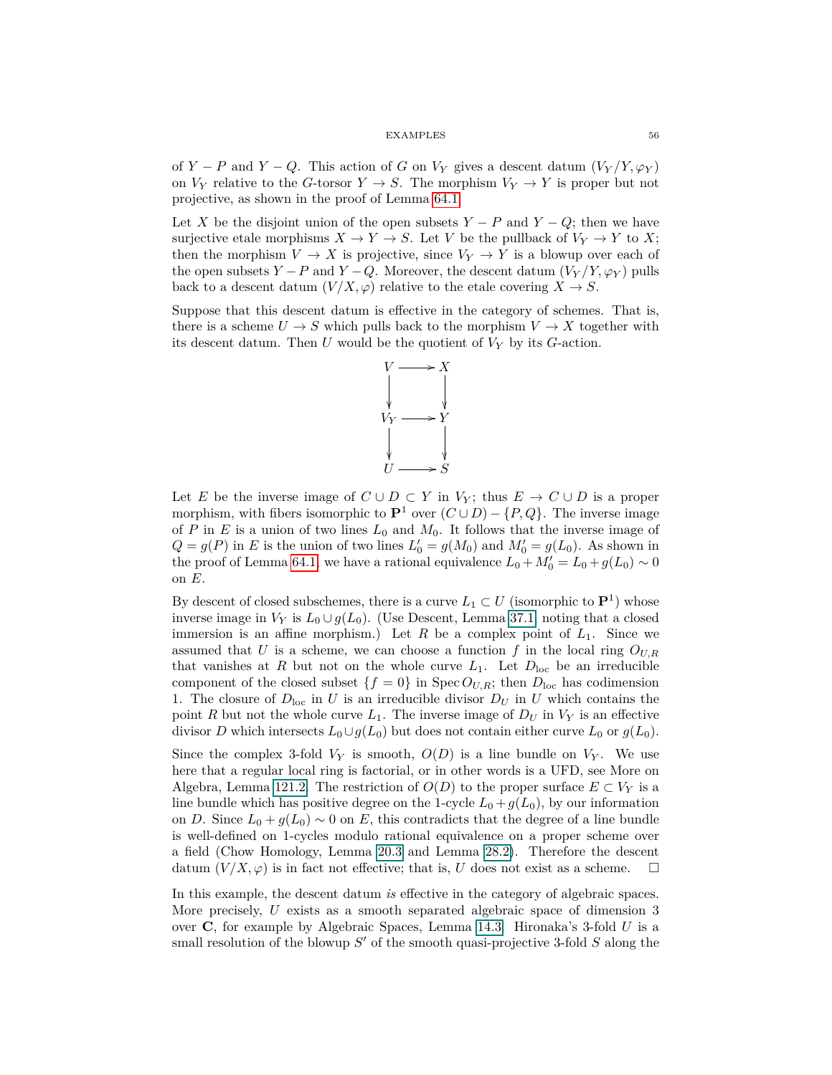of *Y* − *P* and *Y* − *Q*. This action of *G* on  $V_Y$  gives a descent datum  $(V_Y/Y, \varphi_Y)$ on  $V_Y$  relative to the *G*-torsor  $Y \to S$ . The morphism  $V_Y \to Y$  is proper but not projective, as shown in the proof of Lemma [64.1.](#page-53-0)

Let *X* be the disjoint union of the open subsets  $Y - P$  and  $Y - Q$ ; then we have surjective etale morphisms  $X \to Y \to S$ . Let *V* be the pullback of  $V_Y \to Y$  to *X*; then the morphism  $V \to X$  is projective, since  $V_Y \to Y$  is a blowup over each of the open subsets *Y* − *P* and *Y* − *Q*. Moreover, the descent datum  $(V_Y/Y, \varphi_Y)$  pulls back to a descent datum  $(V/X, \varphi)$  relative to the etale covering  $X \to S$ .

Suppose that this descent datum is effective in the category of schemes. That is, there is a scheme  $U \to S$  which pulls back to the morphism  $V \to X$  together with its descent datum. Then *U* would be the quotient of *V<sup>Y</sup>* by its *G*-action.



Let *E* be the inverse image of  $C \cup D \subset Y$  in  $V_Y$ ; thus  $E \to C \cup D$  is a proper morphism, with fibers isomorphic to  $\mathbf{P}^1$  over  $(C \cup D) - \{P, Q\}$ . The inverse image of *P* in *E* is a union of two lines  $L_0$  and  $M_0$ . It follows that the inverse image of  $Q = g(P)$  in *E* is the union of two lines  $L'_0 = g(M_0)$  and  $M'_0 = g(L_0)$ . As shown in the proof of Lemma [64.1,](#page-53-0) we have a rational equivalence  $L_0 + M'_0 = L_0 + g(L_0) \sim 0$ on *E*.

By descent of closed subschemes, there is a curve  $L_1 \subset U$  (isomorphic to  $\mathbf{P}^1$ ) whose inverse image in  $V_Y$  is  $L_0 \cup g(L_0)$ . (Use Descent, Lemma [37.1,](#page-31-0) noting that a closed immersion is an affine morphism.) Let  $R$  be a complex point of  $L_1$ . Since we assumed that *U* is a scheme, we can choose a function *f* in the local ring  $O_{U,R}$ that vanishes at *R* but not on the whole curve  $L_1$ . Let  $D_{loc}$  be an irreducible component of the closed subset  ${f = 0}$  in Spec  $O_{U,R}$ ; then  $D_{\text{loc}}$  has codimension 1. The closure of  $D_{\text{loc}}$  in *U* is an irreducible divisor  $D_U$  in *U* which contains the point *R* but not the whole curve  $L_1$ . The inverse image of  $D_U$  in  $V_Y$  is an effective divisor *D* which intersects  $L_0 \cup g(L_0)$  but does not contain either curve  $L_0$  or  $g(L_0)$ .

Since the complex 3-fold  $V_Y$  is smooth,  $O(D)$  is a line bundle on  $V_Y$ . We use here that a regular local ring is factorial, or in other words is a UFD, see More on Algebra, Lemma 121.2. The restriction of  $O(D)$  to the proper surface  $E \subset V_Y$  is a line bundle which has positive degree on the 1-cycle  $L_0 + g(L_0)$ , by our information on *D*. Since  $L_0 + g(L_0) \sim 0$  on *E*, this contradicts that the degree of a line bundle is well-defined on 1-cycles modulo rational equivalence on a proper scheme over a field (Chow Homology, Lemma 20.3 and Lemma 28.2). Therefore the descent datum  $(V/X, \varphi)$  is in fact not effective; that is, *U* does not exist as a scheme.

In this example, the descent datum *is* effective in the category of algebraic spaces. More precisely, *U* exists as a smooth separated algebraic space of dimension 3 over **C**, for example by Algebraic Spaces, Lemma 14.3. Hironaka's 3-fold *U* is a small resolution of the blowup S' of the smooth quasi-projective 3-fold S along the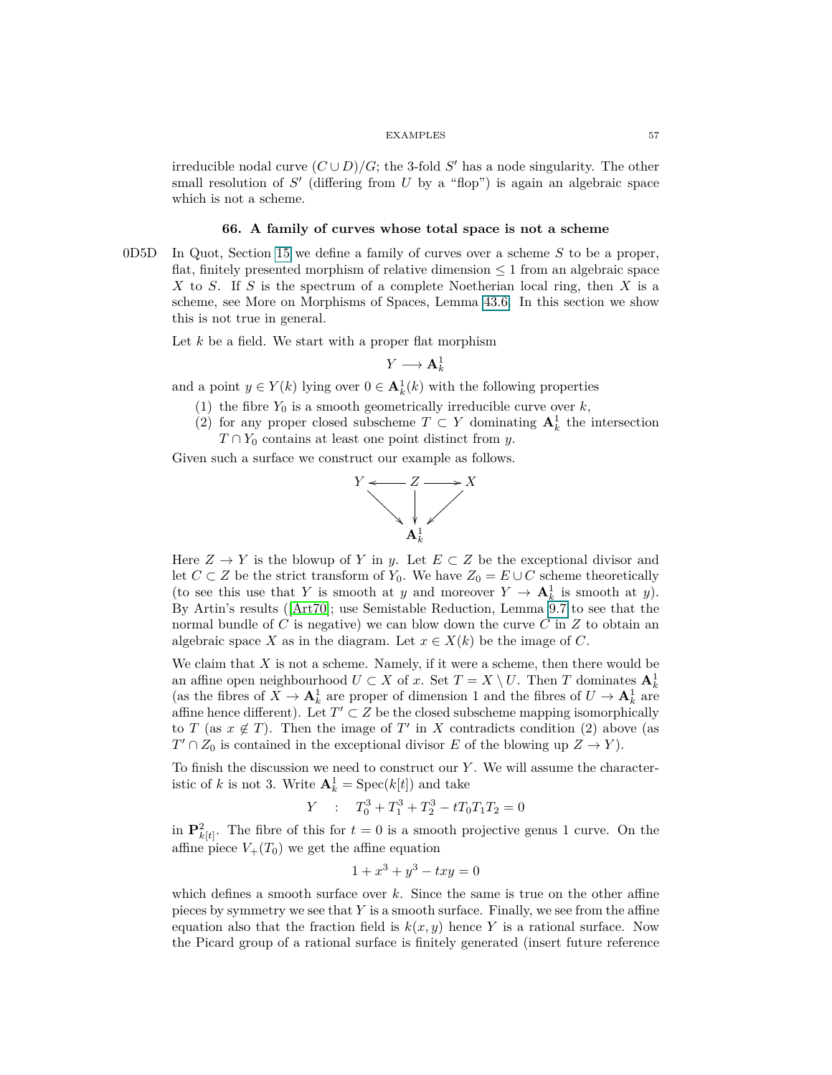irreducible nodal curve  $(C \cup D)/G$ ; the 3-fold *S'* has a node singularity. The other small resolution of  $S'$  (differing from  $U$  by a "flop") is again an algebraic space which is not a scheme.

## **66. A family of curves whose total space is not a scheme**

0D5D In Quot, Section [15](#page-13-2) we define a family of curves over a scheme *S* to be a proper, flat, finitely presented morphism of relative dimension  $\leq 1$  from an algebraic space *X* to *S*. If *S* is the spectrum of a complete Noetherian local ring, then *X* is a scheme, see More on Morphisms of Spaces, Lemma 43.6. In this section we show this is not true in general.

Let *k* be a field. We start with a proper flat morphism

$$
Y\longrightarrow \mathbf{A}^1_k
$$

and a point  $y \in Y(k)$  lying over  $0 \in \mathbf{A}_k^1(k)$  with the following properties

- (1) the fibre  $Y_0$  is a smooth geometrically irreducible curve over  $k$ ,
- (2) for any proper closed subscheme  $T \subset Y$  dominating  $A_k^1$  the intersection  $T \cap Y_0$  contains at least one point distinct from *y*.

Given such a surface we construct our example as follows.



Here  $Z \to Y$  is the blowup of *Y* in *y*. Let  $E \subset Z$  be the exceptional divisor and let *C* ⊂ *Z* be the strict transform of  $Y_0$ . We have  $Z_0 = E ∪ C$  scheme theoretically (to see this use that *Y* is smooth at *y* and moreover  $Y \to \mathbf{A}_k^1$  is smooth at *y*). By Artin's results ([\[Art70\]](#page-74-4); use Semistable Reduction, Lemma 9.7 to see that the normal bundle of *C* is negative) we can blow down the curve *C* in *Z* to obtain an algebraic space *X* as in the diagram. Let  $x \in X(k)$  be the image of *C*.

We claim that  $X$  is not a scheme. Namely, if it were a scheme, then there would be an affine open neighbourhood  $U \subset X$  of  $x$ . Set  $T = X \setminus U$ . Then  $T$  dominates  $A_k^1$ (as the fibres of  $X \to \mathbf{A}_k^1$  are proper of dimension 1 and the fibres of  $U \to \mathbf{A}_k^1$  are affine hence different). Let  $T' \subset Z$  be the closed subscheme mapping isomorphically to *T* (as  $x \notin T$ ). Then the image of *T*' in *X* contradicts condition (2) above (as  $T' \cap Z_0$  is contained in the exceptional divisor *E* of the blowing up  $Z \to Y$ ).

To finish the discussion we need to construct our *Y* . We will assume the characteristic of *k* is not 3. Write  $A_k^1 = \text{Spec}(k[t])$  and take

$$
Y : T_0^3 + T_1^3 + T_2^3 - tT_0T_1T_2 = 0
$$

in  $\mathbf{P}_{k[t]}^2$ . The fibre of this for  $t=0$  is a smooth projective genus 1 curve. On the affine piece  $V_+(T_0)$  we get the affine equation

$$
1 + x^3 + y^3 - txy = 0
$$

which defines a smooth surface over *k*. Since the same is true on the other affine pieces by symmetry we see that *Y* is a smooth surface. Finally, we see from the affine equation also that the fraction field is  $k(x, y)$  hence Y is a rational surface. Now the Picard group of a rational surface is finitely generated (insert future reference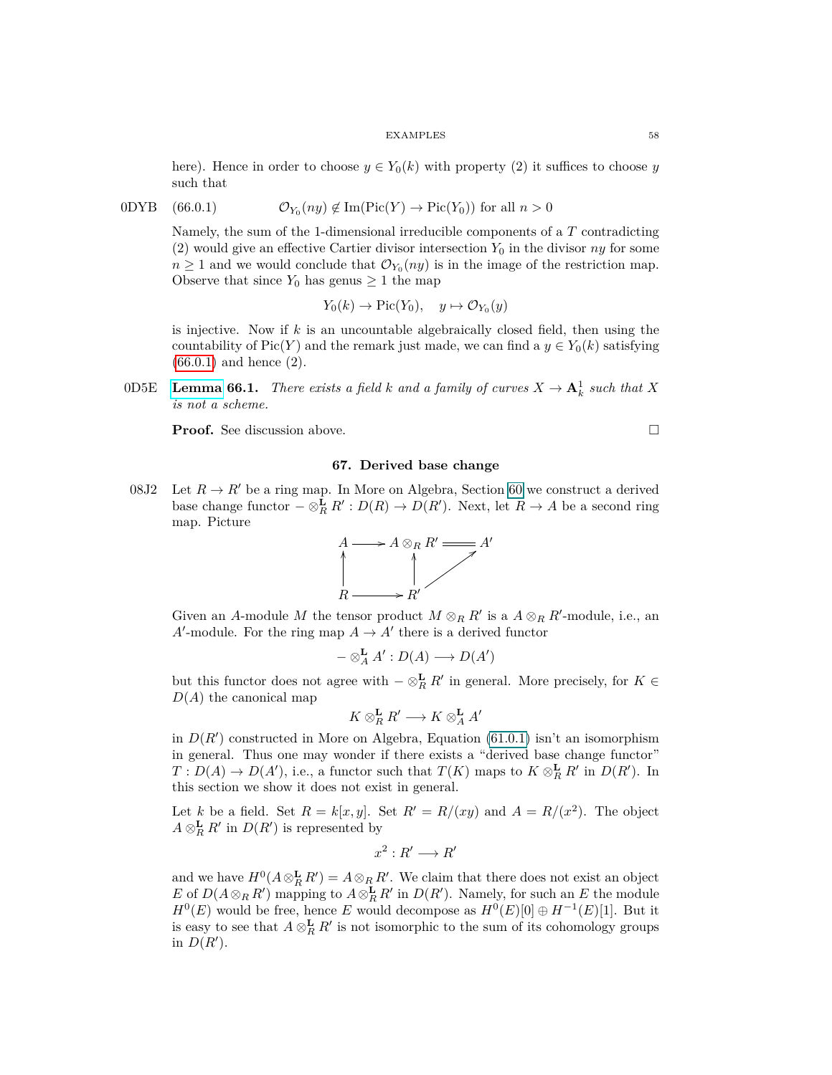here). Hence in order to choose  $y \in Y_0(k)$  with property (2) it suffices to choose *y* such that

$$
0DYB \quad (66.0.1) \qquad \mathcal{O}_{Y_0}(ny) \notin \text{Im}(\text{Pic}(Y) \to \text{Pic}(Y_0)) \text{ for all } n > 0
$$

<span id="page-57-1"></span>Namely, the sum of the 1-dimensional irreducible components of a *T* contradicting (2) would give an effective Cartier divisor intersection  $Y_0$  in the divisor  $ny$  for some  $n \geq 1$  and we would conclude that  $\mathcal{O}_{Y_0}(ny)$  is in the image of the restriction map. Observe that since  $Y_0$  has genus  $\geq 1$  the map

$$
Y_0(k) \to Pic(Y_0), \quad y \mapsto \mathcal{O}_{Y_0}(y)
$$

is injective. Now if *k* is an uncountable algebraically closed field, then using the countability of Pic(*Y*) and the remark just made, we can find a  $y \in Y_0(k)$  satisfying [\(66.0.1\)](#page-57-1) and hence (2).

<span id="page-57-0"></span>0D5E [Lemma](https://stacks.math.columbia.edu/tag/0D5E) 66.1. *There exists a field k and a family of curves*  $X \to \mathbf{A}_k^1$  *such that*  $X$ *is not a scheme.*

**Proof.** See discussion above. □

# **67. Derived base change**

08J2 Let  $R \to R'$  be a ring map. In More on Algebra, Section [60](#page-49-0) we construct a derived base change functor  $-\otimes_R^{\mathbf{L}} R': D(R) \to D(R')$ . Next, let  $R \to A$  be a second ring map. Picture



Given an *A*-module *M* the tensor product  $M \otimes_R R'$  is a  $A \otimes_R R'$ -module, i.e., an *A*<sup> $\prime$ </sup>-module. For the ring map  $A \rightarrow A'$  there is a derived functor

$$
-\otimes^{\mathbf{L}}_A A':D(A)\longrightarrow D(A')
$$

but this functor does not agree with  $-\otimes_R^{\mathbf{L}} R'$  in general. More precisely, for  $K \in$ *D*(*A*) the canonical map

$$
K\otimes_R^{\mathbf{L}} R'\longrightarrow K\otimes_A^{\mathbf{L}} A'
$$

in  $D(R')$  constructed in More on Algebra, Equation (61.0.1) isn't an isomorphism in general. Thus one may wonder if there exists a "derived base change functor"  $T: D(A) \to D(A')$ , i.e., a functor such that  $T(K)$  maps to  $K \otimes_R^{\mathbf{L}} R'$  in  $D(R')$ . In this section we show it does not exist in general.

Let *k* be a field. Set  $R = k[x, y]$ . Set  $R' = R/(xy)$  and  $A = R/(x^2)$ . The object  $A \otimes_R^{\mathbf{L}} R'$  in  $D(R')$  is represented by

$$
x^2:R'\longrightarrow R'
$$

and we have  $H^0(A \otimes_R^{\mathbf{L}} R') = A \otimes_R R'$ . We claim that there does not exist an object *E* of  $D(A \otimes_R R)$  mapping to  $A \otimes_R^{\mathbf{L}} R'$  in  $D(R')$ . Namely, for such an *E* the module  $H^0(E)$  would be free, hence *E* would decompose as  $H^0(E)[0] \oplus H^{-1}(E)[1]$ . But it is easy to see that  $A \otimes_R^{\mathbf{L}} R'$  is not isomorphic to the sum of its cohomology groups in  $D(R')$ .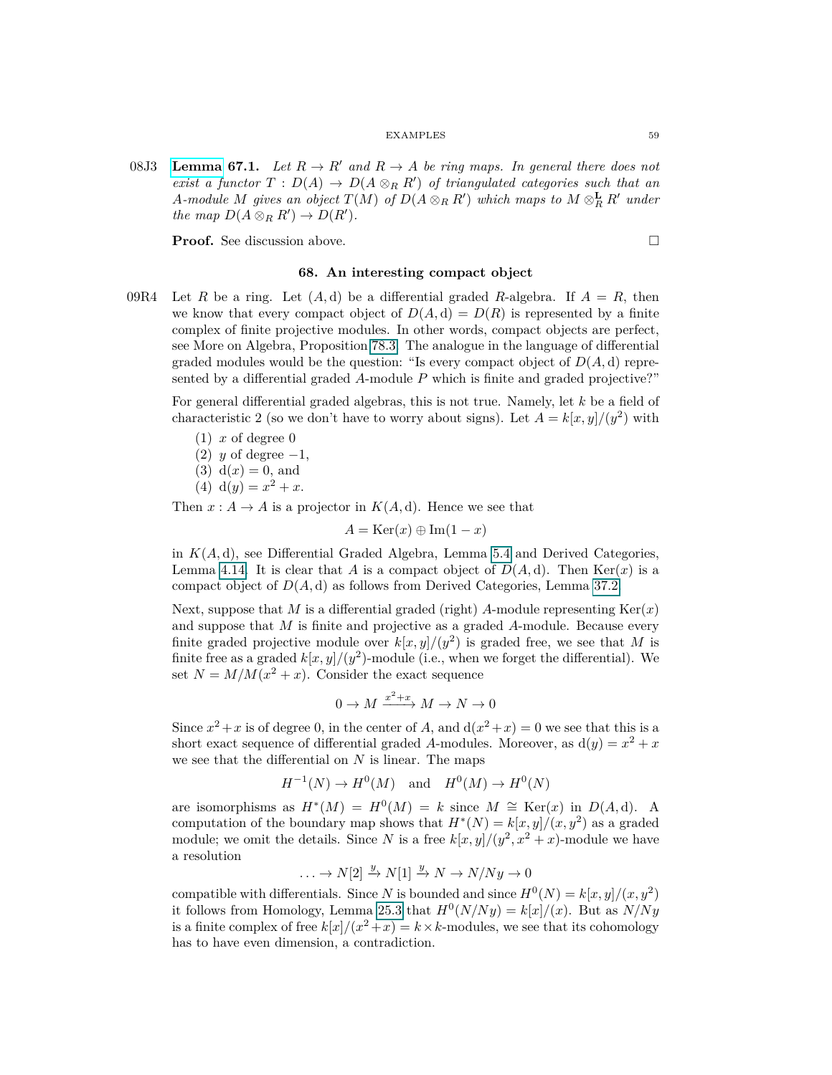08J3 **[Lemma](https://stacks.math.columbia.edu/tag/08J3) 67.1.** Let  $R \to R'$  and  $R \to A$  be ring maps. In general there does not *exist a functor*  $T: D(A) \to D(A \otimes_R R')$  *of triangulated categories such that an A*-module *M* gives an object  $T(M)$  of  $D(A \otimes_R R')$  which maps to  $M \otimes_R^{\mathbf{L}} R'$  under *the map*  $D(A \otimes_R R') \to D(R')$ *.* 

**Proof.** See discussion above. □

# **68. An interesting compact object**

09R4 Let *R* be a ring. Let  $(A, d)$  be a differential graded *R*-algebra. If  $A = R$ , then we know that every compact object of  $D(A, d) = D(R)$  is represented by a finite complex of finite projective modules. In other words, compact objects are perfect, see More on Algebra, Proposition 78.3. The analogue in the language of differential graded modules would be the question: "Is every compact object of  $D(A, d)$  represented by a differential graded *A*-module *P* which is finite and graded projective?"

For general differential graded algebras, this is not true. Namely, let *k* be a field of characteristic 2 (so we don't have to worry about signs). Let  $A = k[x, y]/(y^2)$  with

 $(1)$  *x* of degree 0

- (2) *y* of degree  $-1$ ,
- (3)  $d(x) = 0$ , and
- (4)  $d(y) = x^2 + x$ .

Then  $x : A \to A$  is a projector in  $K(A, d)$ . Hence we see that

 $A = \text{Ker}(x) \oplus \text{Im}(1-x)$ 

in  $K(A, d)$ , see Differential Graded Algebra, Lemma 5.4 and Derived Categories, Lemma 4.14. It is clear that *A* is a compact object of  $D(A, d)$ . Then Ker(*x*) is a compact object of  $D(A, d)$  as follows from Derived Categories, Lemma 37.2.

Next, suppose that *M* is a differential graded (right) *A*-module representing  $\text{Ker}(x)$ and suppose that *M* is finite and projective as a graded *A*-module. Because every finite graded projective module over  $k[x, y]/(y^2)$  is graded free, we see that M is finite free as a graded  $k[x, y]/(y^2)$ -module (i.e., when we forget the differential). We set  $N = M/M(x^2 + x)$ . Consider the exact sequence

$$
0 \to M \xrightarrow{x^2 + x} M \to N \to 0
$$

Since  $x^2 + x$  is of degree 0, in the center of *A*, and  $d(x^2 + x) = 0$  we see that this is a short exact sequence of differential graded A-modules. Moreover, as  $d(y) = x^2 + x$ we see that the differential on *N* is linear. The maps

$$
H^{-1}(N) \to H^0(M) \quad \text{and} \quad H^0(M) \to H^0(N)
$$

are isomorphisms as  $H^*(M) = H^0(M) = k$  since  $M \cong \text{Ker}(x)$  in  $D(A, d)$ . A computation of the boundary map shows that  $H^*(N) = k[x, y]/(x, y^2)$  as a graded module; we omit the details. Since *N* is a free  $k[x, y]/(y^2, x^2 + x)$ -module we have a resolution

$$
\ldots \to N[2] \xrightarrow{y} N[1] \xrightarrow{y} N \to N/Ny \to 0
$$

compatible with differentials. Since *N* is bounded and since  $H^0(N) = k[x, y]/(x, y^2)$ it follows from Homology, Lemma 25.3 that  $H^0(N/Ny) = k[x]/(x)$ . But as  $N/Ny$ is a finite complex of free  $k[x]/(x^2+x) = k \times k$ -modules, we see that its cohomology has to have even dimension, a contradiction.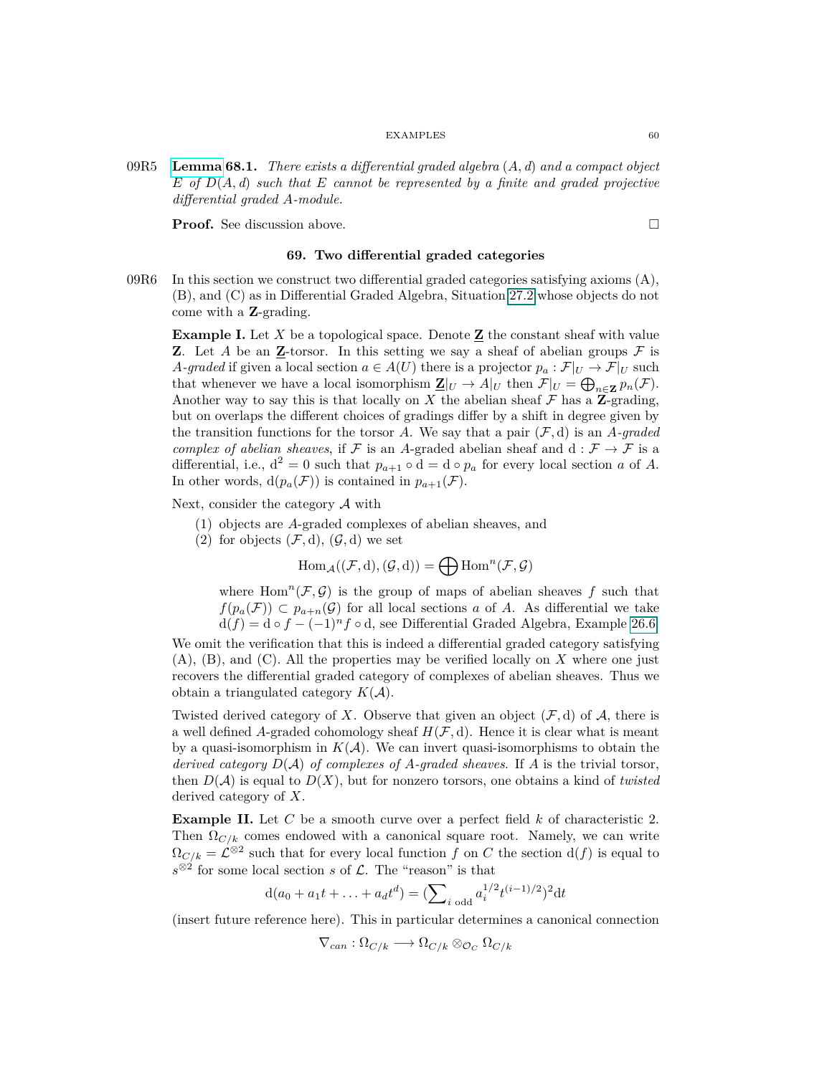09R5 **[Lemma](https://stacks.math.columbia.edu/tag/09R5) 68.1.** *There exists a differential graded algebra* (*A, d*) *and a compact object E of D*(*A, d*) *such that E cannot be represented by a finite and graded projective differential graded A-module.*

**Proof.** See discussion above. □

# **69. Two differential graded categories**

09R6 In this section we construct two differential graded categories satisfying axioms  $(A)$ , (B), and (C) as in Differential Graded Algebra, Situation 27.2 whose objects do not come with a **Z**-grading.

**Example I.** Let  $X$  be a topological space. Denote  $\underline{\mathbf{Z}}$  the constant sheaf with value **Z**. Let *A* be an **Z**-torsor. In this setting we say a sheaf of abelian groups  $\mathcal F$  is *A-graded* if given a local section  $a \in A(U)$  there is a projector  $p_a : \mathcal{F}|_U \to \mathcal{F}|_U$  such that whenever we have a local isomorphism  $\underline{\mathbf{Z}}|_U \to A|_U$  then  $\mathcal{F}|_U = \bigoplus_{n \in \mathbf{Z}} p_n(\mathcal{F})$ . Another way to say this is that locally on  $X$  the abelian sheaf  $\mathcal F$  has a **Z**-grading, but on overlaps the different choices of gradings differ by a shift in degree given by the transition functions for the torsor *A*. We say that a pair  $(\mathcal{F}, d)$  is an *A-graded complex of abelian sheaves*, if F is an A-graded abelian sheaf and d :  $\mathcal{F} \to \mathcal{F}$  is a differential, i.e.,  $d^2 = 0$  such that  $p_{a+1} \circ d = d \circ p_a$  for every local section *a* of *A*. In other words,  $d(p_a(\mathcal{F}))$  is contained in  $p_{a+1}(\mathcal{F})$ .

Next, consider the category A with

- (1) objects are *A*-graded complexes of abelian sheaves, and
- (2) for objects  $(\mathcal{F}, d)$ ,  $(\mathcal{G}, d)$  we set

$$
\operatorname{Hom}_{\mathcal{A}}((\mathcal{F},d),(\mathcal{G},d))=\bigoplus \operatorname{Hom}^{n}(\mathcal{F},\mathcal{G})
$$

where  $Hom<sup>n</sup>(\mathcal{F}, \mathcal{G})$  is the group of maps of abelian sheaves f such that *f*( $p_a$ ( $\mathcal{F}$ )) ⊂  $p_{a+n}$ ( $\mathcal{G}$ ) for all local sections *a* of *A*. As differential we take  $d(f) = d \circ f - (-1)^n f \circ d$ , see Differential Graded Algebra, Example 26.6.

We omit the verification that this is indeed a differential graded category satisfying (A), (B), and (C). All the properties may be verified locally on *X* where one just recovers the differential graded category of complexes of abelian sheaves. Thus we obtain a triangulated category  $K(A)$ .

Twisted derived category of *X*. Observe that given an object  $(\mathcal{F}, d)$  of *A*, there is a well defined A-graded cohomology sheaf  $H(\mathcal{F}, d)$ . Hence it is clear what is meant by a quasi-isomorphism in  $K(A)$ . We can invert quasi-isomorphisms to obtain the *derived category*  $D(\mathcal{A})$  *of complexes of*  $A$ *-graded sheaves*. If  $A$  is the trivial torsor, then  $D(\mathcal{A})$  is equal to  $D(X)$ , but for nonzero torsors, one obtains a kind of *twisted* derived category of *X*.

**Example II.** Let *C* be a smooth curve over a perfect field *k* of characteristic 2. Then  $\Omega_{C/k}$  comes endowed with a canonical square root. Namely, we can write  $\Omega_{C/k} = \mathcal{L}^{\otimes 2}$  such that for every local function *f* on *C* the section  $d(f)$  is equal to  $s^{\otimes 2}$  for some local section *s* of  $\mathcal{L}$ . The "reason" is that

$$
d(a_0 + a_1t + \dots + a_dt^d) = (\sum_{i \text{ odd}} a_i^{1/2}t^{(i-1)/2})^2 dt
$$

(insert future reference here). This in particular determines a canonical connection

$$
\nabla_{can} : \Omega_{C/k} \longrightarrow \Omega_{C/k} \otimes_{\mathcal{O}_C} \Omega_{C/k}
$$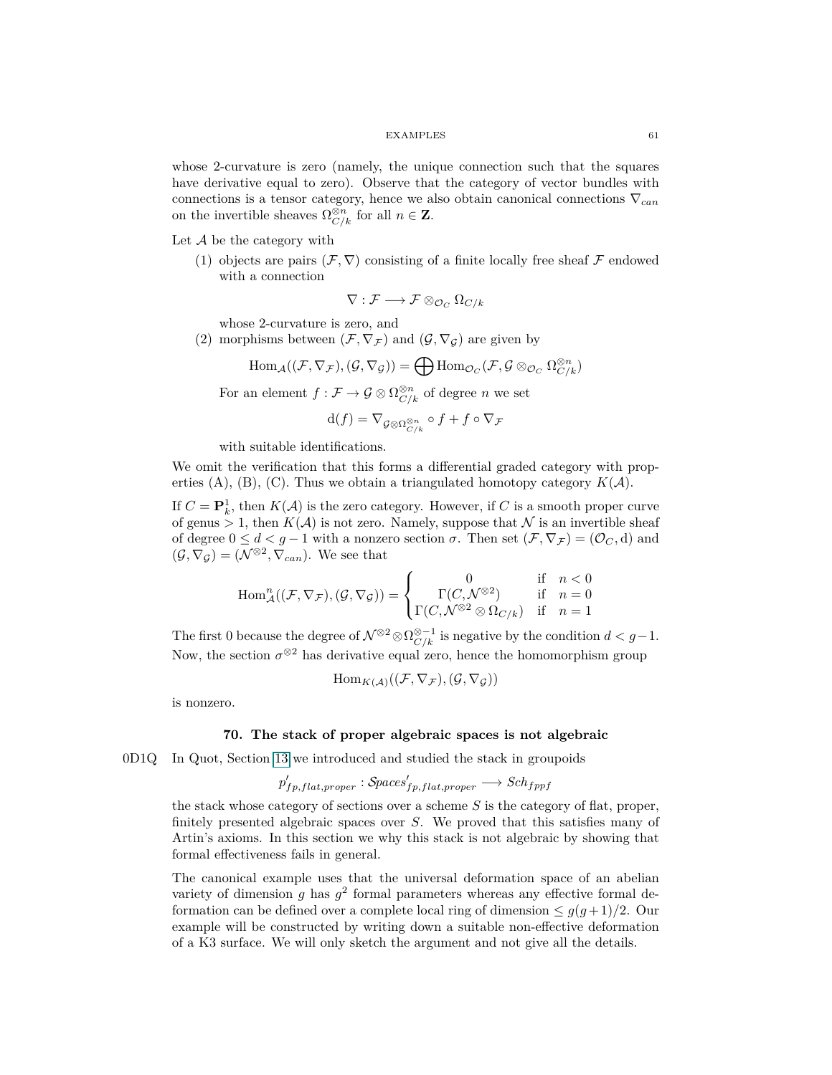whose 2-curvature is zero (namely, the unique connection such that the squares have derivative equal to zero). Observe that the category of vector bundles with connections is a tensor category, hence we also obtain canonical connections ∇*can* on the invertible sheaves  $\Omega_{C/k}^{\otimes n}$  for all  $n \in \mathbb{Z}$ .

Let  $A$  be the category with

(1) objects are pairs  $(F, \nabla)$  consisting of a finite locally free sheaf F endowed with a connection

$$
\nabla : \mathcal{F} \longrightarrow \mathcal{F} \otimes_{\mathcal{O}_C} \Omega_{C/k}
$$

whose 2-curvature is zero, and

(2) morphisms between  $(\mathcal{F}, \nabla_{\mathcal{F}})$  and  $(\mathcal{G}, \nabla_{\mathcal{G}})$  are given by

$$
\mathrm{Hom}_{\mathcal{A}}((\mathcal{F},\nabla_{\mathcal{F}}),(\mathcal{G},\nabla_{\mathcal{G}}))=\bigoplus \mathrm{Hom}_{\mathcal{O}_C}(\mathcal{F},\mathcal{G} \otimes_{\mathcal{O}_C} \Omega^{\otimes n}_{C/k})
$$

For an element  $f: \mathcal{F} \to \mathcal{G} \otimes \Omega^{\otimes n}_{C/k}$  of degree *n* we set

$$
\mathrm{d}(f)=\nabla_{\mathcal{G}\otimes \Omega^{\otimes n}_{C/k}}\circ f+f\circ \nabla_{\mathcal{F}}
$$

with suitable identifications.

We omit the verification that this forms a differential graded category with properties  $(A)$ ,  $(B)$ ,  $(C)$ . Thus we obtain a triangulated homotopy category  $K(A)$ .

If  $C = \mathbf{P}_k^1$ , then  $K(\mathcal{A})$  is the zero category. However, if *C* is a smooth proper curve of genus  $> 1$ , then  $K(A)$  is not zero. Namely, suppose that N is an invertible sheaf of degree  $0 \le d < g-1$  with a nonzero section  $\sigma$ . Then set  $(\mathcal{F}, \nabla_{\mathcal{F}}) = (\mathcal{O}_C, d)$  and  $(\mathcal{G}, \nabla_{\mathcal{G}}) = (\mathcal{N}^{\otimes 2}, \nabla_{can})$ . We see that

$$
\operatorname{Hom}_{\mathcal{A}}^n((\mathcal{F}, \nabla_{\mathcal{F}}), (\mathcal{G}, \nabla_{\mathcal{G}})) = \begin{cases} 0 & \text{if } n < 0\\ \Gamma(C, \mathcal{N}^{\otimes 2}) & \text{if } n = 0\\ \Gamma(C, \mathcal{N}^{\otimes 2} \otimes \Omega_{C/k}) & \text{if } n = 1 \end{cases}
$$

The first 0 because the degree of  $\mathcal{N}^{\otimes 2} \otimes \Omega^{\otimes -1}_{C/k}$  is negative by the condition  $d < g-1$ . Now, the section  $\sigma^{\otimes 2}$  has derivative equal zero, hence the homomorphism group

$$
\mathrm{Hom}_{K(\mathcal{A})}((\mathcal{F},\nabla_{\mathcal{F}}),(\mathcal{G},\nabla_{\mathcal{G}}))
$$

is nonzero.

# **70. The stack of proper algebraic spaces is not algebraic**

0D1Q In Quot, Section [13](#page-11-0) we introduced and studied the stack in groupoids

$$
p'_{fp, flat, proper}: \mathcal{S} paces'_{fp, flat, proper} \longrightarrow Sch_{fppf}
$$

the stack whose category of sections over a scheme *S* is the category of flat, proper, finitely presented algebraic spaces over *S*. We proved that this satisfies many of Artin's axioms. In this section we why this stack is not algebraic by showing that formal effectiveness fails in general.

The canonical example uses that the universal deformation space of an abelian variety of dimension  $g$  has  $g^2$  formal parameters whereas any effective formal deformation can be defined over a complete local ring of dimension  $\leq g(g+1)/2$ . Our example will be constructed by writing down a suitable non-effective deformation of a K3 surface. We will only sketch the argument and not give all the details.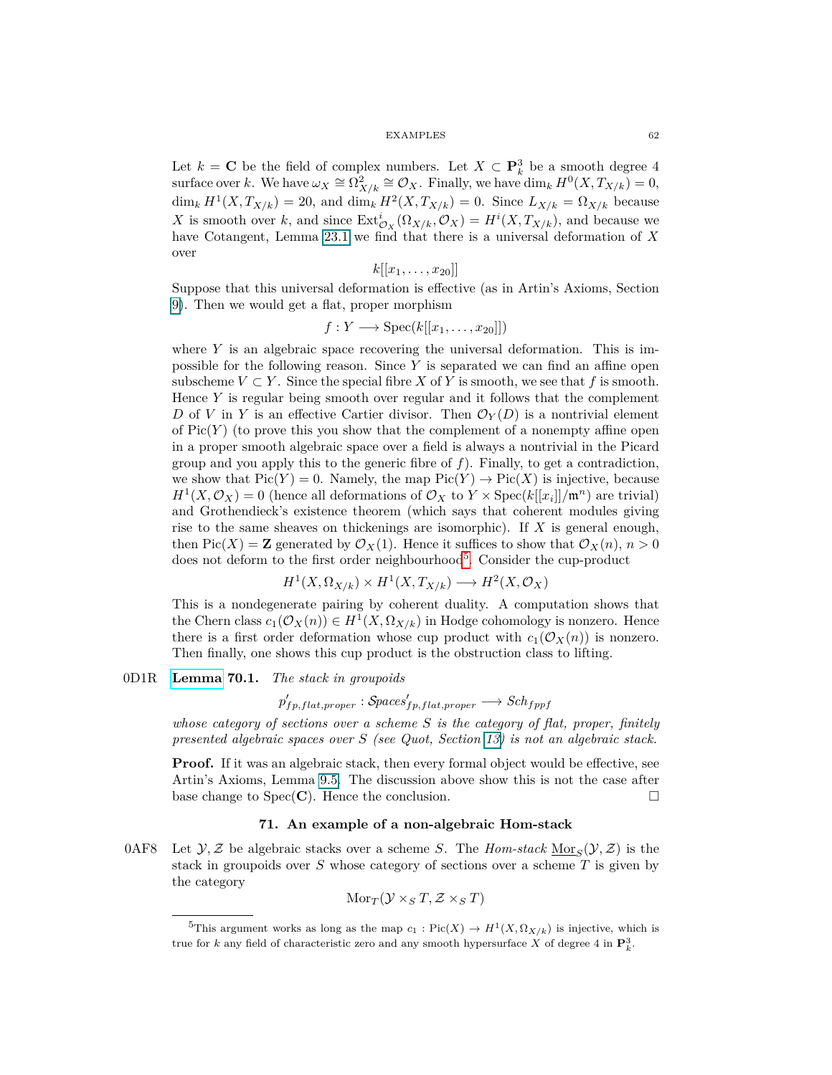Let  $k = C$  be the field of complex numbers. Let  $X \subset \mathbf{P}_k^3$  be a smooth degree 4  $\text{surface over } k. \text{ We have } \omega_X \cong \Omega^2_{X/k} \cong \mathcal{O}_X. \text{ Finally, we have } \dim_k H^0(X, T_{X/k}) = 0,$  $\dim_k H^1(X, T_{X/k}) = 20$ , and  $\dim_k H^2(X, T_{X/k}) = 0$ . Since  $L_{X/k} = \Omega_{X/k}$  because *X* is smooth over *k*, and since  $\text{Ext}^i_{\mathcal{O}_X}(\Omega_{X/k}, \mathcal{O}_X) = H^i(X, T_{X/k})$ , and because we have Cotangent, Lemma 23.1 we find that there is a universal deformation of *X* over

$$
k[[x_1,\ldots,x_{20}]]
$$

Suppose that this universal deformation is effective (as in Artin's Axioms, Section [9\)](#page-7-0). Then we would get a flat, proper morphism

$$
f: Y \longrightarrow \mathrm{Spec}(k[[x_1, \ldots, x_{20}]])
$$

where  $Y$  is an algebraic space recovering the universal deformation. This is impossible for the following reason. Since *Y* is separated we can find an affine open subscheme  $V \subset Y$ . Since the special fibre *X* of *Y* is smooth, we see that *f* is smooth. Hence *Y* is regular being smooth over regular and it follows that the complement *D* of *V* in *Y* is an effective Cartier divisor. Then  $\mathcal{O}_Y(D)$  is a nontrivial element of  $Pic(Y)$  (to prove this you show that the complement of a nonempty affine open in a proper smooth algebraic space over a field is always a nontrivial in the Picard group and you apply this to the generic fibre of *f*). Finally, to get a contradiction, we show that  $Pic(Y) = 0$ . Namely, the map  $Pic(Y) \to Pic(X)$  is injective, because  $H^1(X, \mathcal{O}_X) = 0$  (hence all deformations of  $\mathcal{O}_X$  to  $Y \times \text{Spec}(k[[x_i]]/\mathfrak{m}^n)$  are trivial) and Grothendieck's existence theorem (which says that coherent modules giving rise to the same sheaves on thickenings are isomorphic). If *X* is general enough, then Pic(*X*) = **Z** generated by  $\mathcal{O}_X(1)$ . Hence it suffices to show that  $\mathcal{O}_X(n)$ ,  $n > 0$ does not deform to the first order neighbourhood<sup>[5](#page-61-0)</sup>. Consider the cup-product

$$
H^1(X, \Omega_{X/k}) \times H^1(X, T_{X/k}) \longrightarrow H^2(X, \mathcal{O}_X)
$$

This is a nondegenerate pairing by coherent duality. A computation shows that the Chern class  $c_1(\mathcal{O}_X(n)) \in H^1(X, \Omega_{X/k})$  in Hodge cohomology is nonzero. Hence there is a first order deformation whose cup product with  $c_1(\mathcal{O}_X(n))$  is nonzero. Then finally, one shows this cup product is the obstruction class to lifting.

# 0D1R **[Lemma](https://stacks.math.columbia.edu/tag/0D1R) 70.1.** *The stack in groupoids*

 $p'_{fp, flat, proper}: \mathcal{S} paces'_{fp, flat, proper} \longrightarrow Sch_{fppf}$ 

*whose category of sections over a scheme S is the category of flat, proper, finitely presented algebraic spaces over S (see Quot, Section [13\)](#page-11-0) is not an algebraic stack.*

**Proof.** If it was an algebraic stack, then every formal object would be effective, see Artin's Axioms, Lemma 9.5. The discussion above show this is not the case after base change to  $Spec(\mathbf{C})$ . Hence the conclusion.

## **71. An example of a non-algebraic Hom-stack**

0AF8 Let  $\mathcal{Y}, \mathcal{Z}$  be algebraic stacks over a scheme *S*. The *Hom-stack*  $\underline{\text{Mor}}_{S}(\mathcal{Y}, \mathcal{Z})$  is the stack in groupoids over *S* whose category of sections over a scheme *T* is given by the category

$$
\mathrm{Mor}_T(\mathcal{Y}\times_ST,\mathcal{Z}\times_ST)
$$

<span id="page-61-0"></span><sup>&</sup>lt;sup>5</sup>This argument works as long as the map  $c_1$ : Pic $(X) \to H^1(X, \Omega_{X/k})$  is injective, which is true for *k* any field of characteristic zero and any smooth hypersurface *X* of degree 4 in  $\mathbf{P}_k^3$ .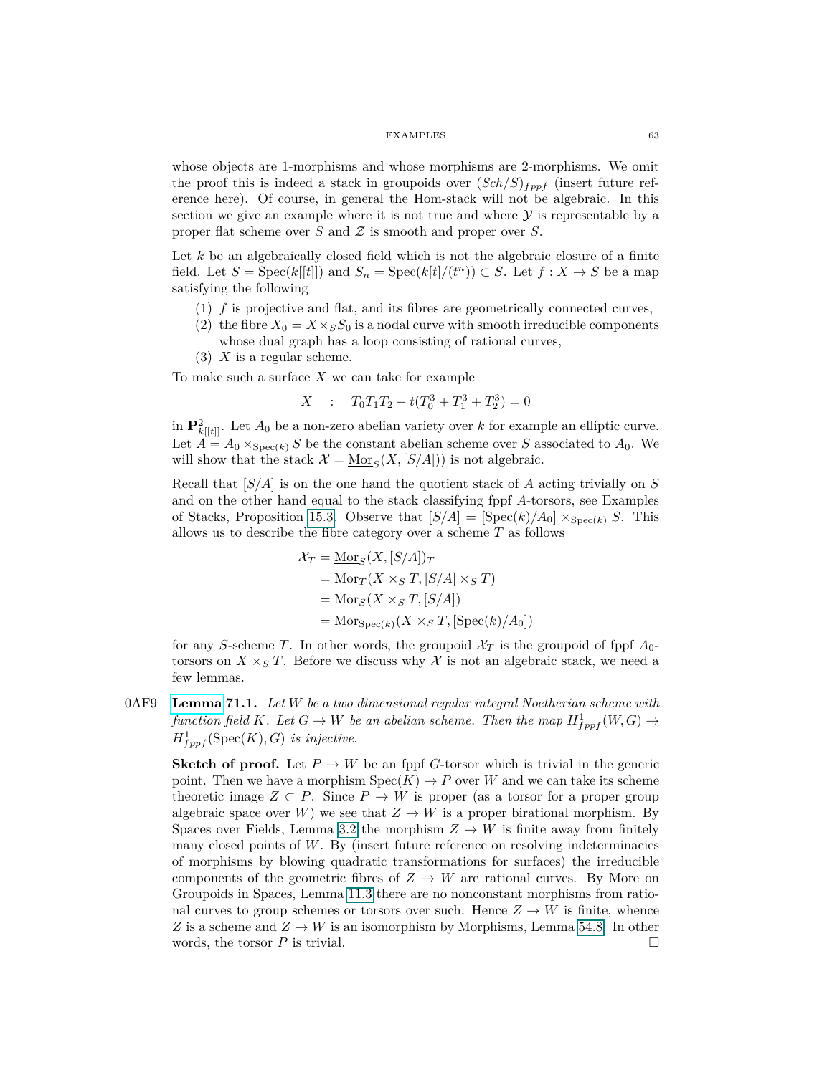whose objects are 1-morphisms and whose morphisms are 2-morphisms. We omit the proof this is indeed a stack in groupoids over  $(Sch/S)_{fppf}$  (insert future reference here). Of course, in general the Hom-stack will not be algebraic. In this section we give an example where it is not true and where  $\mathcal Y$  is representable by a proper flat scheme over *S* and Z is smooth and proper over *S*.

Let *k* be an algebraically closed field which is not the algebraic closure of a finite field. Let  $S = \text{Spec}(k[[t]])$  and  $S_n = \text{Spec}(k[t]/(t^n)) \subset S$ . Let  $f : X \to S$  be a map satisfying the following

- (1) *f* is projective and flat, and its fibres are geometrically connected curves,
- (2) the fibre  $X_0 = X \times_S S_0$  is a nodal curve with smooth irreducible components whose dual graph has a loop consisting of rational curves,
- (3) *X* is a regular scheme.

To make such a surface *X* we can take for example

$$
X : T_0T_1T_2 - t(T_0^3 + T_1^3 + T_2^3) = 0
$$

in  $\mathbf{P}^2_{k[[t]]}$ . Let  $A_0$  be a non-zero abelian variety over k for example an elliptic curve. Let  $\hat{A} = A_0 \times_{\text{Spec}(k)} S$  be the constant abelian scheme over *S* associated to  $A_0$ . We will show that the stack  $\mathcal{X} = \underline{\text{Mor}}_S(X, [S/A])$  is not algebraic.

Recall that [*S/A*] is on the one hand the quotient stack of *A* acting trivially on *S* and on the other hand equal to the stack classifying fppf *A*-torsors, see Examples of Stacks, Proposition 15.3. Observe that  $[S/A] = [\text{Spec}(k)/A_0] \times_{\text{Spec}(k)} S$ . This allows us to describe the fibre category over a scheme *T* as follows

$$
\mathcal{X}_T = \underline{\text{Mor}}_S(X, [S/A])_T
$$
  
= Mor\_T(X \times\_S T, [S/A] \times\_S T)  
= Mor\_S(X \times\_S T, [S/A])  
= Mor\_{Spec(k)}(X \times\_S T, [Spec(k)/A\_0])

for any *S*-scheme *T*. In other words, the groupoid  $\mathcal{X}_T$  is the groupoid of fppf  $A_0$ torsors on  $X \times_S T$ . Before we discuss why X is not an algebraic stack, we need a few lemmas.

<span id="page-62-0"></span>0AF9 **[Lemma](https://stacks.math.columbia.edu/tag/0AF9) 71.1.** *Let W be a two dimensional regular integral Noetherian scheme with function field K.* Let  $G \to W$  *be an abelian scheme. Then the map*  $H_{fppf}^1(W, G) \to$  $H^1_{fppf}(\text{Spec}(K), G)$  *is injective.* 

**Sketch of proof.** Let  $P \to W$  be an fppf *G*-torsor which is trivial in the generic point. Then we have a morphism  $Spec(K) \to P$  over W and we can take its scheme theoretic image  $Z \subset P$ . Since  $P \to W$  is proper (as a torsor for a proper group algebraic space over *W*) we see that  $Z \to W$  is a proper birational morphism. By Spaces over Fields, Lemma 3.2 the morphism  $Z \to W$  is finite away from finitely many closed points of *W*. By (insert future reference on resolving indeterminacies of morphisms by blowing quadratic transformations for surfaces) the irreducible components of the geometric fibres of  $Z \to W$  are rational curves. By More on Groupoids in Spaces, Lemma 11.3 there are no nonconstant morphisms from rational curves to group schemes or torsors over such. Hence  $Z \to W$  is finite, whence *Z* is a scheme and  $Z \rightarrow W$  is an isomorphism by Morphisms, Lemma 54.8. In other words, the torsor  $P$  is trivial.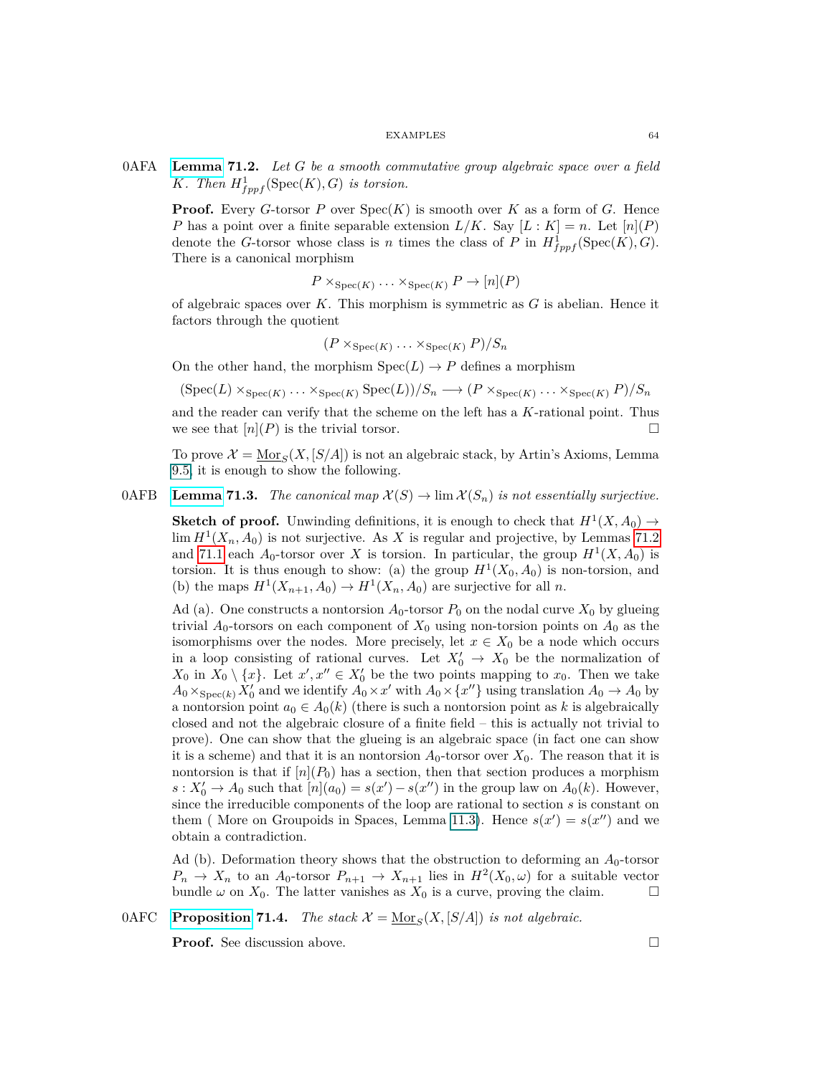0AFA **[Lemma](https://stacks.math.columbia.edu/tag/0AFA) 71.2.** *Let G be a smooth commutative group algebraic space over a field K.* Then  $H_{fppf}^1(\text{Spec}(K), G)$  *is torsion.* 

<span id="page-63-0"></span>**Proof.** Every *G*-torsor *P* over  $Spec(K)$  is smooth over *K* as a form of *G*. Hence *P* has a point over a finite separable extension  $L/K$ . Say  $[L: K] = n$ . Let  $[n](P)$ denote the *G*-torsor whose class is *n* times the class of *P* in  $H^1_{fppf}(\text{Spec}(K), G)$ . There is a canonical morphism

$$
P \times_{\operatorname{Spec}(K)} \ldots \times_{\operatorname{Spec}(K)} P \to [n](P)
$$

of algebraic spaces over *K*. This morphism is symmetric as *G* is abelian. Hence it factors through the quotient

$$
(P \times_{\text{Spec}(K)} \ldots \times_{\text{Spec}(K)} P)/S_n
$$

On the other hand, the morphism  $Spec(L) \rightarrow P$  defines a morphism

$$
(Spec(L) \times_{Spec(K)} \ldots \times_{Spec(K)} Spec(L))/S_n \longrightarrow (P \times_{Spec(K)} \ldots \times_{Spec(K)} P)/S_n
$$

and the reader can verify that the scheme on the left has a *K*-rational point. Thus we see that  $[n](P)$  is the trivial torsor.

To prove  $\mathcal{X} = \underline{\text{Mor}}_S(X, [S/A])$  is not an algebraic stack, by Artin's Axioms, Lemma 9.5, it is enough to show the following.

# 0AFB **[Lemma](https://stacks.math.columbia.edu/tag/0AFB) 71.3.** *The canonical map*  $\mathcal{X}(S) \to \lim \mathcal{X}(S_n)$  *is not essentially surjective.*

<span id="page-63-2"></span>**Sketch of proof.** Unwinding definitions, it is enough to check that  $H^1(X, A_0) \to$  $\lim H<sup>1</sup>(X<sub>n</sub>, A<sub>0</sub>)$  is not surjective. As *X* is regular and projective, by Lemmas [71.2](#page-63-0) and [71.1](#page-62-0) each  $A_0$ -torsor over *X* is torsion. In particular, the group  $H^1(X, A_0)$  is torsion. It is thus enough to show: (a) the group  $H^1(X_0, A_0)$  is non-torsion, and (b) the maps  $H^1(X_{n+1}, A_0) \to H^1(X_n, A_0)$  are surjective for all *n*.

Ad (a). One constructs a nontorsion  $A_0$ -torsor  $P_0$  on the nodal curve  $X_0$  by glueing trivial  $A_0$ -torsors on each component of  $X_0$  using non-torsion points on  $A_0$  as the isomorphisms over the nodes. More precisely, let  $x \in X_0$  be a node which occurs in a loop consisting of rational curves. Let  $X'_0 \to X_0$  be the normalization of  $X_0$  in  $X_0 \setminus \{x\}$ . Let  $x', x'' \in X'_0$  be the two points mapping to  $x_0$ . Then we take  $A_0 \times_{\text{Spec}(k)} X'_0$  and we identify  $A_0 \times x'$  with  $A_0 \times \{x''\}$  using translation  $A_0 \to A_0$  by a nontorsion point  $a_0 \in A_0(k)$  (there is such a nontorsion point as k is algebraically closed and not the algebraic closure of a finite field – this is actually not trivial to prove). One can show that the glueing is an algebraic space (in fact one can show it is a scheme) and that it is an nontorsion  $A_0$ -torsor over  $X_0$ . The reason that it is nontorsion is that if  $[n](P_0)$  has a section, then that section produces a morphism  $s: X'_0 \to A_0$  such that  $[n](a_0) = s(x') - s(x'')$  in the group law on  $A_0(k)$ . However, since the irreducible components of the loop are rational to section *s* is constant on them (More on Groupoids in Spaces, Lemma 11.3). Hence  $s(x') = s(x'')$  and we obtain a contradiction.

Ad (b). Deformation theory shows that the obstruction to deforming an  $A_0$ -torsor  $P_n \to X_n$  to an  $A_0$ -torsor  $P_{n+1} \to X_{n+1}$  lies in  $H^2(X_0, \omega)$  for a suitable vector bundle  $\omega$  on  $X_0$ . The latter vanishes as  $X_0$  is a curve, proving the claim.

0AFC **[Proposition](https://stacks.math.columbia.edu/tag/0AFC) 71.4.** *The stack*  $\mathcal{X} = \underline{\text{Mor}}_S(X, [S/A])$  *is not algebraic.* 

<span id="page-63-1"></span>**Proof.** See discussion above. □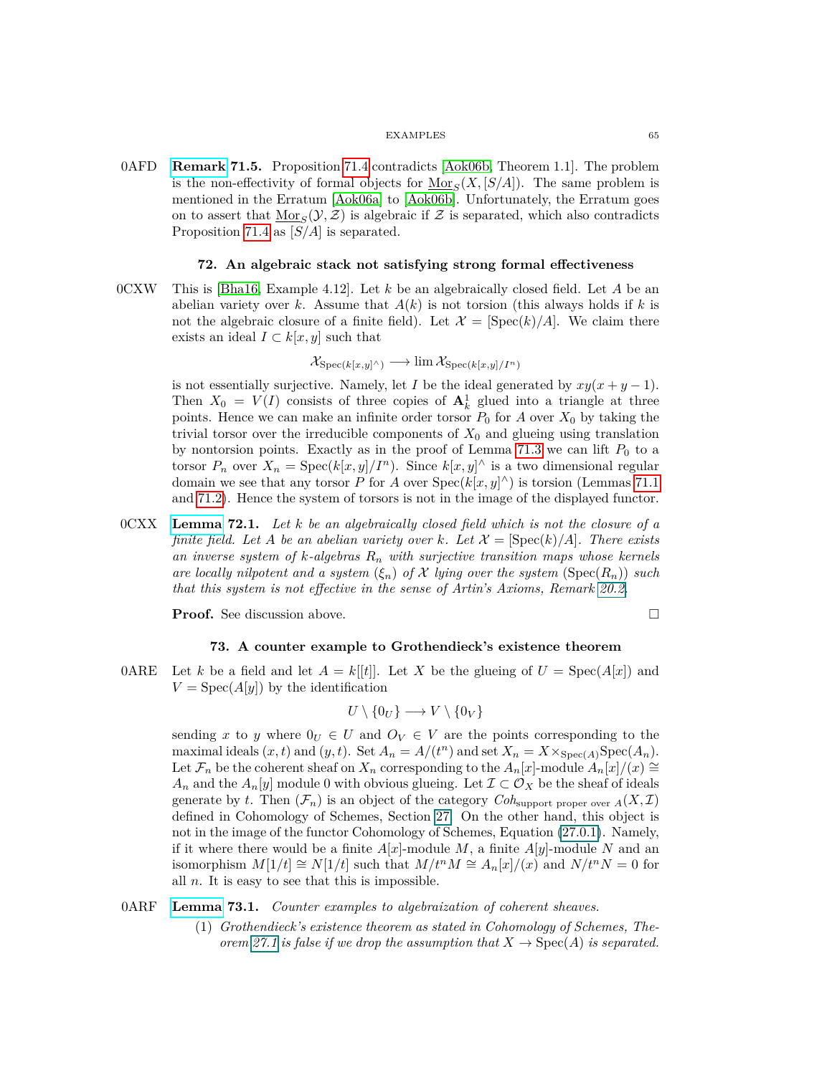0AFD **Remark 71.5.** Proposition [71.4](#page-63-1) contradicts [\[Aok06b,](#page-74-5) Theorem 1.1]. The problem is the non-effectivity of formal objects for  $\underline{\text{Mor}}_S(X, [S/A])$ . The same problem is mentioned in the Erratum [\[Aok06a\]](#page-74-6) to [\[Aok06b\]](#page-74-5). Unfortunately, the Erratum goes on to assert that  $\underline{\text{Mor}}_S(\mathcal{Y}, \mathcal{Z})$  is algebraic if  $\mathcal Z$  is separated, which also contradicts Proposition [71.4](#page-63-1) as [*S/A*] is separated.

## **72. An algebraic stack not satisfying strong formal effectiveness**

0CXW This is [\[Bha16,](#page-74-7) Example 4.12]. Let *k* be an algebraically closed field. Let *A* be an abelian variety over *k*. Assume that  $A(k)$  is not torsion (this always holds if *k* is not the algebraic closure of a finite field). Let  $\mathcal{X} = [\text{Spec}(k)/A]$ . We claim there exists an ideal  $I \subset k[x, y]$  such that

$$
\mathcal{X}_{\mathrm{Spec}(k[x,y]\wedge)} \longrightarrow \lim \mathcal{X}_{\mathrm{Spec}(k[x,y]/I^n)}
$$

is not essentially surjective. Namely, let *I* be the ideal generated by  $xy(x+y-1)$ . Then  $X_0 = V(I)$  consists of three copies of  $A_k^1$  glued into a triangle at three points. Hence we can make an infinite order torsor  $P_0$  for  $A$  over  $X_0$  by taking the trivial torsor over the irreducible components of  $X_0$  and glueing using translation by nontorsion points. Exactly as in the proof of Lemma [71.3](#page-63-2) we can lift  $P_0$  to a torsor  $P_n$  over  $X_n = \text{Spec}(k[x, y]/I^n)$ . Since  $k[x, y]^{\wedge}$  is a two dimensional regular domain we see that any torsor *P* for *A* over  $Spec(k[x, y]^\wedge)$  is torsion (Lemmas [71.1](#page-62-0)) and [71.2\)](#page-63-0). Hence the system of torsors is not in the image of the displayed functor.

0CXX **[Lemma](https://stacks.math.columbia.edu/tag/0CXX) 72.1.** *Let k be an algebraically closed field which is not the closure of a finite field. Let A be an abelian variety over k. Let*  $\mathcal{X} = [\text{Spec}(k)/A]$ *. There exists an inverse system of k-algebras R<sup>n</sup> with surjective transition maps whose kernels are locally nilpotent and a system*  $(\xi_n)$  *of* X *lying over the system* (Spec $(R_n)$ ) *such that this system is not effective in the sense of Artin's Axioms, Remark 20.2.*

**Proof.** See discussion above.

$$
\overline{a}
$$

# **73. A counter example to Grothendieck's existence theorem**

0ARE Let *k* be a field and let  $A = k[[t]]$ . Let *X* be the glueing of  $U = \text{Spec}(A[x])$  and  $V = \text{Spec}(A[y])$  by the identification

$$
U \setminus \{0_U\} \longrightarrow V \setminus \{0_V\}
$$

sending x to y where  $0_V \in U$  and  $O_V \in V$  are the points corresponding to the maximal ideals  $(x, t)$  and  $(y, t)$ . Set  $A_n = A/(t^n)$  and set  $X_n = X \times_{\text{Spec}(A)} \text{Spec}(A_n)$ . Let  $\mathcal{F}_n$  be the coherent sheaf on  $X_n$  corresponding to the  $A_n[x]$ -module  $A_n[x]/(x) \cong$ *A<sub>n</sub>* and the *A*<sub>*n*</sub>[*y*] module 0 with obvious glueing. Let  $\mathcal{I} \subset \mathcal{O}_X$  be the sheaf of ideals generate by *t*. Then  $(\mathcal{F}_n)$  is an object of the category  $Coh_{\text{support proper over }A}(X,\mathcal{I})$ defined in Cohomology of Schemes, Section [27.](#page-23-0) On the other hand, this object is not in the image of the functor Cohomology of Schemes, Equation (27.0.1). Namely, if it where there would be a finite  $A[x]$ -module *M*, a finite  $A[y]$ -module *N* and an isomorphism  $M[1/t] \cong N[1/t]$  such that  $M/t^nM \cong A_n[x]/(x)$  and  $N/t^nN = 0$  for all *n*. It is easy to see that this is impossible.

# 0ARF **[Lemma](https://stacks.math.columbia.edu/tag/0ARF) 73.1.** *Counter examples to algebraization of coherent sheaves.*

(1) *Grothendieck's existence theorem as stated in Cohomology of Schemes, Theorem* [27.1](#page-24-0) *is false if we drop the assumption that*  $X \to \text{Spec}(A)$  *is separated.*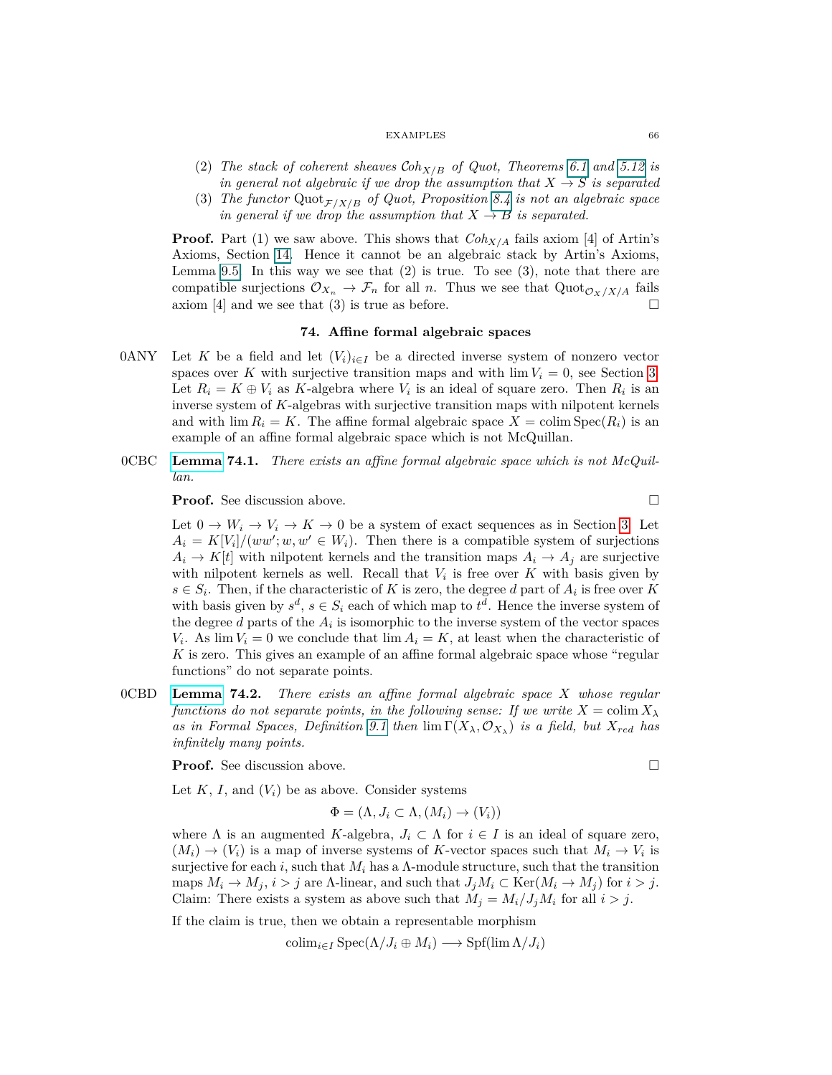- (2) *The stack of coherent sheaves* C*ohX/B of Quot, Theorems 6.1 and 5.12 is in general not algebraic if we drop the assumption that*  $X \rightarrow S$  *is separated*
- (3) *The functor* Quot $_{F/X/B}$  *of Quot, Proposition 8.4 is not an algebraic space in general if we drop the assumption that*  $X \rightarrow B$  *is separated.*

**Proof.** Part (1) we saw above. This shows that  $Coh_{X/A}$  fails axiom [4] of Artin's Axioms, Section [14.](#page-12-0) Hence it cannot be an algebraic stack by Artin's Axioms, Lemma 9.5. In this way we see that (2) is true. To see (3), note that there are compatible surjections  $\mathcal{O}_{X_n} \to \mathcal{F}_n$  for all *n*. Thus we see that  $Quot_{\mathcal{O}_X/X/A}$  fails axiom [4] and we see that (3) is true as before.

## **74. Affine formal algebraic spaces**

- 0ANY Let K be a field and let  $(V_i)_{i \in I}$  be a directed inverse system of nonzero vector spaces over *K* with surjective transition maps and with  $\lim V_i = 0$ , see Section [3.](#page-2-0) Let  $R_i = K \oplus V_i$  as K-algebra where  $V_i$  is an ideal of square zero. Then  $R_i$  is an inverse system of *K*-algebras with surjective transition maps with nilpotent kernels and with  $\lim R_i = K$ . The affine formal algebraic space  $X = \text{colim Spec}(R_i)$  is an example of an affine formal algebraic space which is not McQuillan.
- 0CBC **[Lemma](https://stacks.math.columbia.edu/tag/0CBC) 74.1.** *There exists an affine formal algebraic space which is not McQuillan.*

**Proof.** See discussion above. □

Let  $0 \to W_i \to V_i \to K \to 0$  be a system of exact sequences as in Section [3.](#page-2-0) Let  $A_i = K[V_i]/(ww'; w, w' \in W_i)$ . Then there is a compatible system of surjections  $A_i \rightarrow K[t]$  with nilpotent kernels and the transition maps  $A_i \rightarrow A_j$  are surjective with nilpotent kernels as well. Recall that  $V_i$  is free over  $K$  with basis given by  $s \in S_i$ . Then, if the characteristic of *K* is zero, the degree *d* part of  $A_i$  is free over *K* with basis given by  $s^d$ ,  $s \in S_i$  each of which map to  $t^d$ . Hence the inverse system of the degree  $d$  parts of the  $A_i$  is isomorphic to the inverse system of the vector spaces *V*<sub>*i*</sub>. As lim  $V_i = 0$  we conclude that lim  $A_i = K$ , at least when the characteristic of *K* is zero. This gives an example of an affine formal algebraic space whose "regular functions" do not separate points.

0CBD **[Lemma](https://stacks.math.columbia.edu/tag/0CBD) 74.2.** *There exists an affine formal algebraic space X whose regular functions do not separate points, in the following sense: If we write*  $X = \text{colim } X_\lambda$ *as in Formal Spaces, Definition* [9.1](#page-7-1) *then*  $\lim \Gamma(X_\lambda, \mathcal{O}_{X_\lambda})$  *is a field, but*  $X_{red}$  *has infinitely many points.*

**Proof.** See discussion above.

Let  $K$ ,  $I$ , and  $(V_i)$  be as above. Consider systems

$$
\Phi = (\Lambda, J_i \subset \Lambda, (M_i) \to (V_i))
$$

where  $\Lambda$  is an augmented *K*-algebra,  $J_i \subset \Lambda$  for  $i \in I$  is an ideal of square zero,  $(M_i) \rightarrow (V_i)$  is a map of inverse systems of K-vector spaces such that  $M_i \rightarrow V_i$  is surjective for each *i*, such that  $M_i$  has a  $\Lambda$ -module structure, such that the transition maps  $M_i \to M_j$ ,  $i > j$  are  $\Lambda$ -linear, and such that  $J_jM_i \subset \text{Ker}(M_i \to M_j)$  for  $i > j$ . Claim: There exists a system as above such that  $M_i = M_i / J_i M_i$  for all  $i > j$ .

If the claim is true, then we obtain a representable morphism

$$
\operatorname{colim}_{i \in I} \operatorname{Spec}(\Lambda/J_i \oplus M_i) \longrightarrow \operatorname{Spf}(\lim \Lambda/J_i)
$$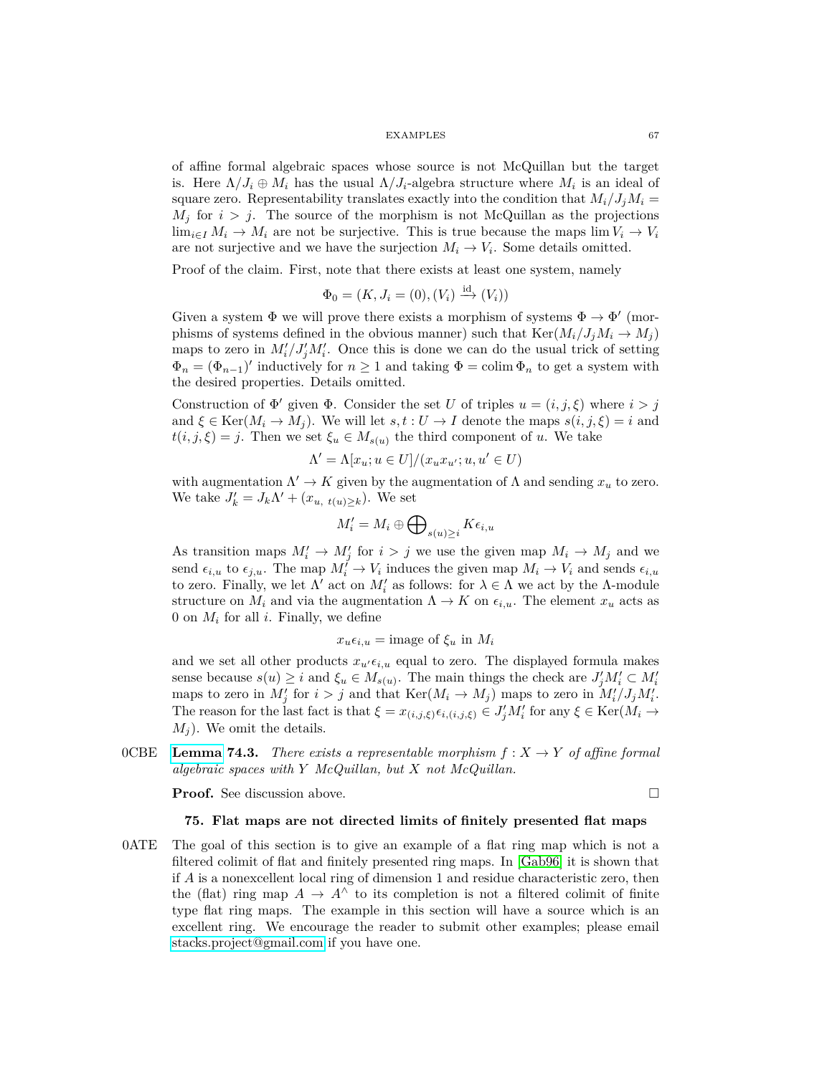of affine formal algebraic spaces whose source is not McQuillan but the target is. Here  $\Lambda/J_i \oplus M_i$  has the usual  $\Lambda/J_i$ -algebra structure where  $M_i$  is an ideal of square zero. Representability translates exactly into the condition that  $M_i/J_iM_i =$  $M_j$  for  $i > j$ . The source of the morphism is not McQuillan as the projections lim<sub>*i*∈*I*</sub>  $M_i \rightarrow M_i$  are not be surjective. This is true because the maps lim  $V_i \rightarrow V_i$ are not surjective and we have the surjection  $M_i \to V_i$ . Some details omitted.

Proof of the claim. First, note that there exists at least one system, namely

$$
\Phi_0 = (K, J_i = (0), (V_i) \xrightarrow{\mathrm{id}} (V_i))
$$

Given a system  $\Phi$  we will prove there exists a morphism of systems  $\Phi \to \Phi'$  (morphisms of systems defined in the obvious manner) such that  $\text{Ker}(M_i/J_iM_i \rightarrow M_i)$ maps to zero in  $M_i'/J_j'M_i'$ . Once this is done we can do the usual trick of setting  $\Phi_n = (\Phi_{n-1})'$  inductively for  $n \geq 1$  and taking  $\Phi = \text{colim } \Phi_n$  to get a system with the desired properties. Details omitted.

Construction of  $\Phi'$  given  $\Phi$ . Consider the set *U* of triples  $u = (i, j, \xi)$  where  $i > j$ and  $\xi \in \text{Ker}(M_i \to M_j)$ . We will let  $s, t : U \to I$  denote the maps  $s(i, j, \xi) = i$  and  $t(i, j, \xi) = j$ . Then we set  $\xi_u \in M_{s(u)}$  the third component of *u*. We take

$$
\Lambda' = \Lambda[x_u; u \in U]/(x_u x_{u'}; u, u' \in U)
$$

with augmentation  $\Lambda' \to K$  given by the augmentation of  $\Lambda$  and sending  $x_u$  to zero. We take  $J'_k = J_k \Lambda' + (x_{u, t(u) \ge k})$ . We set

$$
M_i' = M_i \oplus \bigoplus\nolimits_{s(u)\geq i} K\epsilon_{i,u}
$$

As transition maps  $M'_i \to M'_j$  for  $i > j$  we use the given map  $M_i \to M_j$  and we send  $\epsilon_{i,u}$  to  $\epsilon_{j,u}$ . The map  $M_i^{\prime} \to V_i$  induces the given map  $M_i \to V_i$  and sends  $\epsilon_{i,u}$ to zero. Finally, we let  $\Lambda'$  act on  $M'_i$  as follows: for  $\lambda \in \Lambda$  we act by the  $\Lambda$ -module structure on  $M_i$  and via the augmentation  $\Lambda \to K$  on  $\epsilon_{i,u}$ . The element  $x_u$  acts as 0 on *M<sup>i</sup>* for all *i*. Finally, we define

$$
x_u \epsilon_{i,u} = \text{image of } \xi_u \text{ in } M_i
$$

and we set all other products  $x_{u' \in i, u}$  equal to zero. The displayed formula makes sense because  $s(u) \geq i$  and  $\xi_u \in M_{s(u)}$ . The main things the check are  $J'_jM'_i \subset M'_i$ maps to zero in  $M'_j$  for  $i > j$  and that  $\text{Ker}(M_i \to M_j)$  maps to zero in  $M'_i/J_jM'_i$ . The reason for the last fact is that  $\xi = x_{(i,j,\xi)} \epsilon_{i,(i,j,\xi)} \in J'_j M'_i$  for any  $\xi \in \text{Ker}(M_i \to \xi)$  $M_i$ ). We omit the details.

OCBE [Lemma](https://stacks.math.columbia.edu/tag/0CBE) 74.3. There exists a representable morphism  $f: X \to Y$  of affine formal *algebraic spaces with Y McQuillan, but X not McQuillan.*

**Proof.** See discussion above.

# **75. Flat maps are not directed limits of finitely presented flat maps**

0ATE The goal of this section is to give an example of a flat ring map which is not a filtered colimit of flat and finitely presented ring maps. In [\[Gab96\]](#page-74-8) it is shown that if *A* is a nonexcellent local ring of dimension 1 and residue characteristic zero, then the (flat) ring map  $A \to A^{\wedge}$  to its completion is not a filtered colimit of finite type flat ring maps. The example in this section will have a source which is an excellent ring. We encourage the reader to submit other examples; please email [stacks.project@gmail.com](mailto:stacks.project@gmail.com) if you have one.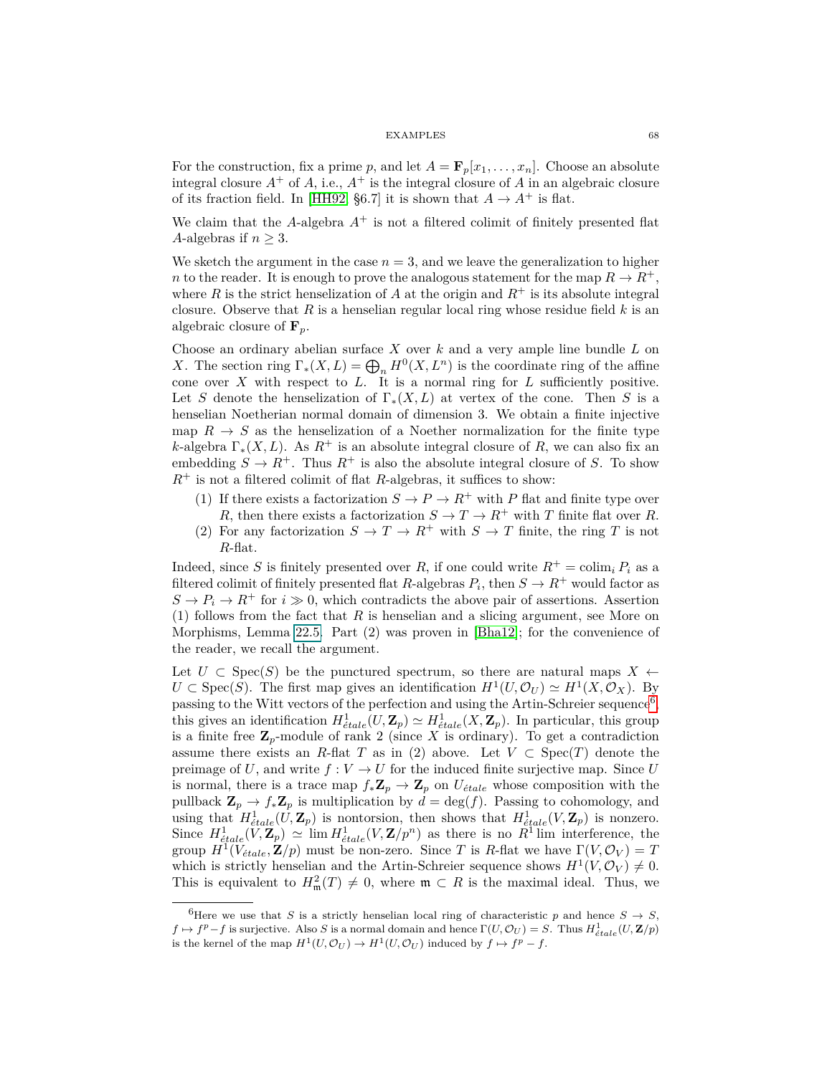For the construction, fix a prime p, and let  $A = \mathbf{F}_p[x_1, \ldots, x_n]$ . Choose an absolute integral closure  $A^+$  of  $A$ , i.e.,  $A^+$  is the integral closure of  $A$  in an algebraic closure of its fraction field. In [\[HH92,](#page-75-1) §6.7] it is shown that  $A \to A^+$  is flat.

We claim that the  $A$ -algebra  $A^+$  is not a filtered colimit of finitely presented flat *A*-algebras if  $n \geq 3$ .

We sketch the argument in the case  $n = 3$ , and we leave the generalization to higher *n* to the reader. It is enough to prove the analogous statement for the map  $R \to R^+$ , where *R* is the strict henselization of *A* at the origin and  $R^+$  is its absolute integral closure. Observe that *R* is a henselian regular local ring whose residue field *k* is an algebraic closure of **F***p*.

Choose an ordinary abelian surface *X* over *k* and a very ample line bundle *L* on *X*. The section ring  $\Gamma_*(X, L) = \bigoplus_n H^0(X, L^n)$  is the coordinate ring of the affine cone over *X* with respect to *L*. It is a normal ring for *L* sufficiently positive. Let *S* denote the henselization of  $\Gamma_*(X, L)$  at vertex of the cone. Then *S* is a henselian Noetherian normal domain of dimension 3. We obtain a finite injective map  $R \to S$  as the henselization of a Noether normalization for the finite type *k*-algebra  $\Gamma_*(X, L)$ . As  $R^+$  is an absolute integral closure of R, we can also fix an embedding  $S \to R^+$ . Thus  $R^+$  is also the absolute integral closure of *S*. To show  $R^+$  is not a filtered colimit of flat *R*-algebras, it suffices to show:

- (1) If there exists a factorization  $S \to P \to R^+$  with *P* flat and finite type over *R*, then there exists a factorization  $S \to T \to R^+$  with *T* finite flat over *R*.
- (2) For any factorization  $S \to T \to R^+$  with  $S \to T$  finite, the ring *T* is not *R*-flat.

Indeed, since *S* is finitely presented over *R*, if one could write  $R^+ = \text{colim}_i P_i$  as a filtered colimit of finitely presented flat *R*-algebras  $P_i$ , then  $S \to R^+$  would factor as  $S \to P_i \to R^+$  for  $i \gg 0$ , which contradicts the above pair of assertions. Assertion (1) follows from the fact that *R* is henselian and a slicing argument, see More on Morphisms, Lemma 22.5. Part (2) was proven in [\[Bha12\]](#page-74-9); for the convenience of the reader, we recall the argument.

Let  $U \subset \text{Spec}(S)$  be the punctured spectrum, so there are natural maps  $X \leftarrow$  $U \subset \text{Spec}(S)$ . The first map gives an identification  $H^1(U, \mathcal{O}_U) \simeq H^1(X, \mathcal{O}_X)$ . By passing to the Witt vectors of the perfection and using the Artin-Schreier sequence<sup>[6](#page-67-0)</sup>, this gives an identification  $H^1_{\text{\'{e}tale}}(U, \mathbf{Z}_p) \simeq H^1_{\text{\'{e}tale}}(X, \mathbf{Z}_p)$ . In particular, this group is a finite free  $\mathbb{Z}_p$ -module of rank 2 (since X is ordinary). To get a contradiction assume there exists an *R*-flat *T* as in (2) above. Let  $V \subset \text{Spec}(T)$  denote the preimage of U, and write  $f: V \to U$  for the induced finite surjective map. Since U is normal, there is a trace map  $f_* \mathbb{Z}_p \to \mathbb{Z}_p$  on  $U_{\text{\'etale}}$  whose composition with the pullback  $\mathbf{Z}_p \to f_* \mathbf{Z}_p$  is multiplication by  $d = \deg(f)$ . Passing to cohomology, and using that  $H^1_{\text{\'etale}}(U, \mathbf{Z}_p)$  is nontorsion, then shows that  $H^1_{\text{\'etale}}(V, \mathbf{Z}_p)$  is nonzero. Since  $H^1_{\text{\'etale}}(V, \mathbf{Z}_p) \simeq \lim H^1_{\text{\'etale}}(V, \mathbf{Z}/p^n)$  as there is no  $R^1$  lim interference, the group  $H^1(V_{\text{\'etale}}, \mathbf{Z}/p)$  must be non-zero. Since *T* is *R*-flat we have  $\Gamma(V, \mathcal{O}_V) = T$ which is strictly henselian and the Artin-Schreier sequence shows  $H^1(V, \mathcal{O}_V) \neq 0$ . This is equivalent to  $H^2_{\mathfrak{m}}(T) \neq 0$ , where  $\mathfrak{m} \subset R$  is the maximal ideal. Thus, we

<span id="page-67-0"></span><sup>&</sup>lt;sup>6</sup>Here we use that *S* is a strictly henselian local ring of characteristic *p* and hence  $S \rightarrow S$ ,  $f \mapsto f^p - f$  is surjective. Also *S* is a normal domain and hence  $\Gamma(U, \mathcal{O}_U) = S$ . Thus  $H^1_{\text{\'{e}tale}}(U, \mathbf{Z}/p)$ is the kernel of the map  $H^1(U, \mathcal{O}_U) \to H^1(U, \mathcal{O}_U)$  induced by  $f \mapsto f^p - f$ .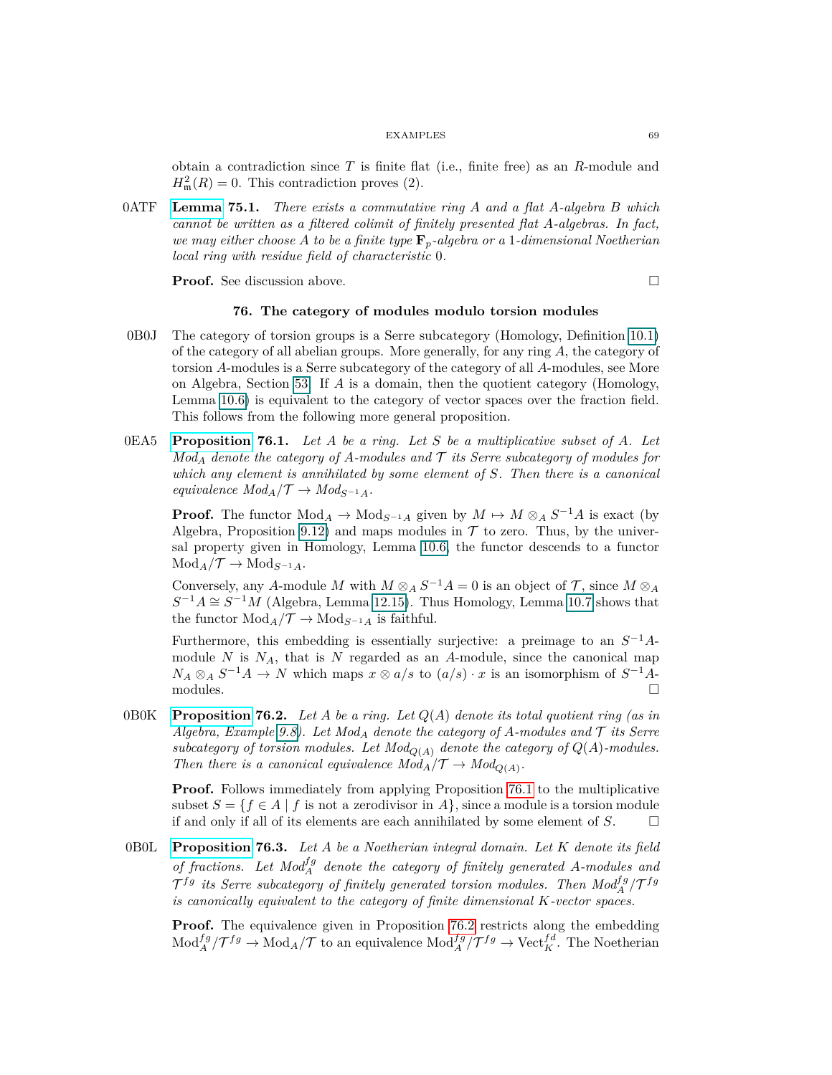obtain a contradiction since *T* is finite flat (i.e., finite free) as an *R*-module and  $H_{\mathfrak{m}}^2(R) = 0$ . This contradiction proves (2).

0ATF **[Lemma](https://stacks.math.columbia.edu/tag/0ATF) 75.1.** *There exists a commutative ring A and a flat A-algebra B which cannot be written as a filtered colimit of finitely presented flat A-algebras. In fact, we may either choose A to be a finite type* **F***p-algebra or a* 1*-dimensional Noetherian local ring with residue field of characteristic* 0*.*

**Proof.** See discussion above. □

# **76. The category of modules modulo torsion modules**

- 0B0J The category of torsion groups is a Serre subcategory (Homology, Definition [10.1\)](#page-8-0) of the category of all abelian groups. More generally, for any ring *A*, the category of torsion *A*-modules is a Serre subcategory of the category of all *A*-modules, see More on Algebra, Section [53.](#page-43-0) If *A* is a domain, then the quotient category (Homology, Lemma 10.6) is equivalent to the category of vector spaces over the fraction field. This follows from the following more general proposition.
- <span id="page-68-0"></span>0EA5 **[Proposition](https://stacks.math.columbia.edu/tag/0EA5) 76.1.** *Let A be a ring. Let S be a multiplicative subset of A. Let*  $Mod<sub>A</sub>$  *denote the category of A-modules and*  $\mathcal T$  *its Serre subcategory of modules for which any element is annihilated by some element of S. Then there is a canonical equivalence*  $Mod_A / \mathcal{T} \rightarrow Mod_{S^{-1}A}$ *.*

**Proof.** The functor  $Mod_A \to Mod_{S^{-1}A}$  given by  $M \mapsto M \otimes_A S^{-1}A$  is exact (by Algebra, Proposition 9.12) and maps modules in  $\mathcal T$  to zero. Thus, by the universal property given in Homology, Lemma 10.6, the functor descends to a functor  $Mod_A / \mathcal{T} \rightarrow Mod_{S^{-1}A}$ .

Conversely, any *A*-module *M* with  $M \otimes_A S^{-1}A = 0$  is an object of  $\mathcal{T}$ , since  $M \otimes_A \mathcal{T}$  $S^{-1}A \cong S^{-1}M$  (Algebra, Lemma 12.15). Thus Homology, Lemma 10.7 shows that the functor  $Mod_A/\mathcal{T} \to Mod_{S^{-1}A}$  is faithful.

Furthermore, this embedding is essentially surjective: a preimage to an  $S^{-1}A$ module  $N$  is  $N_A$ , that is  $N$  regarded as an  $A$ -module, since the canonical map  $N_A \otimes_A S^{-1}A \to N$  which maps  $x \otimes a/s$  to  $(a/s) \cdot x$  is an isomorphism of  $S^{-1}A$  $\Box$  modules.  $\Box$ 

<span id="page-68-1"></span>0B0K **[Proposition](https://stacks.math.columbia.edu/tag/0B0K) 76.2.** *Let A be a ring. Let Q*(*A*) *denote its total quotient ring (as in Algebra, Example 9.8). Let Mod<sup>A</sup> denote the category of A-modules and* T *its Serre* subcategory of torsion modules. Let  $Mod_{Q(A)}$  denote the category of  $Q(A)$ -modules. *Then there is a canonical equivalence*  $Mod_A / \mathcal{T} \rightarrow Mod_{Q(A)}$ .

**Proof.** Follows immediately from applying Proposition [76.1](#page-68-0) to the multiplicative subset  $S = \{f \in A \mid f \text{ is not a zero divisor in } A\}$ , since a module is a torsion module if and only if all of its elements are each annihilated by some element of  $S$ .  $\Box$ 

0B0L **[Proposition](https://stacks.math.columbia.edu/tag/0B0L) 76.3.** *Let A be a Noetherian integral domain. Let K denote its field of fractions.* Let  $Mod_A^{fg}$  denote the category of finitely generated A-modules and  $\mathcal{T}^{fg}$  *its Serre subcategory of finitely generated torsion modules. Then*  $Mod_A^{fg}/\mathcal{T}^{fg}$ *is canonically equivalent to the category of finite dimensional K-vector spaces.*

**Proof.** The equivalence given in Proposition [76.2](#page-68-1) restricts along the embedding  $Mod_A^{fg}/T^{fg} \to Mod_A/T$  to an equivalence  $Mod_A^{fg}/T^{fg} \to Vect_K^{fd}$ . The Noetherian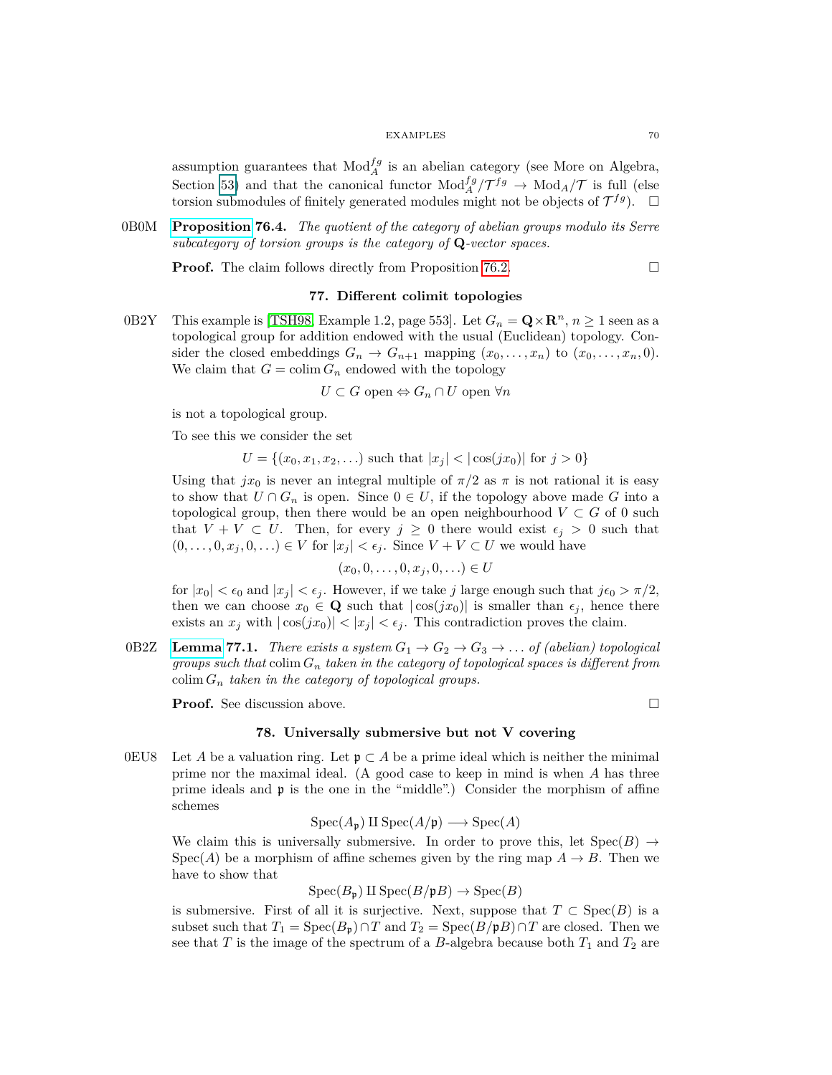assumption guarantees that  $Mod_A^{fg}$  is an abelian category (see More on Algebra, Section [53\)](#page-43-0) and that the canonical functor  $Mod_A^{\{fg\}}/\mathcal{T}^{fg} \to Mod_A/\mathcal{T}$  is full (else torsion submodules of finitely generated modules might not be objects of  $\mathcal{T}^{fg}$ ).  $\Box$ 

0B0M **[Proposition](https://stacks.math.columbia.edu/tag/0B0M) 76.4.** *The quotient of the category of abelian groups modulo its Serre subcategory of torsion groups is the category of* **Q***-vector spaces.*

**Proof.** The claim follows directly from Proposition [76.2.](#page-68-1) □

# **77. Different colimit topologies**

0B2Y This example is [\[TSH98,](#page-75-2) Example 1.2, page 553]. Let  $G_n = \mathbf{Q} \times \mathbf{R}^n$ ,  $n \ge 1$  seen as a topological group for addition endowed with the usual (Euclidean) topology. Consider the closed embeddings  $G_n \to G_{n+1}$  mapping  $(x_0, \ldots, x_n)$  to  $(x_0, \ldots, x_n, 0)$ . We claim that  $G = \text{colim } G_n$  endowed with the topology

$$
U \subset G \text{ open} \Leftrightarrow G_n \cap U \text{ open } \forall n
$$

is not a topological group.

To see this we consider the set

$$
U = \{(x_0, x_1, x_2, \ldots) \text{ such that } |x_j| < |\cos(jx_0)| \text{ for } j > 0\}
$$

Using that  $jx_0$  is never an integral multiple of  $\pi/2$  as  $\pi$  is not rational it is easy to show that  $U \cap G_n$  is open. Since  $0 \in U$ , if the topology above made G into a topological group, then there would be an open neighbourhood  $V \subset G$  of 0 such that  $V + V \subset U$ . Then, for every  $j \geq 0$  there would exist  $\epsilon_j > 0$  such that  $(0, \ldots, 0, x_j, 0, \ldots) \in V$  for  $|x_j| < \epsilon_j$ . Since  $V + V \subset U$  we would have

$$
(x_0,0,\ldots,0,x_j,0,\ldots)\in U
$$

for  $|x_0| < \epsilon_0$  and  $|x_j| < \epsilon_j$ . However, if we take *j* large enough such that  $j\epsilon_0 > \pi/2$ , then we can choose  $x_0 \in \mathbf{Q}$  such that  $|\cos(jx_0)|$  is smaller than  $\epsilon_j$ , hence there exists an  $x_j$  with  $|\cos(jx_0)| < |x_j| < \epsilon_j$ . This contradiction proves the claim.

0B2Z **[Lemma](https://stacks.math.columbia.edu/tag/0B2Z) 77.1.** *There exists a system*  $G_1 \rightarrow G_2 \rightarrow G_3 \rightarrow \ldots$  *of (abelian) topological groups such that* colim *G<sup>n</sup> taken in the category of topological spaces is different from* colim  $G_n$  *taken in the category of topological groups.* 

**Proof.** See discussion above. □

# **78. Universally submersive but not V covering**

0EU8 Let *A* be a valuation ring. Let  $\mathfrak{p} \subset A$  be a prime ideal which is neither the minimal prime nor the maximal ideal. (A good case to keep in mind is when *A* has three prime ideals and p is the one in the "middle".) Consider the morphism of affine schemes

$$
Spec(A_{\mathfrak{p}}) \amalg Spec(A/\mathfrak{p}) \longrightarrow Spec(A)
$$

We claim this is universally submersive. In order to prove this, let  $\text{Spec}(B) \to$  $Spec(A)$  be a morphism of affine schemes given by the ring map  $A \rightarrow B$ . Then we have to show that

 $Spec(B_p) \amalg Spec(B/pB) \rightarrow Spec(B)$ 

is submersive. First of all it is surjective. Next, suppose that  $T \subset \text{Spec}(B)$  is a subset such that  $T_1 = \text{Spec}(B_{\mathfrak{p}}) \cap T$  and  $T_2 = \text{Spec}(B/\mathfrak{p}B) \cap T$  are closed. Then we see that  $T$  is the image of the spectrum of a  $B$ -algebra because both  $T_1$  and  $T_2$  are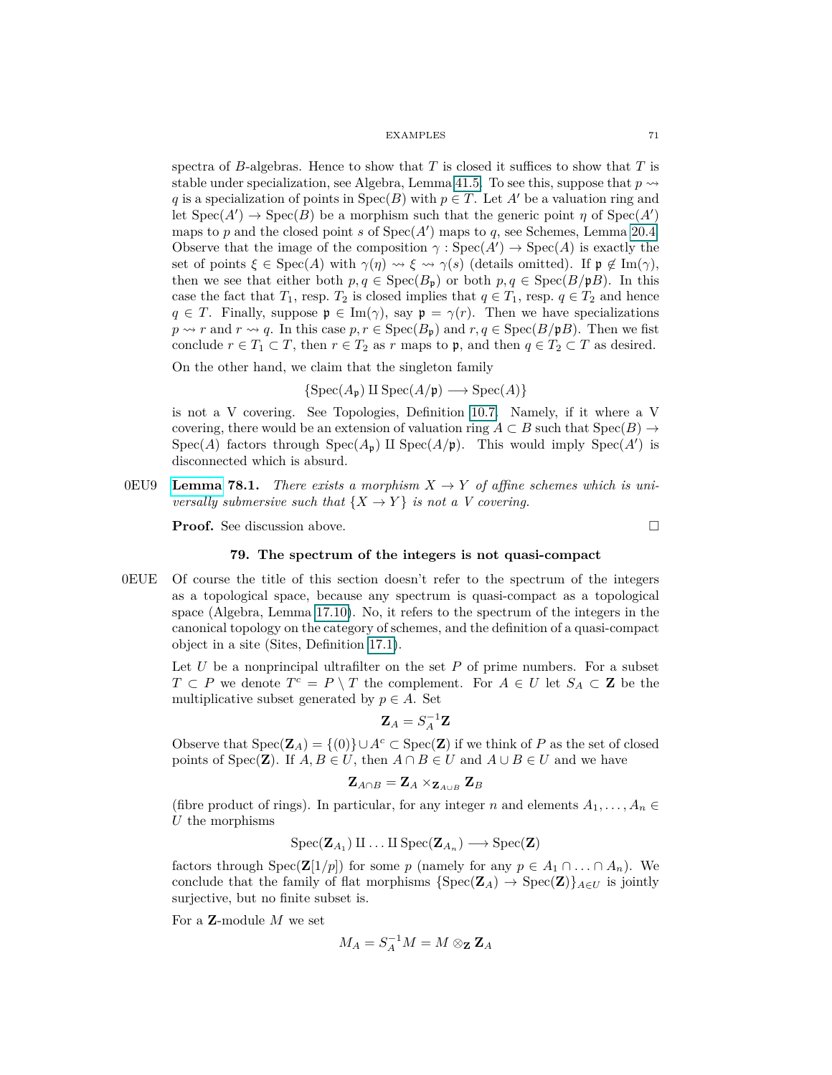spectra of *B*-algebras. Hence to show that *T* is closed it suffices to show that *T* is stable under specialization, see Algebra, Lemma 41.5. To see this, suppose that  $p \rightarrow$ *q* is a specialization of points in  $Spec(B)$  with  $p \in T$ . Let *A'* be a valuation ring and let  $Spec(A') \to Spec(B)$  be a morphism such that the generic point *η* of  $Spec(A')$ maps to  $p$  and the closed point  $s$  of  $Spec(A')$  maps to  $q$ , see Schemes, Lemma 20.4. Observe that the image of the composition  $\gamma : \text{Spec}(A') \to \text{Spec}(A)$  is exactly the set of points  $\xi \in \text{Spec}(A)$  with  $\gamma(\eta) \rightsquigarrow \xi \rightsquigarrow \gamma(s)$  (details omitted). If  $\mathfrak{p} \notin \text{Im}(\gamma)$ , then we see that either both  $p, q \in \text{Spec}(B_{\mathfrak{p}})$  or both  $p, q \in \text{Spec}(B/\mathfrak{p}B)$ . In this case the fact that  $T_1$ , resp.  $T_2$  is closed implies that  $q \in T_1$ , resp.  $q \in T_2$  and hence  $q \in T$ . Finally, suppose  $\mathfrak{p} \in \text{Im}(\gamma)$ , say  $\mathfrak{p} = \gamma(r)$ . Then we have specializations  $p \rightsquigarrow r$  and  $r \rightsquigarrow q$ . In this case  $p, r \in \text{Spec}(B_p)$  and  $r, q \in \text{Spec}(B/pB)$ . Then we fist conclude  $r \in T_1 \subset T$ , then  $r \in T_2$  as  $r$  maps to  $\mathfrak{p}$ , and then  $q \in T_2 \subset T$  as desired.

On the other hand, we claim that the singleton family

$$
\{Spec(A_{\mathfrak{p}}) \amalg Spec(A/\mathfrak{p}) \longrightarrow Spec(A)\}
$$

is not a V covering. See Topologies, Definition 10.7. Namely, if it where a V covering, there would be an extension of valuation ring  $A \subset B$  such that  $Spec(B) \to$ Spec(*A*) factors through  $Spec(A_p)$  II Spec(*A*/p). This would imply Spec(*A'*) is disconnected which is absurd.

0EU9 **[Lemma](https://stacks.math.columbia.edu/tag/0EU9) 78.1.** *There exists a morphism*  $X \to Y$  *of affine schemes which is universally submersive such that*  $\{X \to Y\}$  *is not a V covering.* 

**Proof.** See discussion above. □

## **79. The spectrum of the integers is not quasi-compact**

0EUE Of course the title of this section doesn't refer to the spectrum of the integers as a topological space, because any spectrum is quasi-compact as a topological space (Algebra, Lemma 17.10). No, it refers to the spectrum of the integers in the canonical topology on the category of schemes, and the definition of a quasi-compact object in a site (Sites, Definition [17.1\)](#page-16-0).

Let  $U$  be a nonprincipal ultrafilter on the set  $P$  of prime numbers. For a subset *T* ⊂ *P* we denote  $T^c = P \setminus T$  the complement. For  $A \in U$  let  $S_A \subset \mathbf{Z}$  be the multiplicative subset generated by  $p \in A$ . Set

$$
\mathbf{Z}_A = S_A^{-1} \mathbf{Z}
$$

Observe that  $Spec(\mathbf{Z}_A) = \{(0)\} \cup A^c \subset Spec(\mathbf{Z})$  if we think of *P* as the set of closed points of Spec(**Z**). If  $A, B \in U$ , then  $A \cap B \in U$  and  $A \cup B \in U$  and we have

$$
\mathbf{Z}_{A\cap B} = \mathbf{Z}_A \times_{\mathbf{Z}_{A\cup B}} \mathbf{Z}_B
$$

(fibre product of rings). In particular, for any integer *n* and elements  $A_1, \ldots, A_n \in$ *U* the morphisms

$$
\operatorname{Spec}(\mathbf{Z}_{A_1}) \amalg \ldots \amalg \operatorname{Spec}(\mathbf{Z}_{A_n}) \longrightarrow \operatorname{Spec}(\mathbf{Z})
$$

factors through  $Spec(\mathbf{Z}[1/p])$  for some *p* (namely for any  $p \in A_1 \cap ... \cap A_n$ ). We conclude that the family of flat morphisms  $\{Spec(\mathbf{Z}_A) \to Spec(\mathbf{Z})\}_{A \in U}$  is jointly surjective, but no finite subset is.

For a **Z**-module *M* we set

$$
M_A = S_A^{-1}M = M \otimes_{\mathbf{Z}} \mathbf{Z}_A
$$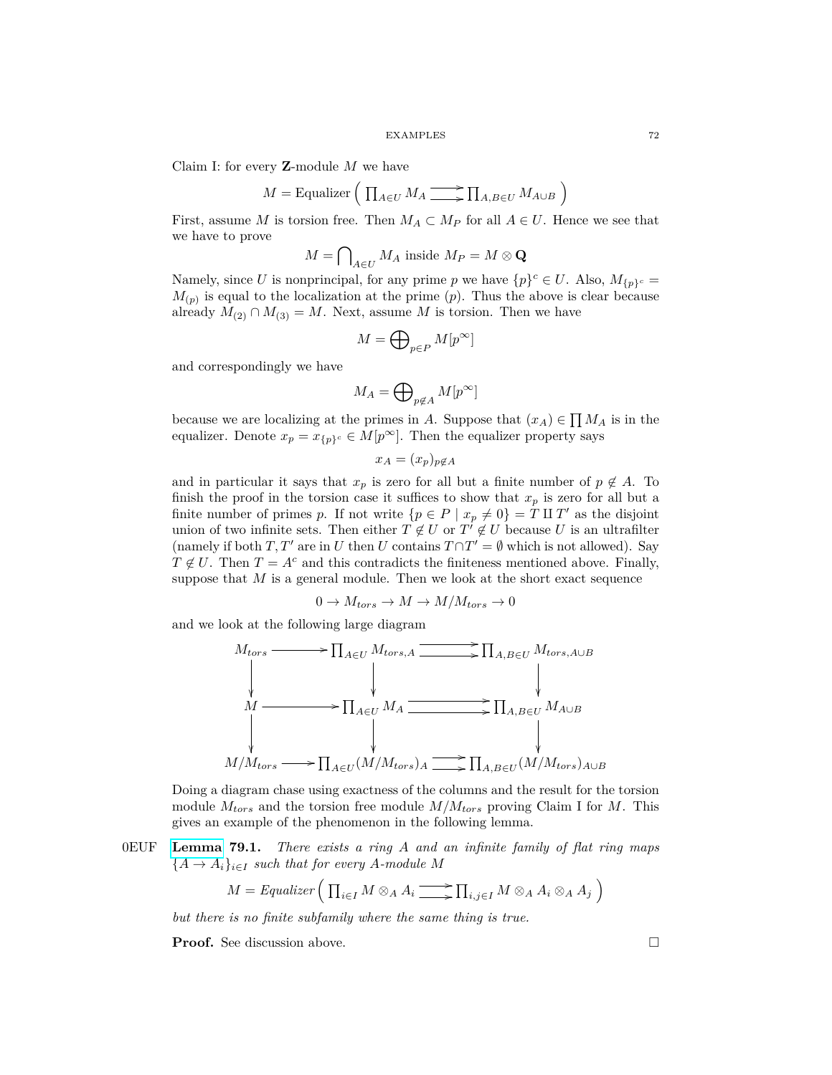Claim I: for every **Z**-module *M* we have

$$
M = \text{Equality} \left( \prod_{A \in U} M_A \longrightarrow \prod_{A, B \in U} M_{A \cup B} \right)
$$

First, assume *M* is torsion free. Then  $M_A \subset M_P$  for all  $A \in U$ . Hence we see that we have to prove

$$
M = \bigcap\nolimits_{A \in U} M_A \text{ inside } M_P = M \otimes \mathbf{Q}
$$

Namely, since *U* is nonprincipal, for any prime *p* we have  $\{p\}^c \in U$ . Also,  $M_{\{p\}^c} =$  $M_{(p)}$  is equal to the localization at the prime  $(p)$ . Thus the above is clear because already  $M_{(2)} \cap M_{(3)} = M$ . Next, assume *M* is torsion. Then we have

$$
M=\bigoplus\nolimits_{p\in P}M[p^{\infty}]
$$

and correspondingly we have

$$
M_A=\bigoplus\nolimits_{p\not\in A}M[p^\infty]
$$

because we are localizing at the primes in *A*. Suppose that  $(x_A) \in \prod M_A$  is in the equalizer. Denote  $x_p = x_{\{p\}^c} \in M[p^\infty]$ . Then the equalizer property says

$$
x_A = (x_p)_{p \notin A}
$$

and in particular it says that  $x_p$  is zero for all but a finite number of  $p \notin A$ . To finish the proof in the torsion case it suffices to show that  $x_p$  is zero for all but a finite number of primes *p*. If not write  $\{p \in P \mid x_p \neq 0\} = T \amalg T'$  as the disjoint union of two infinite sets. Then either  $T \notin U$  or  $T' \notin U$  because *U* is an ultrafilter (namely if both *T*, *T'* are in *U* then *U* contains  $T \cap T' = \emptyset$  which is not allowed). Say  $T \notin U$ . Then  $T = A^c$  and this contradicts the finiteness mentioned above. Finally, suppose that  $M$  is a general module. Then we look at the short exact sequence

$$
0 \to M_{tors} \to M \to M/M_{tors} \to 0
$$

and we look at the following large diagram



Doing a diagram chase using exactness of the columns and the result for the torsion module *Mtors* and the torsion free module *M/Mtors* proving Claim I for *M*. This gives an example of the phenomenon in the following lemma.

0EUF **[Lemma](https://stacks.math.columbia.edu/tag/0EUF) 79.1.** *There exists a ring A and an infinite family of flat ring maps*  ${A \rightarrow A_i}_{i \in I}$  *such that for every A-module M* 

$$
M = \text{Equality} \left( \prod_{i \in I} M \otimes_A A_i \longrightarrow \prod_{i,j \in I} M \otimes_A A_i \otimes_A A_j \right)
$$

*but there is no finite subfamily where the same thing is true.*

**Proof.** See discussion above. □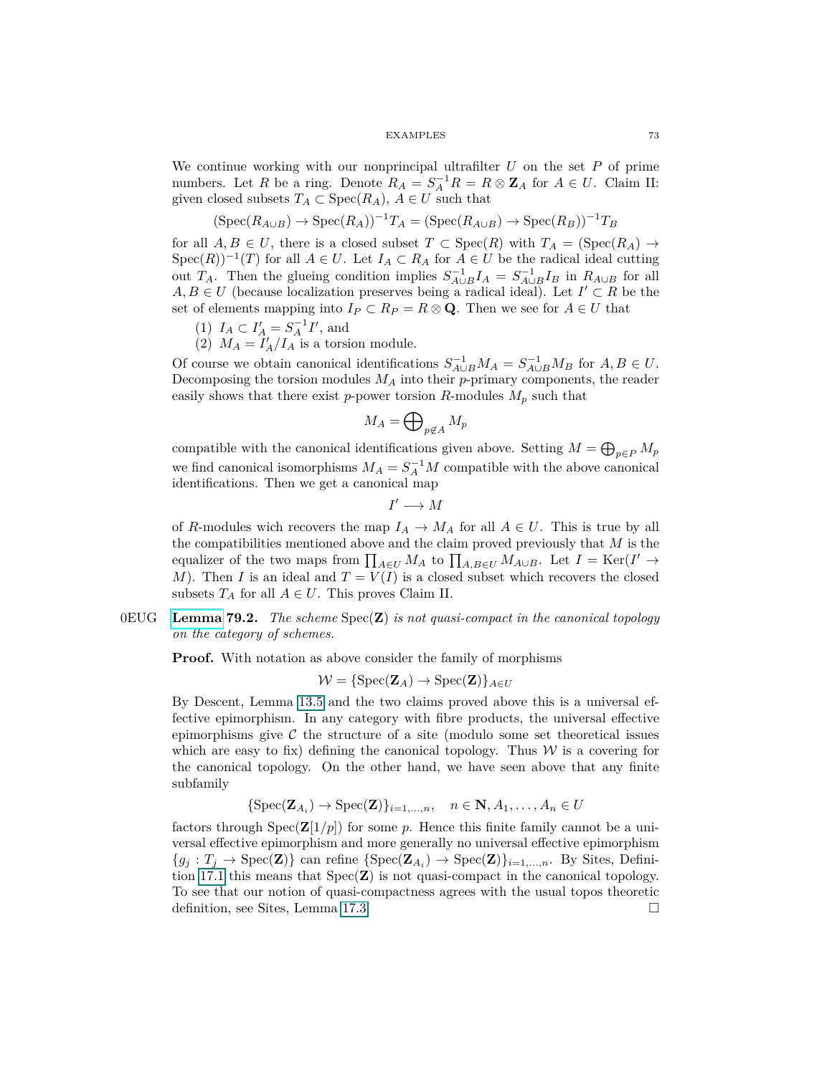We continue working with our nonprincipal ultrafilter *U* on the set *P* of prime numbers. Let *R* be a ring. Denote  $R_A = S_A^{-1}R = R \otimes \mathbf{Z}_A$  for  $A \in U$ . Claim II: given closed subsets  $T_A \subset \text{Spec}(R_A)$ ,  $A \in U$  such that

$$
(\operatorname{Spec}(R_{A\cup B}) \to \operatorname{Spec}(R_A))^{-1}T_A = (\operatorname{Spec}(R_{A\cup B}) \to \operatorname{Spec}(R_B))^{-1}T_B
$$

for all  $A, B \in U$ , there is a closed subset  $T \subset \text{Spec}(R)$  with  $T_A = (\text{Spec}(R_A) \to$  $Spec(R))^{-1}(T)$  for all  $A \in U$ . Let  $I_A \subset R_A$  for  $A \in U$  be the radical ideal cutting out *T<sub>A</sub>*. Then the glueing condition implies  $S_{A\cup B}^{-1}I_A = S_{A\cup B}^{-1}I_B$  in  $R_{A\cup B}$  for all *A, B* ∈ *U* (because localization preserves being a radical ideal). Let  $I' \subset R$  be the set of elements mapping into  $I_P \subset R_P = R \otimes \mathbf{Q}$ . Then we see for  $A \in U$  that

- (1)  $I_A \subset I'_A = S_A^{-1}I'$ , and
- (2)  $M_A = I'_A/I_A$  is a torsion module.

Of course we obtain canonical identifications  $S_{A\cup B}^{-1}M_A = S_{A\cup B}^{-1}M_B$  for  $A, B \in U$ . Decomposing the torsion modules *M<sup>A</sup>* into their *p*-primary components, the reader easily shows that there exist *p*-power torsion *R*-modules  $M_p$  such that

$$
M_A=\bigoplus\nolimits_{p\not\in A}M_p
$$

compatible with the canonical identifications given above. Setting  $M = \bigoplus_{p \in P} M_p$ we find canonical isomorphisms  $M_A = S_A^{-1}M$  compatible with the above canonical identifications. Then we get a canonical map

$$
I'\longrightarrow M
$$

of *R*-modules wich recovers the map  $I_A \to M_A$  for all  $A \in U$ . This is true by all the compatibilities mentioned above and the claim proved previously that *M* is the equalizer of the two maps from  $\prod_{A \in U} M_A$  to  $\prod_{A, B \in U} M_{A \cup B}$ . Let  $I = \text{Ker}(I' \to$ *M*). Then *I* is an ideal and  $T = V(I)$  is a closed subset which recovers the closed subsets  $T_A$  for all  $A \in U$ . This proves Claim II.

# 0EUG **[Lemma](https://stacks.math.columbia.edu/tag/0EUG) 79.2.** *The scheme* Spec(**Z**) *is not quasi-compact in the canonical topology on the category of schemes.*

**Proof.** With notation as above consider the family of morphisms

 $W = \{ \text{Spec}(\mathbf{Z}_A) \to \text{Spec}(\mathbf{Z}) \}_{A \in U}$ 

By Descent, Lemma 13.5 and the two claims proved above this is a universal effective epimorphism. In any category with fibre products, the universal effective epimorphisms give  $\mathcal C$  the structure of a site (modulo some set theoretical issues which are easy to fix) defining the canonical topology. Thus  $W$  is a covering for the canonical topology. On the other hand, we have seen above that any finite subfamily

$$
\{Spec(\mathbf{Z}_{A_i}) \to Spec(\mathbf{Z})\}_{i=1,\ldots,n}, \quad n \in \mathbf{N}, A_1, \ldots, A_n \in U
$$

factors through  $Spec(\mathbf{Z}[1/p])$  for some p. Hence this finite family cannot be a universal effective epimorphism and more generally no universal effective epimorphism  ${g_j : T_j \to \text{Spec}(\mathbf{Z})}$  can refine  ${\text{Spec}(\mathbf{Z}_{A_i}) \to \text{Spec}(\mathbf{Z})}_{i=1,\dots,n}$ . By Sites, Definition [17.1](#page-16-0) this means that Spec(**Z**) is not quasi-compact in the canonical topology. To see that our notion of quasi-compactness agrees with the usual topos theoretic definition, see Sites, Lemma 17.3.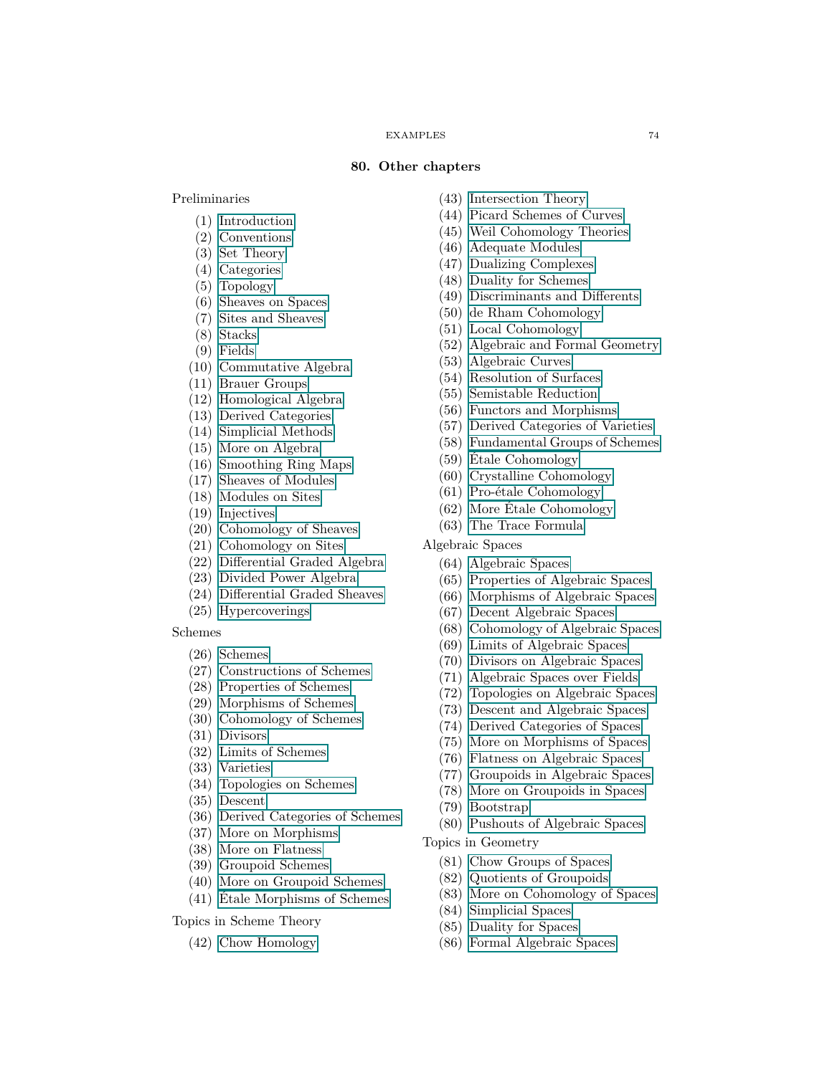### **80. Other chapters**

Preliminaries

- (1) [Introduction](#page-0-0)
- (2) [Conventions](#page-0-0)
- (3) [Set Theory](#page-0-0)
- (4) [Categories](#page-0-0)
- (5) [Topology](#page-0-0)
- (6) [Sheaves on Spaces](#page-0-0)
- (7) [Sites and Sheaves](#page-0-0)
- (8) [Stacks](#page-0-0)
- (9) [Fields](#page-0-0)
- (10) [Commutative Algebra](#page-0-0)
- (11) [Brauer Groups](#page-0-0)
- (12) [Homological Algebra](#page-0-0)
- (13) [Derived Categories](#page-0-0)
- (14) [Simplicial Methods](#page-0-0)
- (15) [More on Algebra](#page-0-0)
- (16) [Smoothing Ring Maps](#page-0-0)
- (17) [Sheaves of Modules](#page-0-0)
- (18) [Modules on Sites](#page-0-0)
- (19) [Injectives](#page-0-0)
- (20) [Cohomology of Sheaves](#page-0-0)
- (21) [Cohomology on Sites](#page-0-0)
- (22) [Differential Graded Algebra](#page-0-0)
- (23) [Divided Power Algebra](#page-0-0)
- (24) [Differential Graded Sheaves](#page-0-0)
- (25) [Hypercoverings](#page-0-0)

### Schemes

- (26) [Schemes](#page-0-0)
- (27) [Constructions of Schemes](#page-0-0)
- (28) [Properties of Schemes](#page-0-0)
- (29) [Morphisms of Schemes](#page-0-0)
- (30) [Cohomology of Schemes](#page-0-0)
- (31) [Divisors](#page-0-0)
- (32) [Limits of Schemes](#page-0-0)
- (33) [Varieties](#page-0-0)
- (34) [Topologies on Schemes](#page-0-0)
- (35) [Descent](#page-0-0)
- (36) [Derived Categories of Schemes](#page-0-0)
- (37) [More on Morphisms](#page-0-0)
- (38) [More on Flatness](#page-0-0)
- (39) [Groupoid Schemes](#page-0-0)
- (40) [More on Groupoid Schemes](#page-0-0)
- (41) [Étale Morphisms of Schemes](#page-0-0)
- Topics in Scheme Theory
	- (42) [Chow Homology](#page-0-0)
- (43) [Intersection Theory](#page-0-0)
- (44) [Picard Schemes of Curves](#page-0-0)
- (45) [Weil Cohomology Theories](#page-0-0)
- (46) [Adequate Modules](#page-0-0)
- (47) [Dualizing Complexes](#page-0-0)
- (48) [Duality for Schemes](#page-0-0)
- (49) [Discriminants and Differents](#page-0-0)
- (50) [de Rham Cohomology](#page-0-0)
- (51) [Local Cohomology](#page-0-0)
- (52) [Algebraic and Formal Geometry](#page-0-0)
- (53) [Algebraic Curves](#page-0-0)
- (54) [Resolution of Surfaces](#page-0-0)
- (55) [Semistable Reduction](#page-0-0)
- (56) [Functors and Morphisms](#page-0-0)
- (57) [Derived Categories of Varieties](#page-0-0)
- (58) [Fundamental Groups of Schemes](#page-0-0)
- (59) [Étale Cohomology](#page-0-0)
- (60) [Crystalline Cohomology](#page-0-0)
- (61) [Pro-étale Cohomology](#page-0-0)
- (62) [More Étale Cohomology](#page-0-0)
- (63) [The Trace Formula](#page-0-0)
- Algebraic Spaces
	- (64) [Algebraic Spaces](#page-0-0)
	- (65) [Properties of Algebraic Spaces](#page-0-0)
	- (66) [Morphisms of Algebraic Spaces](#page-0-0)
	- (67) [Decent Algebraic Spaces](#page-0-0)
	- (68) [Cohomology of Algebraic Spaces](#page-0-0)
	- (69) [Limits of Algebraic Spaces](#page-0-0)
	- (70) [Divisors on Algebraic Spaces](#page-0-0)
	- (71) [Algebraic Spaces over Fields](#page-0-0)
	- (72) [Topologies on Algebraic Spaces](#page-0-0)
	- (73) [Descent and Algebraic Spaces](#page-0-0)
	- (74) [Derived Categories of Spaces](#page-0-0)
	- (75) [More on Morphisms of Spaces](#page-0-0)
	- (76) [Flatness on Algebraic Spaces](#page-0-0)
	- (77) [Groupoids in Algebraic Spaces](#page-0-0)
	- (78) [More on Groupoids in Spaces](#page-0-0)
	- (79) [Bootstrap](#page-0-0)
	- (80) [Pushouts of Algebraic Spaces](#page-0-0)
- Topics in Geometry
	- (81) [Chow Groups of Spaces](#page-0-0)
	- (82) [Quotients of Groupoids](#page-0-0)
	- (83) [More on Cohomology of Spaces](#page-0-0)
	- (84) [Simplicial Spaces](#page-0-0)
	- (85) [Duality for Spaces](#page-0-0)
	- (86) [Formal Algebraic Spaces](#page-0-0)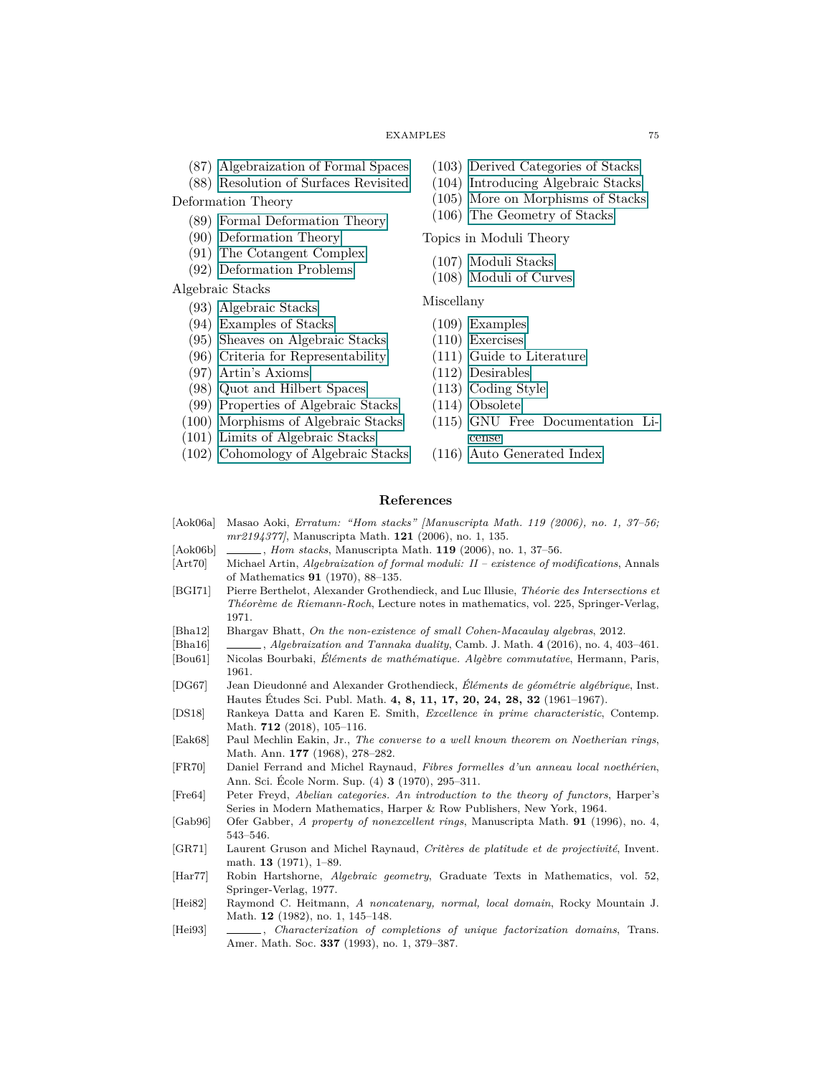- (87) [Algebraization of Formal Spaces](#page-0-0)
- (88) [Resolution of Surfaces Revisited](#page-0-0)

Deformation Theory

- (89) [Formal Deformation Theory](#page-0-0)
- (90) [Deformation Theory](#page-0-0)
- (91) [The Cotangent Complex](#page-0-0)
- (92) [Deformation Problems](#page-0-0)

Algebraic Stacks

- (93) [Algebraic Stacks](#page-0-0)
- (94) [Examples of Stacks](#page-0-0)
- (95) [Sheaves on Algebraic Stacks](#page-0-0)
- (96) [Criteria for Representability](#page-0-0)
- (97) [Artin's Axioms](#page-0-0)
- (98) [Quot and Hilbert Spaces](#page-0-0)
- (99) [Properties of Algebraic Stacks](#page-0-0)
- (100) [Morphisms of Algebraic Stacks](#page-0-0)
- (101) [Limits of Algebraic Stacks](#page-0-0)
- (102) [Cohomology of Algebraic Stacks](#page-0-0)
- (103) [Derived Categories of Stacks](#page-0-0)
- (104) [Introducing Algebraic Stacks](#page-0-0)
- (105) [More on Morphisms of Stacks](#page-0-0)
- (106) [The Geometry of Stacks](#page-0-0)

#### Topics in Moduli Theory

- (107) [Moduli Stacks](#page-0-0)
- (108) [Moduli of Curves](#page-0-0)

### Miscellany

- (109) [Examples](#page-0-0)
- (110) [Exercises](#page-0-0)
- (111) [Guide to Literature](#page-0-0)
- (112) [Desirables](#page-0-0)
- (113) [Coding Style](#page-0-0)
- (114) [Obsolete](#page-0-0)
- (115) [GNU Free Documentation Li](#page-0-0)[cense](#page-0-0)
- (116) [Auto Generated Index](#page-0-0)

## **References**

- [Aok06a] Masao Aoki, *Erratum: "Hom stacks" [Manuscripta Math. 119 (2006), no. 1, 37–56; mr2194377]*, Manuscripta Math. **121** (2006), no. 1, 135.
- [Aok06b] , *Hom stacks*, Manuscripta Math. **119** (2006), no. 1, 37–56.
- [Art70] Michael Artin, *Algebraization of formal moduli: II existence of modifications*, Annals of Mathematics **91** (1970), 88–135.
- [BGI71] Pierre Berthelot, Alexander Grothendieck, and Luc Illusie, *Théorie des Intersections et Théorème de Riemann-Roch*, Lecture notes in mathematics, vol. 225, Springer-Verlag, 1971.
- [Bha12] Bhargav Bhatt, *On the non-existence of small Cohen-Macaulay algebras*, 2012.
- [Bha16] , *Algebraization and Tannaka duality*, Camb. J. Math. **4** (2016), no. 4, 403–461.
- [Bou61] Nicolas Bourbaki, *Éléments de mathématique. Algèbre commutative*, Hermann, Paris, 1961.
- [DG67] Jean Dieudonné and Alexander Grothendieck, *Éléments de géométrie algébrique*, Inst. Hautes Études Sci. Publ. Math. **4, 8, 11, 17, 20, 24, 28, 32** (1961–1967).
- [DS18] Rankeya Datta and Karen E. Smith, *Excellence in prime characteristic*, Contemp. Math. **712** (2018), 105–116.
- [Eak68] Paul Mechlin Eakin, Jr., *The converse to a well known theorem on Noetherian rings*, Math. Ann. **177** (1968), 278–282.
- [FR70] Daniel Ferrand and Michel Raynaud, *Fibres formelles d'un anneau local noethérien*, Ann. Sci. École Norm. Sup. (4) **3** (1970), 295–311.
- [Fre64] Peter Freyd, *Abelian categories. An introduction to the theory of functors*, Harper's Series in Modern Mathematics, Harper & Row Publishers, New York, 1964.
- [Gab96] Ofer Gabber, *A property of nonexcellent rings*, Manuscripta Math. **91** (1996), no. 4, 543–546.
- [GR71] Laurent Gruson and Michel Raynaud, *Critères de platitude et de projectivité*, Invent. math. **13** (1971), 1–89.
- [Har77] Robin Hartshorne, *Algebraic geometry*, Graduate Texts in Mathematics, vol. 52, Springer-Verlag, 1977.
- [Hei82] Raymond C. Heitmann, *A noncatenary, normal, local domain*, Rocky Mountain J. Math. **12** (1982), no. 1, 145–148.
- [Hei93] , *Characterization of completions of unique factorization domains*, Trans. Amer. Math. Soc. **337** (1993), no. 1, 379–387.